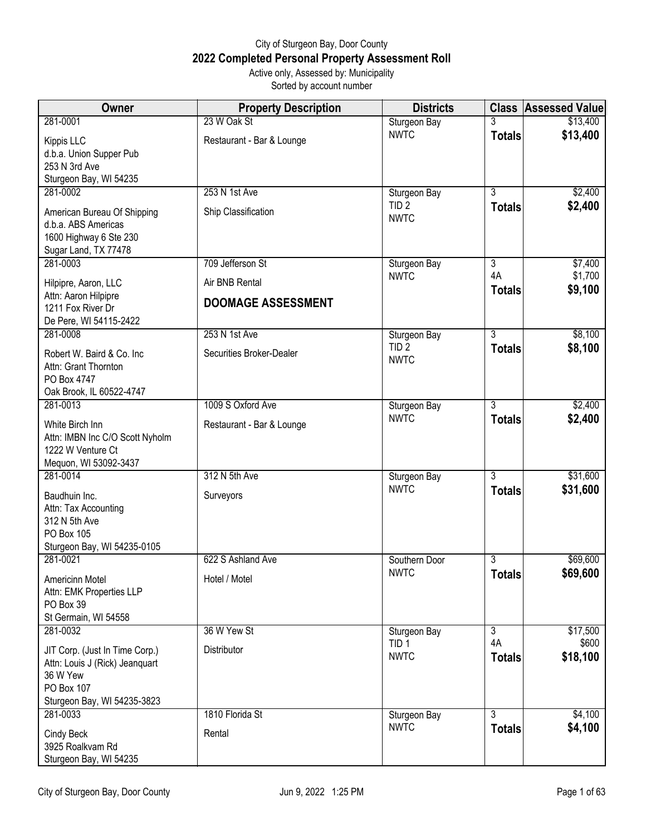## City of Sturgeon Bay, Door County **2022 Completed Personal Property Assessment Roll** Active only, Assessed by: Municipality

Sorted by account number

| <b>Owner</b>                                         | <b>Property Description</b> | <b>Districts</b>            |                      | <b>Class Assessed Value</b> |
|------------------------------------------------------|-----------------------------|-----------------------------|----------------------|-----------------------------|
| 281-0001                                             | 23 W Oak St                 | Sturgeon Bay                |                      | \$13,400                    |
| Kippis LLC                                           | Restaurant - Bar & Lounge   | <b>NWTC</b>                 | <b>Totals</b>        | \$13,400                    |
| d.b.a. Union Supper Pub                              |                             |                             |                      |                             |
| 253 N 3rd Ave                                        |                             |                             |                      |                             |
| Sturgeon Bay, WI 54235<br>281-0002                   | 253 N 1st Ave               | Sturgeon Bay                | $\overline{3}$       | \$2,400                     |
|                                                      |                             | TID <sub>2</sub>            | <b>Totals</b>        | \$2,400                     |
| American Bureau Of Shipping<br>d.b.a. ABS Americas   | Ship Classification         | <b>NWTC</b>                 |                      |                             |
| 1600 Highway 6 Ste 230                               |                             |                             |                      |                             |
| Sugar Land, TX 77478                                 |                             |                             |                      |                             |
| 281-0003                                             | 709 Jefferson St            | Sturgeon Bay                | $\overline{3}$<br>4A | \$7,400                     |
| Hilpipre, Aaron, LLC                                 | Air BNB Rental              | <b>NWTC</b>                 | <b>Totals</b>        | \$1,700<br>\$9,100          |
| Attn: Aaron Hilpipre<br>1211 Fox River Dr            | <b>DOOMAGE ASSESSMENT</b>   |                             |                      |                             |
| De Pere, WI 54115-2422                               |                             |                             |                      |                             |
| 281-0008                                             | 253 N 1st Ave               | Sturgeon Bay                | $\overline{3}$       | \$8,100                     |
| Robert W. Baird & Co. Inc                            | Securities Broker-Dealer    | TID <sub>2</sub>            | <b>Totals</b>        | \$8,100                     |
| Attn: Grant Thornton                                 |                             | <b>NWTC</b>                 |                      |                             |
| PO Box 4747                                          |                             |                             |                      |                             |
| Oak Brook, IL 60522-4747<br>281-0013                 | 1009 S Oxford Ave           |                             | 3                    | \$2,400                     |
|                                                      |                             | Sturgeon Bay<br><b>NWTC</b> | <b>Totals</b>        | \$2,400                     |
| White Birch Inn                                      | Restaurant - Bar & Lounge   |                             |                      |                             |
| Attn: IMBN Inc C/O Scott Nyholm<br>1222 W Venture Ct |                             |                             |                      |                             |
| Mequon, WI 53092-3437                                |                             |                             |                      |                             |
| 281-0014                                             | 312 N 5th Ave               | Sturgeon Bay                | 3                    | \$31,600                    |
| Baudhuin Inc.                                        | Surveyors                   | <b>NWTC</b>                 | <b>Totals</b>        | \$31,600                    |
| Attn: Tax Accounting                                 |                             |                             |                      |                             |
| 312 N 5th Ave<br>PO Box 105                          |                             |                             |                      |                             |
| Sturgeon Bay, WI 54235-0105                          |                             |                             |                      |                             |
| 281-0021                                             | 622 S Ashland Ave           | Southern Door               | 3                    | \$69,600                    |
| Americinn Motel                                      | Hotel / Motel               | <b>NWTC</b>                 | <b>Totals</b>        | \$69,600                    |
| Attn: EMK Properties LLP                             |                             |                             |                      |                             |
| PO Box 39<br>St Germain, WI 54558                    |                             |                             |                      |                             |
| 281-0032                                             | 36 W Yew St                 | Sturgeon Bay                | $\overline{3}$       | \$17,500                    |
| JIT Corp. (Just In Time Corp.)                       | Distributor                 | TID <sub>1</sub>            | 4A                   | \$600                       |
| Attn: Louis J (Rick) Jeanquart                       |                             | <b>NWTC</b>                 | <b>Totals</b>        | \$18,100                    |
| 36 W Yew                                             |                             |                             |                      |                             |
| PO Box 107                                           |                             |                             |                      |                             |
| Sturgeon Bay, WI 54235-3823<br>281-0033              | 1810 Florida St             | Sturgeon Bay                | $\overline{3}$       | \$4,100                     |
|                                                      |                             | <b>NWTC</b>                 | <b>Totals</b>        | \$4,100                     |
| Cindy Beck<br>3925 Roalkvam Rd                       | Rental                      |                             |                      |                             |
| Sturgeon Bay, WI 54235                               |                             |                             |                      |                             |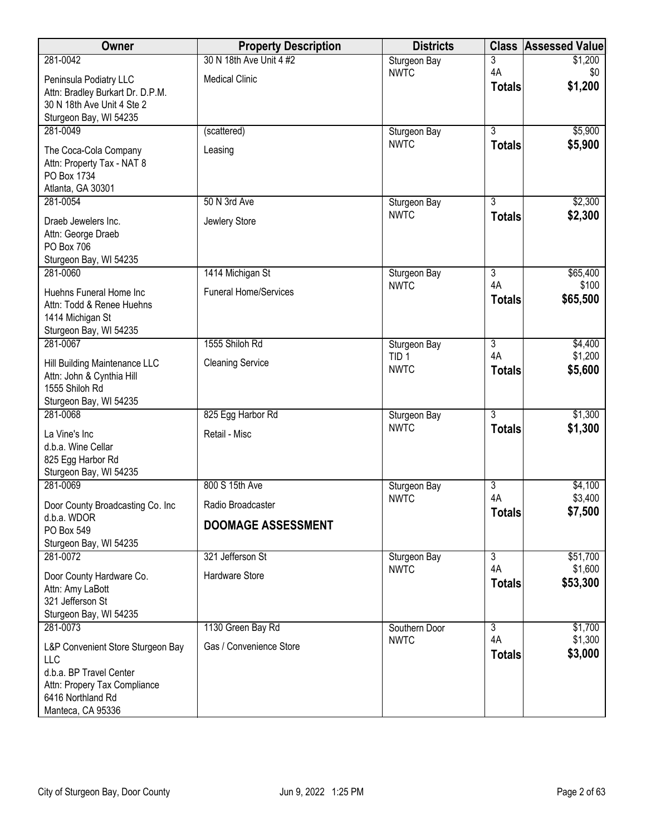| Owner                                             | <b>Property Description</b>  | <b>Districts</b>            |                | <b>Class Assessed Value</b> |
|---------------------------------------------------|------------------------------|-----------------------------|----------------|-----------------------------|
| 281-0042                                          | 30 N 18th Ave Unit 4 #2      | Sturgeon Bay                | 3              | \$1,200                     |
| Peninsula Podiatry LLC                            | <b>Medical Clinic</b>        | <b>NWTC</b>                 | 4A             | \$0                         |
| Attn: Bradley Burkart Dr. D.P.M.                  |                              |                             | <b>Totals</b>  | \$1,200                     |
| 30 N 18th Ave Unit 4 Ste 2                        |                              |                             |                |                             |
| Sturgeon Bay, WI 54235                            |                              |                             |                |                             |
| 281-0049                                          | (scattered)                  | Sturgeon Bay<br><b>NWTC</b> | $\overline{3}$ | \$5,900                     |
| The Coca-Cola Company                             | Leasing                      |                             | <b>Totals</b>  | \$5,900                     |
| Attn: Property Tax - NAT 8                        |                              |                             |                |                             |
| PO Box 1734                                       |                              |                             |                |                             |
| Atlanta, GA 30301<br>281-0054                     | 50 N 3rd Ave                 | Sturgeon Bay                | $\overline{3}$ | \$2,300                     |
|                                                   |                              | <b>NWTC</b>                 | <b>Totals</b>  | \$2,300                     |
| Draeb Jewelers Inc.                               | Jewlery Store                |                             |                |                             |
| Attn: George Draeb<br>PO Box 706                  |                              |                             |                |                             |
| Sturgeon Bay, WI 54235                            |                              |                             |                |                             |
| 281-0060                                          | 1414 Michigan St             | Sturgeon Bay                | $\overline{3}$ | \$65,400                    |
| Huehns Funeral Home Inc                           | <b>Funeral Home/Services</b> | <b>NWTC</b>                 | 4A             | \$100                       |
| Attn: Todd & Renee Huehns                         |                              |                             | <b>Totals</b>  | \$65,500                    |
| 1414 Michigan St                                  |                              |                             |                |                             |
| Sturgeon Bay, WI 54235                            |                              |                             |                |                             |
| 281-0067                                          | 1555 Shiloh Rd               | Sturgeon Bay                | $\overline{3}$ | \$4,400                     |
| Hill Building Maintenance LLC                     | <b>Cleaning Service</b>      | TID <sub>1</sub>            | 4A             | \$1,200                     |
| Attn: John & Cynthia Hill                         |                              | <b>NWTC</b>                 | <b>Totals</b>  | \$5,600                     |
| 1555 Shiloh Rd                                    |                              |                             |                |                             |
| Sturgeon Bay, WI 54235                            |                              |                             |                |                             |
| 281-0068                                          | 825 Egg Harbor Rd            | Sturgeon Bay<br><b>NWTC</b> | $\overline{3}$ | \$1,300                     |
| La Vine's Inc                                     | Retail - Misc                |                             | <b>Totals</b>  | \$1,300                     |
| d.b.a. Wine Cellar                                |                              |                             |                |                             |
| 825 Egg Harbor Rd<br>Sturgeon Bay, WI 54235       |                              |                             |                |                             |
| 281-0069                                          | 800 S 15th Ave               | Sturgeon Bay                | $\overline{3}$ | \$4,100                     |
|                                                   |                              | <b>NWTC</b>                 | 4A             | \$3,400                     |
| Door County Broadcasting Co. Inc<br>d.b.a. WDOR   | Radio Broadcaster            |                             | <b>Totals</b>  | \$7,500                     |
| PO Box 549                                        | <b>DOOMAGE ASSESSMENT</b>    |                             |                |                             |
| Sturgeon Bay, WI 54235                            |                              |                             |                |                             |
| 281-0072                                          | 321 Jefferson St             | Sturgeon Bay                | $\overline{3}$ | \$51,700                    |
| Door County Hardware Co.                          | Hardware Store               | <b>NWTC</b>                 | 4A             | \$1,600                     |
| Attn: Amy LaBott                                  |                              |                             | <b>Totals</b>  | \$53,300                    |
| 321 Jefferson St                                  |                              |                             |                |                             |
| Sturgeon Bay, WI 54235                            |                              |                             |                |                             |
| 281-0073                                          | 1130 Green Bay Rd            | Southern Door               | $\overline{3}$ | \$1,700                     |
| L&P Convenient Store Sturgeon Bay                 | Gas / Convenience Store      | <b>NWTC</b>                 | 4A             | \$1,300                     |
| LLC                                               |                              |                             | <b>Totals</b>  | \$3,000                     |
| d.b.a. BP Travel Center                           |                              |                             |                |                             |
| Attn: Propery Tax Compliance<br>6416 Northland Rd |                              |                             |                |                             |
| Manteca, CA 95336                                 |                              |                             |                |                             |
|                                                   |                              |                             |                |                             |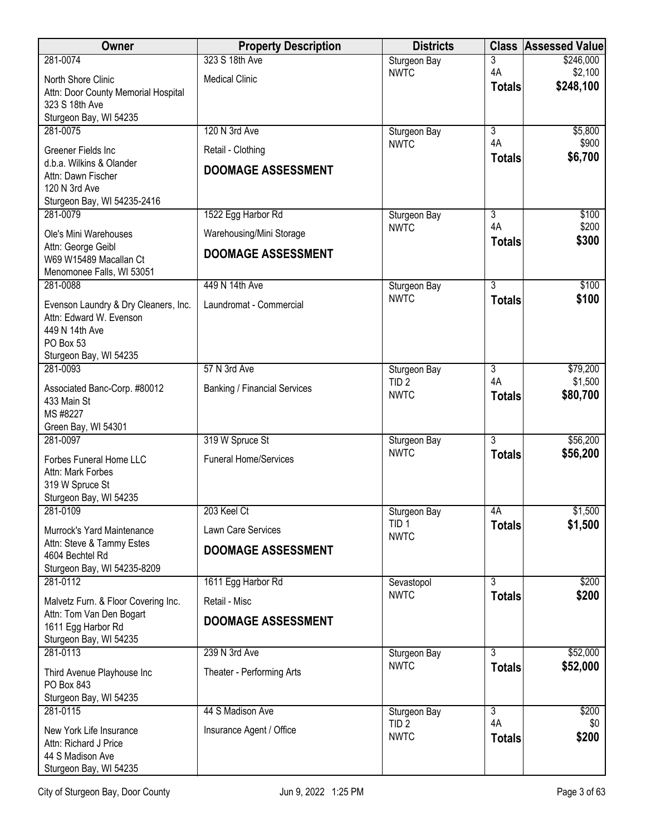| Owner                                                 | <b>Property Description</b>         | <b>Districts</b>                | <b>Class</b>        | <b>Assessed Value</b> |
|-------------------------------------------------------|-------------------------------------|---------------------------------|---------------------|-----------------------|
| 281-0074                                              | 323 S 18th Ave                      | Sturgeon Bay                    | 3                   | \$246,000             |
| North Shore Clinic                                    | <b>Medical Clinic</b>               | <b>NWTC</b>                     | 4A<br><b>Totals</b> | \$2,100<br>\$248,100  |
| Attn: Door County Memorial Hospital<br>323 S 18th Ave |                                     |                                 |                     |                       |
| Sturgeon Bay, WI 54235                                |                                     |                                 |                     |                       |
| 281-0075                                              | 120 N 3rd Ave                       | Sturgeon Bay                    | 3                   | \$5,800               |
| Greener Fields Inc                                    | Retail - Clothing                   | <b>NWTC</b>                     | 4A                  | \$900                 |
| d.b.a. Wilkins & Olander                              | <b>DOOMAGE ASSESSMENT</b>           |                                 | <b>Totals</b>       | \$6,700               |
| Attn: Dawn Fischer<br>120 N 3rd Ave                   |                                     |                                 |                     |                       |
| Sturgeon Bay, WI 54235-2416                           |                                     |                                 |                     |                       |
| 281-0079                                              | 1522 Egg Harbor Rd                  | Sturgeon Bay                    | 3                   | \$100                 |
| Ole's Mini Warehouses                                 | Warehousing/Mini Storage            | <b>NWTC</b>                     | 4A<br><b>Totals</b> | \$200<br>\$300        |
| Attn: George Geibl<br>W69 W15489 Macallan Ct          | <b>DOOMAGE ASSESSMENT</b>           |                                 |                     |                       |
| Menomonee Falls, WI 53051                             |                                     |                                 |                     |                       |
| 281-0088                                              | 449 N 14th Ave                      | Sturgeon Bay                    | $\overline{3}$      | \$100                 |
| Evenson Laundry & Dry Cleaners, Inc.                  | Laundromat - Commercial             | <b>NWTC</b>                     | <b>Totals</b>       | \$100                 |
| Attn: Edward W. Evenson                               |                                     |                                 |                     |                       |
| 449 N 14th Ave<br>PO Box 53                           |                                     |                                 |                     |                       |
| Sturgeon Bay, WI 54235                                |                                     |                                 |                     |                       |
| 281-0093                                              | 57 N 3rd Ave                        | Sturgeon Bay                    | 3                   | \$79,200              |
| Associated Banc-Corp. #80012                          | <b>Banking / Financial Services</b> | TID <sub>2</sub><br><b>NWTC</b> | 4A<br><b>Totals</b> | \$1,500<br>\$80,700   |
| 433 Main St                                           |                                     |                                 |                     |                       |
| MS #8227<br>Green Bay, WI 54301                       |                                     |                                 |                     |                       |
| 281-0097                                              | 319 W Spruce St                     | Sturgeon Bay                    | $\overline{3}$      | \$56,200              |
| Forbes Funeral Home LLC                               | <b>Funeral Home/Services</b>        | <b>NWTC</b>                     | <b>Totals</b>       | \$56,200              |
| Attn: Mark Forbes                                     |                                     |                                 |                     |                       |
| 319 W Spruce St<br>Sturgeon Bay, WI 54235             |                                     |                                 |                     |                       |
| 281-0109                                              | 203 Keel Ct                         | Sturgeon Bay                    | 4A                  | \$1,500               |
| Murrock's Yard Maintenance                            | Lawn Care Services                  | TID <sub>1</sub>                | <b>Totals</b>       | \$1,500               |
| Attn: Steve & Tammy Estes                             | <b>DOOMAGE ASSESSMENT</b>           | <b>NWTC</b>                     |                     |                       |
| 4604 Bechtel Rd<br>Sturgeon Bay, WI 54235-8209        |                                     |                                 |                     |                       |
| 281-0112                                              | 1611 Egg Harbor Rd                  | Sevastopol                      | $\overline{3}$      | \$200                 |
| Malvetz Furn. & Floor Covering Inc.                   | Retail - Misc                       | <b>NWTC</b>                     | <b>Totals</b>       | \$200                 |
| Attn: Tom Van Den Bogart                              | <b>DOOMAGE ASSESSMENT</b>           |                                 |                     |                       |
| 1611 Egg Harbor Rd<br>Sturgeon Bay, WI 54235          |                                     |                                 |                     |                       |
| 281-0113                                              | 239 N 3rd Ave                       | Sturgeon Bay                    | 3                   | \$52,000              |
| Third Avenue Playhouse Inc                            | Theater - Performing Arts           | <b>NWTC</b>                     | <b>Totals</b>       | \$52,000              |
| PO Box 843                                            |                                     |                                 |                     |                       |
| Sturgeon Bay, WI 54235<br>281-0115                    | 44 S Madison Ave                    | Sturgeon Bay                    | $\overline{3}$      | \$200                 |
|                                                       |                                     | TID <sub>2</sub>                | 4A                  | \$0                   |
| New York Life Insurance<br>Attn: Richard J Price      | Insurance Agent / Office            | <b>NWTC</b>                     | <b>Totals</b>       | \$200                 |
| 44 S Madison Ave                                      |                                     |                                 |                     |                       |
| Sturgeon Bay, WI 54235                                |                                     |                                 |                     |                       |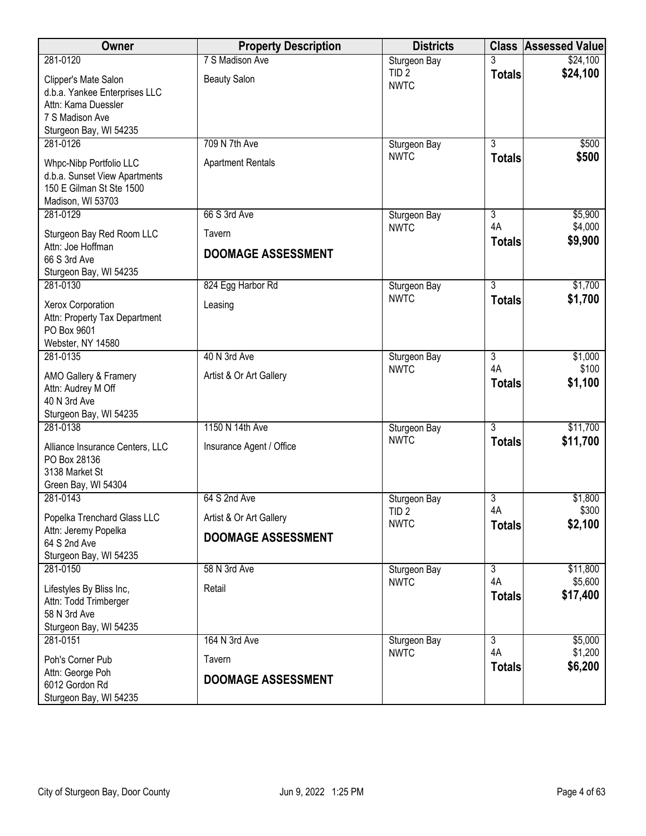| Owner                                                                                       | <b>Property Description</b> | <b>Districts</b>                |                                 | <b>Class Assessed Value</b> |
|---------------------------------------------------------------------------------------------|-----------------------------|---------------------------------|---------------------------------|-----------------------------|
| 281-0120                                                                                    | 7 S Madison Ave             | Sturgeon Bay                    | 3                               | \$24,100                    |
| Clipper's Mate Salon<br>d.b.a. Yankee Enterprises LLC<br>Attn: Kama Duessler                | <b>Beauty Salon</b>         | TID <sub>2</sub><br><b>NWTC</b> | <b>Totals</b>                   | \$24,100                    |
| 7 S Madison Ave                                                                             |                             |                                 |                                 |                             |
| Sturgeon Bay, WI 54235                                                                      |                             |                                 |                                 |                             |
| 281-0126                                                                                    | 709 N 7th Ave               | Sturgeon Bay                    | $\overline{3}$                  | \$500                       |
| Whpc-Nibp Portfolio LLC<br>d.b.a. Sunset View Apartments<br>150 E Gilman St Ste 1500        | <b>Apartment Rentals</b>    | <b>NWTC</b>                     | <b>Totals</b>                   | \$500                       |
| Madison, WI 53703<br>281-0129                                                               | 66 S 3rd Ave                | Sturgeon Bay                    | $\overline{3}$                  | \$5,900                     |
|                                                                                             | Tavern                      | <b>NWTC</b>                     | 4A                              | \$4,000                     |
| Sturgeon Bay Red Room LLC<br>Attn: Joe Hoffman                                              |                             |                                 | <b>Totals</b>                   | \$9,900                     |
| 66 S 3rd Ave                                                                                | <b>DOOMAGE ASSESSMENT</b>   |                                 |                                 |                             |
| Sturgeon Bay, WI 54235                                                                      |                             |                                 |                                 |                             |
| 281-0130                                                                                    | 824 Egg Harbor Rd           | Sturgeon Bay<br><b>NWTC</b>     | $\overline{3}$<br><b>Totals</b> | \$1,700<br>\$1,700          |
| Xerox Corporation<br>Attn: Property Tax Department<br>PO Box 9601                           | Leasing                     |                                 |                                 |                             |
| Webster, NY 14580<br>281-0135                                                               | 40 N 3rd Ave                | Sturgeon Bay                    | $\overline{3}$                  | \$1,000                     |
|                                                                                             |                             | <b>NWTC</b>                     | 4A                              | \$100                       |
| AMO Gallery & Framery<br>Attn: Audrey M Off<br>40 N 3rd Ave<br>Sturgeon Bay, WI 54235       | Artist & Or Art Gallery     |                                 | <b>Totals</b>                   | \$1,100                     |
| 281-0138                                                                                    | 1150 N 14th Ave             | Sturgeon Bay                    | $\overline{3}$                  | \$11,700                    |
| Alliance Insurance Centers, LLC<br>PO Box 28136<br>3138 Market St<br>Green Bay, WI 54304    | Insurance Agent / Office    | <b>NWTC</b>                     | <b>Totals</b>                   | \$11,700                    |
| 281-0143                                                                                    | 64 S 2nd Ave                | Sturgeon Bay                    | 3                               | \$1,800                     |
| Popelka Trenchard Glass LLC                                                                 | Artist & Or Art Gallery     | TID <sub>2</sub><br><b>NWTC</b> | 4A<br><b>Totals</b>             | \$300<br>\$2,100            |
| Attn: Jeremy Popelka<br>64 S 2nd Ave<br>Sturgeon Bay, WI 54235                              | <b>DOOMAGE ASSESSMENT</b>   |                                 |                                 |                             |
| 281-0150                                                                                    | 58 N 3rd Ave                | Sturgeon Bay                    | $\overline{3}$                  | \$11,800                    |
| Lifestyles By Bliss Inc,<br>Attn: Todd Trimberger<br>58 N 3rd Ave<br>Sturgeon Bay, WI 54235 | Retail                      | <b>NWTC</b>                     | 4A<br><b>Totals</b>             | \$5,600<br>\$17,400         |
| 281-0151                                                                                    | 164 N 3rd Ave               | Sturgeon Bay                    | $\overline{3}$                  | \$5,000                     |
| Poh's Corner Pub                                                                            | Tavern                      | <b>NWTC</b>                     | 4A<br><b>Totals</b>             | \$1,200<br>\$6,200          |
| Attn: George Poh<br>6012 Gordon Rd<br>Sturgeon Bay, WI 54235                                | <b>DOOMAGE ASSESSMENT</b>   |                                 |                                 |                             |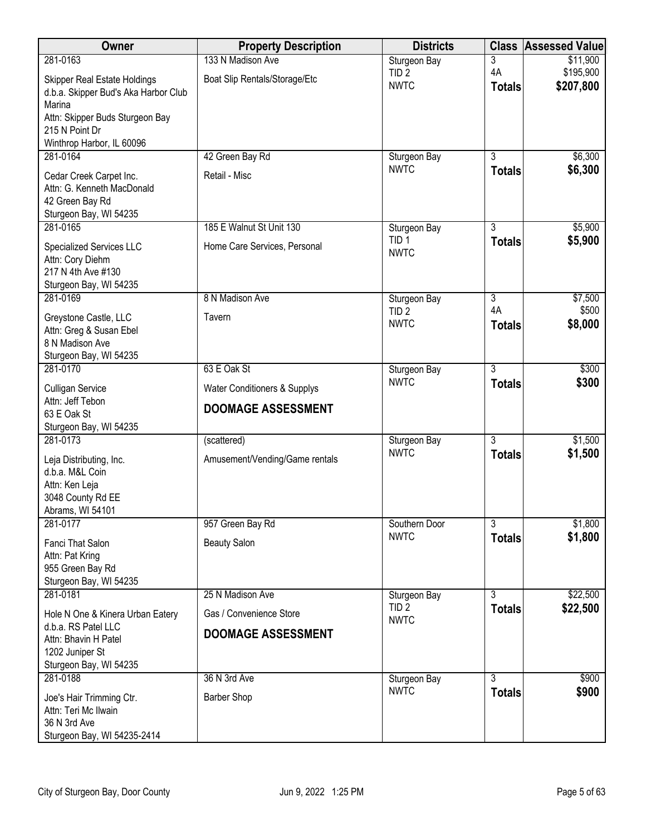| Owner                                                                                                                    | <b>Property Description</b>    | <b>Districts</b>                | <b>Class</b>        | <b>Assessed Value</b>  |
|--------------------------------------------------------------------------------------------------------------------------|--------------------------------|---------------------------------|---------------------|------------------------|
| 281-0163                                                                                                                 | 133 N Madison Ave              | Sturgeon Bay                    | 3                   | \$11,900               |
| <b>Skipper Real Estate Holdings</b><br>d.b.a. Skipper Bud's Aka Harbor Club<br>Marina<br>Attn: Skipper Buds Sturgeon Bay | Boat Slip Rentals/Storage/Etc  | TID <sub>2</sub><br><b>NWTC</b> | 4A<br><b>Totals</b> | \$195,900<br>\$207,800 |
| 215 N Point Dr<br>Winthrop Harbor, IL 60096                                                                              |                                |                                 |                     |                        |
| 281-0164                                                                                                                 | 42 Green Bay Rd                | Sturgeon Bay                    | 3                   | \$6,300                |
| Cedar Creek Carpet Inc.<br>Attn: G. Kenneth MacDonald<br>42 Green Bay Rd<br>Sturgeon Bay, WI 54235                       | Retail - Misc                  | <b>NWTC</b>                     | <b>Totals</b>       | \$6,300                |
| 281-0165                                                                                                                 | 185 E Walnut St Unit 130       | Sturgeon Bay                    | 3                   | \$5,900                |
| Specialized Services LLC<br>Attn: Cory Diehm<br>217 N 4th Ave #130<br>Sturgeon Bay, WI 54235                             | Home Care Services, Personal   | TID <sub>1</sub><br><b>NWTC</b> | <b>Totals</b>       | \$5,900                |
| 281-0169                                                                                                                 | 8 N Madison Ave                | Sturgeon Bay                    | 3                   | \$7,500                |
| Greystone Castle, LLC<br>Attn: Greg & Susan Ebel<br>8 N Madison Ave<br>Sturgeon Bay, WI 54235                            | Tavern                         | TID <sub>2</sub><br><b>NWTC</b> | 4A<br><b>Totals</b> | \$500<br>\$8,000       |
| 281-0170                                                                                                                 | 63 E Oak St                    | Sturgeon Bay                    | $\overline{3}$      | \$300                  |
| <b>Culligan Service</b><br>Attn: Jeff Tebon                                                                              | Water Conditioners & Supplys   | <b>NWTC</b>                     | <b>Totals</b>       | \$300                  |
| 63 E Oak St<br>Sturgeon Bay, WI 54235                                                                                    | <b>DOOMAGE ASSESSMENT</b>      |                                 |                     |                        |
| 281-0173                                                                                                                 | (scattered)                    | Sturgeon Bay                    | $\overline{3}$      | \$1,500                |
| Leja Distributing, Inc.<br>d.b.a. M&L Coin<br>Attn: Ken Leja<br>3048 County Rd EE<br>Abrams, WI 54101                    | Amusement/Vending/Game rentals | <b>NWTC</b>                     | <b>Totals</b>       | \$1,500                |
| 281-0177                                                                                                                 | 957 Green Bay Rd               | Southern Door                   | 3                   | \$1,800                |
| <b>Fanci That Salon</b><br>Attn: Pat Kring<br>955 Green Bay Rd<br>Sturgeon Bay, WI 54235                                 | <b>Beauty Salon</b>            | <b>NWTC</b>                     | <b>Totals</b>       | \$1,800                |
| 281-0181                                                                                                                 | 25 N Madison Ave               | Sturgeon Bay                    | $\overline{3}$      | \$22,500               |
| Hole N One & Kinera Urban Eatery<br>d.b.a. RS Patel LLC                                                                  | Gas / Convenience Store        | TID <sub>2</sub><br><b>NWTC</b> | <b>Totals</b>       | \$22,500               |
| Attn: Bhavin H Patel<br>1202 Juniper St<br>Sturgeon Bay, WI 54235                                                        | <b>DOOMAGE ASSESSMENT</b>      |                                 |                     |                        |
| 281-0188                                                                                                                 | 36 N 3rd Ave                   | Sturgeon Bay                    | 3                   | \$900                  |
| Joe's Hair Trimming Ctr.<br>Attn: Teri Mc Ilwain<br>36 N 3rd Ave<br>Sturgeon Bay, WI 54235-2414                          | <b>Barber Shop</b>             | <b>NWTC</b>                     | <b>Totals</b>       | \$900                  |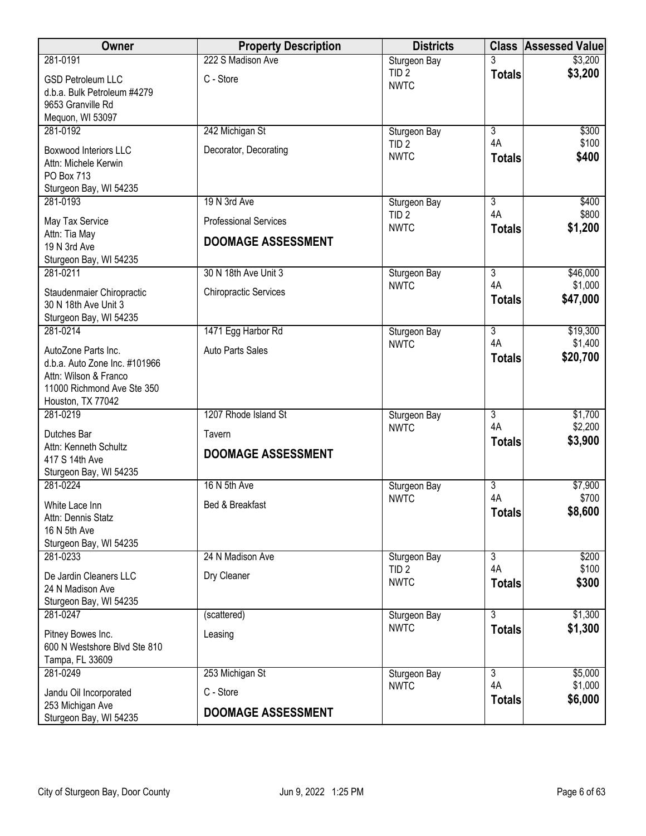| Owner                                                | <b>Property Description</b>  | <b>Districts</b>                 |                      | <b>Class Assessed Value</b> |
|------------------------------------------------------|------------------------------|----------------------------------|----------------------|-----------------------------|
| 281-0191                                             | 222 S Madison Ave            | Sturgeon Bay                     |                      | \$3,200                     |
| <b>GSD Petroleum LLC</b>                             | C - Store                    | TID <sub>2</sub>                 | <b>Totals</b>        | \$3,200                     |
| d.b.a. Bulk Petroleum #4279                          |                              | <b>NWTC</b>                      |                      |                             |
| 9653 Granville Rd                                    |                              |                                  |                      |                             |
| Mequon, WI 53097                                     |                              |                                  |                      |                             |
| 281-0192                                             | 242 Michigan St              | Sturgeon Bay<br>TID <sub>2</sub> | $\overline{3}$<br>4A | \$300<br>\$100              |
| <b>Boxwood Interiors LLC</b>                         | Decorator, Decorating        | <b>NWTC</b>                      | <b>Totals</b>        | \$400                       |
| Attn: Michele Kerwin                                 |                              |                                  |                      |                             |
| PO Box 713                                           |                              |                                  |                      |                             |
| Sturgeon Bay, WI 54235<br>281-0193                   | 19 N 3rd Ave                 |                                  | 3                    | \$400                       |
|                                                      |                              | Sturgeon Bay<br>TID <sub>2</sub> | 4A                   | \$800                       |
| May Tax Service                                      | <b>Professional Services</b> | <b>NWTC</b>                      | <b>Totals</b>        | \$1,200                     |
| Attn: Tia May<br>19 N 3rd Ave                        | <b>DOOMAGE ASSESSMENT</b>    |                                  |                      |                             |
| Sturgeon Bay, WI 54235                               |                              |                                  |                      |                             |
| 281-0211                                             | 30 N 18th Ave Unit 3         | Sturgeon Bay                     | $\overline{3}$       | \$46,000                    |
|                                                      |                              | <b>NWTC</b>                      | 4A                   | \$1,000                     |
| Staudenmaier Chiropractic                            | <b>Chiropractic Services</b> |                                  | <b>Totals</b>        | \$47,000                    |
| 30 N 18th Ave Unit 3<br>Sturgeon Bay, WI 54235       |                              |                                  |                      |                             |
| 281-0214                                             | 1471 Egg Harbor Rd           | Sturgeon Bay                     | $\overline{3}$       | \$19,300                    |
|                                                      |                              | <b>NWTC</b>                      | 4A                   | \$1,400                     |
| AutoZone Parts Inc.<br>d.b.a. Auto Zone Inc. #101966 | <b>Auto Parts Sales</b>      |                                  | <b>Totals</b>        | \$20,700                    |
| Attn: Wilson & Franco                                |                              |                                  |                      |                             |
| 11000 Richmond Ave Ste 350                           |                              |                                  |                      |                             |
| Houston, TX 77042                                    |                              |                                  |                      |                             |
| 281-0219                                             | 1207 Rhode Island St         | Sturgeon Bay                     | 3                    | \$1,700                     |
| Dutches Bar                                          | Tavern                       | <b>NWTC</b>                      | 4A                   | \$2,200                     |
| Attn: Kenneth Schultz                                |                              |                                  | <b>Totals</b>        | \$3,900                     |
| 417 S 14th Ave                                       | <b>DOOMAGE ASSESSMENT</b>    |                                  |                      |                             |
| Sturgeon Bay, WI 54235                               |                              |                                  |                      |                             |
| 281-0224                                             | 16 N 5th Ave                 | Sturgeon Bay                     | $\overline{3}$       | \$7,900                     |
| White Lace Inn                                       | Bed & Breakfast              | <b>NWTC</b>                      | 4A                   | \$700                       |
| Attn: Dennis Statz                                   |                              |                                  | <b>Totals</b>        | \$8,600                     |
| 16 N 5th Ave                                         |                              |                                  |                      |                             |
| Sturgeon Bay, WI 54235<br>281-0233                   |                              |                                  | $\overline{3}$       | \$200                       |
|                                                      | 24 N Madison Ave             | Sturgeon Bay<br>TID <sub>2</sub> | 4A                   | \$100                       |
| De Jardin Cleaners LLC                               | Dry Cleaner                  | <b>NWTC</b>                      | <b>Totals</b>        | \$300                       |
| 24 N Madison Ave                                     |                              |                                  |                      |                             |
| Sturgeon Bay, WI 54235<br>281-0247                   |                              |                                  | 3                    | \$1,300                     |
|                                                      | (scattered)                  | Sturgeon Bay<br><b>NWTC</b>      | <b>Totals</b>        | \$1,300                     |
| Pitney Bowes Inc.                                    | Leasing                      |                                  |                      |                             |
| 600 N Westshore Blvd Ste 810                         |                              |                                  |                      |                             |
| Tampa, FL 33609                                      |                              |                                  | $\overline{3}$       |                             |
| 281-0249                                             | 253 Michigan St              | Sturgeon Bay<br><b>NWTC</b>      | 4A                   | \$5,000<br>\$1,000          |
| Jandu Oil Incorporated                               | C - Store                    |                                  | <b>Totals</b>        | \$6,000                     |
| 253 Michigan Ave<br>Sturgeon Bay, WI 54235           | <b>DOOMAGE ASSESSMENT</b>    |                                  |                      |                             |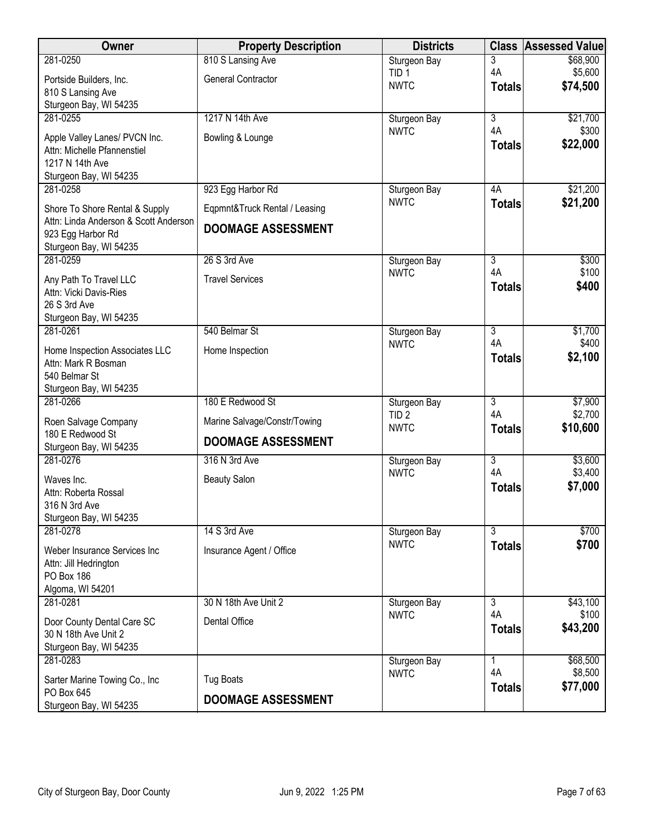| Owner                                                        | <b>Property Description</b>   | <b>Districts</b>                 |                           | <b>Class Assessed Value</b> |
|--------------------------------------------------------------|-------------------------------|----------------------------------|---------------------------|-----------------------------|
| 281-0250                                                     | 810 S Lansing Ave             | Sturgeon Bay                     | 3                         | \$68,900                    |
| Portside Builders, Inc.                                      | <b>General Contractor</b>     | TID <sub>1</sub><br><b>NWTC</b>  | 4A                        | \$5,600<br>\$74,500         |
| 810 S Lansing Ave                                            |                               |                                  | <b>Totals</b>             |                             |
| Sturgeon Bay, WI 54235<br>281-0255                           | 1217 N 14th Ave               | Sturgeon Bay                     | $\overline{\overline{3}}$ | \$21,700                    |
|                                                              |                               | <b>NWTC</b>                      | 4A                        | \$300                       |
| Apple Valley Lanes/ PVCN Inc.<br>Attn: Michelle Pfannenstiel | Bowling & Lounge              |                                  | <b>Totals</b>             | \$22,000                    |
| 1217 N 14th Ave                                              |                               |                                  |                           |                             |
| Sturgeon Bay, WI 54235                                       |                               |                                  |                           |                             |
| 281-0258                                                     | 923 Egg Harbor Rd             | Sturgeon Bay                     | 4A                        | \$21,200                    |
| Shore To Shore Rental & Supply                               | Eqpmnt&Truck Rental / Leasing | <b>NWTC</b>                      | <b>Totals</b>             | \$21,200                    |
| Attn: Linda Anderson & Scott Anderson<br>923 Egg Harbor Rd   | <b>DOOMAGE ASSESSMENT</b>     |                                  |                           |                             |
| Sturgeon Bay, WI 54235                                       |                               |                                  |                           |                             |
| 281-0259                                                     | 26 S 3rd Ave                  | Sturgeon Bay                     | 3                         | \$300                       |
| Any Path To Travel LLC                                       | <b>Travel Services</b>        | <b>NWTC</b>                      | 4A                        | \$100                       |
| Attn: Vicki Davis-Ries                                       |                               |                                  | <b>Totals</b>             | \$400                       |
| 26 S 3rd Ave                                                 |                               |                                  |                           |                             |
| Sturgeon Bay, WI 54235<br>281-0261                           | 540 Belmar St                 | Sturgeon Bay                     | $\overline{3}$            | \$1,700                     |
| Home Inspection Associates LLC                               | Home Inspection               | <b>NWTC</b>                      | 4A                        | \$400                       |
| Attn: Mark R Bosman                                          |                               |                                  | <b>Totals</b>             | \$2,100                     |
| 540 Belmar St                                                |                               |                                  |                           |                             |
| Sturgeon Bay, WI 54235                                       | 180 E Redwood St              |                                  | $\overline{3}$            |                             |
| 281-0266                                                     |                               | Sturgeon Bay<br>TID <sub>2</sub> | 4A                        | \$7,900<br>\$2,700          |
| Roen Salvage Company<br>180 E Redwood St                     | Marine Salvage/Constr/Towing  | <b>NWTC</b>                      | <b>Totals</b>             | \$10,600                    |
| Sturgeon Bay, WI 54235                                       | <b>DOOMAGE ASSESSMENT</b>     |                                  |                           |                             |
| 281-0276                                                     | 316 N 3rd Ave                 | Sturgeon Bay                     | $\overline{\overline{3}}$ | \$3,600                     |
| Waves Inc.                                                   | <b>Beauty Salon</b>           | <b>NWTC</b>                      | 4A                        | \$3,400                     |
| Attn: Roberta Rossal                                         |                               |                                  | <b>Totals</b>             | \$7,000                     |
| 316 N 3rd Ave<br>Sturgeon Bay, WI 54235                      |                               |                                  |                           |                             |
| 281-0278                                                     | 14 S 3rd Ave                  | Sturgeon Bay                     | $\overline{3}$            | \$700                       |
| Weber Insurance Services Inc                                 | Insurance Agent / Office      | <b>NWTC</b>                      | <b>Totals</b>             | \$700                       |
| Attn: Jill Hedrington                                        |                               |                                  |                           |                             |
| <b>PO Box 186</b>                                            |                               |                                  |                           |                             |
| Algoma, WI 54201<br>281-0281                                 | 30 N 18th Ave Unit 2          | Sturgeon Bay                     | 3                         | \$43,100                    |
|                                                              |                               | <b>NWTC</b>                      | 4A                        | \$100                       |
| Door County Dental Care SC<br>30 N 18th Ave Unit 2           | Dental Office                 |                                  | <b>Totals</b>             | \$43,200                    |
| Sturgeon Bay, WI 54235                                       |                               |                                  |                           |                             |
| 281-0283                                                     |                               | Sturgeon Bay                     | 1                         | \$68,500                    |
| Sarter Marine Towing Co., Inc.                               | <b>Tug Boats</b>              | <b>NWTC</b>                      | 4A<br><b>Totals</b>       | \$8,500<br>\$77,000         |
| PO Box 645                                                   | <b>DOOMAGE ASSESSMENT</b>     |                                  |                           |                             |
| Sturgeon Bay, WI 54235                                       |                               |                                  |                           |                             |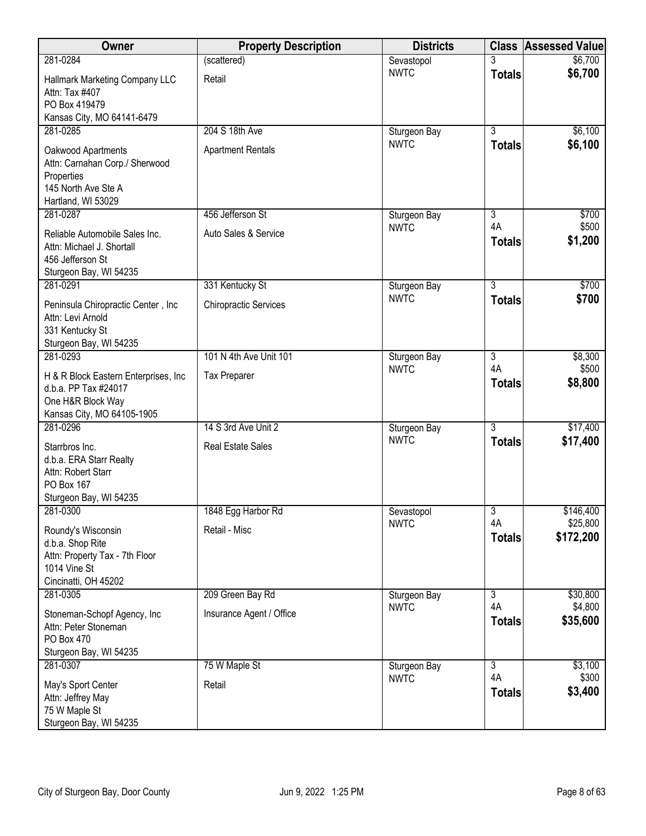| Owner                                                                                                            | <b>Property Description</b>  | <b>Districts</b> | <b>Class</b>        | <b>Assessed Value</b> |
|------------------------------------------------------------------------------------------------------------------|------------------------------|------------------|---------------------|-----------------------|
| 281-0284                                                                                                         | (scattered)                  | Sevastopol       |                     | \$6,700               |
| Hallmark Marketing Company LLC<br>Attn: Tax #407<br>PO Box 419479<br>Kansas City, MO 64141-6479                  | Retail                       | <b>NWTC</b>      | <b>Totals</b>       | \$6,700               |
| 281-0285                                                                                                         | 204 S 18th Ave               | Sturgeon Bay     | $\overline{3}$      | \$6,100               |
| Oakwood Apartments<br>Attn: Carnahan Corp./ Sherwood<br>Properties<br>145 North Ave Ste A<br>Hartland, WI 53029  | <b>Apartment Rentals</b>     | <b>NWTC</b>      | <b>Totals</b>       | \$6,100               |
| 281-0287                                                                                                         | 456 Jefferson St             | Sturgeon Bay     | $\overline{3}$      | \$700                 |
| Reliable Automobile Sales Inc.<br>Attn: Michael J. Shortall<br>456 Jefferson St<br>Sturgeon Bay, WI 54235        | Auto Sales & Service         | <b>NWTC</b>      | 4A<br><b>Totals</b> | \$500<br>\$1,200      |
| 281-0291                                                                                                         | 331 Kentucky St              | Sturgeon Bay     | $\overline{3}$      | \$700                 |
| Peninsula Chiropractic Center, Inc<br>Attn: Levi Arnold<br>331 Kentucky St<br>Sturgeon Bay, WI 54235             | <b>Chiropractic Services</b> | <b>NWTC</b>      | <b>Totals</b>       | \$700                 |
| 281-0293                                                                                                         | 101 N 4th Ave Unit 101       | Sturgeon Bay     | $\overline{3}$      | \$8,300               |
| H & R Block Eastern Enterprises, Inc.<br>d.b.a. PP Tax #24017<br>One H&R Block Way<br>Kansas City, MO 64105-1905 | <b>Tax Preparer</b>          | <b>NWTC</b>      | 4A<br><b>Totals</b> | \$500<br>\$8,800      |
| 281-0296                                                                                                         | 14 S 3rd Ave Unit 2          | Sturgeon Bay     | $\overline{3}$      | \$17,400              |
| Starrbros Inc.<br>d.b.a. ERA Starr Realty<br>Attn: Robert Starr<br>PO Box 167<br>Sturgeon Bay, WI 54235          | <b>Real Estate Sales</b>     | <b>NWTC</b>      | <b>Totals</b>       | \$17,400              |
| 281-0300                                                                                                         | 1848 Egg Harbor Rd           | Sevastopol       | $\overline{3}$      | \$146,400             |
| Roundy's Wisconsin<br>d.b.a. Shop Rite<br>Attn: Property Tax - 7th Floor<br>1014 Vine St<br>Cincinatti, OH 45202 | Retail - Misc                | <b>NWTC</b>      | 4A<br><b>Totals</b> | \$25,800<br>\$172,200 |
| 281-0305                                                                                                         | 209 Green Bay Rd             | Sturgeon Bay     | $\overline{3}$      | \$30,800              |
| Stoneman-Schopf Agency, Inc<br>Attn: Peter Stoneman<br><b>PO Box 470</b><br>Sturgeon Bay, WI 54235               | Insurance Agent / Office     | <b>NWTC</b>      | 4A<br><b>Totals</b> | \$4,800<br>\$35,600   |
| 281-0307                                                                                                         | 75 W Maple St                | Sturgeon Bay     | 3                   | \$3,100               |
| May's Sport Center<br>Attn: Jeffrey May<br>75 W Maple St<br>Sturgeon Bay, WI 54235                               | Retail                       | <b>NWTC</b>      | 4A<br><b>Totals</b> | \$300<br>\$3,400      |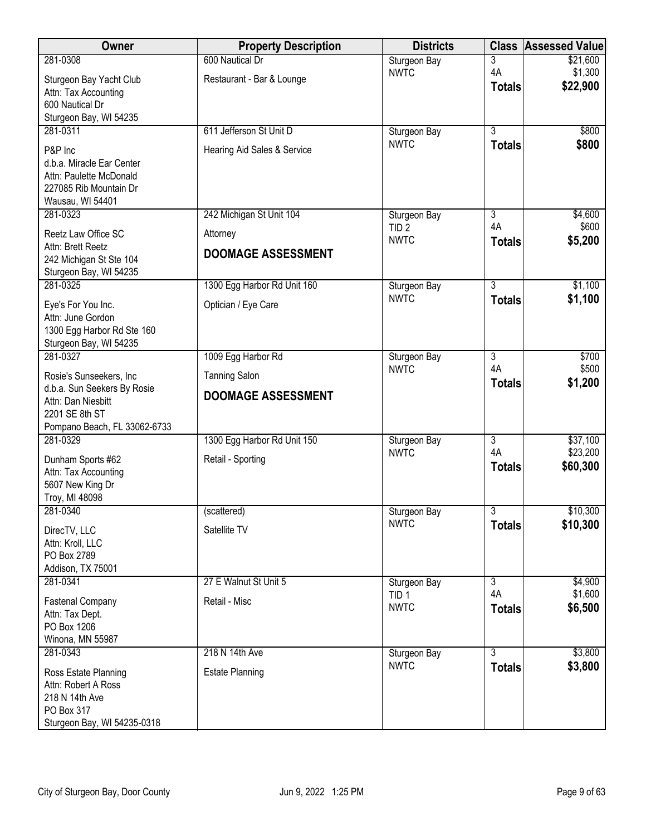| Owner                                                                                                         | <b>Property Description</b> | <b>Districts</b>                |                     | <b>Class Assessed Value</b> |
|---------------------------------------------------------------------------------------------------------------|-----------------------------|---------------------------------|---------------------|-----------------------------|
| 281-0308                                                                                                      | 600 Nautical Dr             | Sturgeon Bay                    | 3                   | \$21,600                    |
| Sturgeon Bay Yacht Club<br>Attn: Tax Accounting                                                               | Restaurant - Bar & Lounge   | <b>NWTC</b>                     | 4A<br><b>Totals</b> | \$1,300<br>\$22,900         |
| 600 Nautical Dr                                                                                               |                             |                                 |                     |                             |
| Sturgeon Bay, WI 54235                                                                                        |                             |                                 |                     |                             |
| 281-0311                                                                                                      | 611 Jefferson St Unit D     | Sturgeon Bay                    | 3                   | \$800                       |
| P&P Inc<br>d.b.a. Miracle Ear Center<br>Attn: Paulette McDonald<br>227085 Rib Mountain Dr<br>Wausau, WI 54401 | Hearing Aid Sales & Service | <b>NWTC</b>                     | <b>Totals</b>       | \$800                       |
| 281-0323                                                                                                      | 242 Michigan St Unit 104    | Sturgeon Bay                    | 3                   | \$4,600                     |
| Reetz Law Office SC                                                                                           | Attorney                    | TID <sub>2</sub><br><b>NWTC</b> | 4A<br><b>Totals</b> | \$600<br>\$5,200            |
| Attn: Brett Reetz<br>242 Michigan St Ste 104<br>Sturgeon Bay, WI 54235                                        | <b>DOOMAGE ASSESSMENT</b>   |                                 |                     |                             |
| 281-0325                                                                                                      | 1300 Egg Harbor Rd Unit 160 | Sturgeon Bay                    | $\overline{3}$      | \$1,100                     |
| Eye's For You Inc.<br>Attn: June Gordon<br>1300 Egg Harbor Rd Ste 160<br>Sturgeon Bay, WI 54235               | Optician / Eye Care         | <b>NWTC</b>                     | <b>Totals</b>       | \$1,100                     |
| 281-0327                                                                                                      | 1009 Egg Harbor Rd          | Sturgeon Bay                    | 3                   | \$700                       |
| Rosie's Sunseekers, Inc                                                                                       | <b>Tanning Salon</b>        | <b>NWTC</b>                     | 4A                  | \$500                       |
| d.b.a. Sun Seekers By Rosie<br>Attn: Dan Niesbitt<br>2201 SE 8th ST<br>Pompano Beach, FL 33062-6733           | <b>DOOMAGE ASSESSMENT</b>   |                                 | <b>Totals</b>       | \$1,200                     |
| 281-0329                                                                                                      | 1300 Egg Harbor Rd Unit 150 | Sturgeon Bay                    | $\overline{3}$      | \$37,100                    |
| Dunham Sports #62<br>Attn: Tax Accounting<br>5607 New King Dr<br>Troy, MI 48098                               | Retail - Sporting           | <b>NWTC</b>                     | 4A<br><b>Totals</b> | \$23,200<br>\$60,300        |
| 281-0340                                                                                                      | (scattered)                 | Sturgeon Bay                    | $\overline{3}$      | \$10,300                    |
| DirecTV, LLC<br>Attn: Kroll, LLC<br>PO Box 2789<br>Addison, TX 75001                                          | Satellite TV                | <b>NWTC</b>                     | <b>Totals</b>       | \$10,300                    |
| 281-0341                                                                                                      | 27 E Walnut St Unit 5       | Sturgeon Bay                    | $\overline{3}$      | \$4,900                     |
| <b>Fastenal Company</b><br>Attn: Tax Dept.<br>PO Box 1206<br>Winona, MN 55987                                 | Retail - Misc               | TID <sub>1</sub><br><b>NWTC</b> | 4A<br><b>Totals</b> | \$1,600<br>\$6,500          |
| 281-0343                                                                                                      | 218 N 14th Ave              | Sturgeon Bay                    | $\overline{3}$      | \$3,800                     |
| Ross Estate Planning<br>Attn: Robert A Ross<br>218 N 14th Ave<br>PO Box 317<br>Sturgeon Bay, WI 54235-0318    | <b>Estate Planning</b>      | <b>NWTC</b>                     | <b>Totals</b>       | \$3,800                     |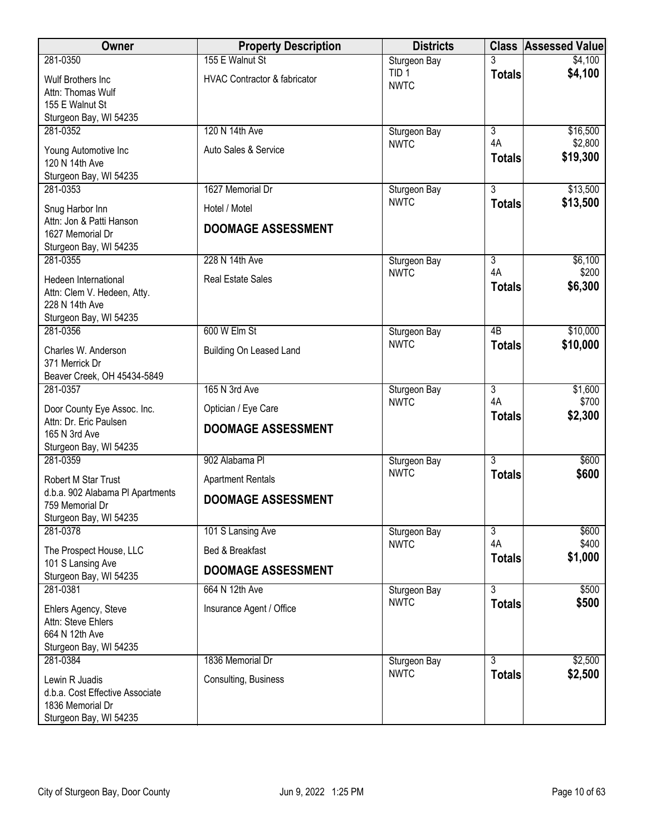| Owner                                               | <b>Property Description</b>             | <b>Districts</b>                |                      | <b>Class Assessed Value</b> |
|-----------------------------------------------------|-----------------------------------------|---------------------------------|----------------------|-----------------------------|
| 281-0350                                            | 155 E Walnut St                         | Sturgeon Bay                    |                      | \$4,100                     |
| Wulf Brothers Inc                                   | <b>HVAC Contractor &amp; fabricator</b> | TID <sub>1</sub><br><b>NWTC</b> | <b>Totals</b>        | \$4,100                     |
| Attn: Thomas Wulf                                   |                                         |                                 |                      |                             |
| 155 E Walnut St<br>Sturgeon Bay, WI 54235           |                                         |                                 |                      |                             |
| 281-0352                                            | 120 N 14th Ave                          | Sturgeon Bay                    | $\overline{3}$       | \$16,500                    |
|                                                     |                                         | <b>NWTC</b>                     | 4A                   | \$2,800                     |
| Young Automotive Inc<br>120 N 14th Ave              | Auto Sales & Service                    |                                 | <b>Totals</b>        | \$19,300                    |
| Sturgeon Bay, WI 54235                              |                                         |                                 |                      |                             |
| 281-0353                                            | 1627 Memorial Dr                        | Sturgeon Bay                    | 3                    | \$13,500                    |
| Snug Harbor Inn                                     | Hotel / Motel                           | <b>NWTC</b>                     | <b>Totals</b>        | \$13,500                    |
| Attn: Jon & Patti Hanson                            | <b>DOOMAGE ASSESSMENT</b>               |                                 |                      |                             |
| 1627 Memorial Dr                                    |                                         |                                 |                      |                             |
| Sturgeon Bay, WI 54235<br>281-0355                  | 228 N 14th Ave                          | Sturgeon Bay                    | $\overline{3}$       | \$6,100                     |
|                                                     |                                         | <b>NWTC</b>                     | 4A                   | \$200                       |
| Hedeen International<br>Attn: Clem V. Hedeen, Atty. | <b>Real Estate Sales</b>                |                                 | <b>Totals</b>        | \$6,300                     |
| 228 N 14th Ave                                      |                                         |                                 |                      |                             |
| Sturgeon Bay, WI 54235                              |                                         |                                 |                      |                             |
| 281-0356                                            | 600 W Elm St                            | Sturgeon Bay                    | $\overline{AB}$      | \$10,000                    |
| Charles W. Anderson                                 | Building On Leased Land                 | <b>NWTC</b>                     | <b>Totals</b>        | \$10,000                    |
| 371 Merrick Dr                                      |                                         |                                 |                      |                             |
| Beaver Creek, OH 45434-5849                         |                                         |                                 |                      |                             |
| 281-0357                                            | 165 N 3rd Ave                           | Sturgeon Bay<br><b>NWTC</b>     | $\overline{3}$<br>4A | \$1,600<br>\$700            |
| Door County Eye Assoc. Inc.                         | Optician / Eye Care                     |                                 | <b>Totals</b>        | \$2,300                     |
| Attn: Dr. Eric Paulsen<br>165 N 3rd Ave             | <b>DOOMAGE ASSESSMENT</b>               |                                 |                      |                             |
| Sturgeon Bay, WI 54235                              |                                         |                                 |                      |                             |
| 281-0359                                            | 902 Alabama Pl                          | Sturgeon Bay                    | $\overline{3}$       | \$600                       |
| Robert M Star Trust                                 | <b>Apartment Rentals</b>                | <b>NWTC</b>                     | <b>Totals</b>        | \$600                       |
| d.b.a. 902 Alabama PI Apartments                    | <b>DOOMAGE ASSESSMENT</b>               |                                 |                      |                             |
| 759 Memorial Dr                                     |                                         |                                 |                      |                             |
| Sturgeon Bay, WI 54235<br>281-0378                  | 101 S Lansing Ave                       | Sturgeon Bay                    | $\overline{3}$       | \$600                       |
|                                                     |                                         | <b>NWTC</b>                     | 4A                   | \$400                       |
| The Prospect House, LLC<br>101 S Lansing Ave        | Bed & Breakfast                         |                                 | <b>Totals</b>        | \$1,000                     |
| Sturgeon Bay, WI 54235                              | <b>DOOMAGE ASSESSMENT</b>               |                                 |                      |                             |
| 281-0381                                            | 664 N 12th Ave                          | Sturgeon Bay                    | 3                    | \$500                       |
| Ehlers Agency, Steve                                | Insurance Agent / Office                | <b>NWTC</b>                     | <b>Totals</b>        | \$500                       |
| Attn: Steve Ehlers                                  |                                         |                                 |                      |                             |
| 664 N 12th Ave                                      |                                         |                                 |                      |                             |
| Sturgeon Bay, WI 54235<br>281-0384                  | 1836 Memorial Dr                        | Sturgeon Bay                    | 3                    | \$2,500                     |
|                                                     |                                         | <b>NWTC</b>                     | <b>Totals</b>        | \$2,500                     |
| Lewin R Juadis<br>d.b.a. Cost Effective Associate   | Consulting, Business                    |                                 |                      |                             |
| 1836 Memorial Dr                                    |                                         |                                 |                      |                             |
| Sturgeon Bay, WI 54235                              |                                         |                                 |                      |                             |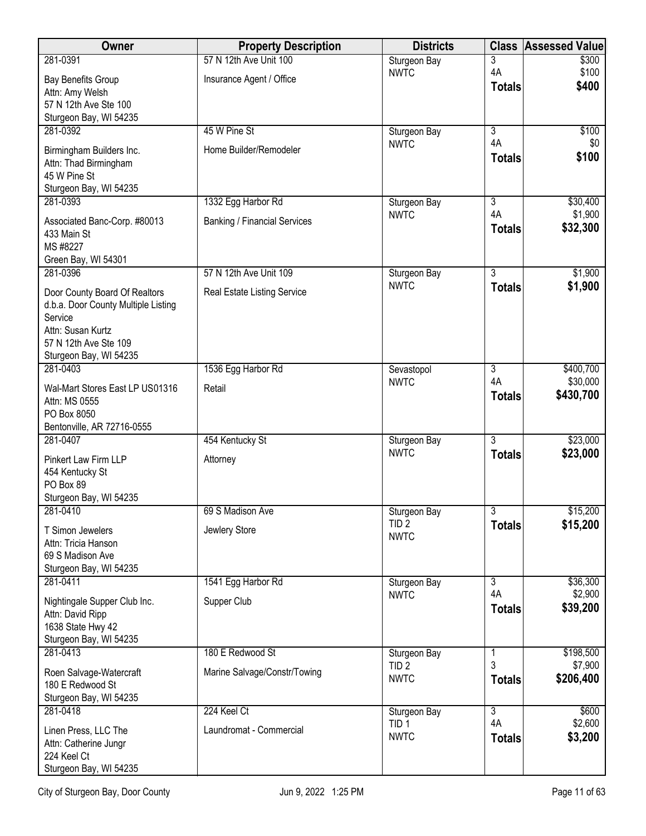| 281-0391<br>57 N 12th Ave Unit 100<br>Sturgeon Bay<br>3<br>\$300<br>4A<br>\$100<br><b>NWTC</b><br>Insurance Agent / Office<br><b>Bay Benefits Group</b><br>\$400<br><b>Totals</b><br>Attn: Amy Welsh<br>57 N 12th Ave Ste 100<br>Sturgeon Bay, WI 54235<br>281-0392<br>45 W Pine St<br>3<br>\$100<br>Sturgeon Bay<br>4A<br><b>NWTC</b><br>\$0<br>Home Builder/Remodeler<br>Birmingham Builders Inc.<br>\$100<br><b>Totals</b><br>Attn: Thad Birmingham<br>45 W Pine St<br>Sturgeon Bay, WI 54235<br>1332 Egg Harbor Rd<br>3<br>\$30,400<br>281-0393<br>Sturgeon Bay<br>4A<br>\$1,900<br><b>NWTC</b><br><b>Banking / Financial Services</b><br>Associated Banc-Corp. #80013<br>\$32,300<br><b>Totals</b><br>433 Main St<br>MS #8227<br>Green Bay, WI 54301<br>$\overline{3}$<br>281-0396<br>57 N 12th Ave Unit 109<br>\$1,900<br>Sturgeon Bay<br><b>NWTC</b><br>\$1,900<br><b>Totals</b><br>Door County Board Of Realtors<br>Real Estate Listing Service<br>d.b.a. Door County Multiple Listing<br>Service<br>Attn: Susan Kurtz<br>57 N 12th Ave Ste 109<br>Sturgeon Bay, WI 54235<br>281-0403<br>1536 Egg Harbor Rd<br>\$400,700<br>3<br>Sevastopol<br>\$30,000<br>4A<br><b>NWTC</b><br>Wal-Mart Stores East LP US01316<br>Retail<br>\$430,700<br><b>Totals</b><br>Attn: MS 0555<br>PO Box 8050<br>Bentonville, AR 72716-0555<br>$\overline{3}$<br>\$23,000<br>281-0407<br>454 Kentucky St<br>Sturgeon Bay<br><b>NWTC</b><br>\$23,000<br><b>Totals</b><br>Pinkert Law Firm LLP<br>Attorney<br>454 Kentucky St<br>PO Box 89<br>Sturgeon Bay, WI 54235<br>$\overline{3}$<br>\$15,200<br>281-0410<br>69 S Madison Ave<br>Sturgeon Bay<br>\$15,200<br>TID <sub>2</sub><br><b>Totals</b><br>Jewlery Store<br>T Simon Jewelers<br><b>NWTC</b><br>Attn: Tricia Hanson<br>69 S Madison Ave |
|------------------------------------------------------------------------------------------------------------------------------------------------------------------------------------------------------------------------------------------------------------------------------------------------------------------------------------------------------------------------------------------------------------------------------------------------------------------------------------------------------------------------------------------------------------------------------------------------------------------------------------------------------------------------------------------------------------------------------------------------------------------------------------------------------------------------------------------------------------------------------------------------------------------------------------------------------------------------------------------------------------------------------------------------------------------------------------------------------------------------------------------------------------------------------------------------------------------------------------------------------------------------------------------------------------------------------------------------------------------------------------------------------------------------------------------------------------------------------------------------------------------------------------------------------------------------------------------------------------------------------------------------------------------------------------------------------------------------------------------------------------------------------------|
|                                                                                                                                                                                                                                                                                                                                                                                                                                                                                                                                                                                                                                                                                                                                                                                                                                                                                                                                                                                                                                                                                                                                                                                                                                                                                                                                                                                                                                                                                                                                                                                                                                                                                                                                                                                    |
|                                                                                                                                                                                                                                                                                                                                                                                                                                                                                                                                                                                                                                                                                                                                                                                                                                                                                                                                                                                                                                                                                                                                                                                                                                                                                                                                                                                                                                                                                                                                                                                                                                                                                                                                                                                    |
|                                                                                                                                                                                                                                                                                                                                                                                                                                                                                                                                                                                                                                                                                                                                                                                                                                                                                                                                                                                                                                                                                                                                                                                                                                                                                                                                                                                                                                                                                                                                                                                                                                                                                                                                                                                    |
|                                                                                                                                                                                                                                                                                                                                                                                                                                                                                                                                                                                                                                                                                                                                                                                                                                                                                                                                                                                                                                                                                                                                                                                                                                                                                                                                                                                                                                                                                                                                                                                                                                                                                                                                                                                    |
|                                                                                                                                                                                                                                                                                                                                                                                                                                                                                                                                                                                                                                                                                                                                                                                                                                                                                                                                                                                                                                                                                                                                                                                                                                                                                                                                                                                                                                                                                                                                                                                                                                                                                                                                                                                    |
|                                                                                                                                                                                                                                                                                                                                                                                                                                                                                                                                                                                                                                                                                                                                                                                                                                                                                                                                                                                                                                                                                                                                                                                                                                                                                                                                                                                                                                                                                                                                                                                                                                                                                                                                                                                    |
|                                                                                                                                                                                                                                                                                                                                                                                                                                                                                                                                                                                                                                                                                                                                                                                                                                                                                                                                                                                                                                                                                                                                                                                                                                                                                                                                                                                                                                                                                                                                                                                                                                                                                                                                                                                    |
|                                                                                                                                                                                                                                                                                                                                                                                                                                                                                                                                                                                                                                                                                                                                                                                                                                                                                                                                                                                                                                                                                                                                                                                                                                                                                                                                                                                                                                                                                                                                                                                                                                                                                                                                                                                    |
|                                                                                                                                                                                                                                                                                                                                                                                                                                                                                                                                                                                                                                                                                                                                                                                                                                                                                                                                                                                                                                                                                                                                                                                                                                                                                                                                                                                                                                                                                                                                                                                                                                                                                                                                                                                    |
|                                                                                                                                                                                                                                                                                                                                                                                                                                                                                                                                                                                                                                                                                                                                                                                                                                                                                                                                                                                                                                                                                                                                                                                                                                                                                                                                                                                                                                                                                                                                                                                                                                                                                                                                                                                    |
|                                                                                                                                                                                                                                                                                                                                                                                                                                                                                                                                                                                                                                                                                                                                                                                                                                                                                                                                                                                                                                                                                                                                                                                                                                                                                                                                                                                                                                                                                                                                                                                                                                                                                                                                                                                    |
|                                                                                                                                                                                                                                                                                                                                                                                                                                                                                                                                                                                                                                                                                                                                                                                                                                                                                                                                                                                                                                                                                                                                                                                                                                                                                                                                                                                                                                                                                                                                                                                                                                                                                                                                                                                    |
|                                                                                                                                                                                                                                                                                                                                                                                                                                                                                                                                                                                                                                                                                                                                                                                                                                                                                                                                                                                                                                                                                                                                                                                                                                                                                                                                                                                                                                                                                                                                                                                                                                                                                                                                                                                    |
|                                                                                                                                                                                                                                                                                                                                                                                                                                                                                                                                                                                                                                                                                                                                                                                                                                                                                                                                                                                                                                                                                                                                                                                                                                                                                                                                                                                                                                                                                                                                                                                                                                                                                                                                                                                    |
|                                                                                                                                                                                                                                                                                                                                                                                                                                                                                                                                                                                                                                                                                                                                                                                                                                                                                                                                                                                                                                                                                                                                                                                                                                                                                                                                                                                                                                                                                                                                                                                                                                                                                                                                                                                    |
|                                                                                                                                                                                                                                                                                                                                                                                                                                                                                                                                                                                                                                                                                                                                                                                                                                                                                                                                                                                                                                                                                                                                                                                                                                                                                                                                                                                                                                                                                                                                                                                                                                                                                                                                                                                    |
|                                                                                                                                                                                                                                                                                                                                                                                                                                                                                                                                                                                                                                                                                                                                                                                                                                                                                                                                                                                                                                                                                                                                                                                                                                                                                                                                                                                                                                                                                                                                                                                                                                                                                                                                                                                    |
|                                                                                                                                                                                                                                                                                                                                                                                                                                                                                                                                                                                                                                                                                                                                                                                                                                                                                                                                                                                                                                                                                                                                                                                                                                                                                                                                                                                                                                                                                                                                                                                                                                                                                                                                                                                    |
|                                                                                                                                                                                                                                                                                                                                                                                                                                                                                                                                                                                                                                                                                                                                                                                                                                                                                                                                                                                                                                                                                                                                                                                                                                                                                                                                                                                                                                                                                                                                                                                                                                                                                                                                                                                    |
|                                                                                                                                                                                                                                                                                                                                                                                                                                                                                                                                                                                                                                                                                                                                                                                                                                                                                                                                                                                                                                                                                                                                                                                                                                                                                                                                                                                                                                                                                                                                                                                                                                                                                                                                                                                    |
|                                                                                                                                                                                                                                                                                                                                                                                                                                                                                                                                                                                                                                                                                                                                                                                                                                                                                                                                                                                                                                                                                                                                                                                                                                                                                                                                                                                                                                                                                                                                                                                                                                                                                                                                                                                    |
|                                                                                                                                                                                                                                                                                                                                                                                                                                                                                                                                                                                                                                                                                                                                                                                                                                                                                                                                                                                                                                                                                                                                                                                                                                                                                                                                                                                                                                                                                                                                                                                                                                                                                                                                                                                    |
|                                                                                                                                                                                                                                                                                                                                                                                                                                                                                                                                                                                                                                                                                                                                                                                                                                                                                                                                                                                                                                                                                                                                                                                                                                                                                                                                                                                                                                                                                                                                                                                                                                                                                                                                                                                    |
|                                                                                                                                                                                                                                                                                                                                                                                                                                                                                                                                                                                                                                                                                                                                                                                                                                                                                                                                                                                                                                                                                                                                                                                                                                                                                                                                                                                                                                                                                                                                                                                                                                                                                                                                                                                    |
|                                                                                                                                                                                                                                                                                                                                                                                                                                                                                                                                                                                                                                                                                                                                                                                                                                                                                                                                                                                                                                                                                                                                                                                                                                                                                                                                                                                                                                                                                                                                                                                                                                                                                                                                                                                    |
|                                                                                                                                                                                                                                                                                                                                                                                                                                                                                                                                                                                                                                                                                                                                                                                                                                                                                                                                                                                                                                                                                                                                                                                                                                                                                                                                                                                                                                                                                                                                                                                                                                                                                                                                                                                    |
|                                                                                                                                                                                                                                                                                                                                                                                                                                                                                                                                                                                                                                                                                                                                                                                                                                                                                                                                                                                                                                                                                                                                                                                                                                                                                                                                                                                                                                                                                                                                                                                                                                                                                                                                                                                    |
|                                                                                                                                                                                                                                                                                                                                                                                                                                                                                                                                                                                                                                                                                                                                                                                                                                                                                                                                                                                                                                                                                                                                                                                                                                                                                                                                                                                                                                                                                                                                                                                                                                                                                                                                                                                    |
|                                                                                                                                                                                                                                                                                                                                                                                                                                                                                                                                                                                                                                                                                                                                                                                                                                                                                                                                                                                                                                                                                                                                                                                                                                                                                                                                                                                                                                                                                                                                                                                                                                                                                                                                                                                    |
|                                                                                                                                                                                                                                                                                                                                                                                                                                                                                                                                                                                                                                                                                                                                                                                                                                                                                                                                                                                                                                                                                                                                                                                                                                                                                                                                                                                                                                                                                                                                                                                                                                                                                                                                                                                    |
|                                                                                                                                                                                                                                                                                                                                                                                                                                                                                                                                                                                                                                                                                                                                                                                                                                                                                                                                                                                                                                                                                                                                                                                                                                                                                                                                                                                                                                                                                                                                                                                                                                                                                                                                                                                    |
|                                                                                                                                                                                                                                                                                                                                                                                                                                                                                                                                                                                                                                                                                                                                                                                                                                                                                                                                                                                                                                                                                                                                                                                                                                                                                                                                                                                                                                                                                                                                                                                                                                                                                                                                                                                    |
|                                                                                                                                                                                                                                                                                                                                                                                                                                                                                                                                                                                                                                                                                                                                                                                                                                                                                                                                                                                                                                                                                                                                                                                                                                                                                                                                                                                                                                                                                                                                                                                                                                                                                                                                                                                    |
| Sturgeon Bay, WI 54235<br>281-0411<br>1541 Egg Harbor Rd<br>Sturgeon Bay<br>$\overline{3}$<br>\$36,300                                                                                                                                                                                                                                                                                                                                                                                                                                                                                                                                                                                                                                                                                                                                                                                                                                                                                                                                                                                                                                                                                                                                                                                                                                                                                                                                                                                                                                                                                                                                                                                                                                                                             |
| 4A<br>\$2,900<br><b>NWTC</b>                                                                                                                                                                                                                                                                                                                                                                                                                                                                                                                                                                                                                                                                                                                                                                                                                                                                                                                                                                                                                                                                                                                                                                                                                                                                                                                                                                                                                                                                                                                                                                                                                                                                                                                                                       |
| Supper Club<br>Nightingale Supper Club Inc.<br>\$39,200<br><b>Totals</b><br>Attn: David Ripp                                                                                                                                                                                                                                                                                                                                                                                                                                                                                                                                                                                                                                                                                                                                                                                                                                                                                                                                                                                                                                                                                                                                                                                                                                                                                                                                                                                                                                                                                                                                                                                                                                                                                       |
| 1638 State Hwy 42                                                                                                                                                                                                                                                                                                                                                                                                                                                                                                                                                                                                                                                                                                                                                                                                                                                                                                                                                                                                                                                                                                                                                                                                                                                                                                                                                                                                                                                                                                                                                                                                                                                                                                                                                                  |
| Sturgeon Bay, WI 54235                                                                                                                                                                                                                                                                                                                                                                                                                                                                                                                                                                                                                                                                                                                                                                                                                                                                                                                                                                                                                                                                                                                                                                                                                                                                                                                                                                                                                                                                                                                                                                                                                                                                                                                                                             |
| 180 E Redwood St<br>\$198,500<br>281-0413<br>Sturgeon Bay<br>1                                                                                                                                                                                                                                                                                                                                                                                                                                                                                                                                                                                                                                                                                                                                                                                                                                                                                                                                                                                                                                                                                                                                                                                                                                                                                                                                                                                                                                                                                                                                                                                                                                                                                                                     |
| 3<br>\$7,900<br>TID <sub>2</sub><br>Marine Salvage/Constr/Towing<br>Roen Salvage-Watercraft                                                                                                                                                                                                                                                                                                                                                                                                                                                                                                                                                                                                                                                                                                                                                                                                                                                                                                                                                                                                                                                                                                                                                                                                                                                                                                                                                                                                                                                                                                                                                                                                                                                                                        |
| \$206,400<br><b>NWTC</b><br><b>Totals</b><br>180 E Redwood St                                                                                                                                                                                                                                                                                                                                                                                                                                                                                                                                                                                                                                                                                                                                                                                                                                                                                                                                                                                                                                                                                                                                                                                                                                                                                                                                                                                                                                                                                                                                                                                                                                                                                                                      |
| Sturgeon Bay, WI 54235                                                                                                                                                                                                                                                                                                                                                                                                                                                                                                                                                                                                                                                                                                                                                                                                                                                                                                                                                                                                                                                                                                                                                                                                                                                                                                                                                                                                                                                                                                                                                                                                                                                                                                                                                             |
| 281-0418<br>224 Keel Ct<br>\$600<br>3<br>Sturgeon Bay<br>\$2,600<br>4A<br>TID <sub>1</sub>                                                                                                                                                                                                                                                                                                                                                                                                                                                                                                                                                                                                                                                                                                                                                                                                                                                                                                                                                                                                                                                                                                                                                                                                                                                                                                                                                                                                                                                                                                                                                                                                                                                                                         |
| Laundromat - Commercial<br>Linen Press, LLC The<br><b>NWTC</b><br>\$3,200<br><b>Totals</b>                                                                                                                                                                                                                                                                                                                                                                                                                                                                                                                                                                                                                                                                                                                                                                                                                                                                                                                                                                                                                                                                                                                                                                                                                                                                                                                                                                                                                                                                                                                                                                                                                                                                                         |
| Attn: Catherine Jungr                                                                                                                                                                                                                                                                                                                                                                                                                                                                                                                                                                                                                                                                                                                                                                                                                                                                                                                                                                                                                                                                                                                                                                                                                                                                                                                                                                                                                                                                                                                                                                                                                                                                                                                                                              |
| 224 Keel Ct<br>Sturgeon Bay, WI 54235                                                                                                                                                                                                                                                                                                                                                                                                                                                                                                                                                                                                                                                                                                                                                                                                                                                                                                                                                                                                                                                                                                                                                                                                                                                                                                                                                                                                                                                                                                                                                                                                                                                                                                                                              |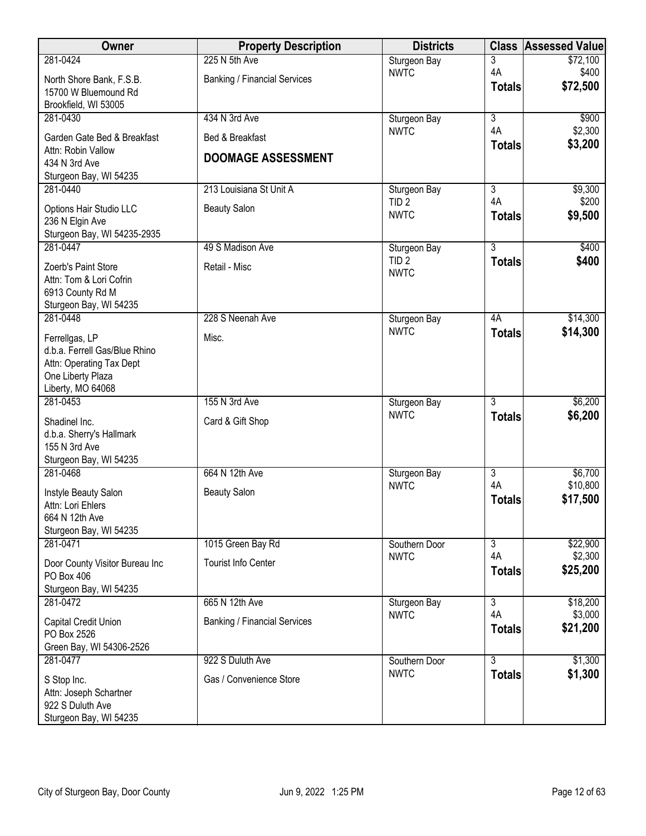| 225 N 5th Ave<br>281-0424<br>3<br>Sturgeon Bay<br>4A<br><b>NWTC</b><br><b>Banking / Financial Services</b><br>North Shore Bank, F.S.B.<br>\$72,500<br><b>Totals</b><br>15700 W Bluemound Rd<br>Brookfield, WI 53005<br>$\overline{3}$<br>281-0430<br>434 N 3rd Ave<br>Sturgeon Bay<br>4A<br><b>NWTC</b><br>Garden Gate Bed & Breakfast<br>Bed & Breakfast<br><b>Totals</b><br>Attn: Robin Vallow<br><b>DOOMAGE ASSESSMENT</b><br>434 N 3rd Ave<br>Sturgeon Bay, WI 54235<br>$\overline{3}$<br>281-0440<br>213 Louisiana St Unit A<br>Sturgeon Bay<br>4A<br>TID <sub>2</sub><br><b>Beauty Salon</b><br>Options Hair Studio LLC<br><b>NWTC</b><br><b>Totals</b><br>236 N Elgin Ave<br>Sturgeon Bay, WI 54235-2935<br>281-0447<br>$\overline{3}$<br>49 S Madison Ave | Owner | <b>Property Description</b> | <b>Districts</b> | <b>Class</b> | <b>Assessed Value</b> |
|-------------------------------------------------------------------------------------------------------------------------------------------------------------------------------------------------------------------------------------------------------------------------------------------------------------------------------------------------------------------------------------------------------------------------------------------------------------------------------------------------------------------------------------------------------------------------------------------------------------------------------------------------------------------------------------------------------------------------------------------------------------------|-------|-----------------------------|------------------|--------------|-----------------------|
|                                                                                                                                                                                                                                                                                                                                                                                                                                                                                                                                                                                                                                                                                                                                                                   |       |                             |                  |              | \$72,100              |
|                                                                                                                                                                                                                                                                                                                                                                                                                                                                                                                                                                                                                                                                                                                                                                   |       |                             |                  |              | \$400                 |
|                                                                                                                                                                                                                                                                                                                                                                                                                                                                                                                                                                                                                                                                                                                                                                   |       |                             |                  |              |                       |
|                                                                                                                                                                                                                                                                                                                                                                                                                                                                                                                                                                                                                                                                                                                                                                   |       |                             |                  |              | \$900                 |
|                                                                                                                                                                                                                                                                                                                                                                                                                                                                                                                                                                                                                                                                                                                                                                   |       |                             |                  |              | \$2,300               |
|                                                                                                                                                                                                                                                                                                                                                                                                                                                                                                                                                                                                                                                                                                                                                                   |       |                             |                  |              | \$3,200               |
|                                                                                                                                                                                                                                                                                                                                                                                                                                                                                                                                                                                                                                                                                                                                                                   |       |                             |                  |              |                       |
|                                                                                                                                                                                                                                                                                                                                                                                                                                                                                                                                                                                                                                                                                                                                                                   |       |                             |                  |              |                       |
|                                                                                                                                                                                                                                                                                                                                                                                                                                                                                                                                                                                                                                                                                                                                                                   |       |                             |                  |              | \$9,300               |
|                                                                                                                                                                                                                                                                                                                                                                                                                                                                                                                                                                                                                                                                                                                                                                   |       |                             |                  |              | \$200                 |
|                                                                                                                                                                                                                                                                                                                                                                                                                                                                                                                                                                                                                                                                                                                                                                   |       |                             |                  |              | \$9,500               |
|                                                                                                                                                                                                                                                                                                                                                                                                                                                                                                                                                                                                                                                                                                                                                                   |       |                             |                  |              |                       |
|                                                                                                                                                                                                                                                                                                                                                                                                                                                                                                                                                                                                                                                                                                                                                                   |       |                             | Sturgeon Bay     |              | \$400                 |
| TID <sub>2</sub><br><b>Totals</b><br>Retail - Misc<br>Zoerb's Paint Store<br><b>NWTC</b>                                                                                                                                                                                                                                                                                                                                                                                                                                                                                                                                                                                                                                                                          |       |                             |                  |              | \$400                 |
| Attn: Tom & Lori Cofrin                                                                                                                                                                                                                                                                                                                                                                                                                                                                                                                                                                                                                                                                                                                                           |       |                             |                  |              |                       |
| 6913 County Rd M<br>Sturgeon Bay, WI 54235                                                                                                                                                                                                                                                                                                                                                                                                                                                                                                                                                                                                                                                                                                                        |       |                             |                  |              |                       |
| 281-0448<br>228 S Neenah Ave<br>4A<br>Sturgeon Bay                                                                                                                                                                                                                                                                                                                                                                                                                                                                                                                                                                                                                                                                                                                |       |                             |                  |              | \$14,300              |
| <b>NWTC</b><br><b>Totals</b><br>Ferrellgas, LP<br>Misc.                                                                                                                                                                                                                                                                                                                                                                                                                                                                                                                                                                                                                                                                                                           |       |                             |                  |              | \$14,300              |
| d.b.a. Ferrell Gas/Blue Rhino                                                                                                                                                                                                                                                                                                                                                                                                                                                                                                                                                                                                                                                                                                                                     |       |                             |                  |              |                       |
| Attn: Operating Tax Dept                                                                                                                                                                                                                                                                                                                                                                                                                                                                                                                                                                                                                                                                                                                                          |       |                             |                  |              |                       |
| One Liberty Plaza                                                                                                                                                                                                                                                                                                                                                                                                                                                                                                                                                                                                                                                                                                                                                 |       |                             |                  |              |                       |
| Liberty, MO 64068<br>$\overline{3}$<br>281-0453<br>155 N 3rd Ave                                                                                                                                                                                                                                                                                                                                                                                                                                                                                                                                                                                                                                                                                                  |       |                             |                  |              | \$6,200               |
| Sturgeon Bay<br><b>NWTC</b><br><b>Totals</b>                                                                                                                                                                                                                                                                                                                                                                                                                                                                                                                                                                                                                                                                                                                      |       |                             |                  |              | \$6,200               |
| Shadinel Inc.<br>Card & Gift Shop                                                                                                                                                                                                                                                                                                                                                                                                                                                                                                                                                                                                                                                                                                                                 |       |                             |                  |              |                       |
| d.b.a. Sherry's Hallmark<br>155 N 3rd Ave                                                                                                                                                                                                                                                                                                                                                                                                                                                                                                                                                                                                                                                                                                                         |       |                             |                  |              |                       |
| Sturgeon Bay, WI 54235                                                                                                                                                                                                                                                                                                                                                                                                                                                                                                                                                                                                                                                                                                                                            |       |                             |                  |              |                       |
| 281-0468<br>664 N 12th Ave<br>$\overline{3}$<br>Sturgeon Bay                                                                                                                                                                                                                                                                                                                                                                                                                                                                                                                                                                                                                                                                                                      |       |                             |                  |              | \$6,700               |
| 4A<br><b>NWTC</b><br><b>Beauty Salon</b><br>Instyle Beauty Salon                                                                                                                                                                                                                                                                                                                                                                                                                                                                                                                                                                                                                                                                                                  |       |                             |                  |              | \$10,800              |
| <b>Totals</b><br>Attn: Lori Ehlers                                                                                                                                                                                                                                                                                                                                                                                                                                                                                                                                                                                                                                                                                                                                |       |                             |                  |              | \$17,500              |
| 664 N 12th Ave                                                                                                                                                                                                                                                                                                                                                                                                                                                                                                                                                                                                                                                                                                                                                    |       |                             |                  |              |                       |
| Sturgeon Bay, WI 54235<br>281-0471<br>1015 Green Bay Rd<br>Southern Door<br>$\overline{3}$                                                                                                                                                                                                                                                                                                                                                                                                                                                                                                                                                                                                                                                                        |       |                             |                  |              | \$22,900              |
| <b>NWTC</b><br>4A                                                                                                                                                                                                                                                                                                                                                                                                                                                                                                                                                                                                                                                                                                                                                 |       |                             |                  |              | \$2,300               |
| <b>Tourist Info Center</b><br>Door County Visitor Bureau Inc<br><b>Totals</b><br>PO Box 406                                                                                                                                                                                                                                                                                                                                                                                                                                                                                                                                                                                                                                                                       |       |                             |                  |              | \$25,200              |
| Sturgeon Bay, WI 54235                                                                                                                                                                                                                                                                                                                                                                                                                                                                                                                                                                                                                                                                                                                                            |       |                             |                  |              |                       |
| 281-0472<br>665 N 12th Ave<br>3<br>Sturgeon Bay                                                                                                                                                                                                                                                                                                                                                                                                                                                                                                                                                                                                                                                                                                                   |       |                             |                  |              | \$18,200              |
| 4A<br><b>NWTC</b><br><b>Banking / Financial Services</b><br>Capital Credit Union                                                                                                                                                                                                                                                                                                                                                                                                                                                                                                                                                                                                                                                                                  |       |                             |                  |              | \$3,000               |
| <b>Totals</b><br>PO Box 2526                                                                                                                                                                                                                                                                                                                                                                                                                                                                                                                                                                                                                                                                                                                                      |       |                             |                  |              | \$21,200              |
| Green Bay, WI 54306-2526                                                                                                                                                                                                                                                                                                                                                                                                                                                                                                                                                                                                                                                                                                                                          |       |                             |                  |              |                       |
| $\overline{3}$<br>922 S Duluth Ave<br>281-0477<br>Southern Door                                                                                                                                                                                                                                                                                                                                                                                                                                                                                                                                                                                                                                                                                                   |       |                             |                  |              | \$1,300               |
| <b>NWTC</b><br><b>Totals</b><br>Gas / Convenience Store<br>S Stop Inc.                                                                                                                                                                                                                                                                                                                                                                                                                                                                                                                                                                                                                                                                                            |       |                             |                  |              | \$1,300               |
| Attn: Joseph Schartner                                                                                                                                                                                                                                                                                                                                                                                                                                                                                                                                                                                                                                                                                                                                            |       |                             |                  |              |                       |
| 922 S Duluth Ave<br>Sturgeon Bay, WI 54235                                                                                                                                                                                                                                                                                                                                                                                                                                                                                                                                                                                                                                                                                                                        |       |                             |                  |              |                       |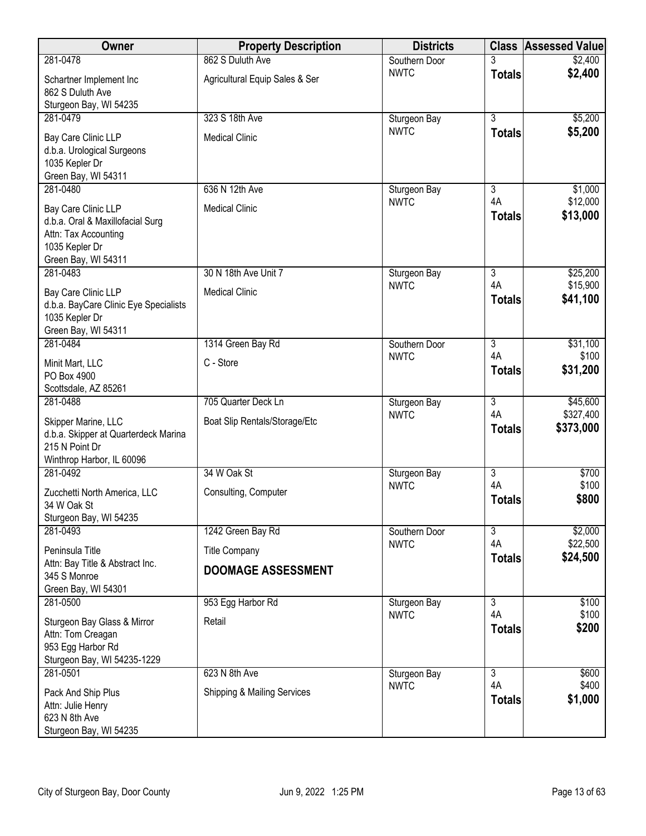| Owner                                                                                                                    | <b>Property Description</b>    | <b>Districts</b> |                     | <b>Class Assessed Value</b> |
|--------------------------------------------------------------------------------------------------------------------------|--------------------------------|------------------|---------------------|-----------------------------|
| 281-0478                                                                                                                 | 862 S Duluth Ave               | Southern Door    |                     | \$2,400                     |
| Schartner Implement Inc<br>862 S Duluth Ave<br>Sturgeon Bay, WI 54235                                                    | Agricultural Equip Sales & Ser | <b>NWTC</b>      | <b>Totals</b>       | \$2,400                     |
| 281-0479                                                                                                                 | 323 S 18th Ave                 | Sturgeon Bay     | $\overline{3}$      | \$5,200                     |
| Bay Care Clinic LLP<br>d.b.a. Urological Surgeons<br>1035 Kepler Dr<br>Green Bay, WI 54311                               | <b>Medical Clinic</b>          | <b>NWTC</b>      | <b>Totals</b>       | \$5,200                     |
| 281-0480                                                                                                                 | 636 N 12th Ave                 | Sturgeon Bay     | $\overline{3}$      | \$1,000                     |
| Bay Care Clinic LLP<br>d.b.a. Oral & Maxillofacial Surg<br>Attn: Tax Accounting<br>1035 Kepler Dr<br>Green Bay, WI 54311 | <b>Medical Clinic</b>          | <b>NWTC</b>      | 4A<br><b>Totals</b> | \$12,000<br>\$13,000        |
| 281-0483                                                                                                                 | 30 N 18th Ave Unit 7           | Sturgeon Bay     | $\overline{3}$      | \$25,200                    |
| Bay Care Clinic LLP<br>d.b.a. BayCare Clinic Eye Specialists<br>1035 Kepler Dr<br>Green Bay, WI 54311                    | <b>Medical Clinic</b>          | <b>NWTC</b>      | 4A<br><b>Totals</b> | \$15,900<br>\$41,100        |
| 281-0484                                                                                                                 | 1314 Green Bay Rd              | Southern Door    | $\overline{3}$      | \$31,100                    |
| Minit Mart, LLC<br>PO Box 4900<br>Scottsdale, AZ 85261                                                                   | C - Store                      | <b>NWTC</b>      | 4A<br><b>Totals</b> | \$100<br>\$31,200           |
| 281-0488                                                                                                                 | 705 Quarter Deck Ln            | Sturgeon Bay     | $\overline{3}$      | \$45,600                    |
| Skipper Marine, LLC<br>d.b.a. Skipper at Quarterdeck Marina<br>215 N Point Dr<br>Winthrop Harbor, IL 60096               | Boat Slip Rentals/Storage/Etc  | <b>NWTC</b>      | 4A<br><b>Totals</b> | \$327,400<br>\$373,000      |
| 281-0492                                                                                                                 | 34 W Oak St                    | Sturgeon Bay     | $\overline{3}$      | \$700                       |
| Zucchetti North America, LLC<br>34 W Oak St<br>Sturgeon Bay, WI 54235                                                    | Consulting, Computer           | <b>NWTC</b>      | 4A<br><b>Totals</b> | \$100<br>\$800              |
| 281-0493                                                                                                                 | 1242 Green Bay Rd              | Southern Door    | $\overline{3}$      | \$2,000                     |
| Peninsula Title                                                                                                          | <b>Title Company</b>           | <b>NWTC</b>      | 4A                  | \$22,500                    |
| Attn: Bay Title & Abstract Inc.<br>345 S Monroe<br>Green Bay, WI 54301                                                   | <b>DOOMAGE ASSESSMENT</b>      |                  | <b>Totals</b>       | \$24,500                    |
| 281-0500                                                                                                                 | 953 Egg Harbor Rd              | Sturgeon Bay     | $\overline{3}$      | \$100                       |
| Sturgeon Bay Glass & Mirror<br>Attn: Tom Creagan<br>953 Egg Harbor Rd<br>Sturgeon Bay, WI 54235-1229                     | Retail                         | <b>NWTC</b>      | 4A<br><b>Totals</b> | \$100<br>\$200              |
| 281-0501                                                                                                                 | 623 N 8th Ave                  | Sturgeon Bay     | $\overline{3}$      | \$600                       |
| Pack And Ship Plus<br>Attn: Julie Henry<br>623 N 8th Ave<br>Sturgeon Bay, WI 54235                                       | Shipping & Mailing Services    | <b>NWTC</b>      | 4A<br><b>Totals</b> | \$400<br>\$1,000            |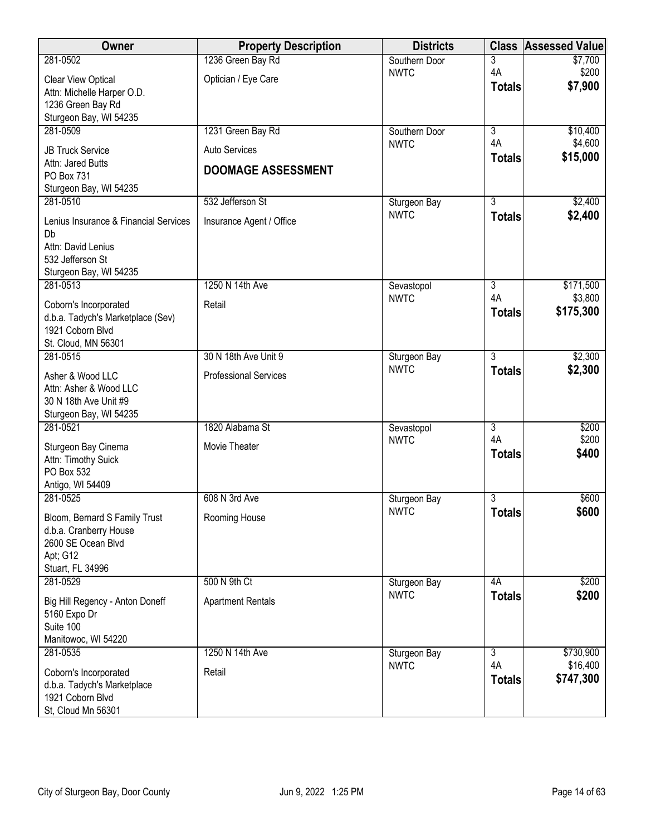| Owner                                           | <b>Property Description</b>  | <b>Districts</b>            | <b>Class</b>         | <b>Assessed Value</b> |
|-------------------------------------------------|------------------------------|-----------------------------|----------------------|-----------------------|
| 281-0502                                        | 1236 Green Bay Rd            | Southern Door               | 3                    | \$7,700               |
| Clear View Optical                              | Optician / Eye Care          | <b>NWTC</b>                 | 4A<br><b>Totals</b>  | \$200<br>\$7,900      |
| Attn: Michelle Harper O.D.                      |                              |                             |                      |                       |
| 1236 Green Bay Rd<br>Sturgeon Bay, WI 54235     |                              |                             |                      |                       |
| 281-0509                                        | 1231 Green Bay Rd            | Southern Door               | $\overline{3}$       | \$10,400              |
| <b>JB Truck Service</b>                         | Auto Services                | <b>NWTC</b>                 | 4A                   | \$4,600               |
| Attn: Jared Butts                               |                              |                             | <b>Totals</b>        | \$15,000              |
| PO Box 731                                      | <b>DOOMAGE ASSESSMENT</b>    |                             |                      |                       |
| Sturgeon Bay, WI 54235                          |                              |                             |                      |                       |
| 281-0510                                        | 532 Jefferson St             | Sturgeon Bay<br><b>NWTC</b> | 3<br><b>Totals</b>   | \$2,400<br>\$2,400    |
| Lenius Insurance & Financial Services           | Insurance Agent / Office     |                             |                      |                       |
| Db<br>Attn: David Lenius                        |                              |                             |                      |                       |
| 532 Jefferson St                                |                              |                             |                      |                       |
| Sturgeon Bay, WI 54235                          |                              |                             |                      |                       |
| 281-0513                                        | 1250 N 14th Ave              | Sevastopol                  | $\overline{3}$       | \$171,500             |
| Coborn's Incorporated                           | Retail                       | <b>NWTC</b>                 | 4A<br><b>Totals</b>  | \$3,800<br>\$175,300  |
| d.b.a. Tadych's Marketplace (Sev)               |                              |                             |                      |                       |
| 1921 Coborn Blvd<br>St. Cloud, MN 56301         |                              |                             |                      |                       |
| 281-0515                                        | 30 N 18th Ave Unit 9         | Sturgeon Bay                | $\overline{3}$       | \$2,300               |
| Asher & Wood LLC                                | <b>Professional Services</b> | <b>NWTC</b>                 | <b>Totals</b>        | \$2,300               |
| Attn: Asher & Wood LLC                          |                              |                             |                      |                       |
| 30 N 18th Ave Unit #9                           |                              |                             |                      |                       |
| Sturgeon Bay, WI 54235                          |                              |                             |                      |                       |
| 281-0521                                        | 1820 Alabama St              | Sevastopol<br><b>NWTC</b>   | $\overline{3}$<br>4A | \$200<br>\$200        |
| Sturgeon Bay Cinema                             | Movie Theater                |                             | <b>Totals</b>        | \$400                 |
| Attn: Timothy Suick<br>PO Box 532               |                              |                             |                      |                       |
| Antigo, WI 54409                                |                              |                             |                      |                       |
| 281-0525                                        | 608 N 3rd Ave                | Sturgeon Bay                | $\overline{3}$       | \$600                 |
| Bloom, Bernard S Family Trust                   | Rooming House                | <b>NWTC</b>                 | <b>Totals</b>        | \$600                 |
| d.b.a. Cranberry House                          |                              |                             |                      |                       |
| 2600 SE Ocean Blvd                              |                              |                             |                      |                       |
| Apt; G12                                        |                              |                             |                      |                       |
| Stuart, FL 34996<br>281-0529                    | 500 N 9th Ct                 | Sturgeon Bay                | 4A                   | \$200                 |
|                                                 |                              | <b>NWTC</b>                 | <b>Totals</b>        | \$200                 |
| Big Hill Regency - Anton Doneff<br>5160 Expo Dr | <b>Apartment Rentals</b>     |                             |                      |                       |
| Suite 100                                       |                              |                             |                      |                       |
| Manitowoc, WI 54220                             |                              |                             |                      |                       |
| 281-0535                                        | 1250 N 14th Ave              | Sturgeon Bay                | 3<br>4A              | \$730,900             |
| Coborn's Incorporated                           | Retail                       | <b>NWTC</b>                 | <b>Totals</b>        | \$16,400<br>\$747,300 |
| d.b.a. Tadych's Marketplace                     |                              |                             |                      |                       |
| 1921 Coborn Blvd<br>St, Cloud Mn 56301          |                              |                             |                      |                       |
|                                                 |                              |                             |                      |                       |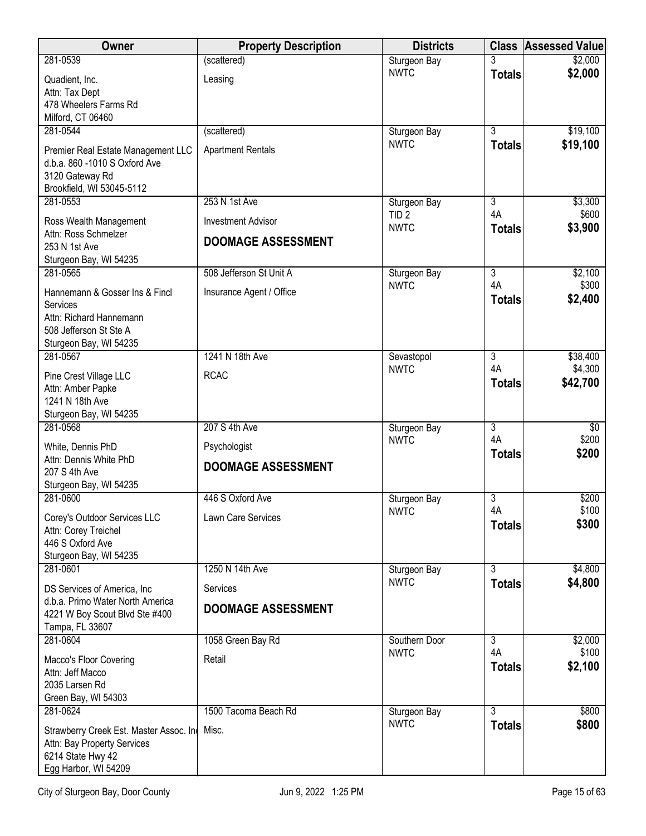| 281-0539<br>(scattered)<br>Sturgeon Bay<br>3<br><b>NWTC</b><br><b>Totals</b>                                  | \$2,000          |
|---------------------------------------------------------------------------------------------------------------|------------------|
|                                                                                                               |                  |
| Quadient, Inc.<br>Leasing                                                                                     | \$2,000          |
| Attn: Tax Dept                                                                                                |                  |
| 478 Wheelers Farms Rd<br>Milford, CT 06460                                                                    |                  |
| $\overline{3}$<br>281-0544<br>(scattered)<br>Sturgeon Bay                                                     | \$19,100         |
| <b>NWTC</b><br><b>Totals</b>                                                                                  | \$19,100         |
| <b>Apartment Rentals</b><br>Premier Real Estate Management LLC<br>d.b.a. 860 -1010 S Oxford Ave               |                  |
| 3120 Gateway Rd                                                                                               |                  |
| Brookfield, WI 53045-5112                                                                                     |                  |
| 253 N 1st Ave<br>281-0553<br>3<br>Sturgeon Bay                                                                | \$3,300          |
| 4A<br>TID <sub>2</sub><br><b>Investment Advisor</b><br>Ross Wealth Management<br><b>NWTC</b><br><b>Totals</b> | \$600<br>\$3,900 |
| Attn: Ross Schmelzer<br><b>DOOMAGE ASSESSMENT</b>                                                             |                  |
| 253 N 1st Ave<br>Sturgeon Bay, WI 54235                                                                       |                  |
| 281-0565<br>508 Jefferson St Unit A<br>$\overline{3}$<br>Sturgeon Bay                                         | \$2,100          |
| 4A<br><b>NWTC</b><br>Hannemann & Gosser Ins & Fincl<br>Insurance Agent / Office                               | \$300            |
| <b>Totals</b><br>Services                                                                                     | \$2,400          |
| Attn: Richard Hannemann                                                                                       |                  |
| 508 Jefferson St Ste A                                                                                        |                  |
| Sturgeon Bay, WI 54235<br>1241 N 18th Ave<br>281-0567                                                         | \$38,400         |
| 3<br>Sevastopol<br>4A<br><b>NWTC</b>                                                                          | \$4,300          |
| <b>RCAC</b><br>Pine Crest Village LLC<br><b>Totals</b>                                                        | \$42,700         |
| Attn: Amber Papke<br>1241 N 18th Ave                                                                          |                  |
| Sturgeon Bay, WI 54235                                                                                        |                  |
| 207 S 4th Ave<br>281-0568<br>$\overline{3}$<br>Sturgeon Bay                                                   | $\sqrt{$0}$      |
| 4A<br><b>NWTC</b><br>Psychologist<br>White, Dennis PhD                                                        | \$200            |
| <b>Totals</b><br>Attn: Dennis White PhD<br><b>DOOMAGE ASSESSMENT</b>                                          | \$200            |
| 207 S 4th Ave                                                                                                 |                  |
| Sturgeon Bay, WI 54235<br>281-0600<br>446 S Oxford Ave<br>3<br>Sturgeon Bay                                   | \$200            |
| 4A<br><b>NWTC</b>                                                                                             | \$100            |
| Lawn Care Services<br>Corey's Outdoor Services LLC<br><b>Totals</b><br>Attn: Corey Treichel                   | \$300            |
| 446 S Oxford Ave                                                                                              |                  |
| Sturgeon Bay, WI 54235                                                                                        |                  |
| $\overline{3}$<br>281-0601<br>1250 N 14th Ave<br>Sturgeon Bay                                                 | \$4,800          |
| <b>NWTC</b><br><b>Totals</b><br>DS Services of America, Inc.<br>Services                                      | \$4,800          |
| d.b.a. Primo Water North America<br><b>DOOMAGE ASSESSMENT</b>                                                 |                  |
| 4221 W Boy Scout Blvd Ste #400<br>Tampa, FL 33607                                                             |                  |
| 281-0604<br>$\overline{3}$<br>1058 Green Bay Rd<br>Southern Door                                              | \$2,000          |
| 4A<br><b>NWTC</b><br>Retail<br>Macco's Floor Covering                                                         | \$100            |
| <b>Totals</b><br>Attn: Jeff Macco                                                                             | \$2,100          |
| 2035 Larsen Rd                                                                                                |                  |
| Green Bay, WI 54303                                                                                           |                  |
| 281-0624<br>1500 Tacoma Beach Rd<br>3<br>Sturgeon Bay<br><b>NWTC</b>                                          | \$800            |
| <b>Totals</b><br>Strawberry Creek Est. Master Assoc. Ind Misc.                                                | \$800            |
| Attn: Bay Property Services<br>6214 State Hwy 42                                                              |                  |
| Egg Harbor, WI 54209                                                                                          |                  |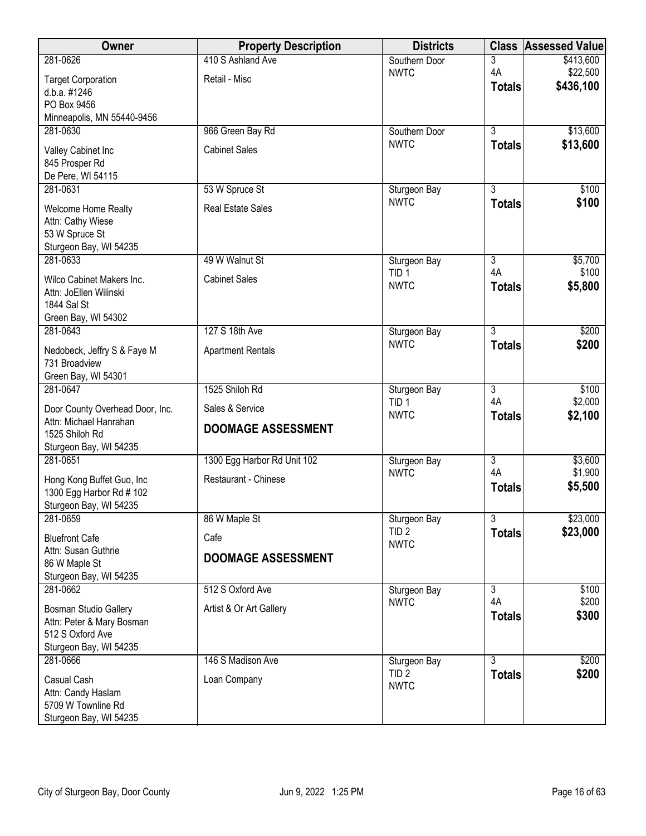| Owner                                              | <b>Property Description</b> | <b>Districts</b>                | <b>Class</b>   | <b>Assessed Value</b> |
|----------------------------------------------------|-----------------------------|---------------------------------|----------------|-----------------------|
| 281-0626                                           | 410 S Ashland Ave           | Southern Door                   | 3              | \$413,600             |
| <b>Target Corporation</b>                          | Retail - Misc               | <b>NWTC</b>                     | 4A             | \$22,500              |
| d.b.a. #1246                                       |                             |                                 | <b>Totals</b>  | \$436,100             |
| PO Box 9456                                        |                             |                                 |                |                       |
| Minneapolis, MN 55440-9456                         |                             |                                 |                |                       |
| 281-0630                                           | 966 Green Bay Rd            | Southern Door<br><b>NWTC</b>    | $\overline{3}$ | \$13,600<br>\$13,600  |
| Valley Cabinet Inc                                 | <b>Cabinet Sales</b>        |                                 | <b>Totals</b>  |                       |
| 845 Prosper Rd                                     |                             |                                 |                |                       |
| De Pere, WI 54115<br>281-0631                      | 53 W Spruce St              | Sturgeon Bay                    | $\overline{3}$ | \$100                 |
|                                                    |                             | <b>NWTC</b>                     | <b>Totals</b>  | \$100                 |
| <b>Welcome Home Realty</b>                         | <b>Real Estate Sales</b>    |                                 |                |                       |
| Attn: Cathy Wiese<br>53 W Spruce St                |                             |                                 |                |                       |
| Sturgeon Bay, WI 54235                             |                             |                                 |                |                       |
| 281-0633                                           | 49 W Walnut St              | Sturgeon Bay                    | $\overline{3}$ | \$5,700               |
| Wilco Cabinet Makers Inc.                          | <b>Cabinet Sales</b>        | TID <sub>1</sub>                | 4A             | \$100                 |
| Attn: JoEllen Wilinski                             |                             | <b>NWTC</b>                     | <b>Totals</b>  | \$5,800               |
| 1844 Sal St                                        |                             |                                 |                |                       |
| Green Bay, WI 54302                                |                             |                                 |                |                       |
| 281-0643                                           | 127 S 18th Ave              | Sturgeon Bay                    | $\overline{3}$ | \$200                 |
| Nedobeck, Jeffry S & Faye M                        | <b>Apartment Rentals</b>    | <b>NWTC</b>                     | <b>Totals</b>  | \$200                 |
| 731 Broadview                                      |                             |                                 |                |                       |
| Green Bay, WI 54301                                |                             |                                 |                |                       |
| 281-0647                                           | 1525 Shiloh Rd              | Sturgeon Bay                    | $\overline{3}$ | \$100                 |
| Door County Overhead Door, Inc.                    | Sales & Service             | TID <sub>1</sub><br><b>NWTC</b> | 4A             | \$2,000               |
| Attn: Michael Hanrahan                             | <b>DOOMAGE ASSESSMENT</b>   |                                 | <b>Totals</b>  | \$2,100               |
| 1525 Shiloh Rd                                     |                             |                                 |                |                       |
| Sturgeon Bay, WI 54235<br>281-0651                 | 1300 Egg Harbor Rd Unit 102 |                                 | $\overline{3}$ | \$3,600               |
|                                                    |                             | Sturgeon Bay<br><b>NWTC</b>     | 4A             | \$1,900               |
| Hong Kong Buffet Guo, Inc                          | Restaurant - Chinese        |                                 | <b>Totals</b>  | \$5,500               |
| 1300 Egg Harbor Rd # 102<br>Sturgeon Bay, WI 54235 |                             |                                 |                |                       |
| 281-0659                                           | 86 W Maple St               | Sturgeon Bay                    | $\overline{3}$ | \$23,000              |
|                                                    |                             | TID <sub>2</sub>                | <b>Totals</b>  | \$23,000              |
| <b>Bluefront Cafe</b><br>Attn: Susan Guthrie       | Cafe                        | <b>NWTC</b>                     |                |                       |
| 86 W Maple St                                      | <b>DOOMAGE ASSESSMENT</b>   |                                 |                |                       |
| Sturgeon Bay, WI 54235                             |                             |                                 |                |                       |
| 281-0662                                           | 512 S Oxford Ave            | Sturgeon Bay                    | 3              | \$100                 |
| Bosman Studio Gallery                              | Artist & Or Art Gallery     | <b>NWTC</b>                     | 4A             | \$200                 |
| Attn: Peter & Mary Bosman                          |                             |                                 | <b>Totals</b>  | \$300                 |
| 512 S Oxford Ave                                   |                             |                                 |                |                       |
| Sturgeon Bay, WI 54235                             |                             |                                 |                |                       |
| 281-0666                                           | 146 S Madison Ave           | Sturgeon Bay                    | $\overline{3}$ | \$200                 |
| Casual Cash                                        | Loan Company                | TID <sub>2</sub><br><b>NWTC</b> | <b>Totals</b>  | \$200                 |
| Attn: Candy Haslam                                 |                             |                                 |                |                       |
| 5709 W Townline Rd                                 |                             |                                 |                |                       |
| Sturgeon Bay, WI 54235                             |                             |                                 |                |                       |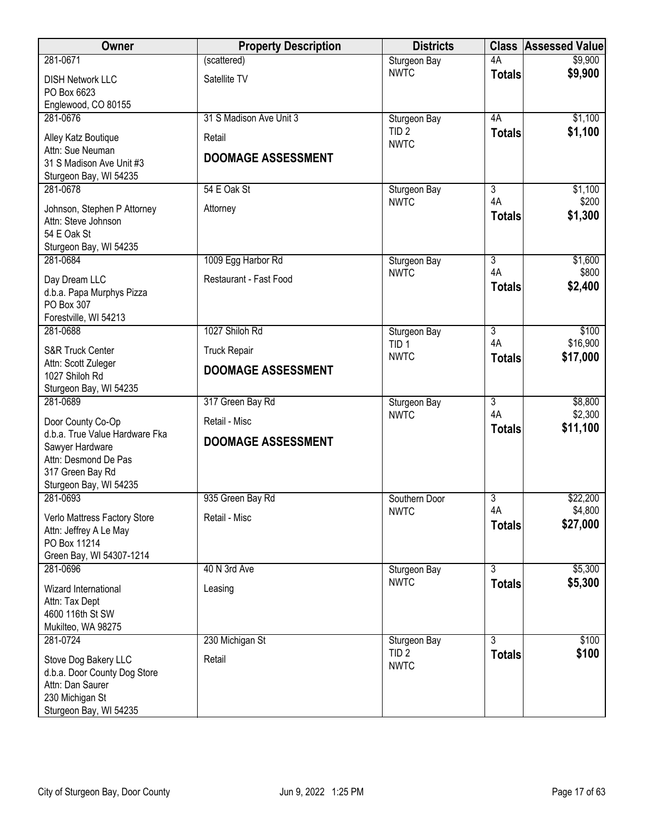| Owner                                                                                                                   | <b>Property Description</b> | <b>Districts</b>                 |                                 | <b>Class Assessed Value</b> |
|-------------------------------------------------------------------------------------------------------------------------|-----------------------------|----------------------------------|---------------------------------|-----------------------------|
| 281-0671                                                                                                                | (scattered)                 | Sturgeon Bay                     | 4A                              | \$9,900                     |
| <b>DISH Network LLC</b><br>PO Box 6623                                                                                  | Satellite TV                | <b>NWTC</b>                      | <b>Totals</b>                   | \$9,900                     |
| Englewood, CO 80155                                                                                                     |                             |                                  |                                 |                             |
| 281-0676                                                                                                                | 31 S Madison Ave Unit 3     | Sturgeon Bay                     | 4A                              | \$1,100                     |
| Alley Katz Boutique<br>Attn: Sue Neuman                                                                                 | Retail                      | TID <sub>2</sub><br><b>NWTC</b>  | <b>Totals</b>                   | \$1,100                     |
| 31 S Madison Ave Unit #3<br>Sturgeon Bay, WI 54235                                                                      | <b>DOOMAGE ASSESSMENT</b>   |                                  |                                 |                             |
| 281-0678                                                                                                                | 54 E Oak St                 | Sturgeon Bay                     | $\overline{3}$                  | \$1,100                     |
| Johnson, Stephen P Attorney<br>Attn: Steve Johnson<br>54 E Oak St<br>Sturgeon Bay, WI 54235                             | Attorney                    | <b>NWTC</b>                      | 4A<br><b>Totals</b>             | \$200<br>\$1,300            |
| 281-0684                                                                                                                | 1009 Egg Harbor Rd          | Sturgeon Bay                     | $\overline{3}$                  | \$1,600                     |
|                                                                                                                         | Restaurant - Fast Food      | <b>NWTC</b>                      | 4A                              | \$800                       |
| Day Dream LLC<br>d.b.a. Papa Murphys Pizza<br>PO Box 307<br>Forestville, WI 54213                                       |                             |                                  | <b>Totals</b>                   | \$2,400                     |
| 281-0688                                                                                                                | 1027 Shiloh Rd              | Sturgeon Bay                     | $\overline{3}$                  | \$100                       |
| S&R Truck Center                                                                                                        | <b>Truck Repair</b>         | TID <sub>1</sub><br><b>NWTC</b>  | 4A<br><b>Totals</b>             | \$16,900<br>\$17,000        |
| Attn: Scott Zuleger<br>1027 Shiloh Rd                                                                                   | <b>DOOMAGE ASSESSMENT</b>   |                                  |                                 |                             |
| Sturgeon Bay, WI 54235                                                                                                  |                             |                                  |                                 |                             |
| 281-0689                                                                                                                | 317 Green Bay Rd            | Sturgeon Bay<br><b>NWTC</b>      | $\overline{3}$<br>4A            | \$8,800<br>\$2,300          |
| Door County Co-Op                                                                                                       | Retail - Misc               |                                  | <b>Totals</b>                   | \$11,100                    |
| d.b.a. True Value Hardware Fka<br>Sawyer Hardware<br>Attn: Desmond De Pas<br>317 Green Bay Rd<br>Sturgeon Bay, WI 54235 | <b>DOOMAGE ASSESSMENT</b>   |                                  |                                 |                             |
| 281-0693                                                                                                                | 935 Green Bay Rd            | Southern Door                    | $\overline{3}$                  | \$22,200                    |
| Verlo Mattress Factory Store<br>Attn: Jeffrey A Le May<br>PO Box 11214<br>Green Bay, WI 54307-1214                      | Retail - Misc               | <b>NWTC</b>                      | 4A<br><b>Totals</b>             | \$4,800<br>\$27,000         |
| 281-0696                                                                                                                | 40 N 3rd Ave                | Sturgeon Bay                     | $\overline{3}$                  | \$5,300                     |
| Wizard International                                                                                                    | Leasing                     | <b>NWTC</b>                      | <b>Totals</b>                   | \$5,300                     |
| Attn: Tax Dept<br>4600 116th St SW                                                                                      |                             |                                  |                                 |                             |
| Mukilteo, WA 98275                                                                                                      |                             |                                  |                                 |                             |
| 281-0724                                                                                                                | 230 Michigan St             | Sturgeon Bay<br>TID <sub>2</sub> | $\overline{3}$<br><b>Totals</b> | \$100<br>\$100              |
| Stove Dog Bakery LLC<br>d.b.a. Door County Dog Store<br>Attn: Dan Saurer<br>230 Michigan St<br>Sturgeon Bay, WI 54235   | Retail                      | <b>NWTC</b>                      |                                 |                             |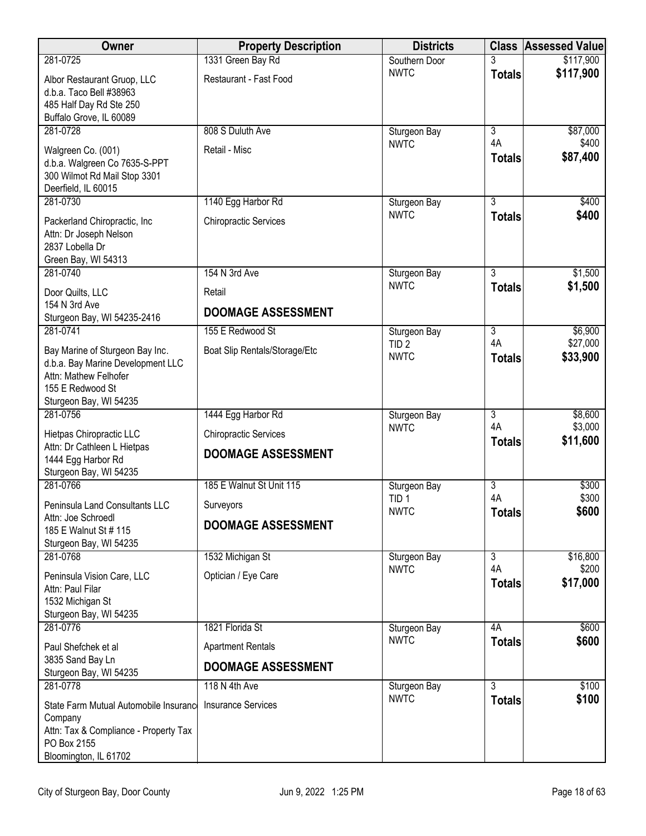| Owner                                                         | <b>Property Description</b>   | <b>Districts</b>                |                      | <b>Class Assessed Value</b> |
|---------------------------------------------------------------|-------------------------------|---------------------------------|----------------------|-----------------------------|
| 281-0725                                                      | 1331 Green Bay Rd             | Southern Door                   |                      | \$117,900                   |
| Albor Restaurant Gruop, LLC                                   | Restaurant - Fast Food        | <b>NWTC</b>                     | <b>Totals</b>        | \$117,900                   |
| d.b.a. Taco Bell #38963<br>485 Half Day Rd Ste 250            |                               |                                 |                      |                             |
| Buffalo Grove, IL 60089                                       |                               |                                 |                      |                             |
| 281-0728                                                      | 808 S Duluth Ave              | Sturgeon Bay                    | $\overline{3}$       | \$87,000                    |
| Walgreen Co. (001)                                            | Retail - Misc                 | <b>NWTC</b>                     | 4A<br><b>Totals</b>  | \$400<br>\$87,400           |
| d.b.a. Walgreen Co 7635-S-PPT<br>300 Wilmot Rd Mail Stop 3301 |                               |                                 |                      |                             |
| Deerfield, IL 60015                                           |                               |                                 |                      |                             |
| 281-0730                                                      | 1140 Egg Harbor Rd            | Sturgeon Bay                    | $\overline{3}$       | \$400                       |
| Packerland Chiropractic, Inc                                  | <b>Chiropractic Services</b>  | <b>NWTC</b>                     | <b>Totals</b>        | \$400                       |
| Attn: Dr Joseph Nelson                                        |                               |                                 |                      |                             |
| 2837 Lobella Dr<br>Green Bay, WI 54313                        |                               |                                 |                      |                             |
| 281-0740                                                      | 154 N 3rd Ave                 | Sturgeon Bay                    | $\overline{3}$       | \$1,500                     |
| Door Quilts, LLC                                              | Retail                        | <b>NWTC</b>                     | <b>Totals</b>        | \$1,500                     |
| 154 N 3rd Ave<br>Sturgeon Bay, WI 54235-2416                  | DOOMAGE ASSESSMENT            |                                 |                      |                             |
| 281-0741                                                      | 155 E Redwood St              | Sturgeon Bay                    | 3                    | \$6,900                     |
| Bay Marine of Sturgeon Bay Inc.                               | Boat Slip Rentals/Storage/Etc | TID <sub>2</sub><br><b>NWTC</b> | 4A                   | \$27,000                    |
| d.b.a. Bay Marine Development LLC                             |                               |                                 | <b>Totals</b>        | \$33,900                    |
| Attn: Mathew Felhofer<br>155 E Redwood St                     |                               |                                 |                      |                             |
| Sturgeon Bay, WI 54235                                        |                               |                                 |                      |                             |
| 281-0756                                                      | 1444 Egg Harbor Rd            | Sturgeon Bay                    | 3                    | \$8,600                     |
| Hietpas Chiropractic LLC                                      | <b>Chiropractic Services</b>  | <b>NWTC</b>                     | 4A<br><b>Totals</b>  | \$3,000<br>\$11,600         |
| Attn: Dr Cathleen L Hietpas<br>1444 Egg Harbor Rd             | <b>DOOMAGE ASSESSMENT</b>     |                                 |                      |                             |
| Sturgeon Bay, WI 54235                                        |                               |                                 |                      |                             |
| 281-0766                                                      | 185 E Walnut St Unit 115      | Sturgeon Bay                    | $\overline{3}$<br>4A | \$300<br>\$300              |
| <b>Peninsula Land Consultants LLC</b>                         | Surveyors                     | TID <sub>1</sub><br><b>NWTC</b> | <b>Totals</b>        | \$600                       |
| Attn: Joe Schroedl<br>185 E Walnut St # 115                   | <b>DOOMAGE ASSESSMENT</b>     |                                 |                      |                             |
| Sturgeon Bay, WI 54235                                        |                               |                                 |                      |                             |
| 281-0768                                                      | 1532 Michigan St              | Sturgeon Bay<br><b>NWTC</b>     | $\overline{3}$<br>4A | \$16,800<br>\$200           |
| Peninsula Vision Care, LLC                                    | Optician / Eye Care           |                                 | <b>Totals</b>        | \$17,000                    |
| Attn: Paul Filar<br>1532 Michigan St                          |                               |                                 |                      |                             |
| Sturgeon Bay, WI 54235                                        |                               |                                 |                      |                             |
| 281-0776                                                      | 1821 Florida St               | Sturgeon Bay                    | 4A                   | \$600                       |
| Paul Shefchek et al                                           | <b>Apartment Rentals</b>      | <b>NWTC</b>                     | <b>Totals</b>        | \$600                       |
| 3835 Sand Bay Ln<br>Sturgeon Bay, WI 54235                    | <b>DOOMAGE ASSESSMENT</b>     |                                 |                      |                             |
| 281-0778                                                      | 118 N 4th Ave                 | Sturgeon Bay                    | $\overline{3}$       | \$100                       |
| State Farm Mutual Automobile Insurance                        | <b>Insurance Services</b>     | <b>NWTC</b>                     | <b>Totals</b>        | \$100                       |
| Company                                                       |                               |                                 |                      |                             |
| Attn: Tax & Compliance - Property Tax<br>PO Box 2155          |                               |                                 |                      |                             |
| Bloomington, IL 61702                                         |                               |                                 |                      |                             |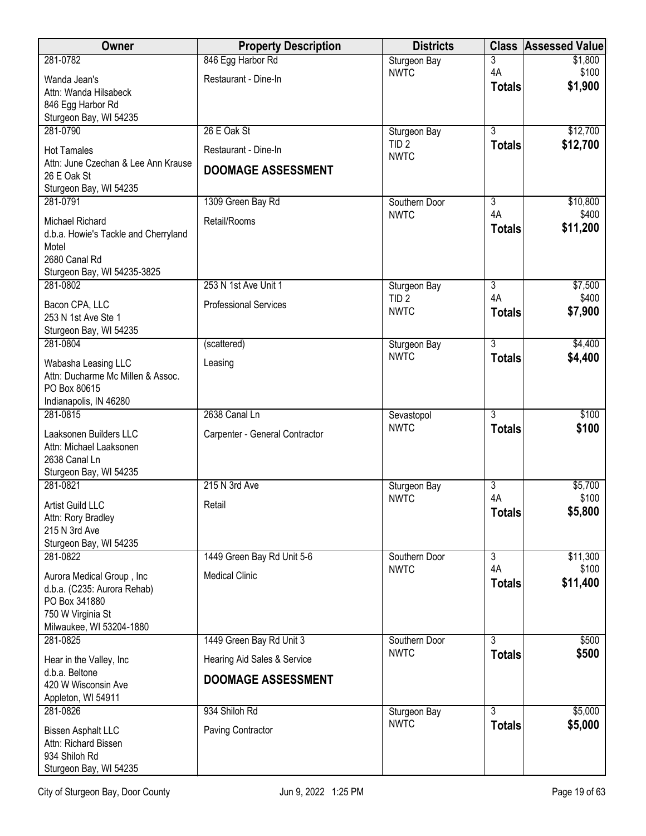| <b>Owner</b>                                              | <b>Property Description</b>    | <b>Districts</b>          |                | <b>Class Assessed Value</b> |
|-----------------------------------------------------------|--------------------------------|---------------------------|----------------|-----------------------------|
| 281-0782                                                  | 846 Egg Harbor Rd              | Sturgeon Bay              | 3              | \$1,800                     |
| Wanda Jean's                                              | Restaurant - Dine-In           | <b>NWTC</b>               | 4A             | \$100<br>\$1,900            |
| Attn: Wanda Hilsabeck                                     |                                |                           | <b>Totals</b>  |                             |
| 846 Egg Harbor Rd<br>Sturgeon Bay, WI 54235               |                                |                           |                |                             |
| 281-0790                                                  | 26 E Oak St                    | Sturgeon Bay              | $\overline{3}$ | \$12,700                    |
|                                                           |                                | TID <sub>2</sub>          | <b>Totals</b>  | \$12,700                    |
| <b>Hot Tamales</b><br>Attn: June Czechan & Lee Ann Krause | Restaurant - Dine-In           | <b>NWTC</b>               |                |                             |
| 26 E Oak St                                               | <b>DOOMAGE ASSESSMENT</b>      |                           |                |                             |
| Sturgeon Bay, WI 54235                                    |                                |                           |                |                             |
| 281-0791                                                  | 1309 Green Bay Rd              | Southern Door             | 3              | \$10,800                    |
| Michael Richard                                           | Retail/Rooms                   | <b>NWTC</b>               | 4A             | \$400                       |
| d.b.a. Howie's Tackle and Cherryland                      |                                |                           | <b>Totals</b>  | \$11,200                    |
| Motel                                                     |                                |                           |                |                             |
| 2680 Canal Rd<br>Sturgeon Bay, WI 54235-3825              |                                |                           |                |                             |
| 281-0802                                                  | 253 N 1st Ave Unit 1           | Sturgeon Bay              | $\overline{3}$ | \$7,500                     |
| Bacon CPA, LLC                                            | <b>Professional Services</b>   | TID <sub>2</sub>          | 4A             | \$400                       |
| 253 N 1st Ave Ste 1                                       |                                | <b>NWTC</b>               | <b>Totals</b>  | \$7,900                     |
| Sturgeon Bay, WI 54235                                    |                                |                           |                |                             |
| 281-0804                                                  | (scattered)                    | Sturgeon Bay              | 3              | \$4,400                     |
| Wabasha Leasing LLC                                       | Leasing                        | <b>NWTC</b>               | <b>Totals</b>  | \$4,400                     |
| Attn: Ducharme Mc Millen & Assoc.                         |                                |                           |                |                             |
| PO Box 80615                                              |                                |                           |                |                             |
| Indianapolis, IN 46280<br>281-0815                        | 2638 Canal Ln                  |                           | $\overline{3}$ | \$100                       |
|                                                           |                                | Sevastopol<br><b>NWTC</b> | <b>Totals</b>  | \$100                       |
| Laaksonen Builders LLC                                    | Carpenter - General Contractor |                           |                |                             |
| Attn: Michael Laaksonen<br>2638 Canal Ln                  |                                |                           |                |                             |
| Sturgeon Bay, WI 54235                                    |                                |                           |                |                             |
| 281-0821                                                  | 215 N 3rd Ave                  | Sturgeon Bay              | 3              | \$5,700                     |
| Artist Guild LLC                                          | Retail                         | <b>NWTC</b>               | 4A             | \$100                       |
| Attn: Rory Bradley                                        |                                |                           | <b>Totals</b>  | \$5,800                     |
| 215 N 3rd Ave                                             |                                |                           |                |                             |
| Sturgeon Bay, WI 54235<br>281-0822                        | 1449 Green Bay Rd Unit 5-6     | Southern Door             | $\overline{3}$ | \$11,300                    |
|                                                           |                                | <b>NWTC</b>               | 4A             | \$100                       |
| Aurora Medical Group, Inc                                 | <b>Medical Clinic</b>          |                           | <b>Totals</b>  | \$11,400                    |
| d.b.a. (C235: Aurora Rehab)<br>PO Box 341880              |                                |                           |                |                             |
| 750 W Virginia St                                         |                                |                           |                |                             |
| Milwaukee, WI 53204-1880                                  |                                |                           |                |                             |
| 281-0825                                                  | 1449 Green Bay Rd Unit 3       | Southern Door             | $\overline{3}$ | \$500                       |
| Hear in the Valley, Inc                                   | Hearing Aid Sales & Service    | <b>NWTC</b>               | <b>Totals</b>  | \$500                       |
| d.b.a. Beltone                                            | <b>DOOMAGE ASSESSMENT</b>      |                           |                |                             |
| 420 W Wisconsin Ave<br>Appleton, WI 54911                 |                                |                           |                |                             |
| 281-0826                                                  | 934 Shiloh Rd                  | Sturgeon Bay              | 3              | \$5,000                     |
|                                                           |                                | <b>NWTC</b>               | <b>Totals</b>  | \$5,000                     |
| <b>Bissen Asphalt LLC</b><br>Attn: Richard Bissen         | Paving Contractor              |                           |                |                             |
| 934 Shiloh Rd                                             |                                |                           |                |                             |
| Sturgeon Bay, WI 54235                                    |                                |                           |                |                             |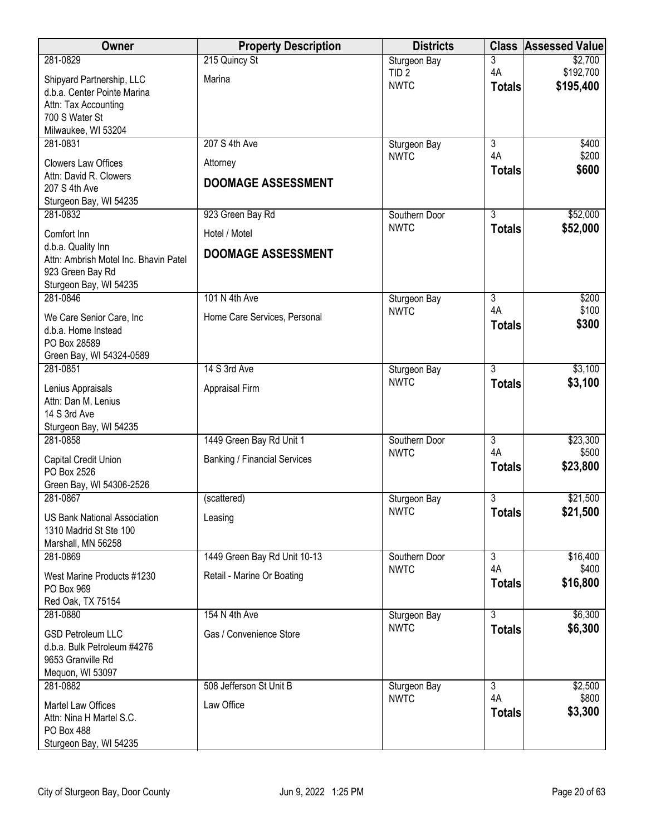| Owner                                           | <b>Property Description</b>         | <b>Districts</b>                | <b>Class</b>         | <b>Assessed Value</b>  |
|-------------------------------------------------|-------------------------------------|---------------------------------|----------------------|------------------------|
| 281-0829                                        | 215 Quincy St                       | Sturgeon Bay                    | 3                    | \$2,700                |
| Shipyard Partnership, LLC                       | Marina                              | TID <sub>2</sub><br><b>NWTC</b> | 4A                   | \$192,700<br>\$195,400 |
| d.b.a. Center Pointe Marina                     |                                     |                                 | <b>Totals</b>        |                        |
| Attn: Tax Accounting<br>700 S Water St          |                                     |                                 |                      |                        |
| Milwaukee, WI 53204                             |                                     |                                 |                      |                        |
| 281-0831                                        | 207 S 4th Ave                       | Sturgeon Bay                    | $\overline{3}$       | \$400                  |
| <b>Clowers Law Offices</b>                      | Attorney                            | <b>NWTC</b>                     | 4A                   | \$200                  |
| Attn: David R. Clowers                          | <b>DOOMAGE ASSESSMENT</b>           |                                 | <b>Totals</b>        | \$600                  |
| 207 S 4th Ave                                   |                                     |                                 |                      |                        |
| Sturgeon Bay, WI 54235<br>281-0832              | 923 Green Bay Rd                    | Southern Door                   | $\overline{3}$       | \$52,000               |
|                                                 |                                     | <b>NWTC</b>                     | <b>Totals</b>        | \$52,000               |
| Comfort Inn<br>d.b.a. Quality Inn               | Hotel / Motel                       |                                 |                      |                        |
| Attn: Ambrish Motel Inc. Bhavin Patel           | <b>DOOMAGE ASSESSMENT</b>           |                                 |                      |                        |
| 923 Green Bay Rd                                |                                     |                                 |                      |                        |
| Sturgeon Bay, WI 54235<br>281-0846              | 101 N 4th Ave                       |                                 |                      |                        |
|                                                 |                                     | Sturgeon Bay<br><b>NWTC</b>     | $\overline{3}$<br>4A | \$200<br>\$100         |
| We Care Senior Care, Inc<br>d.b.a. Home Instead | Home Care Services, Personal        |                                 | <b>Totals</b>        | \$300                  |
| PO Box 28589                                    |                                     |                                 |                      |                        |
| Green Bay, WI 54324-0589                        |                                     |                                 |                      |                        |
| 281-0851                                        | 14 S 3rd Ave                        | Sturgeon Bay                    | $\overline{3}$       | \$3,100                |
| Lenius Appraisals                               | Appraisal Firm                      | <b>NWTC</b>                     | <b>Totals</b>        | \$3,100                |
| Attn: Dan M. Lenius                             |                                     |                                 |                      |                        |
| 14 S 3rd Ave<br>Sturgeon Bay, WI 54235          |                                     |                                 |                      |                        |
| 281-0858                                        | 1449 Green Bay Rd Unit 1            | Southern Door                   | 3                    | \$23,300               |
| Capital Credit Union                            | <b>Banking / Financial Services</b> | <b>NWTC</b>                     | 4A                   | \$500                  |
| PO Box 2526                                     |                                     |                                 | <b>Totals</b>        | \$23,800               |
| Green Bay, WI 54306-2526                        |                                     |                                 |                      |                        |
| 281-0867                                        | (scattered)                         | Sturgeon Bay                    | $\overline{3}$       | \$21,500               |
| <b>US Bank National Association</b>             | Leasing                             | <b>NWTC</b>                     | <b>Totals</b>        | \$21,500               |
| 1310 Madrid St Ste 100                          |                                     |                                 |                      |                        |
| Marshall, MN 56258<br>281-0869                  | 1449 Green Bay Rd Unit 10-13        | Southern Door                   | $\overline{3}$       | \$16,400               |
|                                                 |                                     | <b>NWTC</b>                     | 4A                   | \$400                  |
| West Marine Products #1230<br>PO Box 969        | Retail - Marine Or Boating          |                                 | <b>Totals</b>        | \$16,800               |
| Red Oak, TX 75154                               |                                     |                                 |                      |                        |
| 281-0880                                        | 154 N 4th Ave                       | Sturgeon Bay                    | 3                    | \$6,300                |
| <b>GSD Petroleum LLC</b>                        | Gas / Convenience Store             | <b>NWTC</b>                     | <b>Totals</b>        | \$6,300                |
| d.b.a. Bulk Petroleum #4276                     |                                     |                                 |                      |                        |
| 9653 Granville Rd                               |                                     |                                 |                      |                        |
| Mequon, WI 53097<br>281-0882                    | 508 Jefferson St Unit B             | Sturgeon Bay                    | 3                    | \$2,500                |
|                                                 | Law Office                          | <b>NWTC</b>                     | 4A                   | \$800                  |
| Martel Law Offices<br>Attn: Nina H Martel S.C.  |                                     |                                 | <b>Totals</b>        | \$3,300                |
| <b>PO Box 488</b>                               |                                     |                                 |                      |                        |
| Sturgeon Bay, WI 54235                          |                                     |                                 |                      |                        |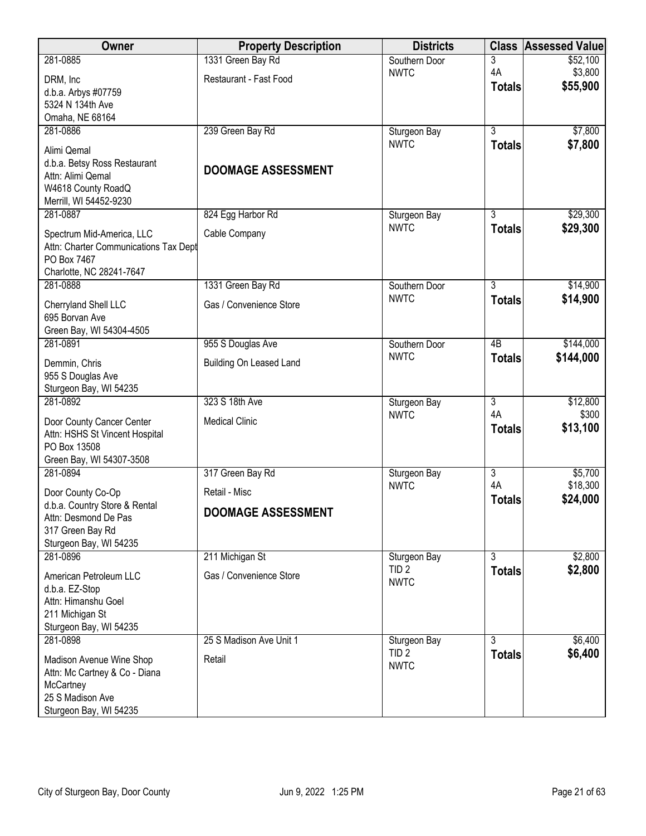| Owner                                                              | <b>Property Description</b> | <b>Districts</b>                 |                      | <b>Class Assessed Value</b> |
|--------------------------------------------------------------------|-----------------------------|----------------------------------|----------------------|-----------------------------|
| 281-0885                                                           | 1331 Green Bay Rd           | Southern Door                    | 3                    | \$52,100                    |
| DRM, Inc                                                           | Restaurant - Fast Food      | <b>NWTC</b>                      | 4A                   | \$3,800                     |
| d.b.a. Arbys #07759                                                |                             |                                  | <b>Totals</b>        | \$55,900                    |
| 5324 N 134th Ave                                                   |                             |                                  |                      |                             |
| Omaha, NE 68164                                                    |                             |                                  |                      |                             |
| 281-0886                                                           | 239 Green Bay Rd            | Sturgeon Bay<br><b>NWTC</b>      | $\overline{3}$       | \$7,800                     |
| Alimi Qemal                                                        |                             |                                  | <b>Totals</b>        | \$7,800                     |
| d.b.a. Betsy Ross Restaurant                                       | <b>DOOMAGE ASSESSMENT</b>   |                                  |                      |                             |
| Attn: Alimi Qemal                                                  |                             |                                  |                      |                             |
| W4618 County RoadQ<br>Merrill, WI 54452-9230                       |                             |                                  |                      |                             |
| 281-0887                                                           | 824 Egg Harbor Rd           | Sturgeon Bay                     | $\overline{3}$       | \$29,300                    |
|                                                                    |                             | <b>NWTC</b>                      | <b>Totals</b>        | \$29,300                    |
| Spectrum Mid-America, LLC<br>Attn: Charter Communications Tax Dept | Cable Company               |                                  |                      |                             |
| PO Box 7467                                                        |                             |                                  |                      |                             |
| Charlotte, NC 28241-7647                                           |                             |                                  |                      |                             |
| 281-0888                                                           | 1331 Green Bay Rd           | Southern Door                    | $\overline{3}$       | \$14,900                    |
| Cherryland Shell LLC                                               | Gas / Convenience Store     | <b>NWTC</b>                      | <b>Totals</b>        | \$14,900                    |
| 695 Borvan Ave                                                     |                             |                                  |                      |                             |
| Green Bay, WI 54304-4505                                           |                             |                                  |                      |                             |
| 281-0891                                                           | 955 S Douglas Ave           | Southern Door                    | $\overline{AB}$      | \$144,000                   |
| Demmin, Chris                                                      | Building On Leased Land     | <b>NWTC</b>                      | <b>Totals</b>        | \$144,000                   |
| 955 S Douglas Ave                                                  |                             |                                  |                      |                             |
| Sturgeon Bay, WI 54235                                             |                             |                                  |                      |                             |
| 281-0892                                                           | 323 S 18th Ave              | Sturgeon Bay<br><b>NWTC</b>      | $\overline{3}$<br>4A | \$12,800<br>\$300           |
| Door County Cancer Center                                          | <b>Medical Clinic</b>       |                                  | <b>Totals</b>        | \$13,100                    |
| Attn: HSHS St Vincent Hospital                                     |                             |                                  |                      |                             |
| PO Box 13508<br>Green Bay, WI 54307-3508                           |                             |                                  |                      |                             |
| 281-0894                                                           | 317 Green Bay Rd            | Sturgeon Bay                     | $\overline{3}$       | \$5,700                     |
|                                                                    |                             | <b>NWTC</b>                      | 4A                   | \$18,300                    |
| Door County Co-Op<br>d.b.a. Country Store & Rental                 | Retail - Misc               |                                  | <b>Totals</b>        | \$24,000                    |
| Attn: Desmond De Pas                                               | <b>DOOMAGE ASSESSMENT</b>   |                                  |                      |                             |
| 317 Green Bay Rd                                                   |                             |                                  |                      |                             |
| Sturgeon Bay, WI 54235                                             |                             |                                  |                      |                             |
| 281-0896                                                           | 211 Michigan St             | Sturgeon Bay                     | $\overline{3}$       | \$2,800                     |
| American Petroleum LLC                                             | Gas / Convenience Store     | TID <sub>2</sub><br><b>NWTC</b>  | <b>Totals</b>        | \$2,800                     |
| d.b.a. EZ-Stop                                                     |                             |                                  |                      |                             |
| Attn: Himanshu Goel                                                |                             |                                  |                      |                             |
| 211 Michigan St                                                    |                             |                                  |                      |                             |
| Sturgeon Bay, WI 54235<br>281-0898                                 | 25 S Madison Ave Unit 1     |                                  | $\overline{3}$       | \$6,400                     |
|                                                                    |                             | Sturgeon Bay<br>TID <sub>2</sub> | <b>Totals</b>        | \$6,400                     |
| Madison Avenue Wine Shop                                           | Retail                      | <b>NWTC</b>                      |                      |                             |
| Attn: Mc Cartney & Co - Diana<br>McCartney                         |                             |                                  |                      |                             |
| 25 S Madison Ave                                                   |                             |                                  |                      |                             |
| Sturgeon Bay, WI 54235                                             |                             |                                  |                      |                             |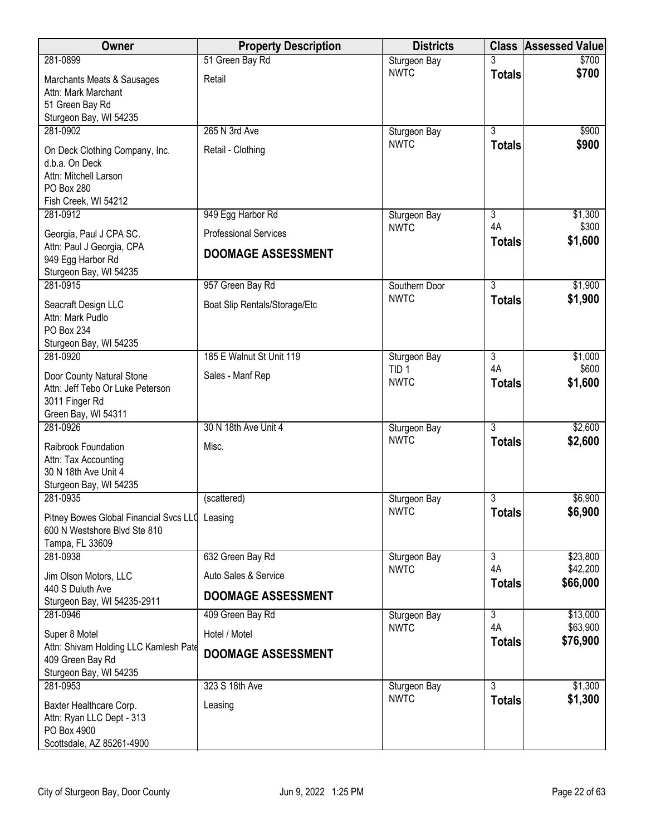| <b>Owner</b>                                                                                                    | <b>Property Description</b>   | <b>Districts</b>                |                     | <b>Class Assessed Value</b> |
|-----------------------------------------------------------------------------------------------------------------|-------------------------------|---------------------------------|---------------------|-----------------------------|
| 281-0899                                                                                                        | 51 Green Bay Rd               | Sturgeon Bay                    |                     | \$700                       |
| Marchants Meats & Sausages<br>Attn: Mark Marchant<br>51 Green Bay Rd<br>Sturgeon Bay, WI 54235                  | Retail                        | <b>NWTC</b>                     | <b>Totals</b>       | \$700                       |
| 281-0902                                                                                                        | 265 N 3rd Ave                 | Sturgeon Bay                    | $\overline{3}$      | \$900                       |
| On Deck Clothing Company, Inc.<br>d.b.a. On Deck<br>Attn: Mitchell Larson<br>PO Box 280<br>Fish Creek, WI 54212 | Retail - Clothing             | <b>NWTC</b>                     | <b>Totals</b>       | \$900                       |
| 281-0912                                                                                                        | 949 Egg Harbor Rd             | Sturgeon Bay                    | 3                   | \$1,300                     |
| Georgia, Paul J CPA SC.                                                                                         | <b>Professional Services</b>  | <b>NWTC</b>                     | 4A<br><b>Totals</b> | \$300<br>\$1,600            |
| Attn: Paul J Georgia, CPA<br>949 Egg Harbor Rd<br>Sturgeon Bay, WI 54235                                        | <b>DOOMAGE ASSESSMENT</b>     |                                 |                     |                             |
| 281-0915                                                                                                        | 957 Green Bay Rd              | Southern Door                   | $\overline{3}$      | \$1,900                     |
| Seacraft Design LLC<br>Attn: Mark Pudlo<br><b>PO Box 234</b><br>Sturgeon Bay, WI 54235                          | Boat Slip Rentals/Storage/Etc | <b>NWTC</b>                     | <b>Totals</b>       | \$1,900                     |
| 281-0920                                                                                                        | 185 E Walnut St Unit 119      | Sturgeon Bay                    | $\overline{3}$      | \$1,000                     |
| Door County Natural Stone<br>Attn: Jeff Tebo Or Luke Peterson<br>3011 Finger Rd<br>Green Bay, WI 54311          | Sales - Manf Rep              | TID <sub>1</sub><br><b>NWTC</b> | 4A<br><b>Totals</b> | \$600<br>\$1,600            |
| 281-0926                                                                                                        | 30 N 18th Ave Unit 4          | Sturgeon Bay                    | $\overline{3}$      | \$2,600                     |
| Raibrook Foundation<br>Attn: Tax Accounting<br>30 N 18th Ave Unit 4<br>Sturgeon Bay, WI 54235                   | Misc.                         | <b>NWTC</b>                     | <b>Totals</b>       | \$2,600                     |
| 281-0935                                                                                                        | (scattered)                   | Sturgeon Bay                    | 3                   | \$6,900                     |
| Pitney Bowes Global Financial Svcs LLC Leasing<br>600 N Westshore Blvd Ste 810<br>Tampa, FL 33609               |                               | <b>NWTC</b>                     | <b>Totals</b>       | \$6,900                     |
| 281-0938                                                                                                        | 632 Green Bay Rd              | Sturgeon Bay                    | $\overline{3}$      | \$23,800                    |
| Jim Olson Motors, LLC                                                                                           | Auto Sales & Service          | <b>NWTC</b>                     | 4A<br><b>Totals</b> | \$42,200<br>\$66,000        |
| 440 S Duluth Ave<br>Sturgeon Bay, WI 54235-2911                                                                 | <b>DOOMAGE ASSESSMENT</b>     |                                 |                     |                             |
| 281-0946                                                                                                        | 409 Green Bay Rd              | Sturgeon Bay                    | $\overline{3}$      | \$13,000                    |
| Super 8 Motel                                                                                                   | Hotel / Motel                 | <b>NWTC</b>                     | 4A                  | \$63,900                    |
| Attn: Shivam Holding LLC Kamlesh Pate<br>409 Green Bay Rd<br>Sturgeon Bay, WI 54235                             | <b>DOOMAGE ASSESSMENT</b>     |                                 | <b>Totals</b>       | \$76,900                    |
| 281-0953                                                                                                        | 323 S 18th Ave                | Sturgeon Bay                    | $\overline{3}$      | \$1,300                     |
| Baxter Healthcare Corp.<br>Attn: Ryan LLC Dept - 313<br>PO Box 4900<br>Scottsdale, AZ 85261-4900                | Leasing                       | <b>NWTC</b>                     | <b>Totals</b>       | \$1,300                     |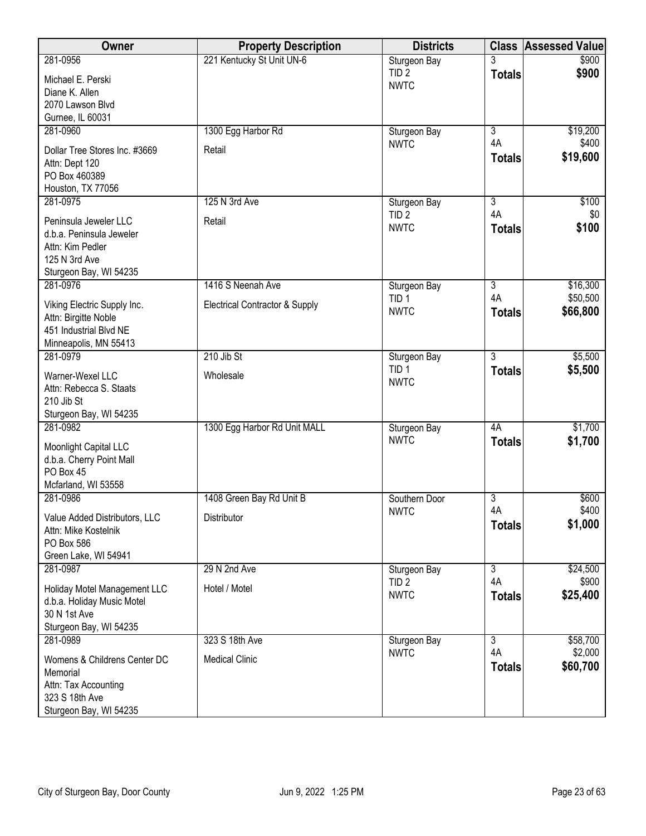| Owner                                                 | <b>Property Description</b>    | <b>Districts</b>                 |                      | <b>Class Assessed Value</b> |
|-------------------------------------------------------|--------------------------------|----------------------------------|----------------------|-----------------------------|
| 281-0956                                              | 221 Kentucky St Unit UN-6      | Sturgeon Bay                     |                      | \$900                       |
| Michael E. Perski                                     |                                | TID <sub>2</sub>                 | <b>Totals</b>        | \$900                       |
| Diane K. Allen                                        |                                | <b>NWTC</b>                      |                      |                             |
| 2070 Lawson Blvd                                      |                                |                                  |                      |                             |
| Gurnee, IL 60031                                      |                                |                                  |                      |                             |
| 281-0960                                              | 1300 Egg Harbor Rd             | Sturgeon Bay                     | $\overline{3}$       | \$19,200                    |
| Dollar Tree Stores Inc. #3669                         | Retail                         | <b>NWTC</b>                      | 4A                   | \$400                       |
| Attn: Dept 120                                        |                                |                                  | <b>Totals</b>        | \$19,600                    |
| PO Box 460389                                         |                                |                                  |                      |                             |
| Houston, TX 77056                                     |                                |                                  |                      |                             |
| 281-0975                                              | 125 N 3rd Ave                  | Sturgeon Bay                     | $\overline{3}$       | \$100                       |
|                                                       |                                | TID <sub>2</sub>                 | 4A                   | \$0                         |
| Peninsula Jeweler LLC                                 | Retail                         | <b>NWTC</b>                      | <b>Totals</b>        | \$100                       |
| d.b.a. Peninsula Jeweler                              |                                |                                  |                      |                             |
| Attn: Kim Pedler                                      |                                |                                  |                      |                             |
| 125 N 3rd Ave<br>Sturgeon Bay, WI 54235               |                                |                                  |                      |                             |
| 281-0976                                              | 1416 S Neenah Ave              |                                  | $\overline{3}$       | \$16,300                    |
|                                                       |                                | Sturgeon Bay<br>TID <sub>1</sub> | 4A                   | \$50,500                    |
| Viking Electric Supply Inc.                           | Electrical Contractor & Supply | <b>NWTC</b>                      | <b>Totals</b>        | \$66,800                    |
| Attn: Birgitte Noble                                  |                                |                                  |                      |                             |
| 451 Industrial Blvd NE                                |                                |                                  |                      |                             |
| Minneapolis, MN 55413                                 |                                |                                  |                      |                             |
| 281-0979                                              | 210 Jib St                     | Sturgeon Bay                     | $\overline{3}$       | \$5,500                     |
| Warner-Wexel LLC                                      | Wholesale                      | TID <sub>1</sub>                 | <b>Totals</b>        | \$5,500                     |
| Attn: Rebecca S. Staats                               |                                | <b>NWTC</b>                      |                      |                             |
| 210 Jib St                                            |                                |                                  |                      |                             |
| Sturgeon Bay, WI 54235                                |                                |                                  |                      |                             |
| 281-0982                                              | 1300 Egg Harbor Rd Unit MALL   | Sturgeon Bay                     | 4A                   | \$1,700                     |
| Moonlight Capital LLC                                 |                                | <b>NWTC</b>                      | <b>Totals</b>        | \$1,700                     |
| d.b.a. Cherry Point Mall                              |                                |                                  |                      |                             |
| PO Box 45                                             |                                |                                  |                      |                             |
| Mcfarland, WI 53558                                   |                                |                                  |                      |                             |
| 281-0986                                              | 1408 Green Bay Rd Unit B       | Southern Door                    | $\overline{3}$       | \$600                       |
|                                                       | Distributor                    | <b>NWTC</b>                      | 4A                   | \$400                       |
| Value Added Distributors, LLC<br>Attn: Mike Kostelnik |                                |                                  | <b>Totals</b>        | \$1,000                     |
| PO Box 586                                            |                                |                                  |                      |                             |
| Green Lake, WI 54941                                  |                                |                                  |                      |                             |
| 281-0987                                              | 29 N 2nd Ave                   | Sturgeon Bay                     | $\overline{3}$       | \$24,500                    |
|                                                       |                                | TID <sub>2</sub>                 | 4A                   | \$900                       |
| Holiday Motel Management LLC                          | Hotel / Motel                  | <b>NWTC</b>                      | <b>Totals</b>        | \$25,400                    |
| d.b.a. Holiday Music Motel                            |                                |                                  |                      |                             |
| 30 N 1st Ave                                          |                                |                                  |                      |                             |
| Sturgeon Bay, WI 54235                                |                                |                                  |                      |                             |
| 281-0989                                              | 323 S 18th Ave                 | Sturgeon Bay<br><b>NWTC</b>      | $\overline{3}$<br>4A | \$58,700<br>\$2,000         |
| Womens & Childrens Center DC                          | <b>Medical Clinic</b>          |                                  | <b>Totals</b>        | \$60,700                    |
| Memorial                                              |                                |                                  |                      |                             |
| Attn: Tax Accounting                                  |                                |                                  |                      |                             |
| 323 S 18th Ave                                        |                                |                                  |                      |                             |
| Sturgeon Bay, WI 54235                                |                                |                                  |                      |                             |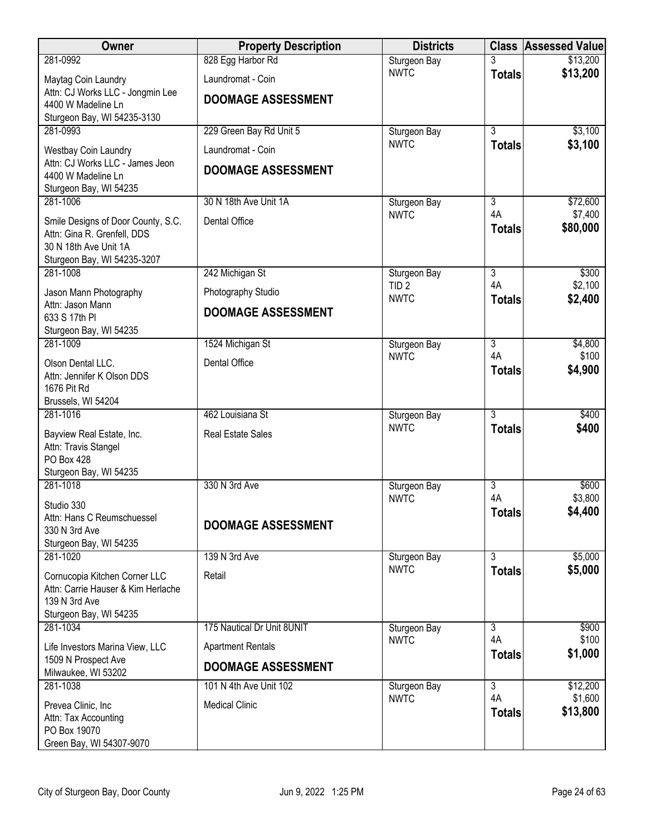| <b>Owner</b>                                                                                                              | <b>Property Description</b> | <b>Districts</b> |                      | <b>Class Assessed Value</b> |
|---------------------------------------------------------------------------------------------------------------------------|-----------------------------|------------------|----------------------|-----------------------------|
| 281-0992                                                                                                                  | 828 Egg Harbor Rd           | Sturgeon Bay     |                      | \$13,200                    |
| Maytag Coin Laundry                                                                                                       | Laundromat - Coin           | <b>NWTC</b>      | <b>Totals</b>        | \$13,200                    |
| Attn: CJ Works LLC - Jongmin Lee<br>4400 W Madeline Ln                                                                    | <b>DOOMAGE ASSESSMENT</b>   |                  |                      |                             |
| Sturgeon Bay, WI 54235-3130                                                                                               |                             |                  |                      |                             |
| 281-0993                                                                                                                  | 229 Green Bay Rd Unit 5     | Sturgeon Bay     | $\overline{3}$       | \$3,100                     |
| Westbay Coin Laundry                                                                                                      | Laundromat - Coin           | <b>NWTC</b>      | <b>Totals</b>        | \$3,100                     |
| Attn: CJ Works LLC - James Jeon<br>4400 W Madeline Ln<br>Sturgeon Bay, WI 54235                                           | <b>DOOMAGE ASSESSMENT</b>   |                  |                      |                             |
| 281-1006                                                                                                                  | 30 N 18th Ave Unit 1A       | Sturgeon Bay     | 3                    | \$72,600                    |
| Smile Designs of Door County, S.C.<br>Attn: Gina R. Grenfell, DDS<br>30 N 18th Ave Unit 1A<br>Sturgeon Bay, WI 54235-3207 | Dental Office               | <b>NWTC</b>      | 4A<br><b>Totals</b>  | \$7,400<br>\$80,000         |
| 281-1008                                                                                                                  | 242 Michigan St             | Sturgeon Bay     | $\overline{3}$       | \$300                       |
| Jason Mann Photography                                                                                                    | Photography Studio          | TID <sub>2</sub> | 4A                   | \$2,100                     |
| Attn: Jason Mann                                                                                                          | <b>DOOMAGE ASSESSMENT</b>   | <b>NWTC</b>      | <b>Totals</b>        | \$2,400                     |
| 633 S 17th PI<br>Sturgeon Bay, WI 54235                                                                                   |                             |                  |                      |                             |
| 281-1009                                                                                                                  | 1524 Michigan St            | Sturgeon Bay     | $\overline{3}$       | \$4,800                     |
| Olson Dental LLC.                                                                                                         | Dental Office               | <b>NWTC</b>      | 4A                   | \$100                       |
| Attn: Jennifer K Olson DDS<br>1676 Pit Rd<br>Brussels, WI 54204                                                           |                             |                  | <b>Totals</b>        | \$4,900                     |
| 281-1016                                                                                                                  | 462 Louisiana St            | Sturgeon Bay     | $\overline{3}$       | \$400                       |
| Bayview Real Estate, Inc.<br>Attn: Travis Stangel<br><b>PO Box 428</b><br>Sturgeon Bay, WI 54235                          | Real Estate Sales           | <b>NWTC</b>      | <b>Totals</b>        | \$400                       |
| 281-1018                                                                                                                  | 330 N 3rd Ave               | Sturgeon Bay     | $\overline{3}$       | \$600                       |
| Studio 330                                                                                                                |                             | <b>NWTC</b>      | 4A<br><b>Totals</b>  | \$3,800<br>\$4,400          |
| Attn: Hans C Reumschuessel<br>330 N 3rd Ave                                                                               | <b>DOOMAGE ASSESSMENT</b>   |                  |                      |                             |
| Sturgeon Bay, WI 54235                                                                                                    |                             |                  |                      |                             |
| 281-1020                                                                                                                  | 139 N 3rd Ave               | Sturgeon Bay     | $\overline{3}$       | \$5,000                     |
| Cornucopia Kitchen Corner LLC<br>Attn: Carrie Hauser & Kim Herlache<br>139 N 3rd Ave                                      | Retail                      | <b>NWTC</b>      | <b>Totals</b>        | \$5,000                     |
| Sturgeon Bay, WI 54235<br>281-1034                                                                                        | 175 Nautical Dr Unit 8UNIT  | Sturgeon Bay     | $\overline{3}$       | \$900                       |
|                                                                                                                           |                             | <b>NWTC</b>      | 4A                   | \$100                       |
| Life Investors Marina View, LLC<br>1509 N Prospect Ave                                                                    | <b>Apartment Rentals</b>    |                  | <b>Totals</b>        | \$1,000                     |
| Milwaukee, WI 53202                                                                                                       | <b>DOOMAGE ASSESSMENT</b>   |                  |                      |                             |
| 281-1038                                                                                                                  | 101 N 4th Ave Unit 102      | Sturgeon Bay     | $\overline{3}$<br>4A | \$12,200                    |
| Prevea Clinic, Inc                                                                                                        | <b>Medical Clinic</b>       | <b>NWTC</b>      | <b>Totals</b>        | \$1,600<br>\$13,800         |
| Attn: Tax Accounting<br>PO Box 19070<br>Green Bay, WI 54307-9070                                                          |                             |                  |                      |                             |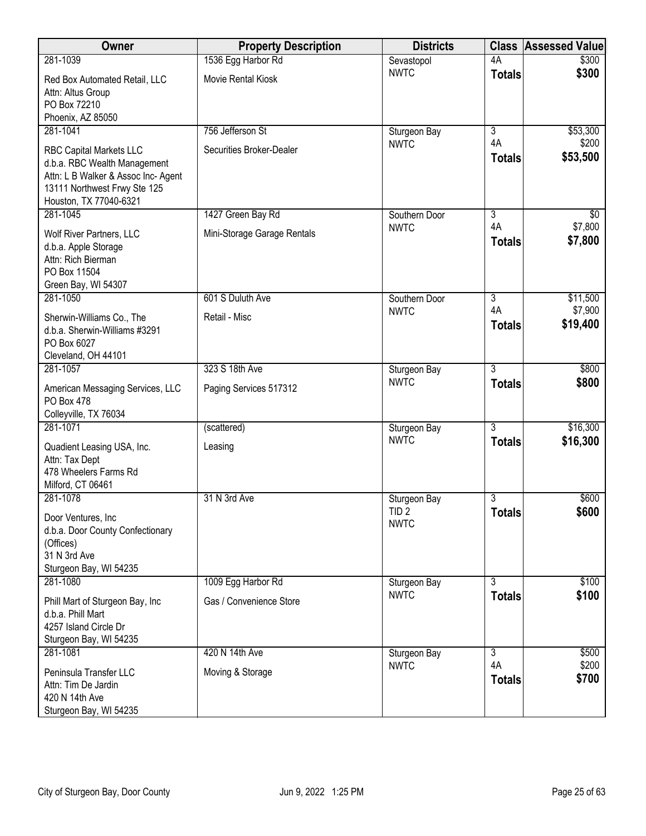| Owner                                                                                                                                                           | <b>Property Description</b> | <b>Districts</b>                | <b>Class</b>         | <b>Assessed Value</b> |
|-----------------------------------------------------------------------------------------------------------------------------------------------------------------|-----------------------------|---------------------------------|----------------------|-----------------------|
| 281-1039                                                                                                                                                        | 1536 Egg Harbor Rd          | Sevastopol                      | 4A                   | \$300                 |
| Red Box Automated Retail, LLC<br>Attn: Altus Group<br>PO Box 72210<br>Phoenix, AZ 85050                                                                         | Movie Rental Kiosk          | <b>NWTC</b>                     | <b>Totals</b>        | \$300                 |
| 281-1041                                                                                                                                                        | 756 Jefferson St            | Sturgeon Bay                    | $\overline{3}$       | \$53,300              |
| <b>RBC Capital Markets LLC</b><br>d.b.a. RBC Wealth Management<br>Attn: L B Walker & Assoc Inc- Agent<br>13111 Northwest Frwy Ste 125<br>Houston, TX 77040-6321 | Securities Broker-Dealer    | <b>NWTC</b>                     | 4A<br><b>Totals</b>  | \$200<br>\$53,500     |
| 281-1045                                                                                                                                                        | 1427 Green Bay Rd           | Southern Door<br><b>NWTC</b>    | $\overline{3}$<br>4A | \$0<br>\$7,800        |
| Wolf River Partners, LLC<br>d.b.a. Apple Storage<br>Attn: Rich Bierman<br>PO Box 11504<br>Green Bay, WI 54307                                                   | Mini-Storage Garage Rentals |                                 | <b>Totals</b>        | \$7,800               |
| 281-1050                                                                                                                                                        | 601 S Duluth Ave            | Southern Door                   | $\overline{3}$       | \$11,500              |
| Sherwin-Williams Co., The<br>d.b.a. Sherwin-Williams #3291<br>PO Box 6027<br>Cleveland, OH 44101                                                                | Retail - Misc               | <b>NWTC</b>                     | 4A<br><b>Totals</b>  | \$7,900<br>\$19,400   |
| 281-1057                                                                                                                                                        | 323 S 18th Ave              | Sturgeon Bay                    | $\overline{3}$       | \$800                 |
| American Messaging Services, LLC<br>PO Box 478<br>Colleyville, TX 76034                                                                                         | Paging Services 517312      | <b>NWTC</b>                     | <b>Totals</b>        | \$800                 |
| 281-1071                                                                                                                                                        | (scattered)                 | Sturgeon Bay                    | $\overline{3}$       | \$16,300              |
| Quadient Leasing USA, Inc.<br>Attn: Tax Dept<br>478 Wheelers Farms Rd<br>Milford, CT 06461                                                                      | Leasing                     | <b>NWTC</b>                     | <b>Totals</b>        | \$16,300              |
| 281-1078                                                                                                                                                        | 31 N 3rd Ave                | Sturgeon Bay                    | 3                    | \$600                 |
| Door Ventures, Inc<br>d.b.a. Door County Confectionary<br>(Offices)<br>31 N 3rd Ave<br>Sturgeon Bay, WI 54235                                                   |                             | TID <sub>2</sub><br><b>NWTC</b> | <b>Totals</b>        | \$600                 |
| 281-1080                                                                                                                                                        | 1009 Egg Harbor Rd          | Sturgeon Bay                    | $\overline{3}$       | \$100                 |
| Phill Mart of Sturgeon Bay, Inc<br>d.b.a. Phill Mart<br>4257 Island Circle Dr<br>Sturgeon Bay, WI 54235                                                         | Gas / Convenience Store     | <b>NWTC</b>                     | <b>Totals</b>        | \$100                 |
| 281-1081                                                                                                                                                        | 420 N 14th Ave              | Sturgeon Bay                    | $\overline{3}$       | \$500                 |
| Peninsula Transfer LLC<br>Attn: Tim De Jardin<br>420 N 14th Ave<br>Sturgeon Bay, WI 54235                                                                       | Moving & Storage            | <b>NWTC</b>                     | 4A<br><b>Totals</b>  | \$200<br>\$700        |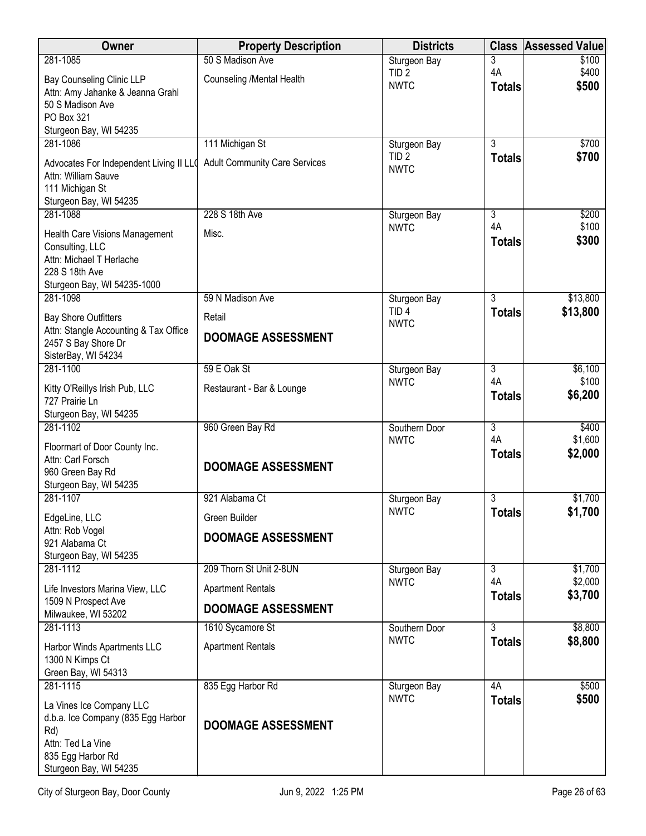| <b>Owner</b>                                                 | <b>Property Description</b>          | <b>Districts</b>                 | <b>Class</b>         | <b>Assessed Value</b> |
|--------------------------------------------------------------|--------------------------------------|----------------------------------|----------------------|-----------------------|
| 281-1085                                                     | 50 S Madison Ave                     | Sturgeon Bay                     | 3                    | \$100                 |
| <b>Bay Counseling Clinic LLP</b>                             | Counseling /Mental Health            | TID <sub>2</sub><br><b>NWTC</b>  | 4A                   | \$400<br>\$500        |
| Attn: Amy Jahanke & Jeanna Grahl                             |                                      |                                  | <b>Totals</b>        |                       |
| 50 S Madison Ave<br>PO Box 321                               |                                      |                                  |                      |                       |
| Sturgeon Bay, WI 54235                                       |                                      |                                  |                      |                       |
| 281-1086                                                     | 111 Michigan St                      | Sturgeon Bay                     | 3                    | \$700                 |
| Advocates For Independent Living II LLO                      | <b>Adult Community Care Services</b> | TID <sub>2</sub>                 | <b>Totals</b>        | \$700                 |
| Attn: William Sauve                                          |                                      | <b>NWTC</b>                      |                      |                       |
| 111 Michigan St                                              |                                      |                                  |                      |                       |
| Sturgeon Bay, WI 54235<br>281-1088                           | 228 S 18th Ave                       | Sturgeon Bay                     | 3                    | \$200                 |
|                                                              |                                      | <b>NWTC</b>                      | 4A                   | \$100                 |
| Health Care Visions Management<br>Consulting, LLC            | Misc.                                |                                  | <b>Totals</b>        | \$300                 |
| Attn: Michael T Herlache                                     |                                      |                                  |                      |                       |
| 228 S 18th Ave                                               |                                      |                                  |                      |                       |
| Sturgeon Bay, WI 54235-1000                                  |                                      |                                  |                      |                       |
| 281-1098                                                     | 59 N Madison Ave                     | Sturgeon Bay<br>TID <sub>4</sub> | $\overline{3}$       | \$13,800<br>\$13,800  |
| <b>Bay Shore Outfitters</b>                                  | Retail                               | <b>NWTC</b>                      | <b>Totals</b>        |                       |
| Attn: Stangle Accounting & Tax Office<br>2457 S Bay Shore Dr | <b>DOOMAGE ASSESSMENT</b>            |                                  |                      |                       |
| SisterBay, WI 54234                                          |                                      |                                  |                      |                       |
| 281-1100                                                     | 59 E Oak St                          | Sturgeon Bay                     | 3                    | \$6,100               |
| Kitty O'Reillys Irish Pub, LLC                               | Restaurant - Bar & Lounge            | <b>NWTC</b>                      | 4A                   | \$100                 |
| 727 Prairie Ln                                               |                                      |                                  | <b>Totals</b>        | \$6,200               |
| Sturgeon Bay, WI 54235                                       |                                      |                                  |                      |                       |
| 281-1102                                                     | 960 Green Bay Rd                     | Southern Door<br><b>NWTC</b>     | $\overline{3}$<br>4A | \$400<br>\$1,600      |
| Floormart of Door County Inc.<br>Attn: Carl Forsch           |                                      |                                  | <b>Totals</b>        | \$2,000               |
| 960 Green Bay Rd                                             | <b>DOOMAGE ASSESSMENT</b>            |                                  |                      |                       |
| Sturgeon Bay, WI 54235                                       |                                      |                                  |                      |                       |
| 281-1107                                                     | 921 Alabama Ct                       | Sturgeon Bay                     | 3                    | \$1,700               |
| EdgeLine, LLC                                                | Green Builder                        | <b>NWTC</b>                      | <b>Totals</b>        | \$1,700               |
| Attn: Rob Vogel                                              | <b>DOOMAGE ASSESSMENT</b>            |                                  |                      |                       |
| 921 Alabama Ct<br>Sturgeon Bay, WI 54235                     |                                      |                                  |                      |                       |
| 281-1112                                                     | 209 Thorn St Unit 2-8UN              | Sturgeon Bay                     | $\overline{3}$       | \$1,700               |
| Life Investors Marina View, LLC                              | <b>Apartment Rentals</b>             | <b>NWTC</b>                      | 4A                   | \$2,000               |
| 1509 N Prospect Ave<br>Milwaukee, WI 53202                   | DOOMAGE ASSESSMENT                   |                                  | <b>Totals</b>        | \$3,700               |
| 281-1113                                                     | 1610 Sycamore St                     | Southern Door                    | $\overline{3}$       | \$8,800               |
| Harbor Winds Apartments LLC                                  | <b>Apartment Rentals</b>             | <b>NWTC</b>                      | <b>Totals</b>        | \$8,800               |
| 1300 N Kimps Ct                                              |                                      |                                  |                      |                       |
| Green Bay, WI 54313                                          |                                      |                                  |                      |                       |
| 281-1115                                                     | 835 Egg Harbor Rd                    | Sturgeon Bay                     | 4A                   | \$500                 |
| La Vines Ice Company LLC                                     |                                      | <b>NWTC</b>                      | <b>Totals</b>        | \$500                 |
| d.b.a. Ice Company (835 Egg Harbor                           | <b>DOOMAGE ASSESSMENT</b>            |                                  |                      |                       |
| Rd)<br>Attn: Ted La Vine                                     |                                      |                                  |                      |                       |
| 835 Egg Harbor Rd                                            |                                      |                                  |                      |                       |
| Sturgeon Bay, WI 54235                                       |                                      |                                  |                      |                       |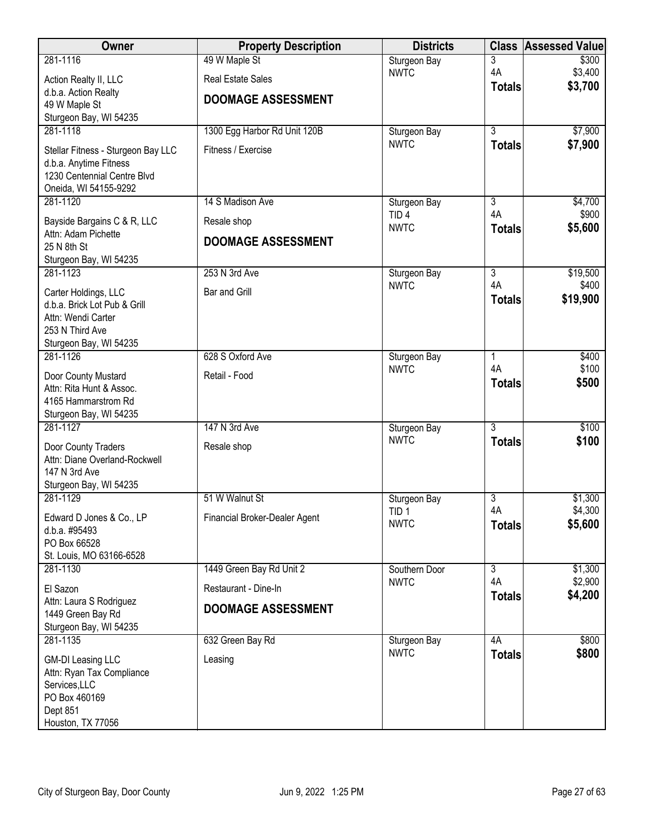| Owner                                                                                                                    | <b>Property Description</b>   | <b>Districts</b>                | <b>Class</b>        | <b>Assessed Value</b> |
|--------------------------------------------------------------------------------------------------------------------------|-------------------------------|---------------------------------|---------------------|-----------------------|
| 281-1116                                                                                                                 | 49 W Maple St                 | Sturgeon Bay                    | 3                   | \$300                 |
| Action Realty II, LLC                                                                                                    | <b>Real Estate Sales</b>      | <b>NWTC</b>                     | 4A                  | \$3,400<br>\$3,700    |
| d.b.a. Action Realty                                                                                                     | <b>DOOMAGE ASSESSMENT</b>     |                                 | <b>Totals</b>       |                       |
| 49 W Maple St<br>Sturgeon Bay, WI 54235                                                                                  |                               |                                 |                     |                       |
| 281-1118                                                                                                                 | 1300 Egg Harbor Rd Unit 120B  | Sturgeon Bay                    | $\overline{3}$      | \$7,900               |
| Stellar Fitness - Sturgeon Bay LLC<br>d.b.a. Anytime Fitness<br>1230 Centennial Centre Blvd                              | Fitness / Exercise            | <b>NWTC</b>                     | <b>Totals</b>       | \$7,900               |
| Oneida, WI 54155-9292                                                                                                    |                               |                                 |                     |                       |
| 281-1120                                                                                                                 | 14 S Madison Ave              | Sturgeon Bay                    | $\overline{3}$      | \$4,700               |
| Bayside Bargains C & R, LLC<br>Attn: Adam Pichette                                                                       | Resale shop                   | TID <sub>4</sub><br><b>NWTC</b> | 4A<br><b>Totals</b> | \$900<br>\$5,600      |
| 25 N 8th St                                                                                                              | <b>DOOMAGE ASSESSMENT</b>     |                                 |                     |                       |
| Sturgeon Bay, WI 54235<br>281-1123                                                                                       | 253 N 3rd Ave                 | Sturgeon Bay                    | $\overline{3}$      | \$19,500              |
|                                                                                                                          |                               | <b>NWTC</b>                     | 4A                  | \$400                 |
| Carter Holdings, LLC<br>d.b.a. Brick Lot Pub & Grill<br>Attn: Wendi Carter<br>253 N Third Ave<br>Sturgeon Bay, WI 54235  | Bar and Grill                 |                                 | <b>Totals</b>       | \$19,900              |
| 281-1126                                                                                                                 | 628 S Oxford Ave              | Sturgeon Bay                    | $\mathbf{1}$        | \$400                 |
| Door County Mustard<br>Attn: Rita Hunt & Assoc.<br>4165 Hammarstrom Rd<br>Sturgeon Bay, WI 54235                         | Retail - Food                 | <b>NWTC</b>                     | 4A<br><b>Totals</b> | \$100<br>\$500        |
| 281-1127                                                                                                                 | 147 N 3rd Ave                 | Sturgeon Bay                    | $\overline{3}$      | \$100                 |
| Door County Traders<br>Attn: Diane Overland-Rockwell<br>147 N 3rd Ave<br>Sturgeon Bay, WI 54235                          | Resale shop                   | <b>NWTC</b>                     | <b>Totals</b>       | \$100                 |
| 281-1129                                                                                                                 | 51 W Walnut St                | Sturgeon Bay                    | $\overline{3}$      | \$1,300               |
| Edward D Jones & Co., LP<br>d.b.a. #95493<br>PO Box 66528<br>St. Louis, MO 63166-6528                                    | Financial Broker-Dealer Agent | TID <sub>1</sub><br><b>NWTC</b> | 4A<br><b>Totals</b> | \$4,300<br>\$5,600    |
| 281-1130                                                                                                                 | 1449 Green Bay Rd Unit 2      | Southern Door                   | $\overline{3}$      | \$1,300               |
| El Sazon                                                                                                                 | Restaurant - Dine-In          | <b>NWTC</b>                     | 4A<br><b>Totals</b> | \$2,900<br>\$4,200    |
| Attn: Laura S Rodriguez<br>1449 Green Bay Rd<br>Sturgeon Bay, WI 54235                                                   | <b>DOOMAGE ASSESSMENT</b>     |                                 |                     |                       |
| 281-1135                                                                                                                 | 632 Green Bay Rd              | Sturgeon Bay                    | 4A                  | \$800                 |
| <b>GM-DI Leasing LLC</b><br>Attn: Ryan Tax Compliance<br>Services, LLC<br>PO Box 460169<br>Dept 851<br>Houston, TX 77056 | Leasing                       | <b>NWTC</b>                     | <b>Totals</b>       | \$800                 |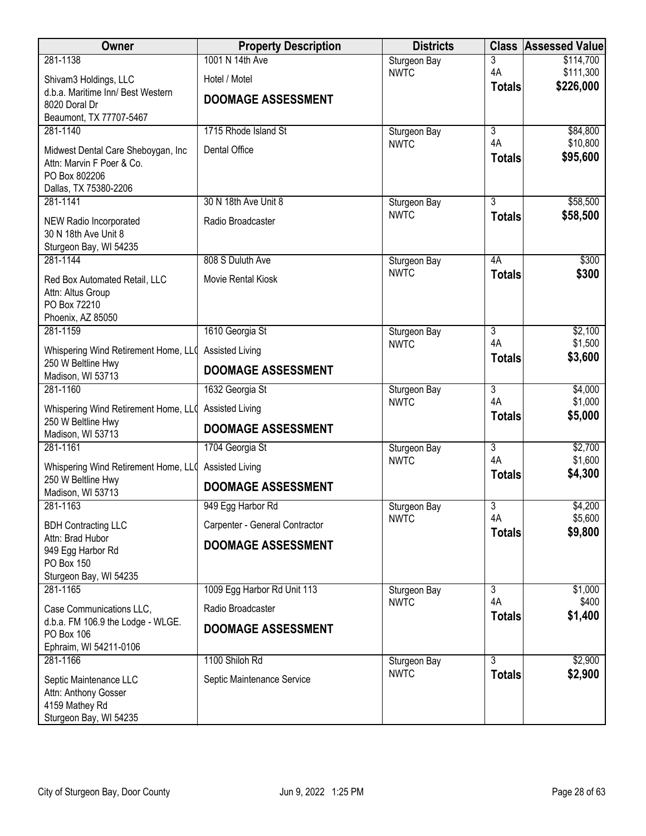| Owner                                                           | <b>Property Description</b>    | <b>Districts</b>            | <b>Class</b>        | <b>Assessed Value</b>  |
|-----------------------------------------------------------------|--------------------------------|-----------------------------|---------------------|------------------------|
| 281-1138                                                        | 1001 N 14th Ave                | Sturgeon Bay                | 3                   | \$114,700              |
| Shivam3 Holdings, LLC                                           | Hotel / Motel                  | <b>NWTC</b>                 | 4A                  | \$111,300<br>\$226,000 |
| d.b.a. Maritime Inn/ Best Western                               | <b>DOOMAGE ASSESSMENT</b>      |                             | <b>Totals</b>       |                        |
| 8020 Doral Dr<br>Beaumont, TX 77707-5467                        |                                |                             |                     |                        |
| 281-1140                                                        | 1715 Rhode Island St           | Sturgeon Bay                | $\overline{3}$      | \$84,800               |
|                                                                 | Dental Office                  | <b>NWTC</b>                 | 4A                  | \$10,800               |
| Midwest Dental Care Sheboygan, Inc<br>Attn: Marvin F Poer & Co. |                                |                             | <b>Totals</b>       | \$95,600               |
| PO Box 802206                                                   |                                |                             |                     |                        |
| Dallas, TX 75380-2206                                           |                                |                             |                     |                        |
| 281-1141                                                        | 30 N 18th Ave Unit 8           | Sturgeon Bay                | $\overline{3}$      | \$58,500               |
| NEW Radio Incorporated                                          | Radio Broadcaster              | <b>NWTC</b>                 | <b>Totals</b>       | \$58,500               |
| 30 N 18th Ave Unit 8                                            |                                |                             |                     |                        |
| Sturgeon Bay, WI 54235<br>281-1144                              | 808 S Duluth Ave               | Sturgeon Bay                | 4A                  | \$300                  |
|                                                                 |                                | <b>NWTC</b>                 | <b>Totals</b>       | \$300                  |
| Red Box Automated Retail, LLC<br>Attn: Altus Group              | Movie Rental Kiosk             |                             |                     |                        |
| PO Box 72210                                                    |                                |                             |                     |                        |
| Phoenix, AZ 85050                                               |                                |                             |                     |                        |
| 281-1159                                                        | 1610 Georgia St                | Sturgeon Bay                | 3                   | \$2,100                |
| Whispering Wind Retirement Home, LLO                            | Assisted Living                | <b>NWTC</b>                 | 4A<br><b>Totals</b> | \$1,500<br>\$3,600     |
| 250 W Beltline Hwy                                              | <b>DOOMAGE ASSESSMENT</b>      |                             |                     |                        |
| Madison, WI 53713<br>281-1160                                   | 1632 Georgia St                | Sturgeon Bay                | $\overline{3}$      | \$4,000                |
|                                                                 |                                | <b>NWTC</b>                 | 4A                  | \$1,000                |
| Whispering Wind Retirement Home, LLO<br>250 W Beltline Hwy      | <b>Assisted Living</b>         |                             | <b>Totals</b>       | \$5,000                |
| Madison, WI 53713                                               | <b>DOOMAGE ASSESSMENT</b>      |                             |                     |                        |
| 281-1161                                                        | 1704 Georgia St                | Sturgeon Bay                | $\overline{3}$      | \$2,700                |
| Whispering Wind Retirement Home, LLO                            | <b>Assisted Living</b>         | <b>NWTC</b>                 | 4A                  | \$1,600                |
| 250 W Beltline Hwy                                              | <b>DOOMAGE ASSESSMENT</b>      |                             | <b>Totals</b>       | \$4,300                |
| Madison, WI 53713<br>281-1163                                   | 949 Egg Harbor Rd              |                             | 3                   | \$4,200                |
|                                                                 |                                | Sturgeon Bay<br><b>NWTC</b> | 4A                  | \$5,600                |
| <b>BDH Contracting LLC</b><br>Attn: Brad Hubor                  | Carpenter - General Contractor |                             | <b>Totals</b>       | \$9,800                |
| 949 Egg Harbor Rd                                               | <b>DOOMAGE ASSESSMENT</b>      |                             |                     |                        |
| PO Box 150                                                      |                                |                             |                     |                        |
| Sturgeon Bay, WI 54235                                          |                                |                             |                     |                        |
| 281-1165                                                        | 1009 Egg Harbor Rd Unit 113    | Sturgeon Bay                | 3<br>4A             | \$1,000<br>\$400       |
| Case Communications LLC,                                        | Radio Broadcaster              | <b>NWTC</b>                 | <b>Totals</b>       | \$1,400                |
| d.b.a. FM 106.9 the Lodge - WLGE.<br>PO Box 106                 | <b>DOOMAGE ASSESSMENT</b>      |                             |                     |                        |
| Ephraim, WI 54211-0106                                          |                                |                             |                     |                        |
| 281-1166                                                        | 1100 Shiloh Rd                 | Sturgeon Bay                | 3                   | \$2,900                |
| Septic Maintenance LLC                                          | Septic Maintenance Service     | <b>NWTC</b>                 | <b>Totals</b>       | \$2,900                |
| Attn: Anthony Gosser                                            |                                |                             |                     |                        |
| 4159 Mathey Rd                                                  |                                |                             |                     |                        |
| Sturgeon Bay, WI 54235                                          |                                |                             |                     |                        |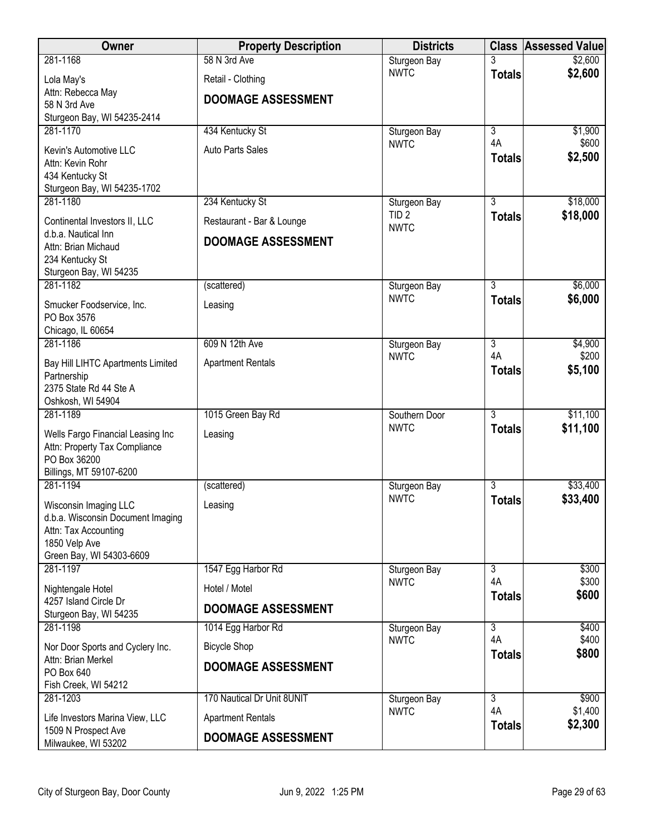| <b>Owner</b>                                           | <b>Property Description</b> | <b>Districts</b>            | <b>Class</b>         | <b>Assessed Value</b> |
|--------------------------------------------------------|-----------------------------|-----------------------------|----------------------|-----------------------|
| 281-1168                                               | 58 N 3rd Ave                | Sturgeon Bay                |                      | \$2,600               |
| Lola May's                                             | Retail - Clothing           | <b>NWTC</b>                 | <b>Totals</b>        | \$2,600               |
| Attn: Rebecca May                                      | <b>DOOMAGE ASSESSMENT</b>   |                             |                      |                       |
| 58 N 3rd Ave<br>Sturgeon Bay, WI 54235-2414            |                             |                             |                      |                       |
| 281-1170                                               | 434 Kentucky St             | Sturgeon Bay                | $\overline{3}$       | \$1,900               |
| Kevin's Automotive LLC                                 | Auto Parts Sales            | <b>NWTC</b>                 | 4A                   | \$600                 |
| Attn: Kevin Rohr                                       |                             |                             | <b>Totals</b>        | \$2,500               |
| 434 Kentucky St                                        |                             |                             |                      |                       |
| Sturgeon Bay, WI 54235-1702<br>281-1180                | 234 Kentucky St             | Sturgeon Bay                | $\overline{3}$       | \$18,000              |
|                                                        |                             | TID <sub>2</sub>            | <b>Totals</b>        | \$18,000              |
| Continental Investors II, LLC<br>d.b.a. Nautical Inn   | Restaurant - Bar & Lounge   | <b>NWTC</b>                 |                      |                       |
| Attn: Brian Michaud                                    | <b>DOOMAGE ASSESSMENT</b>   |                             |                      |                       |
| 234 Kentucky St                                        |                             |                             |                      |                       |
| Sturgeon Bay, WI 54235<br>281-1182                     | (scattered)                 | Sturgeon Bay                | $\overline{3}$       | \$6,000               |
| Smucker Foodservice, Inc.                              | Leasing                     | <b>NWTC</b>                 | <b>Totals</b>        | \$6,000               |
| PO Box 3576                                            |                             |                             |                      |                       |
| Chicago, IL 60654                                      |                             |                             |                      |                       |
| 281-1186                                               | 609 N 12th Ave              | Sturgeon Bay<br><b>NWTC</b> | $\overline{3}$<br>4A | \$4,900<br>\$200      |
| Bay Hill LIHTC Apartments Limited                      | <b>Apartment Rentals</b>    |                             | <b>Totals</b>        | \$5,100               |
| Partnership<br>2375 State Rd 44 Ste A                  |                             |                             |                      |                       |
| Oshkosh, WI 54904                                      |                             |                             |                      |                       |
| 281-1189                                               | 1015 Green Bay Rd           | Southern Door               | $\overline{3}$       | \$11,100              |
| Wells Fargo Financial Leasing Inc                      | Leasing                     | <b>NWTC</b>                 | <b>Totals</b>        | \$11,100              |
| Attn: Property Tax Compliance                          |                             |                             |                      |                       |
| PO Box 36200<br>Billings, MT 59107-6200                |                             |                             |                      |                       |
| 281-1194                                               | (scattered)                 | Sturgeon Bay                | $\overline{3}$       | \$33,400              |
| Wisconsin Imaging LLC                                  | Leasing                     | <b>NWTC</b>                 | <b>Totals</b>        | \$33,400              |
| d.b.a. Wisconsin Document Imaging                      |                             |                             |                      |                       |
| Attn: Tax Accounting<br>1850 Velp Ave                  |                             |                             |                      |                       |
| Green Bay, WI 54303-6609                               |                             |                             |                      |                       |
| 281-1197                                               | 1547 Egg Harbor Rd          | Sturgeon Bay                | 3                    | \$300                 |
| Nightengale Hotel                                      | Hotel / Motel               | <b>NWTC</b>                 | 4A<br><b>Totals</b>  | \$300<br>\$600        |
| 4257 Island Circle Dr<br>Sturgeon Bay, WI 54235        | <b>DOOMAGE ASSESSMENT</b>   |                             |                      |                       |
| 281-1198                                               | 1014 Egg Harbor Rd          | Sturgeon Bay                | $\overline{3}$       | \$400                 |
| Nor Door Sports and Cyclery Inc.                       | <b>Bicycle Shop</b>         | <b>NWTC</b>                 | 4A                   | \$400                 |
| Attn: Brian Merkel                                     |                             |                             | <b>Totals</b>        | \$800                 |
| PO Box 640                                             | <b>DOOMAGE ASSESSMENT</b>   |                             |                      |                       |
| Fish Creek, WI 54212<br>281-1203                       | 170 Nautical Dr Unit 8UNIT  | Sturgeon Bay                | 3                    | \$900                 |
|                                                        | <b>Apartment Rentals</b>    | <b>NWTC</b>                 | 4A                   | \$1,400               |
| Life Investors Marina View, LLC<br>1509 N Prospect Ave |                             |                             | <b>Totals</b>        | \$2,300               |
| Milwaukee, WI 53202                                    | <b>DOOMAGE ASSESSMENT</b>   |                             |                      |                       |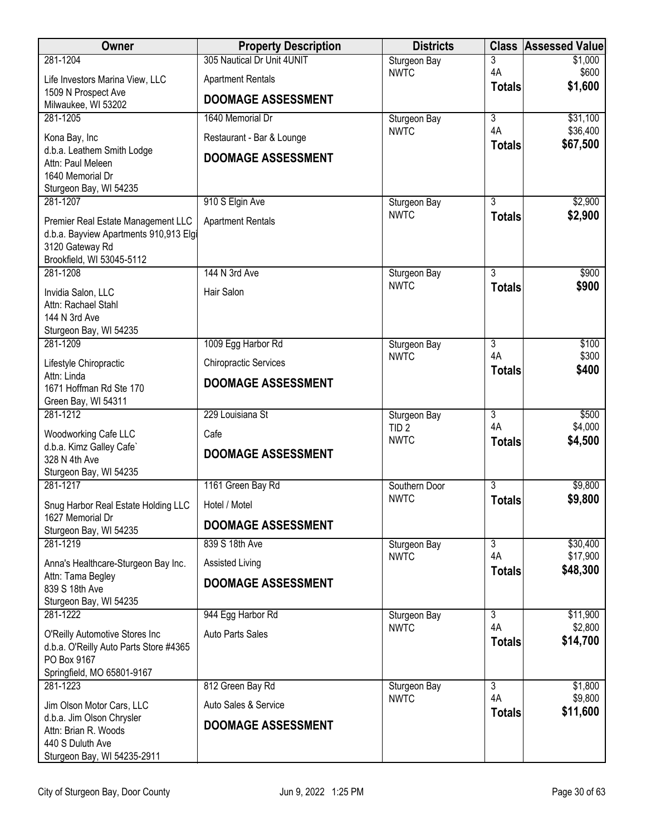| Owner                                                                    | <b>Property Description</b>  | <b>Districts</b>            | <b>Class</b>         | <b>Assessed Value</b> |
|--------------------------------------------------------------------------|------------------------------|-----------------------------|----------------------|-----------------------|
| 281-1204                                                                 | 305 Nautical Dr Unit 4UNIT   | Sturgeon Bay                | 3                    | \$1,000               |
| Life Investors Marina View, LLC                                          | <b>Apartment Rentals</b>     | <b>NWTC</b>                 | 4A<br><b>Totals</b>  | \$600<br>\$1,600      |
| 1509 N Prospect Ave<br>Milwaukee, WI 53202                               | <b>DOOMAGE ASSESSMENT</b>    |                             |                      |                       |
| 281-1205                                                                 | 1640 Memorial Dr             | Sturgeon Bay                | $\overline{3}$       | \$31,100              |
| Kona Bay, Inc                                                            | Restaurant - Bar & Lounge    | <b>NWTC</b>                 | 4A<br><b>Totals</b>  | \$36,400<br>\$67,500  |
| d.b.a. Leathem Smith Lodge<br>Attn: Paul Meleen                          | <b>DOOMAGE ASSESSMENT</b>    |                             |                      |                       |
| 1640 Memorial Dr                                                         |                              |                             |                      |                       |
| Sturgeon Bay, WI 54235                                                   |                              |                             |                      |                       |
| 281-1207                                                                 | 910 S Elgin Ave              | Sturgeon Bay<br><b>NWTC</b> | 3                    | \$2,900               |
| Premier Real Estate Management LLC                                       | <b>Apartment Rentals</b>     |                             | <b>Totals</b>        | \$2,900               |
| d.b.a. Bayview Apartments 910,913 Elgi<br>3120 Gateway Rd                |                              |                             |                      |                       |
| Brookfield, WI 53045-5112                                                |                              |                             |                      |                       |
| 281-1208                                                                 | 144 N 3rd Ave                | Sturgeon Bay                | $\overline{3}$       | \$900                 |
| Invidia Salon, LLC                                                       | Hair Salon                   | <b>NWTC</b>                 | <b>Totals</b>        | \$900                 |
| Attn: Rachael Stahl                                                      |                              |                             |                      |                       |
| 144 N 3rd Ave<br>Sturgeon Bay, WI 54235                                  |                              |                             |                      |                       |
| 281-1209                                                                 | 1009 Egg Harbor Rd           | Sturgeon Bay                | $\overline{3}$       | \$100                 |
| Lifestyle Chiropractic                                                   | <b>Chiropractic Services</b> | <b>NWTC</b>                 | 4A<br><b>Totals</b>  | \$300<br>\$400        |
| Attn: Linda                                                              | <b>DOOMAGE ASSESSMENT</b>    |                             |                      |                       |
| 1671 Hoffman Rd Ste 170<br>Green Bay, WI 54311                           |                              |                             |                      |                       |
| 281-1212                                                                 | 229 Louisiana St             | Sturgeon Bay                | $\overline{3}$       | \$500                 |
| Woodworking Cafe LLC                                                     | Cafe                         | TID <sub>2</sub>            | 4A                   | \$4,000               |
| d.b.a. Kimz Galley Cafe'                                                 | <b>DOOMAGE ASSESSMENT</b>    | <b>NWTC</b>                 | <b>Totals</b>        | \$4,500               |
| 328 N 4th Ave<br>Sturgeon Bay, WI 54235                                  |                              |                             |                      |                       |
| 281-1217                                                                 | 1161 Green Bay Rd            | Southern Door               | $\overline{3}$       | \$9,800               |
| Snug Harbor Real Estate Holding LLC                                      | Hotel / Motel                | <b>NWTC</b>                 | <b>Totals</b>        | \$9,800               |
| 1627 Memorial Dr                                                         | <b>DOOMAGE ASSESSMENT</b>    |                             |                      |                       |
| Sturgeon Bay, WI 54235<br>281-1219                                       | 839 S 18th Ave               | Sturgeon Bay                | $\overline{3}$       | \$30,400              |
|                                                                          | Assisted Living              | <b>NWTC</b>                 | 4A                   | \$17,900              |
| Anna's Healthcare-Sturgeon Bay Inc.<br>Attn: Tama Begley                 |                              |                             | <b>Totals</b>        | \$48,300              |
| 839 S 18th Ave                                                           | <b>DOOMAGE ASSESSMENT</b>    |                             |                      |                       |
| Sturgeon Bay, WI 54235<br>281-1222                                       | 944 Egg Harbor Rd            | Sturgeon Bay                | $\overline{3}$       | \$11,900              |
|                                                                          |                              | <b>NWTC</b>                 | 4A                   | \$2,800               |
| O'Reilly Automotive Stores Inc<br>d.b.a. O'Reilly Auto Parts Store #4365 | Auto Parts Sales             |                             | <b>Totals</b>        | \$14,700              |
| PO Box 9167                                                              |                              |                             |                      |                       |
| Springfield, MO 65801-9167                                               |                              |                             |                      |                       |
| 281-1223                                                                 | 812 Green Bay Rd             | Sturgeon Bay<br><b>NWTC</b> | $\overline{3}$<br>4A | \$1,800<br>\$9,800    |
| Jim Olson Motor Cars, LLC<br>d.b.a. Jim Olson Chrysler                   | Auto Sales & Service         |                             | <b>Totals</b>        | \$11,600              |
| Attn: Brian R. Woods                                                     | <b>DOOMAGE ASSESSMENT</b>    |                             |                      |                       |
| 440 S Duluth Ave                                                         |                              |                             |                      |                       |
| Sturgeon Bay, WI 54235-2911                                              |                              |                             |                      |                       |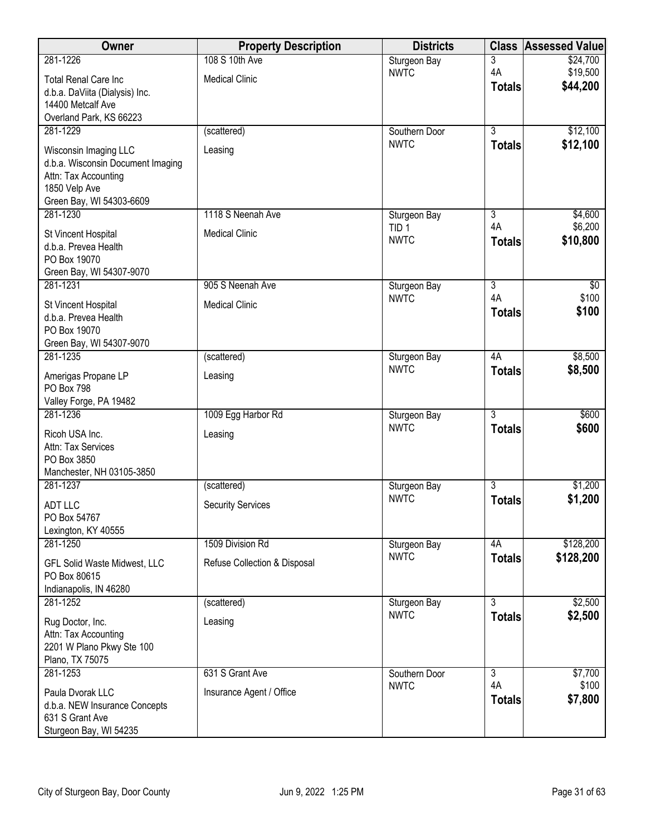| <b>Owner</b>                                                                                                                    | <b>Property Description</b>  | <b>Districts</b>                | <b>Class</b>         | <b>Assessed Value</b> |
|---------------------------------------------------------------------------------------------------------------------------------|------------------------------|---------------------------------|----------------------|-----------------------|
| 281-1226                                                                                                                        | 108 S 10th Ave               | Sturgeon Bay                    | 3                    | \$24,700              |
| <b>Total Renal Care Inc</b>                                                                                                     | <b>Medical Clinic</b>        | <b>NWTC</b>                     | 4A<br><b>Totals</b>  | \$19,500<br>\$44,200  |
| d.b.a. DaViita (Dialysis) Inc.                                                                                                  |                              |                                 |                      |                       |
| 14400 Metcalf Ave<br>Overland Park, KS 66223                                                                                    |                              |                                 |                      |                       |
| 281-1229                                                                                                                        | (scattered)                  | Southern Door                   | $\overline{3}$       | \$12,100              |
| Wisconsin Imaging LLC<br>d.b.a. Wisconsin Document Imaging<br>Attn: Tax Accounting<br>1850 Velp Ave<br>Green Bay, WI 54303-6609 | Leasing                      | <b>NWTC</b>                     | <b>Totals</b>        | \$12,100              |
| 281-1230                                                                                                                        | 1118 S Neenah Ave            | Sturgeon Bay                    | $\overline{3}$       | \$4,600               |
| St Vincent Hospital<br>d.b.a. Prevea Health<br>PO Box 19070<br>Green Bay, WI 54307-9070                                         | <b>Medical Clinic</b>        | TID <sub>1</sub><br><b>NWTC</b> | 4A<br><b>Totals</b>  | \$6,200<br>\$10,800   |
| 281-1231                                                                                                                        | 905 S Neenah Ave             | Sturgeon Bay                    | $\overline{3}$       | \$0                   |
| St Vincent Hospital<br>d.b.a. Prevea Health<br>PO Box 19070<br>Green Bay, WI 54307-9070                                         | <b>Medical Clinic</b>        | <b>NWTC</b>                     | 4A<br><b>Totals</b>  | \$100<br>\$100        |
| 281-1235                                                                                                                        | (scattered)                  | Sturgeon Bay                    | 4A                   | \$8,500               |
| Amerigas Propane LP<br>PO Box 798<br>Valley Forge, PA 19482                                                                     | Leasing                      | <b>NWTC</b>                     | <b>Totals</b>        | \$8,500               |
| 281-1236                                                                                                                        | 1009 Egg Harbor Rd           | Sturgeon Bay                    | $\overline{3}$       | \$600                 |
| Ricoh USA Inc.<br>Attn: Tax Services<br>PO Box 3850<br>Manchester, NH 03105-3850                                                | Leasing                      | <b>NWTC</b>                     | <b>Totals</b>        | \$600                 |
| 281-1237                                                                                                                        | (scattered)                  | Sturgeon Bay                    | $\overline{3}$       | \$1,200               |
| <b>ADT LLC</b><br>PO Box 54767<br>Lexington, KY 40555                                                                           | <b>Security Services</b>     | <b>NWTC</b>                     | <b>Totals</b>        | \$1,200               |
| 281-1250                                                                                                                        | 1509 Division Rd             | Sturgeon Bay                    | 4A                   | \$128,200             |
| GFL Solid Waste Midwest, LLC<br>PO Box 80615<br>Indianapolis, IN 46280                                                          | Refuse Collection & Disposal | <b>NWTC</b>                     | <b>Totals</b>        | \$128,200             |
| 281-1252                                                                                                                        | (scattered)                  | Sturgeon Bay                    | 3                    | \$2,500               |
| Rug Doctor, Inc.<br>Attn: Tax Accounting<br>2201 W Plano Pkwy Ste 100<br>Plano, TX 75075                                        | Leasing                      | <b>NWTC</b>                     | <b>Totals</b>        | \$2,500               |
| 281-1253                                                                                                                        | 631 S Grant Ave              | Southern Door                   | $\overline{3}$<br>4A | \$7,700<br>\$100      |
| Paula Dvorak LLC<br>d.b.a. NEW Insurance Concepts<br>631 S Grant Ave<br>Sturgeon Bay, WI 54235                                  | Insurance Agent / Office     | <b>NWTC</b>                     | <b>Totals</b>        | \$7,800               |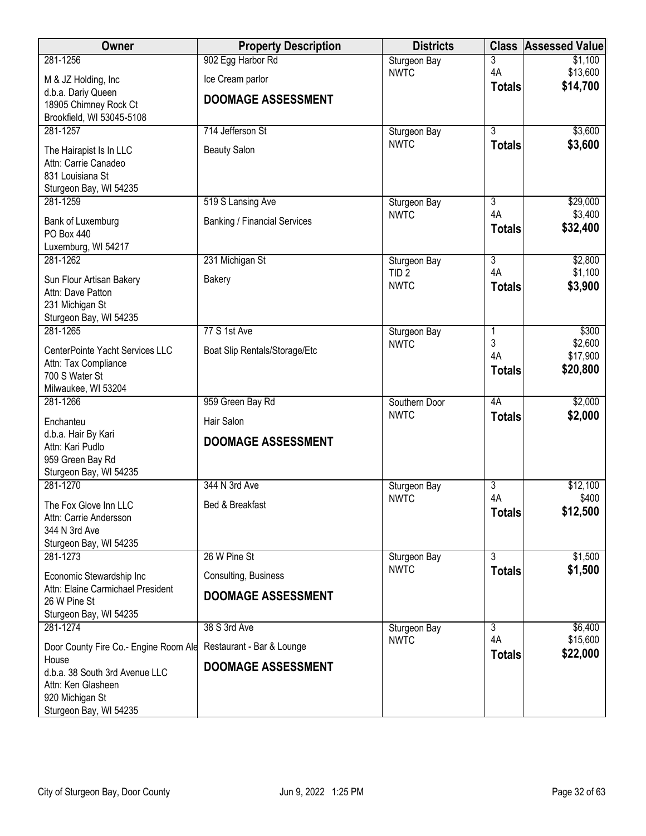| Owner                                                   | <b>Property Description</b>         | <b>Districts</b>             | <b>Class</b>         | <b>Assessed Value</b> |
|---------------------------------------------------------|-------------------------------------|------------------------------|----------------------|-----------------------|
| 281-1256                                                | 902 Egg Harbor Rd                   | Sturgeon Bay                 | 3                    | \$1,100               |
| M & JZ Holding, Inc                                     | Ice Cream parlor                    | <b>NWTC</b>                  | 4A<br><b>Totals</b>  | \$13,600<br>\$14,700  |
| d.b.a. Dariy Queen                                      | <b>DOOMAGE ASSESSMENT</b>           |                              |                      |                       |
| 18905 Chimney Rock Ct<br>Brookfield, WI 53045-5108      |                                     |                              |                      |                       |
| 281-1257                                                | 714 Jefferson St                    | Sturgeon Bay                 | $\overline{3}$       | \$3,600               |
| The Hairapist Is In LLC                                 | <b>Beauty Salon</b>                 | <b>NWTC</b>                  | <b>Totals</b>        | \$3,600               |
| Attn: Carrie Canadeo                                    |                                     |                              |                      |                       |
| 831 Louisiana St                                        |                                     |                              |                      |                       |
| Sturgeon Bay, WI 54235<br>281-1259                      | 519 S Lansing Ave                   | Sturgeon Bay                 | 3                    | \$29,000              |
|                                                         |                                     | <b>NWTC</b>                  | 4A                   | \$3,400               |
| Bank of Luxemburg<br><b>PO Box 440</b>                  | <b>Banking / Financial Services</b> |                              | <b>Totals</b>        | \$32,400              |
| Luxemburg, WI 54217                                     |                                     |                              |                      |                       |
| 281-1262                                                | 231 Michigan St                     | Sturgeon Bay                 | $\overline{3}$       | \$2,800               |
| Sun Flour Artisan Bakery                                | Bakery                              | TID <sub>2</sub>             | 4A                   | \$1,100               |
| Attn: Dave Patton                                       |                                     | <b>NWTC</b>                  | <b>Totals</b>        | \$3,900               |
| 231 Michigan St                                         |                                     |                              |                      |                       |
| Sturgeon Bay, WI 54235<br>281-1265                      | 77 S 1st Ave                        | Sturgeon Bay                 | 1                    | \$300                 |
|                                                         |                                     | <b>NWTC</b>                  | 3                    | \$2,600               |
| CenterPointe Yacht Services LLC<br>Attn: Tax Compliance | Boat Slip Rentals/Storage/Etc       |                              | 4A                   | \$17,900              |
| 700 S Water St                                          |                                     |                              | <b>Totals</b>        | \$20,800              |
| Milwaukee, WI 53204                                     |                                     |                              |                      |                       |
| 281-1266                                                | 959 Green Bay Rd                    | Southern Door<br><b>NWTC</b> | 4A<br><b>Totals</b>  | \$2,000<br>\$2,000    |
| Enchanteu                                               | Hair Salon                          |                              |                      |                       |
| d.b.a. Hair By Kari<br>Attn: Kari Pudlo                 | <b>DOOMAGE ASSESSMENT</b>           |                              |                      |                       |
| 959 Green Bay Rd                                        |                                     |                              |                      |                       |
| Sturgeon Bay, WI 54235                                  |                                     |                              |                      |                       |
| 281-1270                                                | 344 N 3rd Ave                       | Sturgeon Bay<br><b>NWTC</b>  | $\overline{3}$<br>4A | \$12,100<br>\$400     |
| The Fox Glove Inn LLC                                   | Bed & Breakfast                     |                              | <b>Totals</b>        | \$12,500              |
| Attn: Carrie Andersson<br>344 N 3rd Ave                 |                                     |                              |                      |                       |
| Sturgeon Bay, WI 54235                                  |                                     |                              |                      |                       |
| 281-1273                                                | 26 W Pine St                        | Sturgeon Bay                 | $\overline{3}$       | \$1,500               |
| Economic Stewardship Inc                                | Consulting, Business                | <b>NWTC</b>                  | <b>Totals</b>        | \$1,500               |
| Attn: Elaine Carmichael President                       | <b>DOOMAGE ASSESSMENT</b>           |                              |                      |                       |
| 26 W Pine St<br>Sturgeon Bay, WI 54235                  |                                     |                              |                      |                       |
| 281-1274                                                | 38 S 3rd Ave                        | Sturgeon Bay                 | 3                    | \$6,400               |
| Door County Fire Co.- Engine Room Ale                   | Restaurant - Bar & Lounge           | <b>NWTC</b>                  | 4A                   | \$15,600              |
| House                                                   |                                     |                              | <b>Totals</b>        | \$22,000              |
| d.b.a. 38 South 3rd Avenue LLC                          | <b>DOOMAGE ASSESSMENT</b>           |                              |                      |                       |
| Attn: Ken Glasheen<br>920 Michigan St                   |                                     |                              |                      |                       |
| Sturgeon Bay, WI 54235                                  |                                     |                              |                      |                       |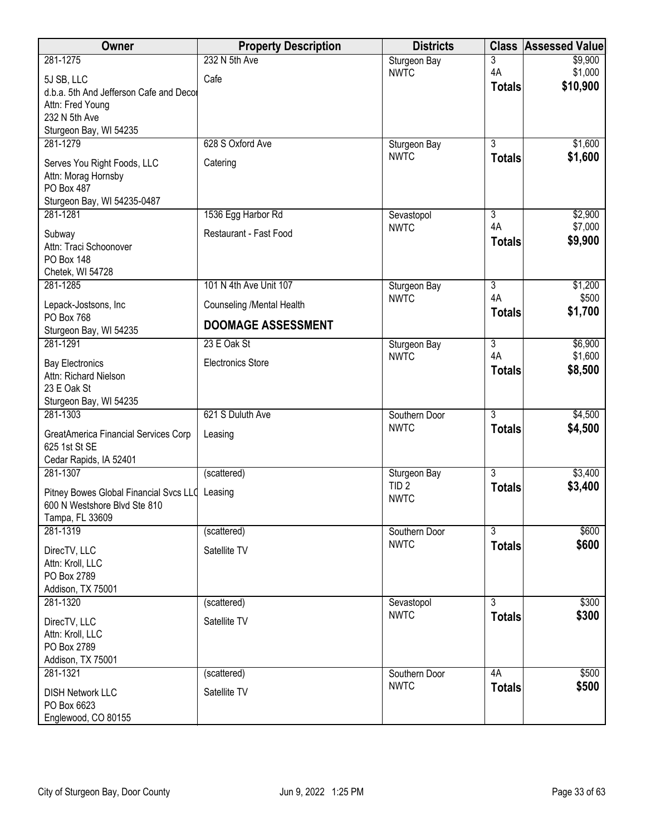| Owner                                                 | <b>Property Description</b> | <b>Districts</b>          | <b>Class</b>        | <b>Assessed Value</b> |
|-------------------------------------------------------|-----------------------------|---------------------------|---------------------|-----------------------|
| 281-1275                                              | 232 N 5th Ave               | Sturgeon Bay              | 3                   | \$9,900               |
| 5J SB, LLC                                            | Cafe                        | <b>NWTC</b>               | 4A<br><b>Totals</b> | \$1,000<br>\$10,900   |
| d.b.a. 5th And Jefferson Cafe and Decor               |                             |                           |                     |                       |
| Attn: Fred Young<br>232 N 5th Ave                     |                             |                           |                     |                       |
| Sturgeon Bay, WI 54235                                |                             |                           |                     |                       |
| 281-1279                                              | 628 S Oxford Ave            | Sturgeon Bay              | $\overline{3}$      | \$1,600               |
| Serves You Right Foods, LLC                           | Catering                    | <b>NWTC</b>               | <b>Totals</b>       | \$1,600               |
| Attn: Morag Hornsby                                   |                             |                           |                     |                       |
| PO Box 487                                            |                             |                           |                     |                       |
| Sturgeon Bay, WI 54235-0487                           |                             |                           |                     |                       |
| 281-1281                                              | 1536 Egg Harbor Rd          | Sevastopol<br><b>NWTC</b> | 3<br>4A             | \$2,900<br>\$7,000    |
| Subway                                                | Restaurant - Fast Food      |                           | <b>Totals</b>       | \$9,900               |
| Attn: Traci Schoonover<br>PO Box 148                  |                             |                           |                     |                       |
| Chetek, WI 54728                                      |                             |                           |                     |                       |
| 281-1285                                              | 101 N 4th Ave Unit 107      | Sturgeon Bay              | $\overline{3}$      | \$1,200               |
| Lepack-Jostsons, Inc                                  | Counseling /Mental Health   | <b>NWTC</b>               | 4A<br><b>Totals</b> | \$500<br>\$1,700      |
| PO Box 768<br>Sturgeon Bay, WI 54235                  | <b>DOOMAGE ASSESSMENT</b>   |                           |                     |                       |
| 281-1291                                              | 23 E Oak St                 | Sturgeon Bay              | $\overline{3}$      | \$6,900               |
| <b>Bay Electronics</b>                                | <b>Electronics Store</b>    | <b>NWTC</b>               | 4A                  | \$1,600               |
| Attn: Richard Nielson                                 |                             |                           | <b>Totals</b>       | \$8,500               |
| 23 E Oak St                                           |                             |                           |                     |                       |
| Sturgeon Bay, WI 54235<br>281-1303                    | 621 S Duluth Ave            | Southern Door             | $\overline{3}$      | \$4,500               |
|                                                       |                             | <b>NWTC</b>               | <b>Totals</b>       | \$4,500               |
| GreatAmerica Financial Services Corp<br>625 1st St SE | Leasing                     |                           |                     |                       |
| Cedar Rapids, IA 52401                                |                             |                           |                     |                       |
| 281-1307                                              | (scattered)                 | Sturgeon Bay              | $\overline{3}$      | \$3,400               |
| Pitney Bowes Global Financial Svcs LLC Leasing        |                             | TID <sub>2</sub>          | <b>Totals</b>       | \$3,400               |
| 600 N Westshore Blvd Ste 810                          |                             | <b>NWTC</b>               |                     |                       |
| Tampa, FL 33609                                       |                             |                           |                     |                       |
| 281-1319                                              | (scattered)                 | Southern Door             | $\overline{3}$      | \$600                 |
| DirecTV, LLC                                          | Satellite TV                | <b>NWTC</b>               | <b>Totals</b>       | \$600                 |
| Attn: Kroll, LLC                                      |                             |                           |                     |                       |
| PO Box 2789<br>Addison, TX 75001                      |                             |                           |                     |                       |
| 281-1320                                              | (scattered)                 | Sevastopol                | $\overline{3}$      | \$300                 |
| DirecTV, LLC                                          | Satellite TV                | <b>NWTC</b>               | <b>Totals</b>       | \$300                 |
| Attn: Kroll, LLC                                      |                             |                           |                     |                       |
| PO Box 2789                                           |                             |                           |                     |                       |
| Addison, TX 75001                                     |                             |                           |                     |                       |
| 281-1321                                              | (scattered)                 | Southern Door             | 4A                  | \$500                 |
| <b>DISH Network LLC</b>                               | Satellite TV                | <b>NWTC</b>               | <b>Totals</b>       | \$500                 |
| PO Box 6623                                           |                             |                           |                     |                       |
| Englewood, CO 80155                                   |                             |                           |                     |                       |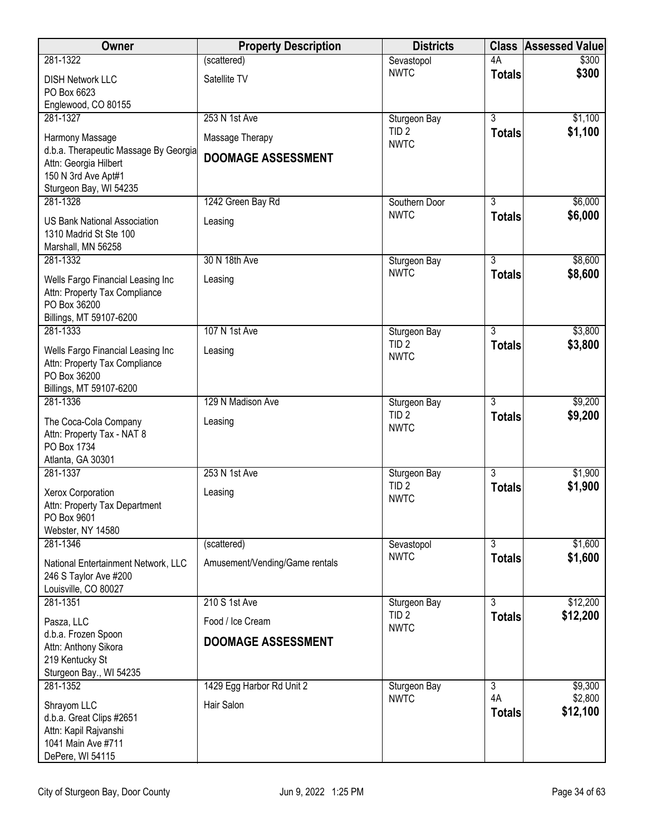| Owner                                                                                                           | <b>Property Description</b>    | <b>Districts</b>                 |                                 | <b>Class Assessed Value</b> |
|-----------------------------------------------------------------------------------------------------------------|--------------------------------|----------------------------------|---------------------------------|-----------------------------|
| 281-1322                                                                                                        | (scattered)                    | Sevastopol                       | 4A                              | \$300                       |
| <b>DISH Network LLC</b><br>PO Box 6623                                                                          | Satellite TV                   | <b>NWTC</b>                      | <b>Totals</b>                   | \$300                       |
| Englewood, CO 80155<br>281-1327                                                                                 | 253 N 1st Ave                  | Sturgeon Bay                     | $\overline{3}$                  | \$1,100                     |
| Harmony Massage                                                                                                 | Massage Therapy                | TID <sub>2</sub><br><b>NWTC</b>  | <b>Totals</b>                   | \$1,100                     |
| d.b.a. Therapeutic Massage By Georgia<br>Attn: Georgia Hilbert<br>150 N 3rd Ave Apt#1<br>Sturgeon Bay, WI 54235 | <b>DOOMAGE ASSESSMENT</b>      |                                  |                                 |                             |
| 281-1328                                                                                                        | 1242 Green Bay Rd              | Southern Door                    | 3                               | \$6,000                     |
| <b>US Bank National Association</b><br>1310 Madrid St Ste 100<br>Marshall, MN 56258                             | Leasing                        | <b>NWTC</b>                      | <b>Totals</b>                   | \$6,000                     |
| 281-1332                                                                                                        | 30 N 18th Ave                  | Sturgeon Bay                     | $\overline{3}$                  | \$8,600                     |
| Wells Fargo Financial Leasing Inc<br>Attn: Property Tax Compliance<br>PO Box 36200<br>Billings, MT 59107-6200   | Leasing                        | <b>NWTC</b>                      | <b>Totals</b>                   | \$8,600                     |
| 281-1333                                                                                                        | 107 N 1st Ave                  | Sturgeon Bay                     | 3                               | \$3,800                     |
| Wells Fargo Financial Leasing Inc<br>Attn: Property Tax Compliance<br>PO Box 36200                              | Leasing                        | TID <sub>2</sub><br><b>NWTC</b>  | <b>Totals</b>                   | \$3,800                     |
| Billings, MT 59107-6200                                                                                         |                                |                                  |                                 |                             |
| 281-1336                                                                                                        | 129 N Madison Ave              | Sturgeon Bay<br>TID <sub>2</sub> | $\overline{3}$<br><b>Totals</b> | \$9,200<br>\$9,200          |
| The Coca-Cola Company<br>Attn: Property Tax - NAT 8<br>PO Box 1734<br>Atlanta, GA 30301                         | Leasing                        | <b>NWTC</b>                      |                                 |                             |
| 281-1337                                                                                                        | 253 N 1st Ave                  | Sturgeon Bay                     | $\overline{3}$                  | \$1,900                     |
| Xerox Corporation<br>Attn: Property Tax Department<br>PO Box 9601<br>Webster, NY 14580                          | Leasing                        | TID <sub>2</sub><br><b>NWTC</b>  | <b>Totals</b>                   | \$1,900                     |
| 281-1346                                                                                                        | (scattered)                    | Sevastopol                       | $\overline{3}$                  | \$1,600                     |
| National Entertainment Network, LLC<br>246 S Taylor Ave #200<br>Louisville, CO 80027                            | Amusement/Vending/Game rentals | <b>NWTC</b>                      | <b>Totals</b>                   | \$1,600                     |
| 281-1351                                                                                                        | 210 S 1st Ave                  | Sturgeon Bay                     | $\overline{3}$                  | \$12,200                    |
| Pasza, LLC                                                                                                      | Food / Ice Cream               | TID <sub>2</sub><br><b>NWTC</b>  | <b>Totals</b>                   | \$12,200                    |
| d.b.a. Frozen Spoon<br>Attn: Anthony Sikora<br>219 Kentucky St<br>Sturgeon Bay., WI 54235                       | <b>DOOMAGE ASSESSMENT</b>      |                                  |                                 |                             |
| 281-1352                                                                                                        | 1429 Egg Harbor Rd Unit 2      | Sturgeon Bay                     | $\overline{3}$                  | \$9,300                     |
| Shrayom LLC<br>d.b.a. Great Clips #2651<br>Attn: Kapil Rajvanshi<br>1041 Main Ave #711<br>DePere, WI 54115      | Hair Salon                     | <b>NWTC</b>                      | 4A<br><b>Totals</b>             | \$2,800<br>\$12,100         |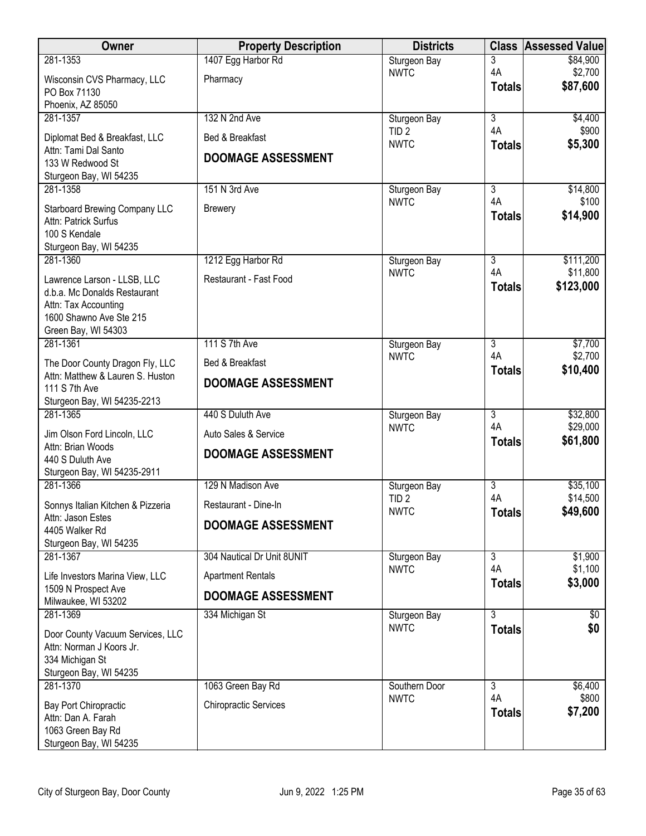| Owner                                                  | <b>Property Description</b>  | <b>Districts</b>            |                                 | <b>Class Assessed Value</b> |
|--------------------------------------------------------|------------------------------|-----------------------------|---------------------------------|-----------------------------|
| 281-1353                                               | 1407 Egg Harbor Rd           | Sturgeon Bay                | $\overline{3}$                  | \$84,900                    |
| Wisconsin CVS Pharmacy, LLC                            | Pharmacy                     | <b>NWTC</b>                 | 4A<br><b>Totals</b>             | \$2,700<br>\$87,600         |
| PO Box 71130                                           |                              |                             |                                 |                             |
| Phoenix, AZ 85050<br>281-1357                          | 132 N 2nd Ave                | Sturgeon Bay                | $\overline{3}$                  | \$4,400                     |
|                                                        | Bed & Breakfast              | TID <sub>2</sub>            | 4A                              | \$900                       |
| Diplomat Bed & Breakfast, LLC<br>Attn: Tami Dal Santo  |                              | <b>NWTC</b>                 | <b>Totals</b>                   | \$5,300                     |
| 133 W Redwood St                                       | <b>DOOMAGE ASSESSMENT</b>    |                             |                                 |                             |
| Sturgeon Bay, WI 54235                                 |                              |                             |                                 |                             |
| 281-1358                                               | 151 N 3rd Ave                | Sturgeon Bay<br><b>NWTC</b> | $\overline{3}$<br>4A            | \$14,800<br>\$100           |
| <b>Starboard Brewing Company LLC</b>                   | <b>Brewery</b>               |                             | <b>Totals</b>                   | \$14,900                    |
| Attn: Patrick Surfus<br>100 S Kendale                  |                              |                             |                                 |                             |
| Sturgeon Bay, WI 54235                                 |                              |                             |                                 |                             |
| 281-1360                                               | 1212 Egg Harbor Rd           | Sturgeon Bay                | $\overline{3}$                  | \$111,200                   |
| Lawrence Larson - LLSB, LLC                            | Restaurant - Fast Food       | <b>NWTC</b>                 | 4A                              | \$11,800                    |
| d.b.a. Mc Donalds Restaurant                           |                              |                             | <b>Totals</b>                   | \$123,000                   |
| Attn: Tax Accounting<br>1600 Shawno Ave Ste 215        |                              |                             |                                 |                             |
| Green Bay, WI 54303                                    |                              |                             |                                 |                             |
| 281-1361                                               | 111 S 7th Ave                | Sturgeon Bay                | 3                               | \$7,700                     |
| The Door County Dragon Fly, LLC                        | Bed & Breakfast              | <b>NWTC</b>                 | 4A                              | \$2,700                     |
| Attn: Matthew & Lauren S. Huston                       | <b>DOOMAGE ASSESSMENT</b>    |                             | <b>Totals</b>                   | \$10,400                    |
| 111 S 7th Ave<br>Sturgeon Bay, WI 54235-2213           |                              |                             |                                 |                             |
| 281-1365                                               | 440 S Duluth Ave             | Sturgeon Bay                | $\overline{3}$                  | \$32,800                    |
| Jim Olson Ford Lincoln, LLC                            | Auto Sales & Service         | <b>NWTC</b>                 | 4A                              | \$29,000                    |
| Attn: Brian Woods                                      | <b>DOOMAGE ASSESSMENT</b>    |                             | <b>Totals</b>                   | \$61,800                    |
| 440 S Duluth Ave                                       |                              |                             |                                 |                             |
| Sturgeon Bay, WI 54235-2911<br>281-1366                | 129 N Madison Ave            | Sturgeon Bay                | $\overline{3}$                  | \$35,100                    |
|                                                        | Restaurant - Dine-In         | TID <sub>2</sub>            | 4A                              | \$14,500                    |
| Sonnys Italian Kitchen & Pizzeria<br>Attn: Jason Estes |                              | <b>NWTC</b>                 | <b>Totals</b>                   | \$49,600                    |
| 4405 Walker Rd                                         | <b>DOOMAGE ASSESSMENT</b>    |                             |                                 |                             |
| Sturgeon Bay, WI 54235                                 |                              |                             |                                 |                             |
| 281-1367                                               | 304 Nautical Dr Unit 8UNIT   | Sturgeon Bay<br><b>NWTC</b> | $\overline{\overline{3}}$<br>4A | \$1,900<br>\$1,100          |
| Life Investors Marina View, LLC                        | <b>Apartment Rentals</b>     |                             | <b>Totals</b>                   | \$3,000                     |
| 1509 N Prospect Ave<br>Milwaukee, WI 53202             | <b>DOOMAGE ASSESSMENT</b>    |                             |                                 |                             |
| 281-1369                                               | 334 Michigan St              | Sturgeon Bay                | $\overline{3}$                  | \$0                         |
| Door County Vacuum Services, LLC                       |                              | <b>NWTC</b>                 | <b>Totals</b>                   | \$0                         |
| Attn: Norman J Koors Jr.                               |                              |                             |                                 |                             |
| 334 Michigan St<br>Sturgeon Bay, WI 54235              |                              |                             |                                 |                             |
| 281-1370                                               | 1063 Green Bay Rd            | Southern Door               | $\overline{3}$                  | \$6,400                     |
| Bay Port Chiropractic                                  | <b>Chiropractic Services</b> | <b>NWTC</b>                 | 4A                              | \$800                       |
| Attn: Dan A. Farah                                     |                              |                             | <b>Totals</b>                   | \$7,200                     |
| 1063 Green Bay Rd                                      |                              |                             |                                 |                             |
| Sturgeon Bay, WI 54235                                 |                              |                             |                                 |                             |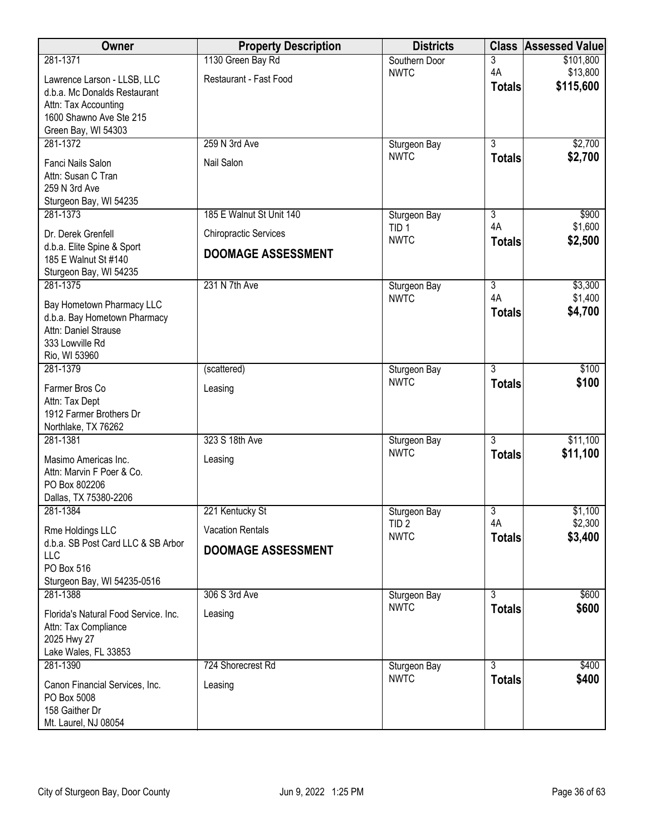| Owner                                                                                                                 | <b>Property Description</b>  | <b>Districts</b>                |                     | <b>Class Assessed Value</b> |
|-----------------------------------------------------------------------------------------------------------------------|------------------------------|---------------------------------|---------------------|-----------------------------|
| 281-1371                                                                                                              | 1130 Green Bay Rd            | Southern Door                   | 3                   | \$101,800                   |
| Lawrence Larson - LLSB, LLC<br>d.b.a. Mc Donalds Restaurant<br>Attn: Tax Accounting<br>1600 Shawno Ave Ste 215        | Restaurant - Fast Food       | <b>NWTC</b>                     | 4A<br><b>Totals</b> | \$13,800<br>\$115,600       |
| Green Bay, WI 54303<br>281-1372                                                                                       | 259 N 3rd Ave                | Sturgeon Bay                    | $\overline{3}$      | \$2,700                     |
| Fanci Nails Salon<br>Attn: Susan C Tran<br>259 N 3rd Ave<br>Sturgeon Bay, WI 54235                                    | Nail Salon                   | <b>NWTC</b>                     | <b>Totals</b>       | \$2,700                     |
| 281-1373                                                                                                              | 185 E Walnut St Unit 140     | Sturgeon Bay                    | $\overline{3}$      | \$900                       |
| Dr. Derek Grenfell                                                                                                    | <b>Chiropractic Services</b> | TID <sub>1</sub><br><b>NWTC</b> | 4A<br><b>Totals</b> | \$1,600<br>\$2,500          |
| d.b.a. Elite Spine & Sport<br>185 E Walnut St #140<br>Sturgeon Bay, WI 54235                                          | <b>DOOMAGE ASSESSMENT</b>    |                                 |                     |                             |
| 281-1375                                                                                                              | 231 N 7th Ave                | Sturgeon Bay                    | $\overline{3}$      | \$3,300                     |
| Bay Hometown Pharmacy LLC<br>d.b.a. Bay Hometown Pharmacy<br>Attn: Daniel Strause<br>333 Lowville Rd<br>Rio, WI 53960 |                              | <b>NWTC</b>                     | 4A<br><b>Totals</b> | \$1,400<br>\$4,700          |
| 281-1379                                                                                                              | (scattered)                  | Sturgeon Bay                    | $\overline{3}$      | \$100                       |
| Farmer Bros Co<br>Attn: Tax Dept<br>1912 Farmer Brothers Dr<br>Northlake, TX 76262                                    | Leasing                      | <b>NWTC</b>                     | <b>Totals</b>       | \$100                       |
| 281-1381                                                                                                              | 323 S 18th Ave               | Sturgeon Bay                    | $\overline{3}$      | \$11,100                    |
| Masimo Americas Inc.<br>Attn: Marvin F Poer & Co.<br>PO Box 802206<br>Dallas, TX 75380-2206                           | Leasing                      | <b>NWTC</b>                     | <b>Totals</b>       | \$11,100                    |
| 281-1384                                                                                                              | 221 Kentucky St              | Sturgeon Bay                    | 3                   | \$1,100                     |
| Rme Holdings LLC                                                                                                      | <b>Vacation Rentals</b>      | TID <sub>2</sub><br><b>NWTC</b> | 4A<br><b>Totals</b> | \$2,300<br>\$3,400          |
| d.b.a. SB Post Card LLC & SB Arbor                                                                                    | <b>DOOMAGE ASSESSMENT</b>    |                                 |                     |                             |
| <b>LLC</b><br>PO Box 516                                                                                              |                              |                                 |                     |                             |
| Sturgeon Bay, WI 54235-0516                                                                                           |                              |                                 |                     |                             |
| 281-1388                                                                                                              | 306 S 3rd Ave                | Sturgeon Bay                    | $\overline{3}$      | \$600                       |
| Florida's Natural Food Service, Inc.<br>Attn: Tax Compliance<br>2025 Hwy 27<br>Lake Wales, FL 33853                   | Leasing                      | <b>NWTC</b>                     | <b>Totals</b>       | \$600                       |
| 281-1390                                                                                                              | 724 Shorecrest Rd            | Sturgeon Bay                    | 3                   | \$400                       |
| Canon Financial Services, Inc.<br>PO Box 5008<br>158 Gaither Dr<br>Mt. Laurel, NJ 08054                               | Leasing                      | <b>NWTC</b>                     | <b>Totals</b>       | \$400                       |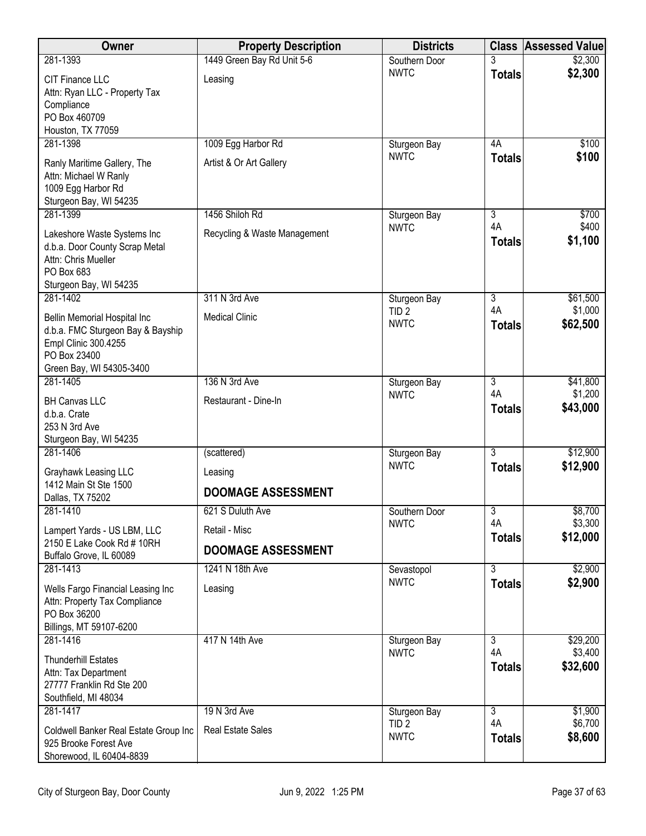| Owner                                                                                                                                 | <b>Property Description</b>          | <b>Districts</b>                 | <b>Class</b>         | <b>Assessed Value</b> |
|---------------------------------------------------------------------------------------------------------------------------------------|--------------------------------------|----------------------------------|----------------------|-----------------------|
| 281-1393                                                                                                                              | 1449 Green Bay Rd Unit 5-6           | Southern Door                    |                      | \$2,300               |
| <b>CIT Finance LLC</b><br>Attn: Ryan LLC - Property Tax<br>Compliance<br>PO Box 460709<br>Houston, TX 77059                           | Leasing                              | <b>NWTC</b>                      | <b>Totals</b>        | \$2,300               |
| 281-1398                                                                                                                              | 1009 Egg Harbor Rd                   | Sturgeon Bay                     | 4A                   | \$100                 |
| Ranly Maritime Gallery, The<br>Attn: Michael W Ranly<br>1009 Egg Harbor Rd<br>Sturgeon Bay, WI 54235                                  | Artist & Or Art Gallery              | <b>NWTC</b>                      | <b>Totals</b>        | \$100                 |
| 281-1399                                                                                                                              | 1456 Shiloh Rd                       | Sturgeon Bay                     | 3                    | \$700                 |
| Lakeshore Waste Systems Inc<br>d.b.a. Door County Scrap Metal<br>Attn: Chris Mueller<br>PO Box 683<br>Sturgeon Bay, WI 54235          | Recycling & Waste Management         | <b>NWTC</b>                      | 4A<br><b>Totals</b>  | \$400<br>\$1,100      |
| 281-1402                                                                                                                              | 311 N 3rd Ave                        | Sturgeon Bay                     | 3                    | \$61,500              |
| Bellin Memorial Hospital Inc<br>d.b.a. FMC Sturgeon Bay & Bayship<br>Empl Clinic 300.4255<br>PO Box 23400<br>Green Bay, WI 54305-3400 | <b>Medical Clinic</b>                | TID <sub>2</sub><br><b>NWTC</b>  | 4A<br><b>Totals</b>  | \$1,000<br>\$62,500   |
| 281-1405                                                                                                                              | 136 N 3rd Ave                        | Sturgeon Bay                     | 3                    | \$41,800              |
| <b>BH Canvas LLC</b><br>d.b.a. Crate<br>253 N 3rd Ave<br>Sturgeon Bay, WI 54235                                                       | Restaurant - Dine-In                 | <b>NWTC</b>                      | 4A<br><b>Totals</b>  | \$1,200<br>\$43,000   |
| 281-1406                                                                                                                              | (scattered)                          | Sturgeon Bay                     | $\overline{3}$       | \$12,900              |
| Grayhawk Leasing LLC<br>1412 Main St Ste 1500<br>Dallas, TX 75202                                                                     | Leasing<br><b>DOOMAGE ASSESSMENT</b> | <b>NWTC</b>                      | <b>Totals</b>        | \$12,900              |
| 281-1410                                                                                                                              | 621 S Duluth Ave                     | Southern Door                    | $\overline{3}$       | \$8,700               |
| Lampert Yards - US LBM, LLC                                                                                                           | Retail - Misc                        | <b>NWTC</b>                      | 4A                   | \$3,300               |
| 2150 E Lake Cook Rd # 10RH<br>Buffalo Grove, IL 60089                                                                                 | <b>DOOMAGE ASSESSMENT</b>            |                                  | <b>Totals</b>        | \$12,000              |
| 281-1413                                                                                                                              | 1241 N 18th Ave                      | Sevastopol                       | $\overline{3}$       | \$2,900               |
| Wells Fargo Financial Leasing Inc<br>Attn: Property Tax Compliance<br>PO Box 36200<br>Billings, MT 59107-6200                         | Leasing                              | <b>NWTC</b>                      | <b>Totals</b>        | \$2,900               |
| 281-1416                                                                                                                              | 417 N 14th Ave                       | Sturgeon Bay                     | 3                    | \$29,200              |
| <b>Thunderhill Estates</b><br>Attn: Tax Department<br>27777 Franklin Rd Ste 200<br>Southfield, MI 48034                               |                                      | <b>NWTC</b>                      | 4A<br><b>Totals</b>  | \$3,400<br>\$32,600   |
| 281-1417                                                                                                                              | 19 N 3rd Ave                         | Sturgeon Bay<br>TID <sub>2</sub> | $\overline{3}$<br>4A | \$1,900<br>\$6,700    |
| Coldwell Banker Real Estate Group Inc<br>925 Brooke Forest Ave<br>Shorewood, IL 60404-8839                                            | <b>Real Estate Sales</b>             | <b>NWTC</b>                      | <b>Totals</b>        | \$8,600               |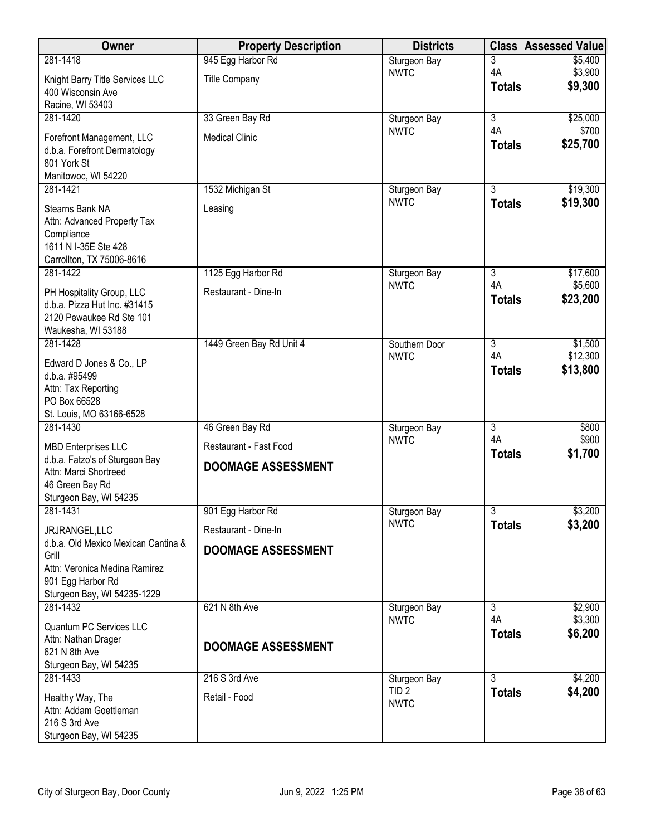| Owner                                                     | <b>Property Description</b> | <b>Districts</b> | <b>Class</b>        | <b>Assessed Value</b> |
|-----------------------------------------------------------|-----------------------------|------------------|---------------------|-----------------------|
| 281-1418                                                  | 945 Egg Harbor Rd           | Sturgeon Bay     | 3                   | \$5,400               |
| Knight Barry Title Services LLC                           | <b>Title Company</b>        | <b>NWTC</b>      | 4A<br><b>Totals</b> | \$3,900<br>\$9,300    |
| 400 Wisconsin Ave                                         |                             |                  |                     |                       |
| Racine, WI 53403<br>281-1420                              | 33 Green Bay Rd             | Sturgeon Bay     | $\overline{3}$      | \$25,000              |
|                                                           |                             | <b>NWTC</b>      | 4A                  | \$700                 |
| Forefront Management, LLC<br>d.b.a. Forefront Dermatology | <b>Medical Clinic</b>       |                  | <b>Totals</b>       | \$25,700              |
| 801 York St                                               |                             |                  |                     |                       |
| Manitowoc, WI 54220                                       |                             |                  |                     |                       |
| 281-1421                                                  | 1532 Michigan St            | Sturgeon Bay     | $\overline{3}$      | \$19,300              |
| Stearns Bank NA                                           | Leasing                     | <b>NWTC</b>      | <b>Totals</b>       | \$19,300              |
| Attn: Advanced Property Tax                               |                             |                  |                     |                       |
| Compliance<br>1611 N I-35E Ste 428                        |                             |                  |                     |                       |
| Carrollton, TX 75006-8616                                 |                             |                  |                     |                       |
| 281-1422                                                  | 1125 Egg Harbor Rd          | Sturgeon Bay     | $\overline{3}$      | \$17,600              |
| PH Hospitality Group, LLC                                 | Restaurant - Dine-In        | <b>NWTC</b>      | 4A<br><b>Totals</b> | \$5,600<br>\$23,200   |
| d.b.a. Pizza Hut Inc. #31415                              |                             |                  |                     |                       |
| 2120 Pewaukee Rd Ste 101<br>Waukesha, WI 53188            |                             |                  |                     |                       |
| 281-1428                                                  | 1449 Green Bay Rd Unit 4    | Southern Door    | $\overline{3}$      | \$1,500               |
| Edward D Jones & Co., LP                                  |                             | <b>NWTC</b>      | 4A                  | \$12,300              |
| d.b.a. #95499                                             |                             |                  | <b>Totals</b>       | \$13,800              |
| Attn: Tax Reporting                                       |                             |                  |                     |                       |
| PO Box 66528<br>St. Louis, MO 63166-6528                  |                             |                  |                     |                       |
| 281-1430                                                  | 46 Green Bay Rd             | Sturgeon Bay     | 3                   | \$800                 |
| <b>MBD Enterprises LLC</b>                                | Restaurant - Fast Food      | <b>NWTC</b>      | 4A                  | \$900                 |
| d.b.a. Fatzo's of Sturgeon Bay                            |                             |                  | <b>Totals</b>       | \$1,700               |
| Attn: Marci Shortreed                                     | <b>DOOMAGE ASSESSMENT</b>   |                  |                     |                       |
| 46 Green Bay Rd<br>Sturgeon Bay, WI 54235                 |                             |                  |                     |                       |
| 281-1431                                                  | 901 Egg Harbor Rd           | Sturgeon Bay     | $\overline{3}$      | \$3,200               |
| JRJRANGEL,LLC                                             | Restaurant - Dine-In        | <b>NWTC</b>      | <b>Totals</b>       | \$3,200               |
| d.b.a. Old Mexico Mexican Cantina &                       |                             |                  |                     |                       |
| Grill                                                     | <b>DOOMAGE ASSESSMENT</b>   |                  |                     |                       |
| Attn: Veronica Medina Ramirez<br>901 Egg Harbor Rd        |                             |                  |                     |                       |
| Sturgeon Bay, WI 54235-1229                               |                             |                  |                     |                       |
| 281-1432                                                  | 621 N 8th Ave               | Sturgeon Bay     | $\overline{3}$      | \$2,900               |
| Quantum PC Services LLC                                   |                             | <b>NWTC</b>      | 4A                  | \$3,300               |
| Attn: Nathan Drager                                       | <b>DOOMAGE ASSESSMENT</b>   |                  | <b>Totals</b>       | \$6,200               |
| 621 N 8th Ave<br>Sturgeon Bay, WI 54235                   |                             |                  |                     |                       |
| 281-1433                                                  | 216 S 3rd Ave               | Sturgeon Bay     | $\overline{3}$      | \$4,200               |
|                                                           | Retail - Food               | TID <sub>2</sub> | <b>Totals</b>       | \$4,200               |
| Healthy Way, The<br>Attn: Addam Goettleman                |                             | <b>NWTC</b>      |                     |                       |
| 216 S 3rd Ave                                             |                             |                  |                     |                       |
| Sturgeon Bay, WI 54235                                    |                             |                  |                     |                       |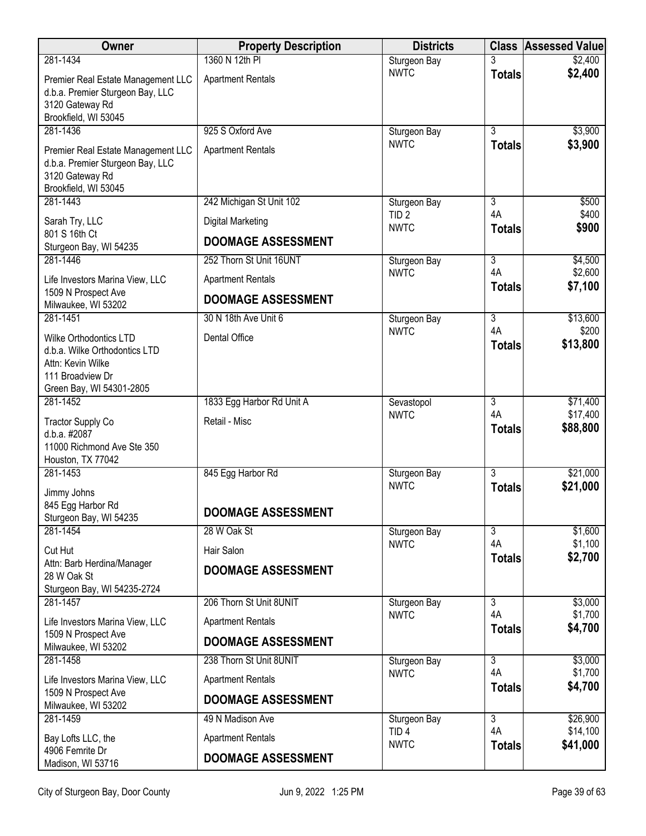| <b>Owner</b>                                                                                                                 | <b>Property Description</b> | <b>Districts</b>                |                                 | <b>Class Assessed Value</b> |
|------------------------------------------------------------------------------------------------------------------------------|-----------------------------|---------------------------------|---------------------------------|-----------------------------|
| 281-1434                                                                                                                     | 1360 N 12th PI              | Sturgeon Bay                    | 3                               | \$2,400                     |
| Premier Real Estate Management LLC<br>d.b.a. Premier Sturgeon Bay, LLC<br>3120 Gateway Rd                                    | <b>Apartment Rentals</b>    | <b>NWTC</b>                     | <b>Totals</b>                   | \$2,400                     |
| Brookfield, WI 53045                                                                                                         |                             |                                 |                                 |                             |
| 281-1436                                                                                                                     | 925 S Oxford Ave            | Sturgeon Bay<br><b>NWTC</b>     | $\overline{3}$<br><b>Totals</b> | \$3,900<br>\$3,900          |
| Premier Real Estate Management LLC<br>d.b.a. Premier Sturgeon Bay, LLC<br>3120 Gateway Rd<br>Brookfield, WI 53045            | <b>Apartment Rentals</b>    |                                 |                                 |                             |
| 281-1443                                                                                                                     | 242 Michigan St Unit 102    | Sturgeon Bay                    | 3                               | \$500                       |
| Sarah Try, LLC<br>801 S 16th Ct                                                                                              | Digital Marketing           | TID <sub>2</sub><br><b>NWTC</b> | 4A<br><b>Totals</b>             | \$400<br>\$900              |
| Sturgeon Bay, WI 54235                                                                                                       | <b>DOOMAGE ASSESSMENT</b>   |                                 |                                 |                             |
| 281-1446                                                                                                                     | 252 Thorn St Unit 16UNT     | Sturgeon Bay                    | $\overline{3}$                  | \$4,500                     |
| Life Investors Marina View, LLC<br>1509 N Prospect Ave                                                                       | <b>Apartment Rentals</b>    | <b>NWTC</b>                     | 4A<br><b>Totals</b>             | \$2,600<br>\$7,100          |
| Milwaukee, WI 53202                                                                                                          | <b>DOOMAGE ASSESSMENT</b>   |                                 |                                 |                             |
| 281-1451                                                                                                                     | 30 N 18th Ave Unit 6        | Sturgeon Bay                    | $\overline{3}$                  | \$13,600                    |
| Wilke Orthodontics LTD<br>d.b.a. Wilke Orthodontics LTD<br>Attn: Kevin Wilke<br>111 Broadview Dr<br>Green Bay, WI 54301-2805 | Dental Office               | <b>NWTC</b>                     | 4A<br><b>Totals</b>             | \$200<br>\$13,800           |
| 281-1452                                                                                                                     | 1833 Egg Harbor Rd Unit A   | Sevastopol                      | $\overline{3}$                  | \$71,400                    |
| <b>Tractor Supply Co</b><br>d.b.a. #2087<br>11000 Richmond Ave Ste 350<br>Houston, TX 77042                                  | Retail - Misc               | <b>NWTC</b>                     | 4A<br><b>Totals</b>             | \$17,400<br>\$88,800        |
| 281-1453                                                                                                                     | 845 Egg Harbor Rd           | Sturgeon Bay                    | $\overline{3}$                  | \$21,000                    |
| Jimmy Johns<br>845 Egg Harbor Rd<br>Sturgeon Bay, WI 54235                                                                   | <b>DOOMAGE ASSESSMENT</b>   | <b>NWTC</b>                     | <b>Totals</b>                   | \$21,000                    |
| 281-1454                                                                                                                     | 28 W Oak St                 | Sturgeon Bay                    | $\overline{3}$                  | \$1,600                     |
| Cut Hut                                                                                                                      | Hair Salon                  | <b>NWTC</b>                     | 4A                              | \$1,100                     |
| Attn: Barb Herdina/Manager<br>28 W Oak St<br>Sturgeon Bay, WI 54235-2724                                                     | <b>DOOMAGE ASSESSMENT</b>   |                                 | <b>Totals</b>                   | \$2,700                     |
| 281-1457                                                                                                                     | 206 Thorn St Unit 8UNIT     | Sturgeon Bay                    | $\overline{3}$                  | \$3,000                     |
| Life Investors Marina View, LLC                                                                                              | <b>Apartment Rentals</b>    | <b>NWTC</b>                     | 4A<br><b>Totals</b>             | \$1,700<br>\$4,700          |
| 1509 N Prospect Ave<br>Milwaukee, WI 53202                                                                                   | <b>DOOMAGE ASSESSMENT</b>   |                                 |                                 |                             |
| 281-1458                                                                                                                     | 238 Thorn St Unit 8UNIT     | Sturgeon Bay                    | 3                               | \$3,000                     |
| Life Investors Marina View, LLC                                                                                              | <b>Apartment Rentals</b>    | <b>NWTC</b>                     | 4A<br><b>Totals</b>             | \$1,700<br>\$4,700          |
| 1509 N Prospect Ave<br>Milwaukee, WI 53202                                                                                   | <b>DOOMAGE ASSESSMENT</b>   |                                 |                                 |                             |
| 281-1459                                                                                                                     | 49 N Madison Ave            | Sturgeon Bay                    | $\overline{3}$                  | \$26,900                    |
| Bay Lofts LLC, the                                                                                                           | <b>Apartment Rentals</b>    | TID <sub>4</sub><br><b>NWTC</b> | 4A<br><b>Totals</b>             | \$14,100<br>\$41,000        |
| 4906 Femrite Dr<br>Madison, WI 53716                                                                                         | <b>DOOMAGE ASSESSMENT</b>   |                                 |                                 |                             |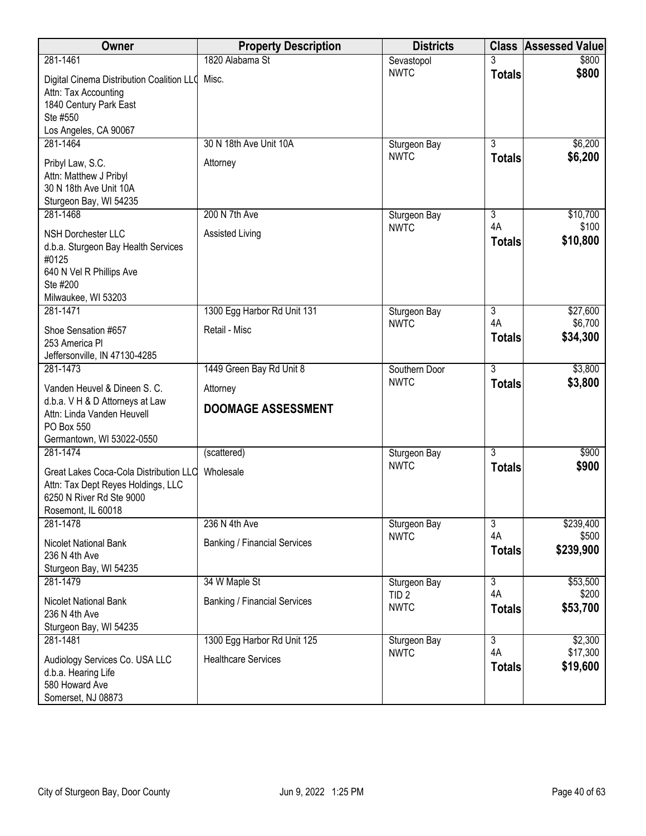| Owner                                                                                                                          | <b>Property Description</b>         | <b>Districts</b>                | <b>Class</b>        | Assessed Value       |
|--------------------------------------------------------------------------------------------------------------------------------|-------------------------------------|---------------------------------|---------------------|----------------------|
| 281-1461                                                                                                                       | 1820 Alabama St                     | Sevastopol                      |                     | \$800                |
| Digital Cinema Distribution Coalition LLO<br>Attn: Tax Accounting<br>1840 Century Park East<br>Ste #550                        | Misc.                               | <b>NWTC</b>                     | <b>Totals</b>       | \$800                |
| Los Angeles, CA 90067                                                                                                          |                                     |                                 |                     |                      |
| 281-1464                                                                                                                       | 30 N 18th Ave Unit 10A              | Sturgeon Bay                    | $\overline{3}$      | \$6,200              |
| Pribyl Law, S.C.<br>Attn: Matthew J Pribyl<br>30 N 18th Ave Unit 10A<br>Sturgeon Bay, WI 54235                                 | Attorney                            | <b>NWTC</b>                     | <b>Totals</b>       | \$6,200              |
| 281-1468                                                                                                                       | 200 N 7th Ave                       | Sturgeon Bay                    | $\overline{3}$      | \$10,700             |
| <b>NSH Dorchester LLC</b><br>d.b.a. Sturgeon Bay Health Services<br>#0125<br>640 N Vel R Phillips Ave<br>Ste #200              | Assisted Living                     | <b>NWTC</b>                     | 4A<br><b>Totals</b> | \$100<br>\$10,800    |
| Milwaukee, WI 53203                                                                                                            |                                     |                                 |                     |                      |
| 281-1471                                                                                                                       | 1300 Egg Harbor Rd Unit 131         | Sturgeon Bay                    | 3                   | \$27,600             |
| Shoe Sensation #657<br>253 America Pl                                                                                          | Retail - Misc                       | <b>NWTC</b>                     | 4A<br><b>Totals</b> | \$6,700<br>\$34,300  |
| Jeffersonville, IN 47130-4285                                                                                                  |                                     |                                 |                     |                      |
| 281-1473                                                                                                                       | 1449 Green Bay Rd Unit 8            | Southern Door                   | $\overline{3}$      | \$3,800              |
| Vanden Heuvel & Dineen S. C.                                                                                                   | Attorney                            | <b>NWTC</b>                     | <b>Totals</b>       | \$3,800              |
| d.b.a. V H & D Attorneys at Law<br>Attn: Linda Vanden Heuvell<br>PO Box 550                                                    | <b>DOOMAGE ASSESSMENT</b>           |                                 |                     |                      |
| Germantown, WI 53022-0550                                                                                                      |                                     |                                 |                     |                      |
| 281-1474                                                                                                                       | (scattered)                         | Sturgeon Bay                    | $\overline{3}$      | \$900                |
| Great Lakes Coca-Cola Distribution LLC<br>Attn: Tax Dept Reyes Holdings, LLC<br>6250 N River Rd Ste 9000<br>Rosemont, IL 60018 | Wholesale                           | <b>NWTC</b>                     | <b>Totals</b>       | \$900                |
| 281-1478                                                                                                                       | 236 N 4th Ave                       | Sturgeon Bay                    | 3                   | \$239,400            |
| <b>Nicolet National Bank</b><br>236 N 4th Ave<br>Sturgeon Bay, WI 54235                                                        | <b>Banking / Financial Services</b> | <b>NWTC</b>                     | 4A<br><b>Totals</b> | \$500<br>\$239,900   |
| 281-1479                                                                                                                       | 34 W Maple St                       | Sturgeon Bay                    | $\overline{3}$      | \$53,500             |
| Nicolet National Bank<br>236 N 4th Ave<br>Sturgeon Bay, WI 54235                                                               | <b>Banking / Financial Services</b> | TID <sub>2</sub><br><b>NWTC</b> | 4A<br><b>Totals</b> | \$200<br>\$53,700    |
| 281-1481                                                                                                                       | 1300 Egg Harbor Rd Unit 125         | Sturgeon Bay                    | $\overline{3}$      | \$2,300              |
| Audiology Services Co. USA LLC<br>d.b.a. Hearing Life<br>580 Howard Ave<br>Somerset, NJ 08873                                  | <b>Healthcare Services</b>          | <b>NWTC</b>                     | 4A<br><b>Totals</b> | \$17,300<br>\$19,600 |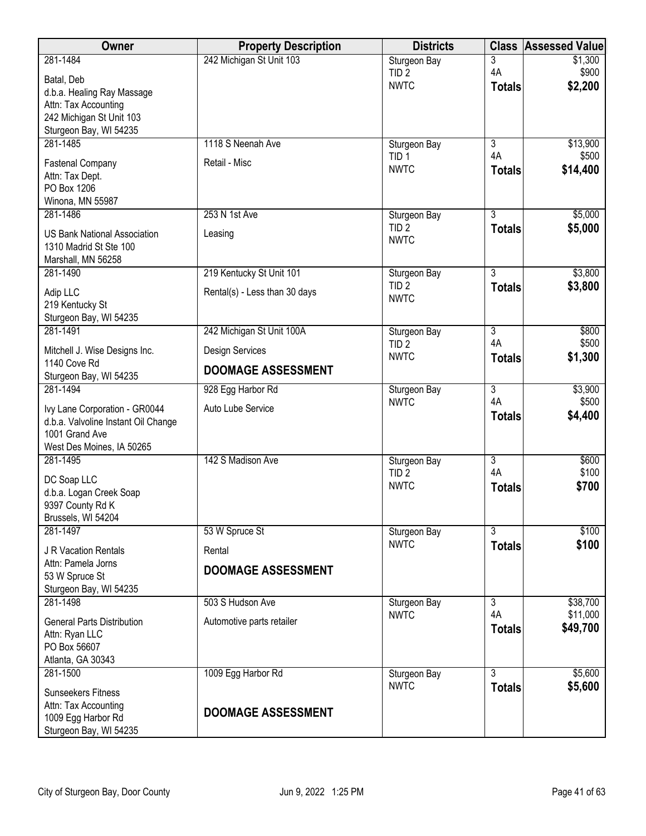| Owner                                                         | <b>Property Description</b>   | <b>Districts</b>                 |                      | <b>Class Assessed Value</b> |
|---------------------------------------------------------------|-------------------------------|----------------------------------|----------------------|-----------------------------|
| 281-1484                                                      | 242 Michigan St Unit 103      | Sturgeon Bay                     | 3                    | \$1,300                     |
| Batal, Deb                                                    |                               | TID <sub>2</sub>                 | 4A                   | \$900                       |
| d.b.a. Healing Ray Massage                                    |                               | <b>NWTC</b>                      | <b>Totals</b>        | \$2,200                     |
| Attn: Tax Accounting                                          |                               |                                  |                      |                             |
| 242 Michigan St Unit 103                                      |                               |                                  |                      |                             |
| Sturgeon Bay, WI 54235<br>281-1485                            | 1118 S Neenah Ave             |                                  | $\overline{3}$       |                             |
|                                                               |                               | Sturgeon Bay<br>TID <sub>1</sub> | 4A                   | \$13,900<br>\$500           |
| <b>Fastenal Company</b>                                       | Retail - Misc                 | <b>NWTC</b>                      | <b>Totals</b>        | \$14,400                    |
| Attn: Tax Dept.                                               |                               |                                  |                      |                             |
| PO Box 1206<br>Winona, MN 55987                               |                               |                                  |                      |                             |
| 281-1486                                                      | 253 N 1st Ave                 | Sturgeon Bay                     | $\overline{3}$       | \$5,000                     |
|                                                               |                               | TID <sub>2</sub>                 | <b>Totals</b>        | \$5,000                     |
| <b>US Bank National Association</b><br>1310 Madrid St Ste 100 | Leasing                       | <b>NWTC</b>                      |                      |                             |
| Marshall, MN 56258                                            |                               |                                  |                      |                             |
| 281-1490                                                      | 219 Kentucky St Unit 101      | Sturgeon Bay                     | $\overline{3}$       | \$3,800                     |
| Adip LLC                                                      | Rental(s) - Less than 30 days | TID <sub>2</sub>                 | <b>Totals</b>        | \$3,800                     |
| 219 Kentucky St                                               |                               | <b>NWTC</b>                      |                      |                             |
| Sturgeon Bay, WI 54235                                        |                               |                                  |                      |                             |
| 281-1491                                                      | 242 Michigan St Unit 100A     | Sturgeon Bay                     | $\overline{3}$       | \$800                       |
| Mitchell J. Wise Designs Inc.                                 | Design Services               | TID <sub>2</sub><br><b>NWTC</b>  | 4A<br><b>Totals</b>  | \$500<br>\$1,300            |
| 1140 Cove Rd                                                  | <b>DOOMAGE ASSESSMENT</b>     |                                  |                      |                             |
| Sturgeon Bay, WI 54235                                        |                               |                                  |                      |                             |
| 281-1494                                                      | 928 Egg Harbor Rd             | Sturgeon Bay<br><b>NWTC</b>      | $\overline{3}$<br>4A | \$3,900<br>\$500            |
| Ivy Lane Corporation - GR0044                                 | Auto Lube Service             |                                  | <b>Totals</b>        | \$4,400                     |
| d.b.a. Valvoline Instant Oil Change                           |                               |                                  |                      |                             |
| 1001 Grand Ave<br>West Des Moines, IA 50265                   |                               |                                  |                      |                             |
| 281-1495                                                      | 142 S Madison Ave             | Sturgeon Bay                     | $\overline{3}$       | \$600                       |
|                                                               |                               | TID <sub>2</sub>                 | 4A                   | \$100                       |
| DC Soap LLC                                                   |                               | <b>NWTC</b>                      | <b>Totals</b>        | \$700                       |
| d.b.a. Logan Creek Soap<br>9397 County Rd K                   |                               |                                  |                      |                             |
| Brussels, WI 54204                                            |                               |                                  |                      |                             |
| 281-1497                                                      | 53 W Spruce St                | Sturgeon Bay                     | $\overline{3}$       | \$100                       |
| J R Vacation Rentals                                          | Rental                        | <b>NWTC</b>                      | <b>Totals</b>        | \$100                       |
| Attn: Pamela Jorns                                            |                               |                                  |                      |                             |
| 53 W Spruce St                                                | <b>DOOMAGE ASSESSMENT</b>     |                                  |                      |                             |
| Sturgeon Bay, WI 54235                                        |                               |                                  |                      |                             |
| 281-1498                                                      | 503 S Hudson Ave              | Sturgeon Bay                     | $\overline{3}$<br>4A | \$38,700                    |
| <b>General Parts Distribution</b>                             | Automotive parts retailer     | <b>NWTC</b>                      | <b>Totals</b>        | \$11,000<br>\$49,700        |
| Attn: Ryan LLC                                                |                               |                                  |                      |                             |
| PO Box 56607                                                  |                               |                                  |                      |                             |
| Atlanta, GA 30343<br>281-1500                                 |                               |                                  | $\overline{3}$       | \$5,600                     |
|                                                               | 1009 Egg Harbor Rd            | Sturgeon Bay<br><b>NWTC</b>      | <b>Totals</b>        | \$5,600                     |
| <b>Sunseekers Fitness</b>                                     |                               |                                  |                      |                             |
| Attn: Tax Accounting<br>1009 Egg Harbor Rd                    | <b>DOOMAGE ASSESSMENT</b>     |                                  |                      |                             |
| Sturgeon Bay, WI 54235                                        |                               |                                  |                      |                             |
|                                                               |                               |                                  |                      |                             |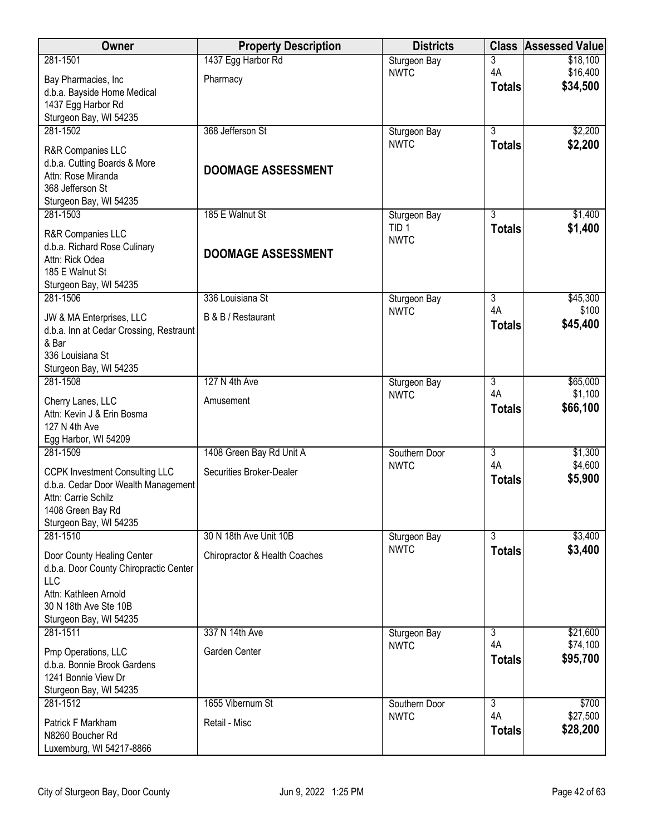| Owner                                              | <b>Property Description</b>   | <b>Districts</b>                |                      | <b>Class Assessed Value</b> |
|----------------------------------------------------|-------------------------------|---------------------------------|----------------------|-----------------------------|
| 281-1501                                           | 1437 Egg Harbor Rd            | Sturgeon Bay                    | 3                    | \$18,100                    |
| Bay Pharmacies, Inc                                | Pharmacy                      | <b>NWTC</b>                     | 4A<br><b>Totals</b>  | \$16,400<br>\$34,500        |
| d.b.a. Bayside Home Medical                        |                               |                                 |                      |                             |
| 1437 Egg Harbor Rd<br>Sturgeon Bay, WI 54235       |                               |                                 |                      |                             |
| 281-1502                                           | 368 Jefferson St              | Sturgeon Bay                    | $\overline{3}$       | \$2,200                     |
| R&R Companies LLC                                  |                               | <b>NWTC</b>                     | <b>Totals</b>        | \$2,200                     |
| d.b.a. Cutting Boards & More                       | <b>DOOMAGE ASSESSMENT</b>     |                                 |                      |                             |
| Attn: Rose Miranda<br>368 Jefferson St             |                               |                                 |                      |                             |
| Sturgeon Bay, WI 54235                             |                               |                                 |                      |                             |
| 281-1503                                           | 185 E Walnut St               | Sturgeon Bay                    | 3                    | \$1,400                     |
| R&R Companies LLC                                  |                               | TID <sub>1</sub><br><b>NWTC</b> | <b>Totals</b>        | \$1,400                     |
| d.b.a. Richard Rose Culinary                       | <b>DOOMAGE ASSESSMENT</b>     |                                 |                      |                             |
| Attn: Rick Odea<br>185 E Walnut St                 |                               |                                 |                      |                             |
| Sturgeon Bay, WI 54235                             |                               |                                 |                      |                             |
| 281-1506                                           | 336 Louisiana St              | Sturgeon Bay                    | $\overline{3}$       | \$45,300                    |
| JW & MA Enterprises, LLC                           | B & B / Restaurant            | <b>NWTC</b>                     | 4A                   | \$100<br>\$45,400           |
| d.b.a. Inn at Cedar Crossing, Restraunt            |                               |                                 | <b>Totals</b>        |                             |
| & Bar<br>336 Louisiana St                          |                               |                                 |                      |                             |
| Sturgeon Bay, WI 54235                             |                               |                                 |                      |                             |
| 281-1508                                           | 127 N 4th Ave                 | Sturgeon Bay                    | 3                    | \$65,000                    |
| Cherry Lanes, LLC                                  | Amusement                     | <b>NWTC</b>                     | 4A<br><b>Totals</b>  | \$1,100<br>\$66,100         |
| Attn: Kevin J & Erin Bosma                         |                               |                                 |                      |                             |
| 127 N 4th Ave<br>Egg Harbor, WI 54209              |                               |                                 |                      |                             |
| 281-1509                                           | 1408 Green Bay Rd Unit A      | Southern Door                   | $\overline{3}$       | \$1,300                     |
| <b>CCPK Investment Consulting LLC</b>              | Securities Broker-Dealer      | <b>NWTC</b>                     | 4A                   | \$4,600                     |
| d.b.a. Cedar Door Wealth Management                |                               |                                 | <b>Totals</b>        | \$5,900                     |
| Attn: Carrie Schilz                                |                               |                                 |                      |                             |
| 1408 Green Bay Rd<br>Sturgeon Bay, WI 54235        |                               |                                 |                      |                             |
| 281-1510                                           | 30 N 18th Ave Unit 10B        | Sturgeon Bay                    | 3                    | \$3,400                     |
| Door County Healing Center                         | Chiropractor & Health Coaches | <b>NWTC</b>                     | <b>Totals</b>        | \$3,400                     |
| d.b.a. Door County Chiropractic Center             |                               |                                 |                      |                             |
| <b>LLC</b><br>Attn: Kathleen Arnold                |                               |                                 |                      |                             |
| 30 N 18th Ave Ste 10B                              |                               |                                 |                      |                             |
| Sturgeon Bay, WI 54235                             |                               |                                 |                      |                             |
| 281-1511                                           | 337 N 14th Ave                | Sturgeon Bay<br><b>NWTC</b>     | $\overline{3}$<br>4A | \$21,600<br>\$74,100        |
| Pmp Operations, LLC<br>d.b.a. Bonnie Brook Gardens | Garden Center                 |                                 | <b>Totals</b>        | \$95,700                    |
| 1241 Bonnie View Dr                                |                               |                                 |                      |                             |
| Sturgeon Bay, WI 54235                             |                               |                                 |                      |                             |
| 281-1512                                           | 1655 Vibernum St              | Southern Door                   | $\overline{3}$       | \$700                       |
| Patrick F Markham                                  | Retail - Misc                 | <b>NWTC</b>                     | 4A<br><b>Totals</b>  | \$27,500<br>\$28,200        |
| N8260 Boucher Rd<br>Luxemburg, WI 54217-8866       |                               |                                 |                      |                             |
|                                                    |                               |                                 |                      |                             |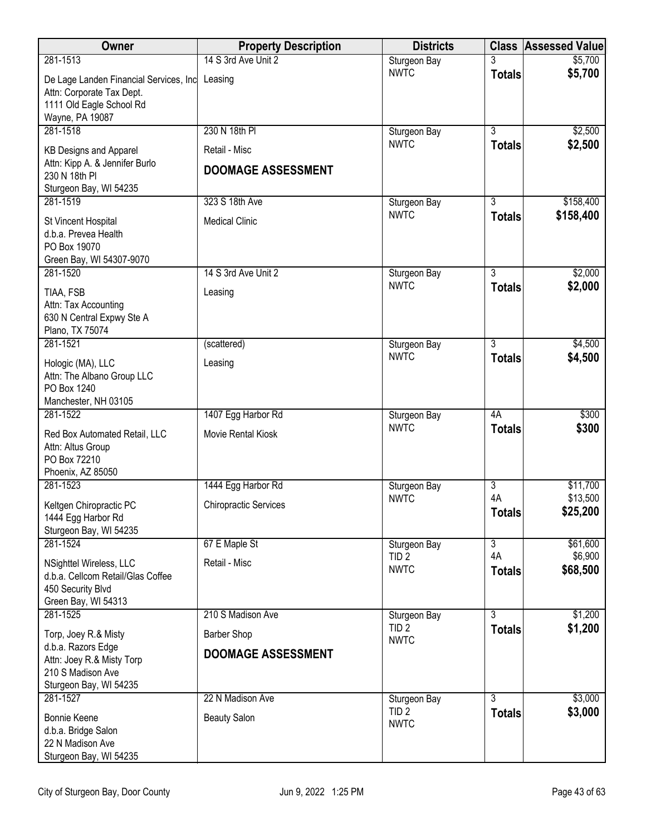| Owner                                                                                                                  | <b>Property Description</b>                     | <b>Districts</b>                |                     | <b>Class Assessed Value</b> |
|------------------------------------------------------------------------------------------------------------------------|-------------------------------------------------|---------------------------------|---------------------|-----------------------------|
| 281-1513                                                                                                               | 14 S 3rd Ave Unit 2                             | Sturgeon Bay                    |                     | \$5,700                     |
| De Lage Landen Financial Services, Inc<br>Attn: Corporate Tax Dept.<br>1111 Old Eagle School Rd<br>Wayne, PA 19087     | Leasing                                         | <b>NWTC</b>                     | <b>Totals</b>       | \$5,700                     |
| 281-1518                                                                                                               | 230 N 18th PI                                   | Sturgeon Bay                    | $\overline{3}$      | \$2,500                     |
| <b>KB Designs and Apparel</b>                                                                                          | Retail - Misc                                   | <b>NWTC</b>                     | <b>Totals</b>       | \$2,500                     |
| Attn: Kipp A. & Jennifer Burlo<br>230 N 18th PI<br>Sturgeon Bay, WI 54235                                              | <b>DOOMAGE ASSESSMENT</b>                       |                                 |                     |                             |
| 281-1519                                                                                                               | 323 S 18th Ave                                  | Sturgeon Bay                    | 3                   | \$158,400                   |
| St Vincent Hospital<br>d.b.a. Prevea Health<br>PO Box 19070<br>Green Bay, WI 54307-9070                                | <b>Medical Clinic</b>                           | <b>NWTC</b>                     | <b>Totals</b>       | \$158,400                   |
| 281-1520                                                                                                               | 14 S 3rd Ave Unit 2                             | Sturgeon Bay                    | $\overline{3}$      | \$2,000                     |
| TIAA, FSB<br>Attn: Tax Accounting<br>630 N Central Expwy Ste A<br>Plano, TX 75074                                      | Leasing                                         | <b>NWTC</b>                     | <b>Totals</b>       | \$2,000                     |
| 281-1521                                                                                                               | (scattered)                                     | Sturgeon Bay                    | 3                   | \$4,500                     |
| Hologic (MA), LLC<br>Attn: The Albano Group LLC<br>PO Box 1240<br>Manchester, NH 03105                                 | Leasing                                         | <b>NWTC</b>                     | <b>Totals</b>       | \$4,500                     |
| 281-1522                                                                                                               | 1407 Egg Harbor Rd                              | Sturgeon Bay                    | 4A                  | \$300                       |
| Red Box Automated Retail, LLC<br>Attn: Altus Group<br>PO Box 72210<br>Phoenix, AZ 85050                                | Movie Rental Kiosk                              | <b>NWTC</b>                     | <b>Totals</b>       | \$300                       |
| 281-1523                                                                                                               | 1444 Egg Harbor Rd                              | Sturgeon Bay                    | $\overline{3}$      | \$11,700                    |
| Keltgen Chiropractic PC<br>1444 Egg Harbor Rd<br>Sturgeon Bay, WI 54235                                                | <b>Chiropractic Services</b>                    | <b>NWTC</b>                     | 4A<br><b>Totals</b> | \$13,500<br>\$25,200        |
| 281-1524                                                                                                               | 67 E Maple St                                   | Sturgeon Bay                    | $\overline{3}$      | \$61,600                    |
| NSighttel Wireless, LLC<br>d.b.a. Cellcom Retail/Glas Coffee<br>450 Security Blvd<br>Green Bay, WI 54313               | Retail - Misc                                   | TID <sub>2</sub><br><b>NWTC</b> | 4A<br><b>Totals</b> | \$6,900<br>\$68,500         |
| 281-1525                                                                                                               | 210 S Madison Ave                               | Sturgeon Bay                    | $\overline{3}$      | \$1,200                     |
| Torp, Joey R.& Misty<br>d.b.a. Razors Edge<br>Attn: Joey R.& Misty Torp<br>210 S Madison Ave<br>Sturgeon Bay, WI 54235 | <b>Barber Shop</b><br><b>DOOMAGE ASSESSMENT</b> | TID <sub>2</sub><br><b>NWTC</b> | <b>Totals</b>       | \$1,200                     |
| 281-1527                                                                                                               | 22 N Madison Ave                                | Sturgeon Bay                    | $\overline{3}$      | \$3,000                     |
| Bonnie Keene<br>d.b.a. Bridge Salon<br>22 N Madison Ave<br>Sturgeon Bay, WI 54235                                      | <b>Beauty Salon</b>                             | TID <sub>2</sub><br><b>NWTC</b> | <b>Totals</b>       | \$3,000                     |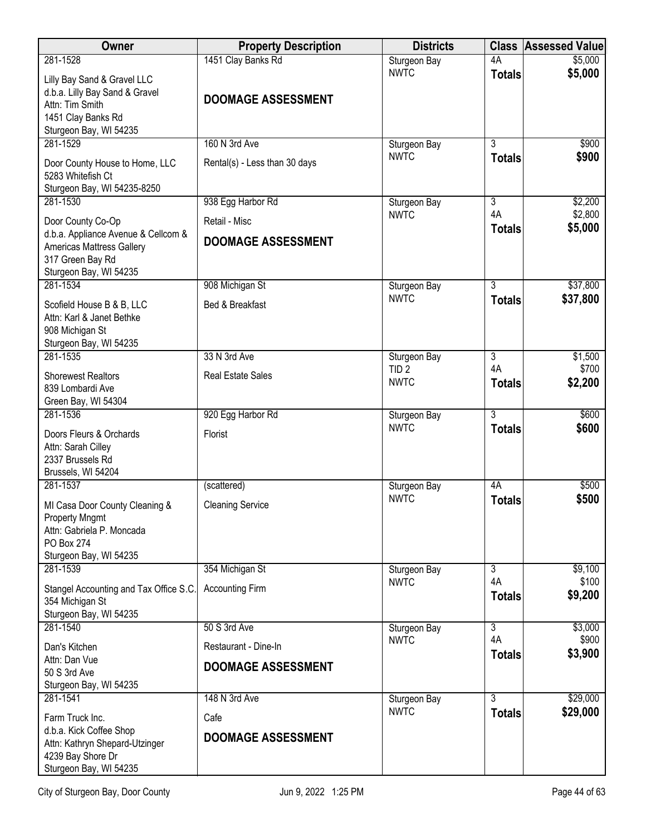| 281-1528<br>\$5,000<br>4A<br>Sturgeon Bay<br><b>NWTC</b><br>\$5,000<br><b>Totals</b><br>Lilly Bay Sand & Gravel LLC<br>d.b.a. Lilly Bay Sand & Gravel<br><b>DOOMAGE ASSESSMENT</b><br>Attn: Tim Smith<br>1451 Clay Banks Rd<br>Sturgeon Bay, WI 54235<br>281-1529<br>160 N 3rd Ave<br>3<br>\$900<br>Sturgeon Bay<br><b>NWTC</b><br>\$900<br><b>Totals</b><br>Door County House to Home, LLC<br>Rental(s) - Less than 30 days<br>5283 Whitefish Ct<br>Sturgeon Bay, WI 54235-8250<br>281-1530<br>938 Egg Harbor Rd<br>$\overline{3}$<br>\$2,200<br>Sturgeon Bay<br>4A<br>\$2,800<br><b>NWTC</b><br>Retail - Misc<br>Door County Co-Op<br>\$5,000<br><b>Totals</b><br>d.b.a. Appliance Avenue & Cellcom &<br><b>DOOMAGE ASSESSMENT</b><br><b>Americas Mattress Gallery</b><br>317 Green Bay Rd<br>Sturgeon Bay, WI 54235<br>281-1534<br>$\overline{3}$<br>908 Michigan St<br>\$37,800<br>Sturgeon Bay<br><b>NWTC</b><br>\$37,800<br><b>Totals</b><br>Bed & Breakfast<br>Scofield House B & B, LLC<br>Attn: Karl & Janet Bethke<br>908 Michigan St<br>Sturgeon Bay, WI 54235<br>281-1535<br>33 N 3rd Ave<br>$\overline{3}$<br>\$1,500<br>Sturgeon Bay<br>4A<br>\$700<br>TID <sub>2</sub><br><b>Shorewest Realtors</b><br><b>Real Estate Sales</b><br><b>NWTC</b><br>\$2,200<br><b>Totals</b><br>839 Lombardi Ave<br>Green Bay, WI 54304<br>$\overline{3}$<br>281-1536<br>920 Egg Harbor Rd<br>\$600<br>Sturgeon Bay<br><b>NWTC</b><br>\$600<br><b>Totals</b><br>Doors Fleurs & Orchards<br>Florist<br>Attn: Sarah Cilley<br>2337 Brussels Rd<br>Brussels, WI 54204<br>281-1537<br>4A<br>\$500<br>(scattered)<br>Sturgeon Bay<br>\$500<br><b>NWTC</b><br><b>Totals</b><br>MI Casa Door County Cleaning &<br><b>Cleaning Service</b><br><b>Property Mngmt</b><br>Attn: Gabriela P. Moncada<br>PO Box 274<br>Sturgeon Bay, WI 54235<br>281-1539<br>354 Michigan St<br>Sturgeon Bay<br>3<br>\$9,100<br>4A<br>\$100<br><b>NWTC</b><br>Stangel Accounting and Tax Office S.C.<br><b>Accounting Firm</b><br>\$9,200<br><b>Totals</b><br>354 Michigan St<br>Sturgeon Bay, WI 54235<br>281-1540<br>$\overline{3}$<br>\$3,000<br>50 S 3rd Ave<br>Sturgeon Bay<br>4A<br>\$900<br><b>NWTC</b><br>Dan's Kitchen<br>Restaurant - Dine-In<br>\$3,900<br><b>Totals</b><br>Attn: Dan Vue<br><b>DOOMAGE ASSESSMENT</b><br>50 S 3rd Ave<br>Sturgeon Bay, WI 54235<br>281-1541<br>148 N 3rd Ave<br>$\overline{3}$<br>\$29,000<br>Sturgeon Bay | Owner | <b>Property Description</b> | <b>Districts</b> | <b>Class Assessed Value</b> |
|------------------------------------------------------------------------------------------------------------------------------------------------------------------------------------------------------------------------------------------------------------------------------------------------------------------------------------------------------------------------------------------------------------------------------------------------------------------------------------------------------------------------------------------------------------------------------------------------------------------------------------------------------------------------------------------------------------------------------------------------------------------------------------------------------------------------------------------------------------------------------------------------------------------------------------------------------------------------------------------------------------------------------------------------------------------------------------------------------------------------------------------------------------------------------------------------------------------------------------------------------------------------------------------------------------------------------------------------------------------------------------------------------------------------------------------------------------------------------------------------------------------------------------------------------------------------------------------------------------------------------------------------------------------------------------------------------------------------------------------------------------------------------------------------------------------------------------------------------------------------------------------------------------------------------------------------------------------------------------------------------------------------------------------------------------------------------------------------------------------------------------------------------------------------------------------------------------------------------------------------------------------------------------------------------------------------------------------------------------------------------------------------------------------------|-------|-----------------------------|------------------|-----------------------------|
|                                                                                                                                                                                                                                                                                                                                                                                                                                                                                                                                                                                                                                                                                                                                                                                                                                                                                                                                                                                                                                                                                                                                                                                                                                                                                                                                                                                                                                                                                                                                                                                                                                                                                                                                                                                                                                                                                                                                                                                                                                                                                                                                                                                                                                                                                                                                                                                                                        |       | 1451 Clay Banks Rd          |                  |                             |
|                                                                                                                                                                                                                                                                                                                                                                                                                                                                                                                                                                                                                                                                                                                                                                                                                                                                                                                                                                                                                                                                                                                                                                                                                                                                                                                                                                                                                                                                                                                                                                                                                                                                                                                                                                                                                                                                                                                                                                                                                                                                                                                                                                                                                                                                                                                                                                                                                        |       |                             |                  |                             |
|                                                                                                                                                                                                                                                                                                                                                                                                                                                                                                                                                                                                                                                                                                                                                                                                                                                                                                                                                                                                                                                                                                                                                                                                                                                                                                                                                                                                                                                                                                                                                                                                                                                                                                                                                                                                                                                                                                                                                                                                                                                                                                                                                                                                                                                                                                                                                                                                                        |       |                             |                  |                             |
|                                                                                                                                                                                                                                                                                                                                                                                                                                                                                                                                                                                                                                                                                                                                                                                                                                                                                                                                                                                                                                                                                                                                                                                                                                                                                                                                                                                                                                                                                                                                                                                                                                                                                                                                                                                                                                                                                                                                                                                                                                                                                                                                                                                                                                                                                                                                                                                                                        |       |                             |                  |                             |
|                                                                                                                                                                                                                                                                                                                                                                                                                                                                                                                                                                                                                                                                                                                                                                                                                                                                                                                                                                                                                                                                                                                                                                                                                                                                                                                                                                                                                                                                                                                                                                                                                                                                                                                                                                                                                                                                                                                                                                                                                                                                                                                                                                                                                                                                                                                                                                                                                        |       |                             |                  |                             |
|                                                                                                                                                                                                                                                                                                                                                                                                                                                                                                                                                                                                                                                                                                                                                                                                                                                                                                                                                                                                                                                                                                                                                                                                                                                                                                                                                                                                                                                                                                                                                                                                                                                                                                                                                                                                                                                                                                                                                                                                                                                                                                                                                                                                                                                                                                                                                                                                                        |       |                             |                  |                             |
|                                                                                                                                                                                                                                                                                                                                                                                                                                                                                                                                                                                                                                                                                                                                                                                                                                                                                                                                                                                                                                                                                                                                                                                                                                                                                                                                                                                                                                                                                                                                                                                                                                                                                                                                                                                                                                                                                                                                                                                                                                                                                                                                                                                                                                                                                                                                                                                                                        |       |                             |                  |                             |
|                                                                                                                                                                                                                                                                                                                                                                                                                                                                                                                                                                                                                                                                                                                                                                                                                                                                                                                                                                                                                                                                                                                                                                                                                                                                                                                                                                                                                                                                                                                                                                                                                                                                                                                                                                                                                                                                                                                                                                                                                                                                                                                                                                                                                                                                                                                                                                                                                        |       |                             |                  |                             |
|                                                                                                                                                                                                                                                                                                                                                                                                                                                                                                                                                                                                                                                                                                                                                                                                                                                                                                                                                                                                                                                                                                                                                                                                                                                                                                                                                                                                                                                                                                                                                                                                                                                                                                                                                                                                                                                                                                                                                                                                                                                                                                                                                                                                                                                                                                                                                                                                                        |       |                             |                  |                             |
|                                                                                                                                                                                                                                                                                                                                                                                                                                                                                                                                                                                                                                                                                                                                                                                                                                                                                                                                                                                                                                                                                                                                                                                                                                                                                                                                                                                                                                                                                                                                                                                                                                                                                                                                                                                                                                                                                                                                                                                                                                                                                                                                                                                                                                                                                                                                                                                                                        |       |                             |                  |                             |
|                                                                                                                                                                                                                                                                                                                                                                                                                                                                                                                                                                                                                                                                                                                                                                                                                                                                                                                                                                                                                                                                                                                                                                                                                                                                                                                                                                                                                                                                                                                                                                                                                                                                                                                                                                                                                                                                                                                                                                                                                                                                                                                                                                                                                                                                                                                                                                                                                        |       |                             |                  |                             |
|                                                                                                                                                                                                                                                                                                                                                                                                                                                                                                                                                                                                                                                                                                                                                                                                                                                                                                                                                                                                                                                                                                                                                                                                                                                                                                                                                                                                                                                                                                                                                                                                                                                                                                                                                                                                                                                                                                                                                                                                                                                                                                                                                                                                                                                                                                                                                                                                                        |       |                             |                  |                             |
|                                                                                                                                                                                                                                                                                                                                                                                                                                                                                                                                                                                                                                                                                                                                                                                                                                                                                                                                                                                                                                                                                                                                                                                                                                                                                                                                                                                                                                                                                                                                                                                                                                                                                                                                                                                                                                                                                                                                                                                                                                                                                                                                                                                                                                                                                                                                                                                                                        |       |                             |                  |                             |
|                                                                                                                                                                                                                                                                                                                                                                                                                                                                                                                                                                                                                                                                                                                                                                                                                                                                                                                                                                                                                                                                                                                                                                                                                                                                                                                                                                                                                                                                                                                                                                                                                                                                                                                                                                                                                                                                                                                                                                                                                                                                                                                                                                                                                                                                                                                                                                                                                        |       |                             |                  |                             |
|                                                                                                                                                                                                                                                                                                                                                                                                                                                                                                                                                                                                                                                                                                                                                                                                                                                                                                                                                                                                                                                                                                                                                                                                                                                                                                                                                                                                                                                                                                                                                                                                                                                                                                                                                                                                                                                                                                                                                                                                                                                                                                                                                                                                                                                                                                                                                                                                                        |       |                             |                  |                             |
|                                                                                                                                                                                                                                                                                                                                                                                                                                                                                                                                                                                                                                                                                                                                                                                                                                                                                                                                                                                                                                                                                                                                                                                                                                                                                                                                                                                                                                                                                                                                                                                                                                                                                                                                                                                                                                                                                                                                                                                                                                                                                                                                                                                                                                                                                                                                                                                                                        |       |                             |                  |                             |
|                                                                                                                                                                                                                                                                                                                                                                                                                                                                                                                                                                                                                                                                                                                                                                                                                                                                                                                                                                                                                                                                                                                                                                                                                                                                                                                                                                                                                                                                                                                                                                                                                                                                                                                                                                                                                                                                                                                                                                                                                                                                                                                                                                                                                                                                                                                                                                                                                        |       |                             |                  |                             |
|                                                                                                                                                                                                                                                                                                                                                                                                                                                                                                                                                                                                                                                                                                                                                                                                                                                                                                                                                                                                                                                                                                                                                                                                                                                                                                                                                                                                                                                                                                                                                                                                                                                                                                                                                                                                                                                                                                                                                                                                                                                                                                                                                                                                                                                                                                                                                                                                                        |       |                             |                  |                             |
|                                                                                                                                                                                                                                                                                                                                                                                                                                                                                                                                                                                                                                                                                                                                                                                                                                                                                                                                                                                                                                                                                                                                                                                                                                                                                                                                                                                                                                                                                                                                                                                                                                                                                                                                                                                                                                                                                                                                                                                                                                                                                                                                                                                                                                                                                                                                                                                                                        |       |                             |                  |                             |
|                                                                                                                                                                                                                                                                                                                                                                                                                                                                                                                                                                                                                                                                                                                                                                                                                                                                                                                                                                                                                                                                                                                                                                                                                                                                                                                                                                                                                                                                                                                                                                                                                                                                                                                                                                                                                                                                                                                                                                                                                                                                                                                                                                                                                                                                                                                                                                                                                        |       |                             |                  |                             |
|                                                                                                                                                                                                                                                                                                                                                                                                                                                                                                                                                                                                                                                                                                                                                                                                                                                                                                                                                                                                                                                                                                                                                                                                                                                                                                                                                                                                                                                                                                                                                                                                                                                                                                                                                                                                                                                                                                                                                                                                                                                                                                                                                                                                                                                                                                                                                                                                                        |       |                             |                  |                             |
|                                                                                                                                                                                                                                                                                                                                                                                                                                                                                                                                                                                                                                                                                                                                                                                                                                                                                                                                                                                                                                                                                                                                                                                                                                                                                                                                                                                                                                                                                                                                                                                                                                                                                                                                                                                                                                                                                                                                                                                                                                                                                                                                                                                                                                                                                                                                                                                                                        |       |                             |                  |                             |
|                                                                                                                                                                                                                                                                                                                                                                                                                                                                                                                                                                                                                                                                                                                                                                                                                                                                                                                                                                                                                                                                                                                                                                                                                                                                                                                                                                                                                                                                                                                                                                                                                                                                                                                                                                                                                                                                                                                                                                                                                                                                                                                                                                                                                                                                                                                                                                                                                        |       |                             |                  |                             |
|                                                                                                                                                                                                                                                                                                                                                                                                                                                                                                                                                                                                                                                                                                                                                                                                                                                                                                                                                                                                                                                                                                                                                                                                                                                                                                                                                                                                                                                                                                                                                                                                                                                                                                                                                                                                                                                                                                                                                                                                                                                                                                                                                                                                                                                                                                                                                                                                                        |       |                             |                  |                             |
|                                                                                                                                                                                                                                                                                                                                                                                                                                                                                                                                                                                                                                                                                                                                                                                                                                                                                                                                                                                                                                                                                                                                                                                                                                                                                                                                                                                                                                                                                                                                                                                                                                                                                                                                                                                                                                                                                                                                                                                                                                                                                                                                                                                                                                                                                                                                                                                                                        |       |                             |                  |                             |
|                                                                                                                                                                                                                                                                                                                                                                                                                                                                                                                                                                                                                                                                                                                                                                                                                                                                                                                                                                                                                                                                                                                                                                                                                                                                                                                                                                                                                                                                                                                                                                                                                                                                                                                                                                                                                                                                                                                                                                                                                                                                                                                                                                                                                                                                                                                                                                                                                        |       |                             |                  |                             |
|                                                                                                                                                                                                                                                                                                                                                                                                                                                                                                                                                                                                                                                                                                                                                                                                                                                                                                                                                                                                                                                                                                                                                                                                                                                                                                                                                                                                                                                                                                                                                                                                                                                                                                                                                                                                                                                                                                                                                                                                                                                                                                                                                                                                                                                                                                                                                                                                                        |       |                             |                  |                             |
|                                                                                                                                                                                                                                                                                                                                                                                                                                                                                                                                                                                                                                                                                                                                                                                                                                                                                                                                                                                                                                                                                                                                                                                                                                                                                                                                                                                                                                                                                                                                                                                                                                                                                                                                                                                                                                                                                                                                                                                                                                                                                                                                                                                                                                                                                                                                                                                                                        |       |                             |                  |                             |
|                                                                                                                                                                                                                                                                                                                                                                                                                                                                                                                                                                                                                                                                                                                                                                                                                                                                                                                                                                                                                                                                                                                                                                                                                                                                                                                                                                                                                                                                                                                                                                                                                                                                                                                                                                                                                                                                                                                                                                                                                                                                                                                                                                                                                                                                                                                                                                                                                        |       |                             |                  |                             |
|                                                                                                                                                                                                                                                                                                                                                                                                                                                                                                                                                                                                                                                                                                                                                                                                                                                                                                                                                                                                                                                                                                                                                                                                                                                                                                                                                                                                                                                                                                                                                                                                                                                                                                                                                                                                                                                                                                                                                                                                                                                                                                                                                                                                                                                                                                                                                                                                                        |       |                             |                  |                             |
|                                                                                                                                                                                                                                                                                                                                                                                                                                                                                                                                                                                                                                                                                                                                                                                                                                                                                                                                                                                                                                                                                                                                                                                                                                                                                                                                                                                                                                                                                                                                                                                                                                                                                                                                                                                                                                                                                                                                                                                                                                                                                                                                                                                                                                                                                                                                                                                                                        |       |                             |                  |                             |
|                                                                                                                                                                                                                                                                                                                                                                                                                                                                                                                                                                                                                                                                                                                                                                                                                                                                                                                                                                                                                                                                                                                                                                                                                                                                                                                                                                                                                                                                                                                                                                                                                                                                                                                                                                                                                                                                                                                                                                                                                                                                                                                                                                                                                                                                                                                                                                                                                        |       |                             |                  |                             |
|                                                                                                                                                                                                                                                                                                                                                                                                                                                                                                                                                                                                                                                                                                                                                                                                                                                                                                                                                                                                                                                                                                                                                                                                                                                                                                                                                                                                                                                                                                                                                                                                                                                                                                                                                                                                                                                                                                                                                                                                                                                                                                                                                                                                                                                                                                                                                                                                                        |       |                             |                  |                             |
|                                                                                                                                                                                                                                                                                                                                                                                                                                                                                                                                                                                                                                                                                                                                                                                                                                                                                                                                                                                                                                                                                                                                                                                                                                                                                                                                                                                                                                                                                                                                                                                                                                                                                                                                                                                                                                                                                                                                                                                                                                                                                                                                                                                                                                                                                                                                                                                                                        |       |                             |                  |                             |
|                                                                                                                                                                                                                                                                                                                                                                                                                                                                                                                                                                                                                                                                                                                                                                                                                                                                                                                                                                                                                                                                                                                                                                                                                                                                                                                                                                                                                                                                                                                                                                                                                                                                                                                                                                                                                                                                                                                                                                                                                                                                                                                                                                                                                                                                                                                                                                                                                        |       |                             |                  |                             |
|                                                                                                                                                                                                                                                                                                                                                                                                                                                                                                                                                                                                                                                                                                                                                                                                                                                                                                                                                                                                                                                                                                                                                                                                                                                                                                                                                                                                                                                                                                                                                                                                                                                                                                                                                                                                                                                                                                                                                                                                                                                                                                                                                                                                                                                                                                                                                                                                                        |       |                             |                  |                             |
|                                                                                                                                                                                                                                                                                                                                                                                                                                                                                                                                                                                                                                                                                                                                                                                                                                                                                                                                                                                                                                                                                                                                                                                                                                                                                                                                                                                                                                                                                                                                                                                                                                                                                                                                                                                                                                                                                                                                                                                                                                                                                                                                                                                                                                                                                                                                                                                                                        |       |                             |                  |                             |
|                                                                                                                                                                                                                                                                                                                                                                                                                                                                                                                                                                                                                                                                                                                                                                                                                                                                                                                                                                                                                                                                                                                                                                                                                                                                                                                                                                                                                                                                                                                                                                                                                                                                                                                                                                                                                                                                                                                                                                                                                                                                                                                                                                                                                                                                                                                                                                                                                        |       |                             |                  |                             |
|                                                                                                                                                                                                                                                                                                                                                                                                                                                                                                                                                                                                                                                                                                                                                                                                                                                                                                                                                                                                                                                                                                                                                                                                                                                                                                                                                                                                                                                                                                                                                                                                                                                                                                                                                                                                                                                                                                                                                                                                                                                                                                                                                                                                                                                                                                                                                                                                                        |       |                             |                  |                             |
|                                                                                                                                                                                                                                                                                                                                                                                                                                                                                                                                                                                                                                                                                                                                                                                                                                                                                                                                                                                                                                                                                                                                                                                                                                                                                                                                                                                                                                                                                                                                                                                                                                                                                                                                                                                                                                                                                                                                                                                                                                                                                                                                                                                                                                                                                                                                                                                                                        |       |                             |                  |                             |
|                                                                                                                                                                                                                                                                                                                                                                                                                                                                                                                                                                                                                                                                                                                                                                                                                                                                                                                                                                                                                                                                                                                                                                                                                                                                                                                                                                                                                                                                                                                                                                                                                                                                                                                                                                                                                                                                                                                                                                                                                                                                                                                                                                                                                                                                                                                                                                                                                        |       |                             |                  |                             |
|                                                                                                                                                                                                                                                                                                                                                                                                                                                                                                                                                                                                                                                                                                                                                                                                                                                                                                                                                                                                                                                                                                                                                                                                                                                                                                                                                                                                                                                                                                                                                                                                                                                                                                                                                                                                                                                                                                                                                                                                                                                                                                                                                                                                                                                                                                                                                                                                                        |       |                             |                  |                             |
|                                                                                                                                                                                                                                                                                                                                                                                                                                                                                                                                                                                                                                                                                                                                                                                                                                                                                                                                                                                                                                                                                                                                                                                                                                                                                                                                                                                                                                                                                                                                                                                                                                                                                                                                                                                                                                                                                                                                                                                                                                                                                                                                                                                                                                                                                                                                                                                                                        |       |                             |                  |                             |
| <b>NWTC</b><br>\$29,000<br><b>Totals</b><br>Farm Truck Inc.<br>Cafe                                                                                                                                                                                                                                                                                                                                                                                                                                                                                                                                                                                                                                                                                                                                                                                                                                                                                                                                                                                                                                                                                                                                                                                                                                                                                                                                                                                                                                                                                                                                                                                                                                                                                                                                                                                                                                                                                                                                                                                                                                                                                                                                                                                                                                                                                                                                                    |       |                             |                  |                             |
| d.b.a. Kick Coffee Shop<br><b>DOOMAGE ASSESSMENT</b>                                                                                                                                                                                                                                                                                                                                                                                                                                                                                                                                                                                                                                                                                                                                                                                                                                                                                                                                                                                                                                                                                                                                                                                                                                                                                                                                                                                                                                                                                                                                                                                                                                                                                                                                                                                                                                                                                                                                                                                                                                                                                                                                                                                                                                                                                                                                                                   |       |                             |                  |                             |
| Attn: Kathryn Shepard-Utzinger                                                                                                                                                                                                                                                                                                                                                                                                                                                                                                                                                                                                                                                                                                                                                                                                                                                                                                                                                                                                                                                                                                                                                                                                                                                                                                                                                                                                                                                                                                                                                                                                                                                                                                                                                                                                                                                                                                                                                                                                                                                                                                                                                                                                                                                                                                                                                                                         |       |                             |                  |                             |
| 4239 Bay Shore Dr<br>Sturgeon Bay, WI 54235                                                                                                                                                                                                                                                                                                                                                                                                                                                                                                                                                                                                                                                                                                                                                                                                                                                                                                                                                                                                                                                                                                                                                                                                                                                                                                                                                                                                                                                                                                                                                                                                                                                                                                                                                                                                                                                                                                                                                                                                                                                                                                                                                                                                                                                                                                                                                                            |       |                             |                  |                             |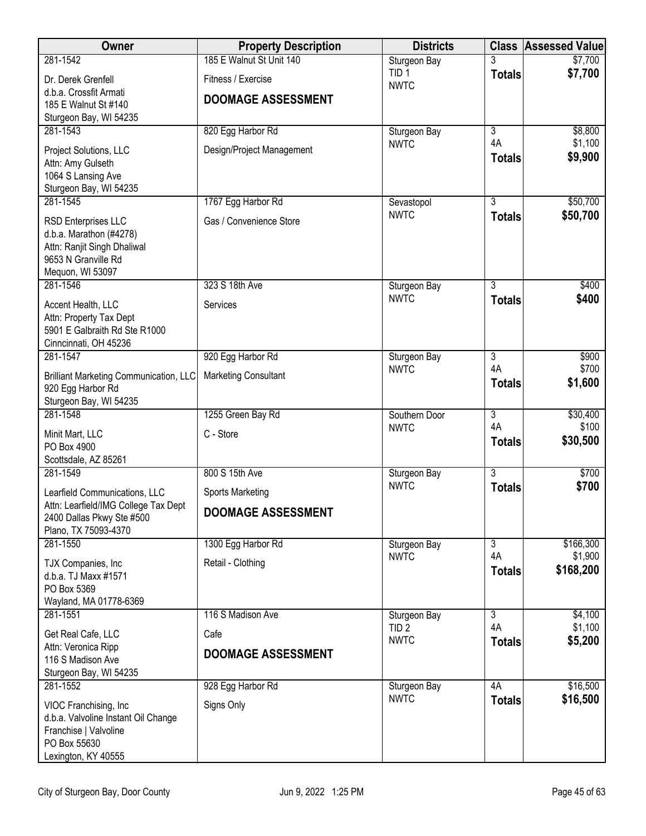| Owner                                                             | <b>Property Description</b> | <b>Districts</b>                | <b>Class</b>                    | <b>Assessed Value</b> |
|-------------------------------------------------------------------|-----------------------------|---------------------------------|---------------------------------|-----------------------|
| 281-1542                                                          | 185 E Walnut St Unit 140    | Sturgeon Bay                    |                                 | \$7,700               |
| Dr. Derek Grenfell                                                | Fitness / Exercise          | TID <sub>1</sub><br><b>NWTC</b> | <b>Totals</b>                   | \$7,700               |
| d.b.a. Crossfit Armati<br>185 E Walnut St #140                    | <b>DOOMAGE ASSESSMENT</b>   |                                 |                                 |                       |
| Sturgeon Bay, WI 54235                                            |                             |                                 |                                 |                       |
| 281-1543                                                          | 820 Egg Harbor Rd           | Sturgeon Bay                    | $\overline{3}$                  | \$8,800               |
| Project Solutions, LLC                                            | Design/Project Management   | <b>NWTC</b>                     | 4A                              | \$1,100               |
| Attn: Amy Gulseth                                                 |                             |                                 | <b>Totals</b>                   | \$9,900               |
| 1064 S Lansing Ave<br>Sturgeon Bay, WI 54235                      |                             |                                 |                                 |                       |
| 281-1545                                                          | 1767 Egg Harbor Rd          | Sevastopol                      | 3                               | \$50,700              |
| RSD Enterprises LLC                                               | Gas / Convenience Store     | <b>NWTC</b>                     | <b>Totals</b>                   | \$50,700              |
| d.b.a. Marathon (#4278)                                           |                             |                                 |                                 |                       |
| Attn: Ranjit Singh Dhaliwal<br>9653 N Granville Rd                |                             |                                 |                                 |                       |
| Mequon, WI 53097                                                  |                             |                                 |                                 |                       |
| 281-1546                                                          | 323 S 18th Ave              | Sturgeon Bay                    | 3                               | \$400                 |
| Accent Health, LLC                                                | Services                    | <b>NWTC</b>                     | <b>Totals</b>                   | \$400                 |
| Attn: Property Tax Dept<br>5901 E Galbraith Rd Ste R1000          |                             |                                 |                                 |                       |
| Cinncinnati, OH 45236                                             |                             |                                 |                                 |                       |
| 281-1547                                                          | 920 Egg Harbor Rd           | Sturgeon Bay                    | $\overline{3}$                  | \$900                 |
| <b>Brilliant Marketing Communication, LLC</b>                     | <b>Marketing Consultant</b> | <b>NWTC</b>                     | 4A<br><b>Totals</b>             | \$700<br>\$1,600      |
| 920 Egg Harbor Rd                                                 |                             |                                 |                                 |                       |
| Sturgeon Bay, WI 54235<br>281-1548                                | 1255 Green Bay Rd           | Southern Door                   | $\overline{3}$                  | \$30,400              |
| Minit Mart, LLC                                                   | C - Store                   | <b>NWTC</b>                     | 4A                              | \$100                 |
| PO Box 4900                                                       |                             |                                 | <b>Totals</b>                   | \$30,500              |
| Scottsdale, AZ 85261                                              |                             |                                 |                                 |                       |
| 281-1549                                                          | 800 S 15th Ave              | Sturgeon Bay<br><b>NWTC</b>     | $\overline{3}$<br><b>Totals</b> | \$700<br>\$700        |
| Learfield Communications, LLC                                     | <b>Sports Marketing</b>     |                                 |                                 |                       |
| Attn: Learfield/IMG College Tax Dept<br>2400 Dallas Pkwy Ste #500 | <b>DOOMAGE ASSESSMENT</b>   |                                 |                                 |                       |
| Plano, TX 75093-4370                                              |                             |                                 |                                 |                       |
| 281-1550                                                          | 1300 Egg Harbor Rd          | Sturgeon Bay<br><b>NWTC</b>     | $\overline{3}$<br>4A            | \$166,300<br>\$1,900  |
| TJX Companies, Inc                                                | Retail - Clothing           |                                 | <b>Totals</b>                   | \$168,200             |
| d.b.a. TJ Maxx #1571<br>PO Box 5369                               |                             |                                 |                                 |                       |
| Wayland, MA 01778-6369                                            |                             |                                 |                                 |                       |
| 281-1551                                                          | 116 S Madison Ave           | Sturgeon Bay                    | 3<br>4A                         | \$4,100<br>\$1,100    |
| Get Real Cafe, LLC                                                | Cafe                        | TID <sub>2</sub><br><b>NWTC</b> | <b>Totals</b>                   | \$5,200               |
| Attn: Veronica Ripp<br>116 S Madison Ave                          | <b>DOOMAGE ASSESSMENT</b>   |                                 |                                 |                       |
| Sturgeon Bay, WI 54235                                            |                             |                                 |                                 |                       |
| 281-1552                                                          | 928 Egg Harbor Rd           | Sturgeon Bay                    | 4A                              | \$16,500              |
| VIOC Franchising, Inc                                             | Signs Only                  | <b>NWTC</b>                     | <b>Totals</b>                   | \$16,500              |
| d.b.a. Valvoline Instant Oil Change<br>Franchise   Valvoline      |                             |                                 |                                 |                       |
| PO Box 55630                                                      |                             |                                 |                                 |                       |
| Lexington, KY 40555                                               |                             |                                 |                                 |                       |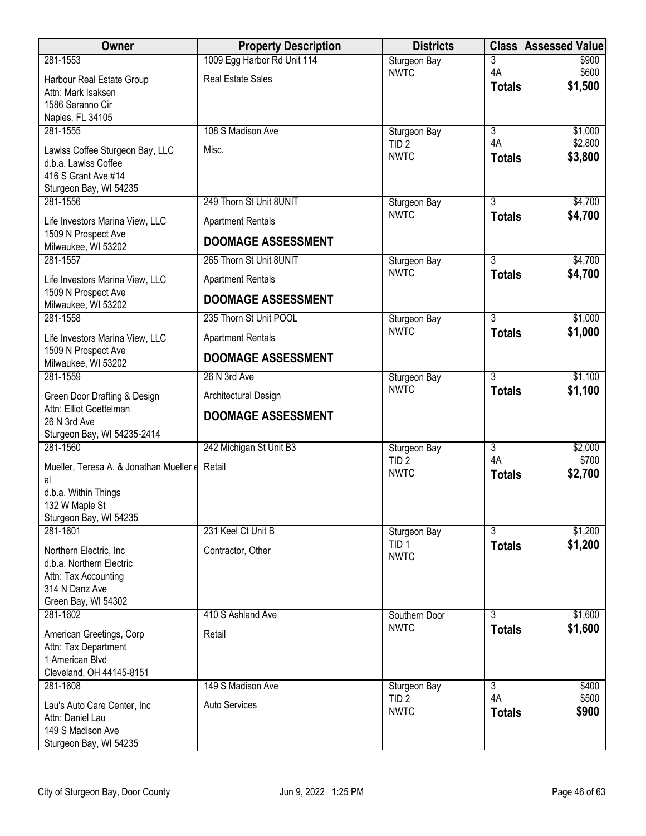| Owner                                                  | <b>Property Description</b> | <b>Districts</b>                | <b>Class</b>        | <b>Assessed Value</b> |
|--------------------------------------------------------|-----------------------------|---------------------------------|---------------------|-----------------------|
| 281-1553                                               | 1009 Egg Harbor Rd Unit 114 | Sturgeon Bay                    | 3                   | \$900                 |
| Harbour Real Estate Group                              | <b>Real Estate Sales</b>    | <b>NWTC</b>                     | 4A<br><b>Totals</b> | \$600<br>\$1,500      |
| Attn: Mark Isaksen<br>1586 Seranno Cir                 |                             |                                 |                     |                       |
| Naples, FL 34105                                       |                             |                                 |                     |                       |
| 281-1555                                               | 108 S Madison Ave           | Sturgeon Bay                    | $\overline{3}$      | \$1,000               |
| Lawlss Coffee Sturgeon Bay, LLC                        | Misc.                       | TID <sub>2</sub><br><b>NWTC</b> | 4A                  | \$2,800               |
| d.b.a. Lawlss Coffee                                   |                             |                                 | <b>Totals</b>       | \$3,800               |
| 416 S Grant Ave #14<br>Sturgeon Bay, WI 54235          |                             |                                 |                     |                       |
| 281-1556                                               | 249 Thorn St Unit 8UNIT     | Sturgeon Bay                    | $\overline{3}$      | \$4,700               |
| Life Investors Marina View, LLC                        | <b>Apartment Rentals</b>    | <b>NWTC</b>                     | <b>Totals</b>       | \$4,700               |
| 1509 N Prospect Ave                                    | <b>DOOMAGE ASSESSMENT</b>   |                                 |                     |                       |
| Milwaukee, WI 53202<br>281-1557                        | 265 Thorn St Unit 8UNIT     |                                 | $\overline{3}$      |                       |
|                                                        |                             | Sturgeon Bay<br><b>NWTC</b>     | <b>Totals</b>       | \$4,700<br>\$4,700    |
| Life Investors Marina View, LLC<br>1509 N Prospect Ave | <b>Apartment Rentals</b>    |                                 |                     |                       |
| Milwaukee, WI 53202                                    | <b>DOOMAGE ASSESSMENT</b>   |                                 |                     |                       |
| 281-1558                                               | 235 Thorn St Unit POOL      | Sturgeon Bay                    | $\overline{3}$      | \$1,000               |
| Life Investors Marina View, LLC                        | <b>Apartment Rentals</b>    | <b>NWTC</b>                     | <b>Totals</b>       | \$1,000               |
| 1509 N Prospect Ave<br>Milwaukee, WI 53202             | <b>DOOMAGE ASSESSMENT</b>   |                                 |                     |                       |
| 281-1559                                               | 26 N 3rd Ave                | Sturgeon Bay                    | $\overline{3}$      | \$1,100               |
| Green Door Drafting & Design                           | Architectural Design        | <b>NWTC</b>                     | <b>Totals</b>       | \$1,100               |
| Attn: Elliot Goettelman                                | <b>DOOMAGE ASSESSMENT</b>   |                                 |                     |                       |
| 26 N 3rd Ave<br>Sturgeon Bay, WI 54235-2414            |                             |                                 |                     |                       |
| 281-1560                                               | 242 Michigan St Unit B3     | Sturgeon Bay                    | 3                   | \$2,000               |
| Mueller, Teresa A. & Jonathan Mueller e                | Retail                      | TID <sub>2</sub>                | 4A                  | \$700                 |
| al                                                     |                             | <b>NWTC</b>                     | <b>Totals</b>       | \$2,700               |
| d.b.a. Within Things<br>132 W Maple St                 |                             |                                 |                     |                       |
| Sturgeon Bay, WI 54235                                 |                             |                                 |                     |                       |
| 281-1601                                               | 231 Keel Ct Unit B          | Sturgeon Bay                    | $\overline{3}$      | \$1,200               |
| Northern Electric, Inc.                                | Contractor, Other           | TID <sub>1</sub><br><b>NWTC</b> | <b>Totals</b>       | \$1,200               |
| d.b.a. Northern Electric                               |                             |                                 |                     |                       |
| Attn: Tax Accounting<br>314 N Danz Ave                 |                             |                                 |                     |                       |
| Green Bay, WI 54302                                    |                             |                                 |                     |                       |
| 281-1602                                               | 410 S Ashland Ave           | Southern Door                   | 3                   | \$1,600               |
| American Greetings, Corp                               | Retail                      | <b>NWTC</b>                     | <b>Totals</b>       | \$1,600               |
| Attn: Tax Department<br>1 American Blvd                |                             |                                 |                     |                       |
| Cleveland, OH 44145-8151                               |                             |                                 |                     |                       |
| 281-1608                                               | 149 S Madison Ave           | Sturgeon Bay                    | $\overline{3}$      | \$400                 |
| Lau's Auto Care Center, Inc                            | <b>Auto Services</b>        | TID <sub>2</sub><br><b>NWTC</b> | 4A<br><b>Totals</b> | \$500<br>\$900        |
| Attn: Daniel Lau                                       |                             |                                 |                     |                       |
| 149 S Madison Ave<br>Sturgeon Bay, WI 54235            |                             |                                 |                     |                       |
|                                                        |                             |                                 |                     |                       |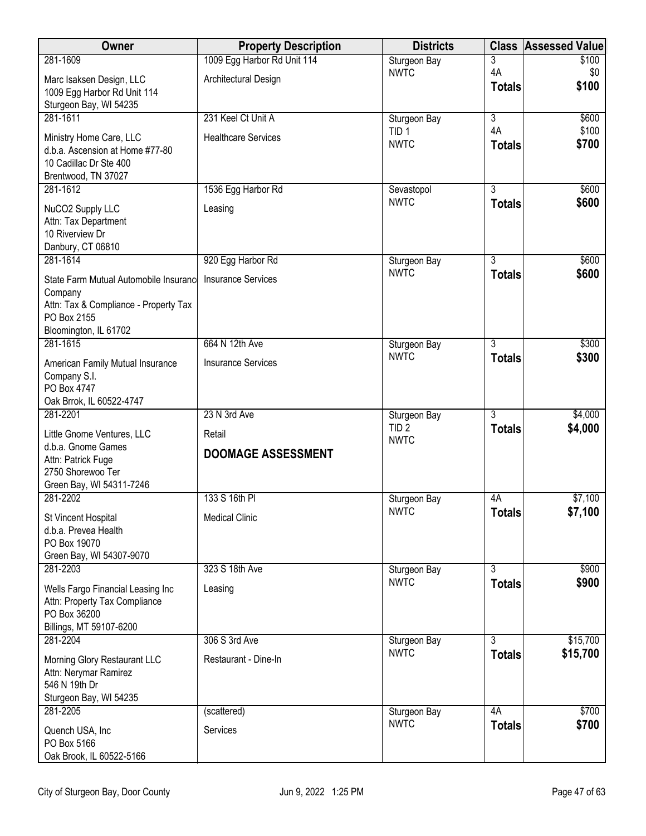| Owner                                                     | <b>Property Description</b> | <b>Districts</b>                 |                                 | <b>Class Assessed Value</b> |
|-----------------------------------------------------------|-----------------------------|----------------------------------|---------------------------------|-----------------------------|
| 281-1609                                                  | 1009 Egg Harbor Rd Unit 114 | Sturgeon Bay                     | 3                               | \$100                       |
| Marc Isaksen Design, LLC                                  | Architectural Design        | <b>NWTC</b>                      | 4A                              | \$0<br>\$100                |
| 1009 Egg Harbor Rd Unit 114                               |                             |                                  | <b>Totals</b>                   |                             |
| Sturgeon Bay, WI 54235                                    |                             |                                  |                                 |                             |
| 281-1611                                                  | 231 Keel Ct Unit A          | Sturgeon Bay<br>TID <sub>1</sub> | $\overline{3}$<br>4A            | \$600<br>\$100              |
| Ministry Home Care, LLC                                   | <b>Healthcare Services</b>  | <b>NWTC</b>                      | <b>Totals</b>                   | \$700                       |
| d.b.a. Ascension at Home #77-80<br>10 Cadillac Dr Ste 400 |                             |                                  |                                 |                             |
| Brentwood, TN 37027                                       |                             |                                  |                                 |                             |
| 281-1612                                                  | 1536 Egg Harbor Rd          | Sevastopol                       | $\overline{3}$                  | \$600                       |
| NuCO2 Supply LLC                                          | Leasing                     | <b>NWTC</b>                      | <b>Totals</b>                   | \$600                       |
| Attn: Tax Department                                      |                             |                                  |                                 |                             |
| 10 Riverview Dr                                           |                             |                                  |                                 |                             |
| Danbury, CT 06810                                         |                             |                                  |                                 |                             |
| 281-1614                                                  | 920 Egg Harbor Rd           | Sturgeon Bay<br><b>NWTC</b>      | $\overline{3}$<br><b>Totals</b> | \$600<br>\$600              |
| State Farm Mutual Automobile Insurance                    | <b>Insurance Services</b>   |                                  |                                 |                             |
| Company<br>Attn: Tax & Compliance - Property Tax          |                             |                                  |                                 |                             |
| PO Box 2155                                               |                             |                                  |                                 |                             |
| Bloomington, IL 61702                                     |                             |                                  |                                 |                             |
| 281-1615                                                  | 664 N 12th Ave              | Sturgeon Bay                     | 3                               | \$300                       |
| American Family Mutual Insurance                          | <b>Insurance Services</b>   | <b>NWTC</b>                      | <b>Totals</b>                   | \$300                       |
| Company S.I.                                              |                             |                                  |                                 |                             |
| PO Box 4747<br>Oak Brrok, IL 60522-4747                   |                             |                                  |                                 |                             |
| 281-2201                                                  | 23 N 3rd Ave                | Sturgeon Bay                     | $\overline{3}$                  | \$4,000                     |
| Little Gnome Ventures, LLC                                | Retail                      | TID <sub>2</sub>                 | <b>Totals</b>                   | \$4,000                     |
| d.b.a. Gnome Games                                        |                             | <b>NWTC</b>                      |                                 |                             |
| Attn: Patrick Fuge                                        | <b>DOOMAGE ASSESSMENT</b>   |                                  |                                 |                             |
| 2750 Shorewoo Ter                                         |                             |                                  |                                 |                             |
| Green Bay, WI 54311-7246                                  |                             |                                  |                                 |                             |
| 281-2202                                                  | 133 S 16th PI               | Sturgeon Bay<br><b>NWTC</b>      | 4A<br><b>Totals</b>             | \$7,100<br>\$7,100          |
| St Vincent Hospital                                       | <b>Medical Clinic</b>       |                                  |                                 |                             |
| d.b.a. Prevea Health<br>PO Box 19070                      |                             |                                  |                                 |                             |
| Green Bay, WI 54307-9070                                  |                             |                                  |                                 |                             |
| 281-2203                                                  | 323 S 18th Ave              | Sturgeon Bay                     | $\overline{3}$                  | \$900                       |
| Wells Fargo Financial Leasing Inc                         | Leasing                     | <b>NWTC</b>                      | <b>Totals</b>                   | \$900                       |
| Attn: Property Tax Compliance                             |                             |                                  |                                 |                             |
| PO Box 36200                                              |                             |                                  |                                 |                             |
| Billings, MT 59107-6200<br>281-2204                       | 306 S 3rd Ave               |                                  | $\overline{3}$                  |                             |
|                                                           |                             | Sturgeon Bay<br><b>NWTC</b>      | <b>Totals</b>                   | \$15,700<br>\$15,700        |
| Morning Glory Restaurant LLC                              | Restaurant - Dine-In        |                                  |                                 |                             |
| Attn: Nerymar Ramirez<br>546 N 19th Dr                    |                             |                                  |                                 |                             |
| Sturgeon Bay, WI 54235                                    |                             |                                  |                                 |                             |
| 281-2205                                                  | (scattered)                 | Sturgeon Bay                     | 4A                              | \$700                       |
| Quench USA, Inc                                           | Services                    | <b>NWTC</b>                      | <b>Totals</b>                   | \$700                       |
| PO Box 5166                                               |                             |                                  |                                 |                             |
| Oak Brook, IL 60522-5166                                  |                             |                                  |                                 |                             |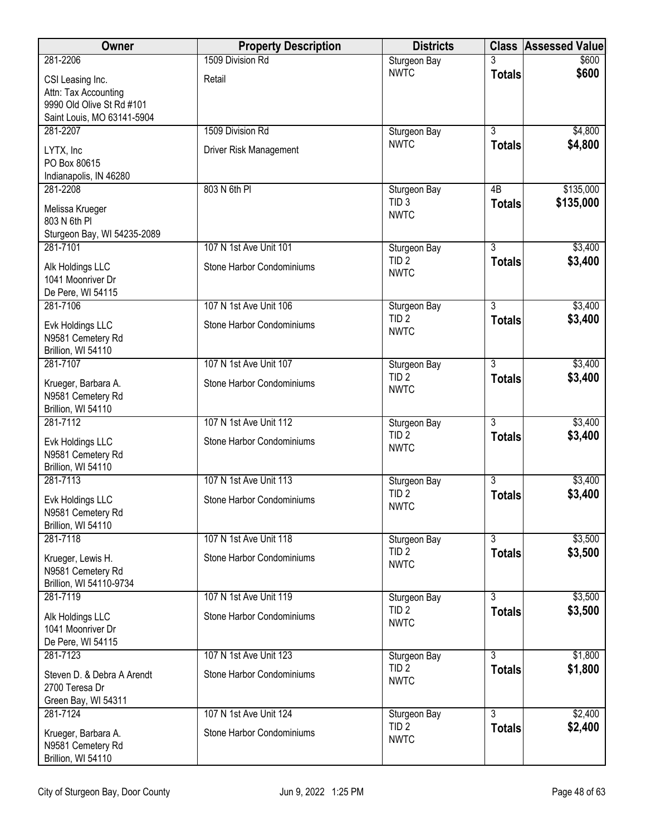| <b>Owner</b>                                                                                        | <b>Property Description</b> | <b>Districts</b>                 | <b>Class</b>   | <b>Assessed Value</b> |
|-----------------------------------------------------------------------------------------------------|-----------------------------|----------------------------------|----------------|-----------------------|
| 281-2206                                                                                            | 1509 Division Rd            | Sturgeon Bay                     |                | \$600                 |
| CSI Leasing Inc.<br>Attn: Tax Accounting<br>9990 Old Olive St Rd #101<br>Saint Louis, MO 63141-5904 | Retail                      | <b>NWTC</b>                      | <b>Totals</b>  | \$600                 |
| 281-2207                                                                                            | 1509 Division Rd            | Sturgeon Bay                     | $\overline{3}$ | \$4,800               |
| LYTX, Inc<br>PO Box 80615<br>Indianapolis, IN 46280                                                 | Driver Risk Management      | <b>NWTC</b>                      | <b>Totals</b>  | \$4,800               |
| 281-2208                                                                                            | 803 N 6th PI                | Sturgeon Bay<br>TID <sub>3</sub> | 4B             | \$135,000             |
| Melissa Krueger<br>803 N 6th Pl<br>Sturgeon Bay, WI 54235-2089                                      |                             | <b>NWTC</b>                      | <b>Totals</b>  | \$135,000             |
| 281-7101                                                                                            | 107 N 1st Ave Unit 101      | Sturgeon Bay                     | $\overline{3}$ | \$3,400               |
| Alk Holdings LLC<br>1041 Moonriver Dr<br>De Pere, WI 54115                                          | Stone Harbor Condominiums   | TID <sub>2</sub><br><b>NWTC</b>  | <b>Totals</b>  | \$3,400               |
| 281-7106                                                                                            | 107 N 1st Ave Unit 106      | Sturgeon Bay                     | $\overline{3}$ | \$3,400               |
| Evk Holdings LLC<br>N9581 Cemetery Rd<br>Brillion, WI 54110                                         | Stone Harbor Condominiums   | TID <sub>2</sub><br><b>NWTC</b>  | <b>Totals</b>  | \$3,400               |
| 281-7107                                                                                            | 107 N 1st Ave Unit 107      | Sturgeon Bay                     | $\overline{3}$ | \$3,400               |
| Krueger, Barbara A.<br>N9581 Cemetery Rd<br>Brillion, WI 54110                                      | Stone Harbor Condominiums   | TID <sub>2</sub><br><b>NWTC</b>  | <b>Totals</b>  | \$3,400               |
| 281-7112                                                                                            | 107 N 1st Ave Unit 112      | Sturgeon Bay                     | $\overline{3}$ | \$3,400               |
| Evk Holdings LLC<br>N9581 Cemetery Rd<br>Brillion, WI 54110                                         | Stone Harbor Condominiums   | TID <sub>2</sub><br><b>NWTC</b>  | <b>Totals</b>  | \$3,400               |
| 281-7113                                                                                            | 107 N 1st Ave Unit 113      | Sturgeon Bay                     | $\overline{3}$ | \$3,400               |
| Evk Holdings LLC<br>N9581 Cemetery Rd<br>Brillion, WI 54110                                         | Stone Harbor Condominiums   | TID <sub>2</sub><br><b>NWTC</b>  | <b>Totals</b>  | \$3,400               |
| 281-7118                                                                                            | 107 N 1st Ave Unit 118      | Sturgeon Bay                     | 3              | \$3,500               |
| Krueger, Lewis H.<br>N9581 Cemetery Rd<br>Brillion, WI 54110-9734                                   | Stone Harbor Condominiums   | TID <sub>2</sub><br><b>NWTC</b>  | <b>Totals</b>  | \$3,500               |
| 281-7119                                                                                            | 107 N 1st Ave Unit 119      | Sturgeon Bay                     | $\overline{3}$ | \$3,500               |
| Alk Holdings LLC<br>1041 Moonriver Dr<br>De Pere, WI 54115                                          | Stone Harbor Condominiums   | TID <sub>2</sub><br><b>NWTC</b>  | <b>Totals</b>  | \$3,500               |
| 281-7123                                                                                            | 107 N 1st Ave Unit 123      | Sturgeon Bay                     | $\overline{3}$ | \$1,800               |
| Steven D. & Debra A Arendt<br>2700 Teresa Dr<br>Green Bay, WI 54311                                 | Stone Harbor Condominiums   | TID <sub>2</sub><br><b>NWTC</b>  | <b>Totals</b>  | \$1,800               |
| 281-7124                                                                                            | 107 N 1st Ave Unit 124      | Sturgeon Bay                     | 3              | \$2,400               |
| Krueger, Barbara A.<br>N9581 Cemetery Rd<br>Brillion, WI 54110                                      | Stone Harbor Condominiums   | TID <sub>2</sub><br><b>NWTC</b>  | <b>Totals</b>  | \$2,400               |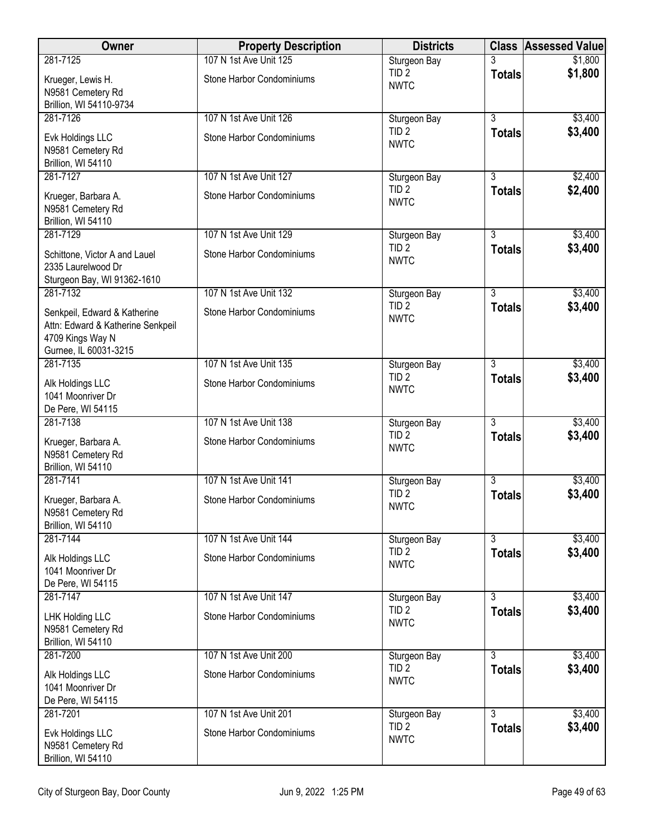| Owner                                                                                 | <b>Property Description</b>                         | <b>Districts</b>                                |                | <b>Class Assessed Value</b> |
|---------------------------------------------------------------------------------------|-----------------------------------------------------|-------------------------------------------------|----------------|-----------------------------|
| 281-7125                                                                              | 107 N 1st Ave Unit 125                              | Sturgeon Bay                                    |                | \$1,800                     |
| Krueger, Lewis H.<br>N9581 Cemetery Rd                                                | Stone Harbor Condominiums                           | TID <sub>2</sub><br><b>NWTC</b>                 | <b>Totals</b>  | \$1,800                     |
| Brillion, WI 54110-9734<br>281-7126                                                   |                                                     |                                                 | $\overline{3}$ |                             |
| Evk Holdings LLC                                                                      | 107 N 1st Ave Unit 126<br>Stone Harbor Condominiums | Sturgeon Bay<br>TID <sub>2</sub><br><b>NWTC</b> | <b>Totals</b>  | \$3,400<br>\$3,400          |
| N9581 Cemetery Rd<br>Brillion, WI 54110                                               |                                                     |                                                 |                |                             |
| 281-7127                                                                              | 107 N 1st Ave Unit 127                              | Sturgeon Bay                                    | $\overline{3}$ | \$2,400                     |
| Krueger, Barbara A.<br>N9581 Cemetery Rd<br>Brillion, WI 54110                        | Stone Harbor Condominiums                           | TID <sub>2</sub><br><b>NWTC</b>                 | <b>Totals</b>  | \$2,400                     |
| 281-7129                                                                              | 107 N 1st Ave Unit 129                              | Sturgeon Bay                                    | $\overline{3}$ | \$3,400                     |
| Schittone, Victor A and Lauel<br>2335 Laurelwood Dr<br>Sturgeon Bay, WI 91362-1610    | Stone Harbor Condominiums                           | TID <sub>2</sub><br><b>NWTC</b>                 | <b>Totals</b>  | \$3,400                     |
| 281-7132                                                                              | 107 N 1st Ave Unit 132                              | Sturgeon Bay                                    | $\overline{3}$ | \$3,400                     |
| Senkpeil, Edward & Katherine<br>Attn: Edward & Katherine Senkpeil<br>4709 Kings Way N | Stone Harbor Condominiums                           | TID <sub>2</sub><br><b>NWTC</b>                 | <b>Totals</b>  | \$3,400                     |
| Gurnee, IL 60031-3215                                                                 |                                                     |                                                 |                |                             |
| 281-7135                                                                              | 107 N 1st Ave Unit 135                              | Sturgeon Bay<br>TID <sub>2</sub>                | $\overline{3}$ | \$3,400<br>\$3,400          |
| Alk Holdings LLC<br>1041 Moonriver Dr<br>De Pere, WI 54115                            | Stone Harbor Condominiums                           | <b>NWTC</b>                                     | <b>Totals</b>  |                             |
| 281-7138                                                                              | 107 N 1st Ave Unit 138                              | Sturgeon Bay                                    | $\overline{3}$ | \$3,400                     |
| Krueger, Barbara A.<br>N9581 Cemetery Rd<br>Brillion, WI 54110                        | Stone Harbor Condominiums                           | TID <sub>2</sub><br><b>NWTC</b>                 | <b>Totals</b>  | \$3,400                     |
| 281-7141                                                                              | 107 N 1st Ave Unit 141                              | Sturgeon Bay                                    | $\overline{3}$ | \$3,400                     |
| Krueger, Barbara A.<br>N9581 Cemetery Rd<br>Brillion, WI 54110                        | Stone Harbor Condominiums                           | TID <sub>2</sub><br><b>NWTC</b>                 | <b>Totals</b>  | \$3,400                     |
| 281-7144                                                                              | 107 N 1st Ave Unit 144                              | Sturgeon Bay                                    | $\overline{3}$ | \$3,400                     |
| Alk Holdings LLC<br>1041 Moonriver Dr<br>De Pere, WI 54115                            | Stone Harbor Condominiums                           | TID <sub>2</sub><br><b>NWTC</b>                 | <b>Totals</b>  | \$3,400                     |
| 281-7147                                                                              | 107 N 1st Ave Unit 147                              | Sturgeon Bay                                    | $\overline{3}$ | \$3,400                     |
| LHK Holding LLC<br>N9581 Cemetery Rd<br>Brillion, WI 54110                            | Stone Harbor Condominiums                           | TID <sub>2</sub><br><b>NWTC</b>                 | <b>Totals</b>  | \$3,400                     |
| 281-7200                                                                              | 107 N 1st Ave Unit 200                              | Sturgeon Bay                                    | $\overline{3}$ | \$3,400                     |
| Alk Holdings LLC<br>1041 Moonriver Dr<br>De Pere, WI 54115                            | Stone Harbor Condominiums                           | TID <sub>2</sub><br><b>NWTC</b>                 | <b>Totals</b>  | \$3,400                     |
| 281-7201                                                                              | 107 N 1st Ave Unit 201                              | Sturgeon Bay                                    | 3              | \$3,400                     |
| Evk Holdings LLC<br>N9581 Cemetery Rd<br>Brillion, WI 54110                           | Stone Harbor Condominiums                           | TID <sub>2</sub><br><b>NWTC</b>                 | <b>Totals</b>  | \$3,400                     |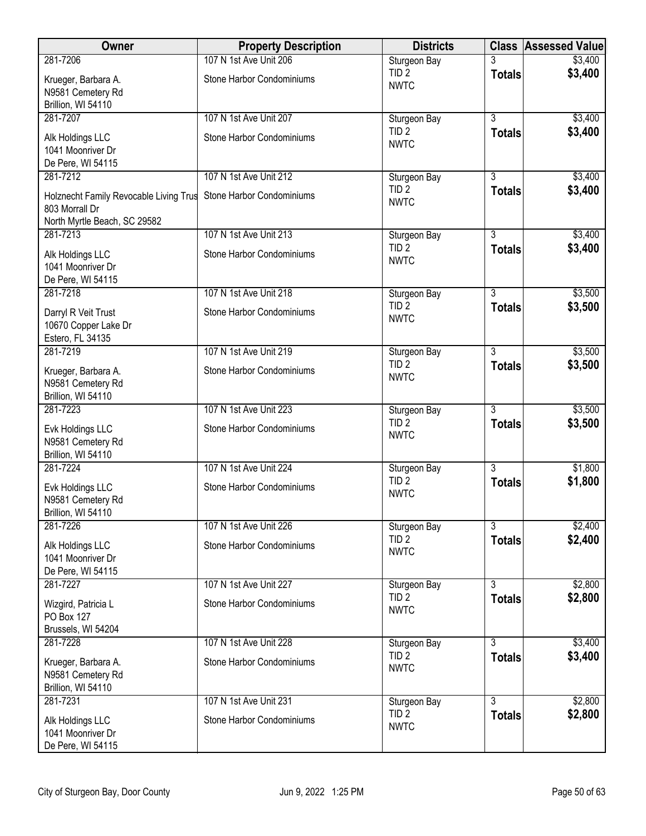| <b>Owner</b>                                                                             | <b>Property Description</b> | <b>Districts</b>                | <b>Class</b>   | <b>Assessed Value</b> |
|------------------------------------------------------------------------------------------|-----------------------------|---------------------------------|----------------|-----------------------|
| 281-7206                                                                                 | 107 N 1st Ave Unit 206      | Sturgeon Bay                    |                | \$3,400               |
| Krueger, Barbara A.<br>N9581 Cemetery Rd<br>Brillion, WI 54110                           | Stone Harbor Condominiums   | TID <sub>2</sub><br><b>NWTC</b> | <b>Totals</b>  | \$3,400               |
| 281-7207                                                                                 | 107 N 1st Ave Unit 207      | Sturgeon Bay                    | $\overline{3}$ | \$3,400               |
| Alk Holdings LLC<br>1041 Moonriver Dr<br>De Pere, WI 54115                               | Stone Harbor Condominiums   | TID <sub>2</sub><br><b>NWTC</b> | <b>Totals</b>  | \$3,400               |
| 281-7212                                                                                 | 107 N 1st Ave Unit 212      | Sturgeon Bay                    | $\overline{3}$ | \$3,400               |
| Holznecht Family Revocable Living Trus<br>803 Morrall Dr<br>North Myrtle Beach, SC 29582 | Stone Harbor Condominiums   | TID <sub>2</sub><br><b>NWTC</b> | <b>Totals</b>  | \$3,400               |
| 281-7213                                                                                 | 107 N 1st Ave Unit 213      | Sturgeon Bay                    | $\overline{3}$ | \$3,400               |
| Alk Holdings LLC<br>1041 Moonriver Dr<br>De Pere, WI 54115                               | Stone Harbor Condominiums   | TID <sub>2</sub><br><b>NWTC</b> | <b>Totals</b>  | \$3,400               |
| 281-7218                                                                                 | 107 N 1st Ave Unit 218      | Sturgeon Bay                    | $\overline{3}$ | \$3,500               |
| Darryl R Veit Trust<br>10670 Copper Lake Dr<br>Estero, FL 34135                          | Stone Harbor Condominiums   | TID <sub>2</sub><br><b>NWTC</b> | <b>Totals</b>  | \$3,500               |
| 281-7219                                                                                 | 107 N 1st Ave Unit 219      | Sturgeon Bay                    | $\overline{3}$ | \$3,500               |
| Krueger, Barbara A.<br>N9581 Cemetery Rd<br>Brillion, WI 54110                           | Stone Harbor Condominiums   | TID <sub>2</sub><br><b>NWTC</b> | <b>Totals</b>  | \$3,500               |
| 281-7223                                                                                 | 107 N 1st Ave Unit 223      | Sturgeon Bay                    | $\overline{3}$ | \$3,500               |
| Evk Holdings LLC<br>N9581 Cemetery Rd<br>Brillion, WI 54110                              | Stone Harbor Condominiums   | TID <sub>2</sub><br><b>NWTC</b> | <b>Totals</b>  | \$3,500               |
| 281-7224                                                                                 | 107 N 1st Ave Unit 224      | Sturgeon Bay                    | $\overline{3}$ | \$1,800               |
| Evk Holdings LLC<br>N9581 Cemetery Rd<br>Brillion, WI 54110                              | Stone Harbor Condominiums   | TID <sub>2</sub><br><b>NWTC</b> | <b>Totals</b>  | \$1,800               |
| 281-7226                                                                                 | 107 N 1st Ave Unit 226      | Sturgeon Bay                    | 3              | \$2,400               |
| Alk Holdings LLC<br>1041 Moonriver Dr<br>De Pere, WI 54115                               | Stone Harbor Condominiums   | TID <sub>2</sub><br><b>NWTC</b> | <b>Totals</b>  | \$2,400               |
| 281-7227                                                                                 | 107 N 1st Ave Unit 227      | Sturgeon Bay                    | $\overline{3}$ | \$2,800               |
| Wizgird, Patricia L<br>PO Box 127<br>Brussels, WI 54204                                  | Stone Harbor Condominiums   | TID <sub>2</sub><br><b>NWTC</b> | <b>Totals</b>  | \$2,800               |
| 281-7228                                                                                 | 107 N 1st Ave Unit 228      | Sturgeon Bay                    | $\overline{3}$ | \$3,400               |
| Krueger, Barbara A.<br>N9581 Cemetery Rd<br>Brillion, WI 54110                           | Stone Harbor Condominiums   | TID <sub>2</sub><br><b>NWTC</b> | <b>Totals</b>  | \$3,400               |
| 281-7231                                                                                 | 107 N 1st Ave Unit 231      | Sturgeon Bay                    | 3              | \$2,800               |
| Alk Holdings LLC<br>1041 Moonriver Dr<br>De Pere, WI 54115                               | Stone Harbor Condominiums   | TID <sub>2</sub><br><b>NWTC</b> | <b>Totals</b>  | \$2,800               |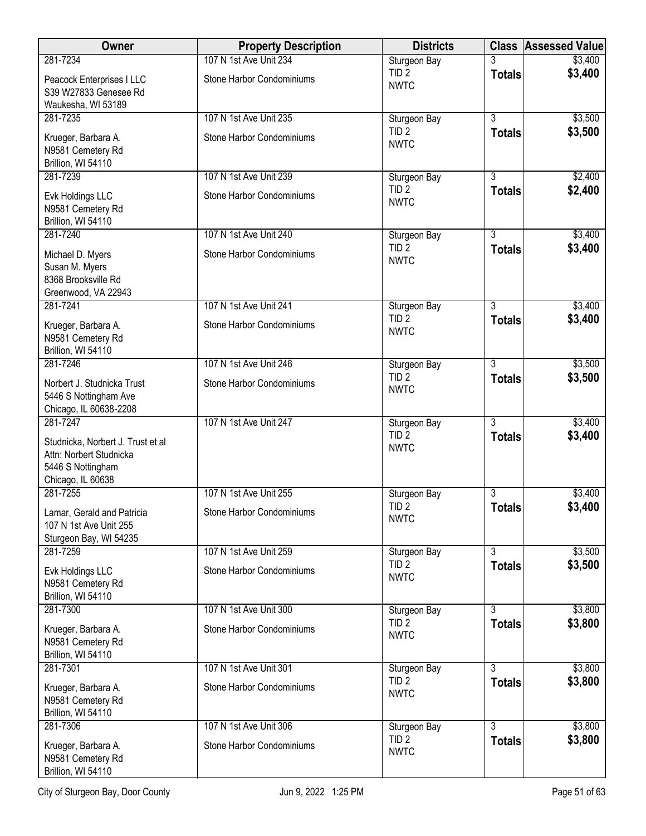| Owner                                                                                                  | <b>Property Description</b> | <b>Districts</b>                |                | <b>Class Assessed Value</b> |
|--------------------------------------------------------------------------------------------------------|-----------------------------|---------------------------------|----------------|-----------------------------|
| 281-7234                                                                                               | 107 N 1st Ave Unit 234      | Sturgeon Bay                    |                | \$3,400                     |
| Peacock Enterprises I LLC<br>S39 W27833 Genesee Rd<br>Waukesha, WI 53189                               | Stone Harbor Condominiums   | TID <sub>2</sub><br><b>NWTC</b> | <b>Totals</b>  | \$3,400                     |
| 281-7235                                                                                               | 107 N 1st Ave Unit 235      | Sturgeon Bay                    | $\overline{3}$ | \$3,500                     |
| Krueger, Barbara A.<br>N9581 Cemetery Rd<br>Brillion, WI 54110                                         | Stone Harbor Condominiums   | TID <sub>2</sub><br><b>NWTC</b> | <b>Totals</b>  | \$3,500                     |
| 281-7239                                                                                               | 107 N 1st Ave Unit 239      | Sturgeon Bay                    | $\overline{3}$ | \$2,400                     |
| Evk Holdings LLC<br>N9581 Cemetery Rd<br>Brillion, WI 54110                                            | Stone Harbor Condominiums   | TID <sub>2</sub><br><b>NWTC</b> | <b>Totals</b>  | \$2,400                     |
| 281-7240                                                                                               | 107 N 1st Ave Unit 240      | Sturgeon Bay                    | $\overline{3}$ | \$3,400                     |
| Michael D. Myers<br>Susan M. Myers<br>8368 Brooksville Rd<br>Greenwood, VA 22943                       | Stone Harbor Condominiums   | TID <sub>2</sub><br><b>NWTC</b> | <b>Totals</b>  | \$3,400                     |
| 281-7241                                                                                               | 107 N 1st Ave Unit 241      | Sturgeon Bay                    | $\overline{3}$ | \$3,400                     |
| Krueger, Barbara A.<br>N9581 Cemetery Rd<br>Brillion, WI 54110                                         | Stone Harbor Condominiums   | TID <sub>2</sub><br><b>NWTC</b> | <b>Totals</b>  | \$3,400                     |
| 281-7246                                                                                               | 107 N 1st Ave Unit 246      | Sturgeon Bay                    | $\overline{3}$ | \$3,500                     |
| Norbert J. Studnicka Trust<br>5446 S Nottingham Ave<br>Chicago, IL 60638-2208                          | Stone Harbor Condominiums   | TID <sub>2</sub><br><b>NWTC</b> | <b>Totals</b>  | \$3,500                     |
| 281-7247                                                                                               | 107 N 1st Ave Unit 247      | Sturgeon Bay                    | $\overline{3}$ | \$3,400                     |
| Studnicka, Norbert J. Trust et al<br>Attn: Norbert Studnicka<br>5446 S Nottingham<br>Chicago, IL 60638 |                             | TID <sub>2</sub><br><b>NWTC</b> | <b>Totals</b>  | \$3,400                     |
| 281-7255                                                                                               | 107 N 1st Ave Unit 255      | Sturgeon Bay                    | 3              | \$3,400                     |
| Lamar, Gerald and Patricia<br>107 N 1st Ave Unit 255<br>Sturgeon Bay, WI 54235                         | Stone Harbor Condominiums   | TID <sub>2</sub><br><b>NWTC</b> | <b>Totals</b>  | \$3,400                     |
| 281-7259                                                                                               | 107 N 1st Ave Unit 259      | Sturgeon Bay                    | 3              | \$3,500                     |
| Evk Holdings LLC<br>N9581 Cemetery Rd<br>Brillion, WI 54110                                            | Stone Harbor Condominiums   | TID <sub>2</sub><br><b>NWTC</b> | <b>Totals</b>  | \$3,500                     |
| 281-7300                                                                                               | 107 N 1st Ave Unit 300      | Sturgeon Bay                    | $\overline{3}$ | \$3,800                     |
| Krueger, Barbara A.<br>N9581 Cemetery Rd<br>Brillion, WI 54110                                         | Stone Harbor Condominiums   | TID <sub>2</sub><br><b>NWTC</b> | <b>Totals</b>  | \$3,800                     |
| 281-7301                                                                                               | 107 N 1st Ave Unit 301      | Sturgeon Bay                    | $\overline{3}$ | \$3,800                     |
| Krueger, Barbara A.<br>N9581 Cemetery Rd<br>Brillion, WI 54110                                         | Stone Harbor Condominiums   | TID <sub>2</sub><br><b>NWTC</b> | <b>Totals</b>  | \$3,800                     |
| 281-7306                                                                                               | 107 N 1st Ave Unit 306      | Sturgeon Bay                    | 3              | \$3,800                     |
| Krueger, Barbara A.<br>N9581 Cemetery Rd<br>Brillion, WI 54110                                         | Stone Harbor Condominiums   | TID <sub>2</sub><br><b>NWTC</b> | <b>Totals</b>  | \$3,800                     |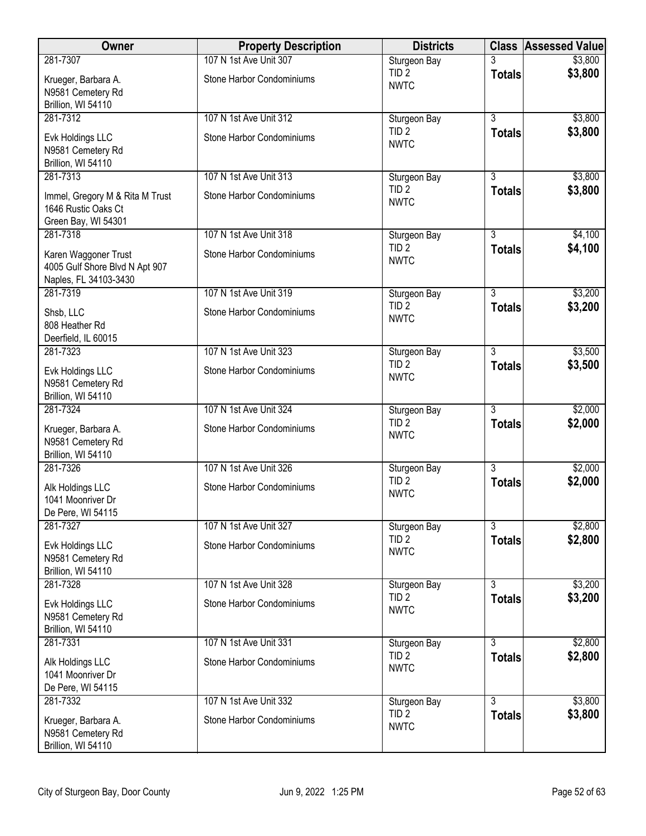| Owner                                                                           | <b>Property Description</b> | <b>Districts</b>                |                | <b>Class Assessed Value</b> |
|---------------------------------------------------------------------------------|-----------------------------|---------------------------------|----------------|-----------------------------|
| 281-7307                                                                        | 107 N 1st Ave Unit 307      | Sturgeon Bay                    |                | \$3,800                     |
| Krueger, Barbara A.<br>N9581 Cemetery Rd                                        | Stone Harbor Condominiums   | TID <sub>2</sub><br><b>NWTC</b> | <b>Totals</b>  | \$3,800                     |
| Brillion, WI 54110                                                              |                             |                                 |                |                             |
| 281-7312                                                                        | 107 N 1st Ave Unit 312      | Sturgeon Bay                    | $\overline{3}$ | \$3,800                     |
| Evk Holdings LLC<br>N9581 Cemetery Rd<br>Brillion, WI 54110                     | Stone Harbor Condominiums   | TID <sub>2</sub><br><b>NWTC</b> | <b>Totals</b>  | \$3,800                     |
| 281-7313                                                                        | 107 N 1st Ave Unit 313      | Sturgeon Bay                    | $\overline{3}$ | \$3,800                     |
| Immel, Gregory M & Rita M Trust<br>1646 Rustic Oaks Ct<br>Green Bay, WI 54301   | Stone Harbor Condominiums   | TID <sub>2</sub><br><b>NWTC</b> | <b>Totals</b>  | \$3,800                     |
| 281-7318                                                                        | 107 N 1st Ave Unit 318      | Sturgeon Bay                    | $\overline{3}$ | \$4,100                     |
| Karen Waggoner Trust<br>4005 Gulf Shore Blvd N Apt 907<br>Naples, FL 34103-3430 | Stone Harbor Condominiums   | TID <sub>2</sub><br><b>NWTC</b> | <b>Totals</b>  | \$4,100                     |
| 281-7319                                                                        | 107 N 1st Ave Unit 319      | Sturgeon Bay                    | $\overline{3}$ | \$3,200                     |
| Shsb, LLC<br>808 Heather Rd<br>Deerfield, IL 60015                              | Stone Harbor Condominiums   | TID <sub>2</sub><br><b>NWTC</b> | <b>Totals</b>  | \$3,200                     |
| 281-7323                                                                        | 107 N 1st Ave Unit 323      | Sturgeon Bay                    | $\overline{3}$ | \$3,500                     |
| Evk Holdings LLC<br>N9581 Cemetery Rd<br>Brillion, WI 54110                     | Stone Harbor Condominiums   | TID <sub>2</sub><br><b>NWTC</b> | <b>Totals</b>  | \$3,500                     |
| 281-7324                                                                        | 107 N 1st Ave Unit 324      | Sturgeon Bay                    | $\overline{3}$ | \$2,000                     |
| Krueger, Barbara A.<br>N9581 Cemetery Rd<br>Brillion, WI 54110                  | Stone Harbor Condominiums   | TID <sub>2</sub><br><b>NWTC</b> | <b>Totals</b>  | \$2,000                     |
| 281-7326                                                                        | 107 N 1st Ave Unit 326      | Sturgeon Bay                    | $\overline{3}$ | \$2,000                     |
| Alk Holdings LLC<br>1041 Moonriver Dr<br>De Pere, WI 54115                      | Stone Harbor Condominiums   | TID <sub>2</sub><br><b>NWTC</b> | <b>Totals</b>  | \$2,000                     |
| 281-7327                                                                        | 107 N 1st Ave Unit 327      | Sturgeon Bay                    | 3              | \$2,800                     |
| Evk Holdings LLC<br>N9581 Cemetery Rd<br>Brillion, WI 54110                     | Stone Harbor Condominiums   | TID <sub>2</sub><br><b>NWTC</b> | <b>Totals</b>  | \$2,800                     |
| 281-7328                                                                        | 107 N 1st Ave Unit 328      | Sturgeon Bay                    | $\overline{3}$ | \$3,200                     |
| Evk Holdings LLC<br>N9581 Cemetery Rd<br>Brillion, WI 54110                     | Stone Harbor Condominiums   | TID <sub>2</sub><br><b>NWTC</b> | <b>Totals</b>  | \$3,200                     |
| 281-7331                                                                        | 107 N 1st Ave Unit 331      | Sturgeon Bay                    | $\overline{3}$ | \$2,800                     |
| Alk Holdings LLC<br>1041 Moonriver Dr<br>De Pere, WI 54115                      | Stone Harbor Condominiums   | TID <sub>2</sub><br><b>NWTC</b> | <b>Totals</b>  | \$2,800                     |
| 281-7332                                                                        | 107 N 1st Ave Unit 332      | Sturgeon Bay                    | 3              | \$3,800                     |
| Krueger, Barbara A.<br>N9581 Cemetery Rd<br>Brillion, WI 54110                  | Stone Harbor Condominiums   | TID <sub>2</sub><br><b>NWTC</b> | <b>Totals</b>  | \$3,800                     |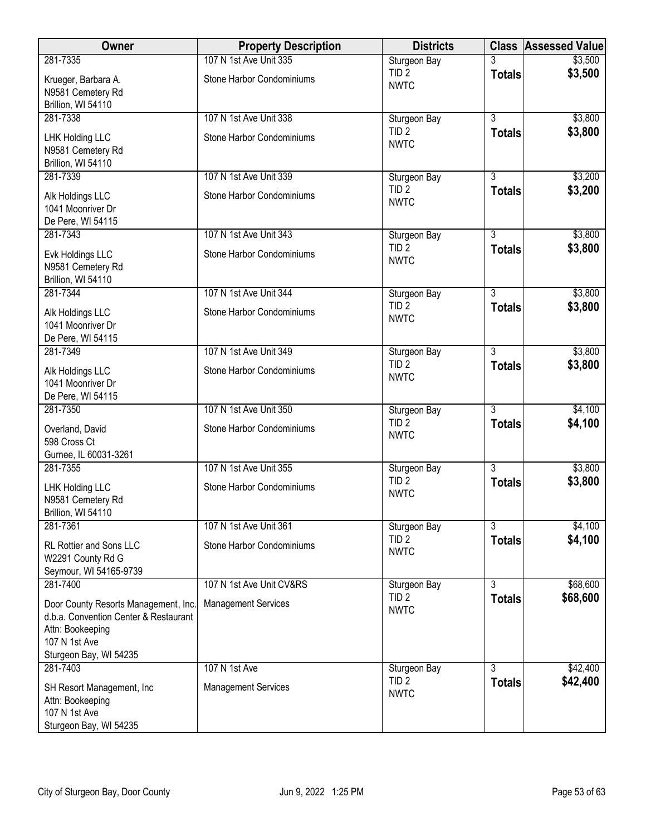| Owner                                                                                                                                        | <b>Property Description</b> | <b>Districts</b>                                |                | <b>Class Assessed Value</b> |
|----------------------------------------------------------------------------------------------------------------------------------------------|-----------------------------|-------------------------------------------------|----------------|-----------------------------|
| 281-7335                                                                                                                                     | 107 N 1st Ave Unit 335      | Sturgeon Bay                                    |                | \$3,500                     |
| Krueger, Barbara A.<br>N9581 Cemetery Rd<br>Brillion, WI 54110                                                                               | Stone Harbor Condominiums   | TID <sub>2</sub><br><b>NWTC</b>                 | <b>Totals</b>  | \$3,500                     |
| 281-7338                                                                                                                                     | 107 N 1st Ave Unit 338      | Sturgeon Bay                                    | $\overline{3}$ | \$3,800                     |
| LHK Holding LLC<br>N9581 Cemetery Rd<br>Brillion, WI 54110                                                                                   | Stone Harbor Condominiums   | TID <sub>2</sub><br><b>NWTC</b>                 | <b>Totals</b>  | \$3,800                     |
| 281-7339                                                                                                                                     | 107 N 1st Ave Unit 339      | Sturgeon Bay                                    | $\overline{3}$ | \$3,200                     |
| Alk Holdings LLC<br>1041 Moonriver Dr<br>De Pere, WI 54115                                                                                   | Stone Harbor Condominiums   | TID <sub>2</sub><br><b>NWTC</b>                 | <b>Totals</b>  | \$3,200                     |
| 281-7343                                                                                                                                     | 107 N 1st Ave Unit 343      | Sturgeon Bay                                    | $\overline{3}$ | \$3,800                     |
| Evk Holdings LLC<br>N9581 Cemetery Rd<br>Brillion, WI 54110                                                                                  | Stone Harbor Condominiums   | TID <sub>2</sub><br><b>NWTC</b>                 | <b>Totals</b>  | \$3,800                     |
| 281-7344                                                                                                                                     | 107 N 1st Ave Unit 344      | Sturgeon Bay                                    | $\overline{3}$ | \$3,800                     |
| Alk Holdings LLC<br>1041 Moonriver Dr<br>De Pere, WI 54115                                                                                   | Stone Harbor Condominiums   | TID <sub>2</sub><br><b>NWTC</b>                 | <b>Totals</b>  | \$3,800                     |
| 281-7349                                                                                                                                     | 107 N 1st Ave Unit 349      | Sturgeon Bay                                    | $\overline{3}$ | \$3,800                     |
| Alk Holdings LLC<br>1041 Moonriver Dr<br>De Pere, WI 54115                                                                                   | Stone Harbor Condominiums   | TID <sub>2</sub><br><b>NWTC</b>                 | <b>Totals</b>  | \$3,800                     |
| 281-7350                                                                                                                                     | 107 N 1st Ave Unit 350      | Sturgeon Bay                                    | $\overline{3}$ | \$4,100                     |
| Overland, David<br>598 Cross Ct                                                                                                              | Stone Harbor Condominiums   | TID <sub>2</sub><br><b>NWTC</b>                 | <b>Totals</b>  | \$4,100                     |
| Gurnee, IL 60031-3261<br>281-7355                                                                                                            | 107 N 1st Ave Unit 355      |                                                 | $\overline{3}$ | \$3,800                     |
| LHK Holding LLC<br>N9581 Cemetery Rd<br>Brillion, WI 54110                                                                                   | Stone Harbor Condominiums   | Sturgeon Bay<br>TID <sub>2</sub><br><b>NWTC</b> | <b>Totals</b>  | \$3,800                     |
| 281-7361                                                                                                                                     | 107 N 1st Ave Unit 361      | Sturgeon Bay                                    | 3              | \$4,100                     |
| RL Rottier and Sons LLC<br>W2291 County Rd G<br>Seymour, WI 54165-9739                                                                       | Stone Harbor Condominiums   | TID <sub>2</sub><br><b>NWTC</b>                 | <b>Totals</b>  | \$4,100                     |
| 281-7400                                                                                                                                     | 107 N 1st Ave Unit CV&RS    | Sturgeon Bay                                    | $\overline{3}$ | \$68,600                    |
| Door County Resorts Management, Inc.<br>d.b.a. Convention Center & Restaurant<br>Attn: Bookeeping<br>107 N 1st Ave<br>Sturgeon Bay, WI 54235 | <b>Management Services</b>  | TID <sub>2</sub><br><b>NWTC</b>                 | <b>Totals</b>  | \$68,600                    |
| 281-7403                                                                                                                                     | 107 N 1st Ave               | Sturgeon Bay                                    | $\overline{3}$ | \$42,400                    |
| SH Resort Management, Inc.<br>Attn: Bookeeping<br>107 N 1st Ave<br>Sturgeon Bay, WI 54235                                                    | <b>Management Services</b>  | TID <sub>2</sub><br><b>NWTC</b>                 | <b>Totals</b>  | \$42,400                    |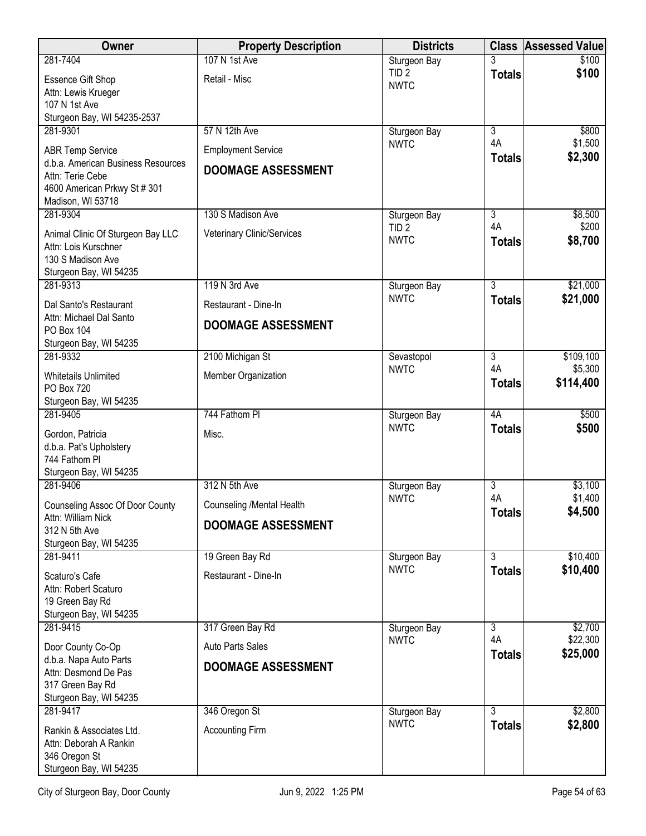| <b>Owner</b>                                                                                                | <b>Property Description</b> | <b>Districts</b>                |                     | <b>Class Assessed Value</b> |
|-------------------------------------------------------------------------------------------------------------|-----------------------------|---------------------------------|---------------------|-----------------------------|
| 281-7404                                                                                                    | 107 N 1st Ave               | Sturgeon Bay                    | 3                   | \$100                       |
| <b>Essence Gift Shop</b><br>Attn: Lewis Krueger                                                             | Retail - Misc               | TID <sub>2</sub><br><b>NWTC</b> | <b>Totals</b>       | \$100                       |
| 107 N 1st Ave<br>Sturgeon Bay, WI 54235-2537                                                                |                             |                                 |                     |                             |
| 281-9301                                                                                                    | 57 N 12th Ave               | Sturgeon Bay                    | 3                   | \$800                       |
| <b>ABR Temp Service</b>                                                                                     | <b>Employment Service</b>   | <b>NWTC</b>                     | 4A<br><b>Totals</b> | \$1,500<br>\$2,300          |
| d.b.a. American Business Resources<br>Attn: Terie Cebe<br>4600 American Prkwy St # 301<br>Madison, WI 53718 | <b>DOOMAGE ASSESSMENT</b>   |                                 |                     |                             |
| 281-9304                                                                                                    | 130 S Madison Ave           | Sturgeon Bay                    | 3                   | \$8,500                     |
| Animal Clinic Of Sturgeon Bay LLC<br>Attn: Lois Kurschner<br>130 S Madison Ave                              | Veterinary Clinic/Services  | TID <sub>2</sub><br><b>NWTC</b> | 4A<br><b>Totals</b> | \$200<br>\$8,700            |
| Sturgeon Bay, WI 54235<br>281-9313                                                                          | 119 N 3rd Ave               | Sturgeon Bay                    | $\overline{3}$      | \$21,000                    |
| Dal Santo's Restaurant                                                                                      | Restaurant - Dine-In        | <b>NWTC</b>                     | <b>Totals</b>       | \$21,000                    |
| Attn: Michael Dal Santo<br>PO Box 104                                                                       | <b>DOOMAGE ASSESSMENT</b>   |                                 |                     |                             |
| Sturgeon Bay, WI 54235                                                                                      |                             |                                 |                     |                             |
| 281-9332                                                                                                    | 2100 Michigan St            | Sevastopol<br><b>NWTC</b>       | 3<br>4A             | \$109,100<br>\$5,300        |
| <b>Whitetails Unlimited</b><br>PO Box 720<br>Sturgeon Bay, WI 54235                                         | Member Organization         |                                 | <b>Totals</b>       | \$114,400                   |
| 281-9405                                                                                                    | 744 Fathom PI               | Sturgeon Bay                    | 4A                  | \$500                       |
| Gordon, Patricia<br>d.b.a. Pat's Upholstery<br>744 Fathom PI<br>Sturgeon Bay, WI 54235                      | Misc.                       | <b>NWTC</b>                     | <b>Totals</b>       | \$500                       |
| 281-9406                                                                                                    | 312 N 5th Ave               | Sturgeon Bay                    | 3                   | \$3,100                     |
| Counseling Assoc Of Door County                                                                             | Counseling / Mental Health  | <b>NWTC</b>                     | 4A<br><b>Totals</b> | \$1,400<br>\$4,500          |
| Attn: William Nick<br>312 N 5th Ave                                                                         | <b>DOOMAGE ASSESSMENT</b>   |                                 |                     |                             |
| Sturgeon Bay, WI 54235                                                                                      |                             |                                 |                     |                             |
| 281-9411                                                                                                    | 19 Green Bay Rd             | Sturgeon Bay<br><b>NWTC</b>     | $\overline{3}$      | \$10,400                    |
| Scaturo's Cafe<br>Attn: Robert Scaturo                                                                      | Restaurant - Dine-In        |                                 | <b>Totals</b>       | \$10,400                    |
| 19 Green Bay Rd<br>Sturgeon Bay, WI 54235                                                                   |                             |                                 |                     |                             |
| 281-9415                                                                                                    | 317 Green Bay Rd            | Sturgeon Bay                    | $\overline{3}$      | \$2,700                     |
| Door County Co-Op                                                                                           | Auto Parts Sales            | <b>NWTC</b>                     | 4A                  | \$22,300                    |
| d.b.a. Napa Auto Parts<br>Attn: Desmond De Pas<br>317 Green Bay Rd                                          | <b>DOOMAGE ASSESSMENT</b>   |                                 | <b>Totals</b>       | \$25,000                    |
| Sturgeon Bay, WI 54235<br>281-9417                                                                          | 346 Oregon St               | Sturgeon Bay                    | 3                   | \$2,800                     |
| Rankin & Associates Ltd.<br>Attn: Deborah A Rankin                                                          | <b>Accounting Firm</b>      | <b>NWTC</b>                     | <b>Totals</b>       | \$2,800                     |
| 346 Oregon St<br>Sturgeon Bay, WI 54235                                                                     |                             |                                 |                     |                             |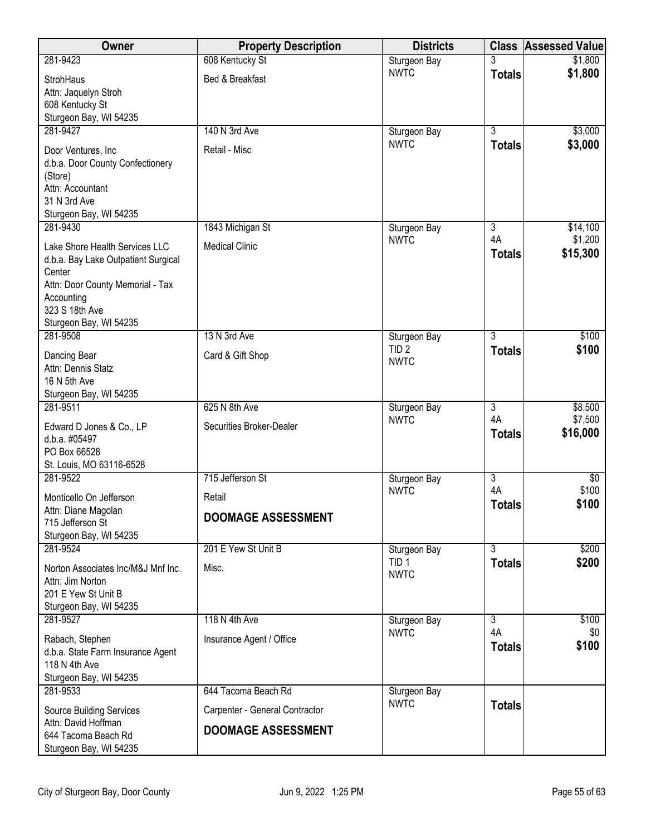| Owner                                                  | <b>Property Description</b>    | <b>Districts</b>                 | <b>Class</b>   | <b>Assessed Value</b> |
|--------------------------------------------------------|--------------------------------|----------------------------------|----------------|-----------------------|
| 281-9423                                               | 608 Kentucky St                | Sturgeon Bay                     |                | \$1,800               |
| StrohHaus                                              | Bed & Breakfast                | <b>NWTC</b>                      | <b>Totals</b>  | \$1,800               |
| Attn: Jaquelyn Stroh                                   |                                |                                  |                |                       |
| 608 Kentucky St                                        |                                |                                  |                |                       |
| Sturgeon Bay, WI 54235<br>281-9427                     | 140 N 3rd Ave                  | Sturgeon Bay                     | $\overline{3}$ | \$3,000               |
|                                                        |                                | <b>NWTC</b>                      | <b>Totals</b>  | \$3,000               |
| Door Ventures, Inc<br>d.b.a. Door County Confectionery | Retail - Misc                  |                                  |                |                       |
| (Store)                                                |                                |                                  |                |                       |
| Attn: Accountant                                       |                                |                                  |                |                       |
| 31 N 3rd Ave                                           |                                |                                  |                |                       |
| Sturgeon Bay, WI 54235<br>281-9430                     | 1843 Michigan St               |                                  | 3              | \$14,100              |
|                                                        |                                | Sturgeon Bay<br><b>NWTC</b>      | 4A             | \$1,200               |
| Lake Shore Health Services LLC                         | <b>Medical Clinic</b>          |                                  | <b>Totals</b>  | \$15,300              |
| d.b.a. Bay Lake Outpatient Surgical<br>Center          |                                |                                  |                |                       |
| Attn: Door County Memorial - Tax                       |                                |                                  |                |                       |
| Accounting                                             |                                |                                  |                |                       |
| 323 S 18th Ave                                         |                                |                                  |                |                       |
| Sturgeon Bay, WI 54235<br>281-9508                     | 13 N 3rd Ave                   | Sturgeon Bay                     | $\overline{3}$ | \$100                 |
|                                                        |                                | TID <sub>2</sub>                 | <b>Totals</b>  | \$100                 |
| Dancing Bear<br>Attn: Dennis Statz                     | Card & Gift Shop               | <b>NWTC</b>                      |                |                       |
| 16 N 5th Ave                                           |                                |                                  |                |                       |
| Sturgeon Bay, WI 54235                                 |                                |                                  |                |                       |
| 281-9511                                               | 625 N 8th Ave                  | Sturgeon Bay                     | 3              | \$8,500               |
| Edward D Jones & Co., LP                               | Securities Broker-Dealer       | <b>NWTC</b>                      | 4A             | \$7,500<br>\$16,000   |
| d.b.a. #05497                                          |                                |                                  | <b>Totals</b>  |                       |
| PO Box 66528<br>St. Louis, MO 63116-6528               |                                |                                  |                |                       |
| 281-9522                                               | 715 Jefferson St               | Sturgeon Bay                     | $\overline{3}$ | $\overline{60}$       |
| Monticello On Jefferson                                | Retail                         | <b>NWTC</b>                      | 4A             | \$100                 |
| Attn: Diane Magolan                                    |                                |                                  | <b>Totals</b>  | \$100                 |
| 715 Jefferson St                                       | <b>DOOMAGE ASSESSMENT</b>      |                                  |                |                       |
| Sturgeon Bay, WI 54235                                 |                                |                                  |                |                       |
| 281-9524                                               | 201 E Yew St Unit B            | Sturgeon Bay<br>TID <sub>1</sub> | 3              | \$200                 |
| Norton Associates Inc/M&J Mnf Inc.                     | Misc.                          | <b>NWTC</b>                      | <b>Totals</b>  | \$200                 |
| Attn: Jim Norton                                       |                                |                                  |                |                       |
| 201 E Yew St Unit B<br>Sturgeon Bay, WI 54235          |                                |                                  |                |                       |
| 281-9527                                               | 118 N 4th Ave                  | Sturgeon Bay                     | $\overline{3}$ | \$100                 |
| Rabach, Stephen                                        | Insurance Agent / Office       | <b>NWTC</b>                      | 4A             | \$0                   |
| d.b.a. State Farm Insurance Agent                      |                                |                                  | <b>Totals</b>  | \$100                 |
| 118 N 4th Ave                                          |                                |                                  |                |                       |
| Sturgeon Bay, WI 54235                                 |                                |                                  |                |                       |
| 281-9533                                               | 644 Tacoma Beach Rd            | Sturgeon Bay<br><b>NWTC</b>      |                |                       |
| <b>Source Building Services</b>                        | Carpenter - General Contractor |                                  | <b>Totals</b>  |                       |
| Attn: David Hoffman<br>644 Tacoma Beach Rd             | <b>DOOMAGE ASSESSMENT</b>      |                                  |                |                       |
| Sturgeon Bay, WI 54235                                 |                                |                                  |                |                       |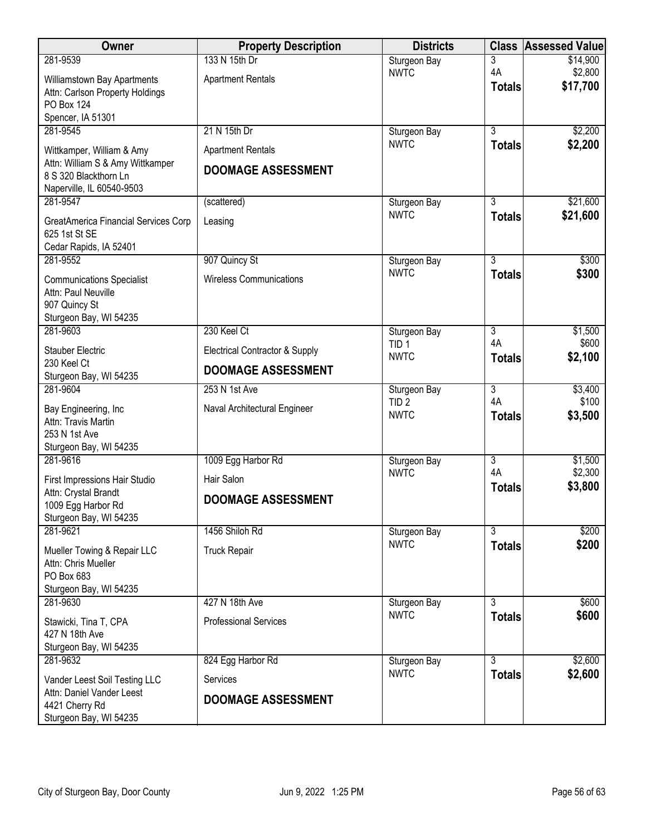| <b>Owner</b>                                       | <b>Property Description</b>    | <b>Districts</b>                |                     | <b>Class Assessed Value</b> |
|----------------------------------------------------|--------------------------------|---------------------------------|---------------------|-----------------------------|
| 281-9539                                           | 133 N 15th Dr                  | Sturgeon Bay                    | 3                   | \$14,900                    |
| Williamstown Bay Apartments                        | <b>Apartment Rentals</b>       | <b>NWTC</b>                     | 4A<br><b>Totals</b> | \$2,800<br>\$17,700         |
| Attn: Carlson Property Holdings                    |                                |                                 |                     |                             |
| <b>PO Box 124</b><br>Spencer, IA 51301             |                                |                                 |                     |                             |
| 281-9545                                           | 21 N 15th Dr                   | Sturgeon Bay                    | $\overline{3}$      | \$2,200                     |
| Wittkamper, William & Amy                          | <b>Apartment Rentals</b>       | <b>NWTC</b>                     | <b>Totals</b>       | \$2,200                     |
| Attn: William S & Amy Wittkamper                   | <b>DOOMAGE ASSESSMENT</b>      |                                 |                     |                             |
| 8 S 320 Blackthorn Ln<br>Naperville, IL 60540-9503 |                                |                                 |                     |                             |
| 281-9547                                           | (scattered)                    | Sturgeon Bay                    | $\overline{3}$      | \$21,600                    |
| GreatAmerica Financial Services Corp               | Leasing                        | <b>NWTC</b>                     | <b>Totals</b>       | \$21,600                    |
| 625 1st St SE                                      |                                |                                 |                     |                             |
| Cedar Rapids, IA 52401                             |                                |                                 |                     |                             |
| 281-9552                                           | 907 Quincy St                  | Sturgeon Bay<br><b>NWTC</b>     | $\overline{3}$      | \$300                       |
| <b>Communications Specialist</b>                   | <b>Wireless Communications</b> |                                 | <b>Totals</b>       | \$300                       |
| Attn: Paul Neuville<br>907 Quincy St               |                                |                                 |                     |                             |
| Sturgeon Bay, WI 54235                             |                                |                                 |                     |                             |
| 281-9603                                           | 230 Keel Ct                    | Sturgeon Bay                    | 3                   | \$1,500                     |
| <b>Stauber Electric</b>                            | Electrical Contractor & Supply | TID <sub>1</sub><br><b>NWTC</b> | 4A<br><b>Totals</b> | \$600<br>\$2,100            |
| 230 Keel Ct<br>Sturgeon Bay, WI 54235              | <b>DOOMAGE ASSESSMENT</b>      |                                 |                     |                             |
| 281-9604                                           | 253 N 1st Ave                  | Sturgeon Bay                    | $\overline{3}$      | \$3,400                     |
| Bay Engineering, Inc                               | Naval Architectural Engineer   | TID <sub>2</sub><br><b>NWTC</b> | 4A                  | \$100                       |
| Attn: Travis Martin                                |                                |                                 | <b>Totals</b>       | \$3,500                     |
| 253 N 1st Ave<br>Sturgeon Bay, WI 54235            |                                |                                 |                     |                             |
| 281-9616                                           | 1009 Egg Harbor Rd             | Sturgeon Bay                    | 3                   | \$1,500                     |
| First Impressions Hair Studio                      | Hair Salon                     | <b>NWTC</b>                     | 4A                  | \$2,300                     |
| Attn: Crystal Brandt                               |                                |                                 | <b>Totals</b>       | \$3,800                     |
| 1009 Egg Harbor Rd                                 | <b>DOOMAGE ASSESSMENT</b>      |                                 |                     |                             |
| Sturgeon Bay, WI 54235<br>281-9621                 | 1456 Shiloh Rd                 | Sturgeon Bay                    | $\overline{3}$      | \$200                       |
|                                                    |                                | <b>NWTC</b>                     | <b>Totals</b>       | \$200                       |
| Mueller Towing & Repair LLC<br>Attn: Chris Mueller | <b>Truck Repair</b>            |                                 |                     |                             |
| PO Box 683                                         |                                |                                 |                     |                             |
| Sturgeon Bay, WI 54235                             |                                |                                 |                     |                             |
| 281-9630                                           | 427 N 18th Ave                 | Sturgeon Bay<br><b>NWTC</b>     | $\overline{3}$      | \$600                       |
| Stawicki, Tina T, CPA                              | <b>Professional Services</b>   |                                 | <b>Totals</b>       | \$600                       |
| 427 N 18th Ave<br>Sturgeon Bay, WI 54235           |                                |                                 |                     |                             |
| 281-9632                                           | 824 Egg Harbor Rd              | Sturgeon Bay                    | $\overline{3}$      | \$2,600                     |
| Vander Leest Soil Testing LLC                      | Services                       | <b>NWTC</b>                     | <b>Totals</b>       | \$2,600                     |
| Attn: Daniel Vander Leest                          |                                |                                 |                     |                             |
| 4421 Cherry Rd                                     | <b>DOOMAGE ASSESSMENT</b>      |                                 |                     |                             |
| Sturgeon Bay, WI 54235                             |                                |                                 |                     |                             |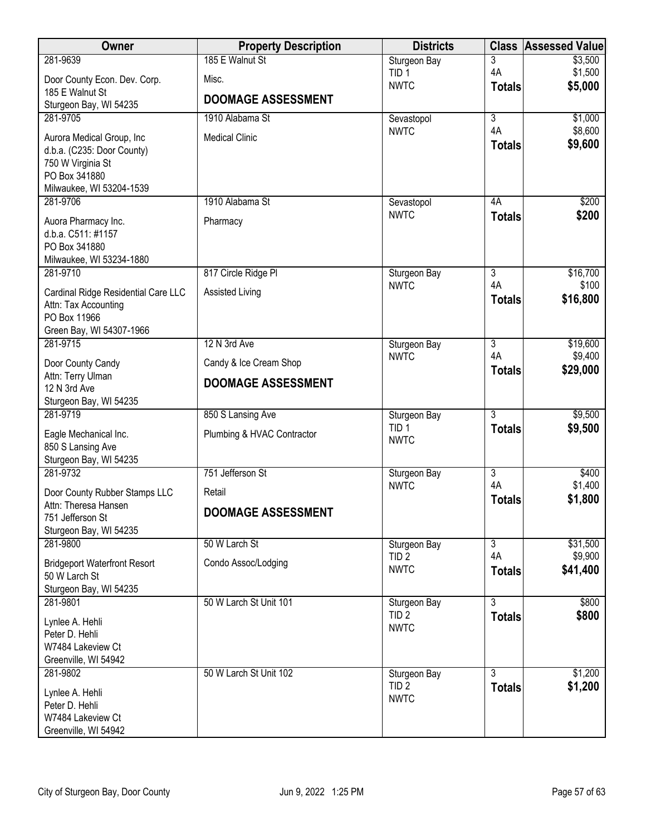| Owner                                           | <b>Property Description</b> | <b>Districts</b>                 | <b>Class</b>         | <b>Assessed Value</b> |
|-------------------------------------------------|-----------------------------|----------------------------------|----------------------|-----------------------|
| 281-9639                                        | 185 E Walnut St             | Sturgeon Bay                     | 3                    | \$3,500               |
| Door County Econ. Dev. Corp.                    | Misc.                       | TID <sub>1</sub><br><b>NWTC</b>  | 4A                   | \$1,500<br>\$5,000    |
| 185 E Walnut St                                 | <b>DOOMAGE ASSESSMENT</b>   |                                  | <b>Totals</b>        |                       |
| Sturgeon Bay, WI 54235                          |                             |                                  |                      |                       |
| 281-9705                                        | 1910 Alabama St             | Sevastopol<br><b>NWTC</b>        | $\overline{3}$<br>4A | \$1,000<br>\$8,600    |
| Aurora Medical Group, Inc                       | <b>Medical Clinic</b>       |                                  | <b>Totals</b>        | \$9,600               |
| d.b.a. (C235: Door County)<br>750 W Virginia St |                             |                                  |                      |                       |
| PO Box 341880                                   |                             |                                  |                      |                       |
| Milwaukee, WI 53204-1539                        |                             |                                  |                      |                       |
| 281-9706                                        | 1910 Alabama St             | Sevastopol                       | 4A                   | \$200                 |
| Auora Pharmacy Inc.                             | Pharmacy                    | <b>NWTC</b>                      | <b>Totals</b>        | \$200                 |
| d.b.a. C511: #1157                              |                             |                                  |                      |                       |
| PO Box 341880<br>Milwaukee, WI 53234-1880       |                             |                                  |                      |                       |
| 281-9710                                        | 817 Circle Ridge PI         | Sturgeon Bay                     | $\overline{3}$       | \$16,700              |
| Cardinal Ridge Residential Care LLC             | Assisted Living             | <b>NWTC</b>                      | 4A                   | \$100                 |
| Attn: Tax Accounting                            |                             |                                  | <b>Totals</b>        | \$16,800              |
| PO Box 11966                                    |                             |                                  |                      |                       |
| Green Bay, WI 54307-1966                        |                             |                                  |                      |                       |
| 281-9715                                        | 12 N 3rd Ave                | Sturgeon Bay<br><b>NWTC</b>      | $\overline{3}$<br>4A | \$19,600<br>\$9,400   |
| Door County Candy                               | Candy & Ice Cream Shop      |                                  | <b>Totals</b>        | \$29,000              |
| Attn: Terry Ulman<br>12 N 3rd Ave               | <b>DOOMAGE ASSESSMENT</b>   |                                  |                      |                       |
| Sturgeon Bay, WI 54235                          |                             |                                  |                      |                       |
| 281-9719                                        | 850 S Lansing Ave           | Sturgeon Bay                     | $\overline{3}$       | \$9,500               |
| Eagle Mechanical Inc.                           | Plumbing & HVAC Contractor  | TID <sub>1</sub>                 | <b>Totals</b>        | \$9,500               |
| 850 S Lansing Ave                               |                             | <b>NWTC</b>                      |                      |                       |
| Sturgeon Bay, WI 54235                          |                             |                                  |                      |                       |
| 281-9732                                        | 751 Jefferson St            | Sturgeon Bay<br><b>NWTC</b>      | $\overline{3}$<br>4A | \$400<br>\$1,400      |
| Door County Rubber Stamps LLC                   | Retail                      |                                  | <b>Totals</b>        | \$1,800               |
| Attn: Theresa Hansen<br>751 Jefferson St        | <b>DOOMAGE ASSESSMENT</b>   |                                  |                      |                       |
| Sturgeon Bay, WI 54235                          |                             |                                  |                      |                       |
| 281-9800                                        | 50 W Larch St               | Sturgeon Bay                     | $\overline{3}$       | \$31,500              |
| <b>Bridgeport Waterfront Resort</b>             | Condo Assoc/Lodging         | TID <sub>2</sub><br><b>NWTC</b>  | 4A                   | \$9,900               |
| 50 W Larch St                                   |                             |                                  | <b>Totals</b>        | \$41,400              |
| Sturgeon Bay, WI 54235                          |                             |                                  |                      |                       |
| 281-9801                                        | 50 W Larch St Unit 101      | Sturgeon Bay<br>TID <sub>2</sub> | 3<br><b>Totals</b>   | \$800<br>\$800        |
| Lynlee A. Hehli                                 |                             | <b>NWTC</b>                      |                      |                       |
| Peter D. Hehli<br>W7484 Lakeview Ct             |                             |                                  |                      |                       |
| Greenville, WI 54942                            |                             |                                  |                      |                       |
| 281-9802                                        | 50 W Larch St Unit 102      | Sturgeon Bay                     | $\overline{3}$       | \$1,200               |
| Lynlee A. Hehli                                 |                             | TID <sub>2</sub>                 | <b>Totals</b>        | \$1,200               |
| Peter D. Hehli                                  |                             | <b>NWTC</b>                      |                      |                       |
| W7484 Lakeview Ct                               |                             |                                  |                      |                       |
| Greenville, WI 54942                            |                             |                                  |                      |                       |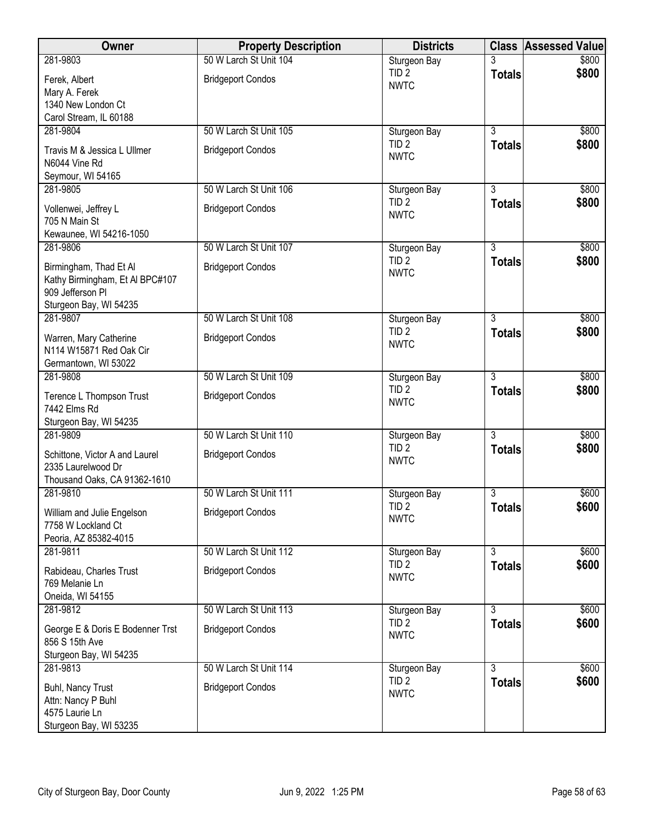| Owner                                              | <b>Property Description</b> | <b>Districts</b>                 |                | <b>Class Assessed Value</b> |
|----------------------------------------------------|-----------------------------|----------------------------------|----------------|-----------------------------|
| 281-9803                                           | 50 W Larch St Unit 104      | Sturgeon Bay                     |                | \$800                       |
| Ferek, Albert                                      | <b>Bridgeport Condos</b>    | TID <sub>2</sub>                 | <b>Totals</b>  | \$800                       |
| Mary A. Ferek                                      |                             | <b>NWTC</b>                      |                |                             |
| 1340 New London Ct                                 |                             |                                  |                |                             |
| Carol Stream, IL 60188                             |                             |                                  |                |                             |
| 281-9804                                           | 50 W Larch St Unit 105      | Sturgeon Bay                     | $\overline{3}$ | \$800                       |
| Travis M & Jessica L Ullmer                        | <b>Bridgeport Condos</b>    | TID <sub>2</sub>                 | <b>Totals</b>  | \$800                       |
| N6044 Vine Rd                                      |                             | <b>NWTC</b>                      |                |                             |
| Seymour, WI 54165                                  |                             |                                  |                |                             |
| 281-9805                                           | 50 W Larch St Unit 106      | Sturgeon Bay                     | $\overline{3}$ | \$800                       |
| Vollenwei, Jeffrey L                               | <b>Bridgeport Condos</b>    | TID <sub>2</sub>                 | <b>Totals</b>  | \$800                       |
| 705 N Main St                                      |                             | <b>NWTC</b>                      |                |                             |
| Kewaunee, WI 54216-1050                            |                             |                                  |                |                             |
| 281-9806                                           | 50 W Larch St Unit 107      | Sturgeon Bay                     | 3              | \$800                       |
| Birmingham, Thad Et Al                             | <b>Bridgeport Condos</b>    | TID <sub>2</sub>                 | <b>Totals</b>  | \$800                       |
| Kathy Birmingham, Et Al BPC#107                    |                             | <b>NWTC</b>                      |                |                             |
| 909 Jefferson Pl                                   |                             |                                  |                |                             |
| Sturgeon Bay, WI 54235                             |                             |                                  |                |                             |
| 281-9807                                           | 50 W Larch St Unit 108      | Sturgeon Bay                     | $\overline{3}$ | \$800                       |
| Warren, Mary Catherine                             | <b>Bridgeport Condos</b>    | TID <sub>2</sub>                 | <b>Totals</b>  | \$800                       |
| N114 W15871 Red Oak Cir                            |                             | <b>NWTC</b>                      |                |                             |
| Germantown, WI 53022                               |                             |                                  |                |                             |
| 281-9808                                           | 50 W Larch St Unit 109      | Sturgeon Bay                     | $\overline{3}$ | \$800                       |
|                                                    |                             | TID <sub>2</sub>                 | <b>Totals</b>  | \$800                       |
| Terence L Thompson Trust<br>7442 Elms Rd           | <b>Bridgeport Condos</b>    | <b>NWTC</b>                      |                |                             |
| Sturgeon Bay, WI 54235                             |                             |                                  |                |                             |
| 281-9809                                           | 50 W Larch St Unit 110      | Sturgeon Bay                     | $\overline{3}$ | \$800                       |
|                                                    |                             | TID <sub>2</sub>                 | <b>Totals</b>  | \$800                       |
| Schittone, Victor A and Laurel                     | <b>Bridgeport Condos</b>    | <b>NWTC</b>                      |                |                             |
| 2335 Laurelwood Dr<br>Thousand Oaks, CA 91362-1610 |                             |                                  |                |                             |
| 281-9810                                           | 50 W Larch St Unit 111      | Sturgeon Bay                     | 3              | \$600                       |
|                                                    |                             | TID <sub>2</sub>                 | <b>Totals</b>  | \$600                       |
| William and Julie Engelson                         | <b>Bridgeport Condos</b>    | <b>NWTC</b>                      |                |                             |
| 7758 W Lockland Ct<br>Peoria, AZ 85382-4015        |                             |                                  |                |                             |
| 281-9811                                           | 50 W Larch St Unit 112      | Sturgeon Bay                     | 3              | \$600                       |
|                                                    |                             | TID <sub>2</sub>                 | <b>Totals</b>  | \$600                       |
| Rabideau, Charles Trust                            | <b>Bridgeport Condos</b>    | <b>NWTC</b>                      |                |                             |
| 769 Melanie Ln                                     |                             |                                  |                |                             |
| Oneida, WI 54155<br>281-9812                       | 50 W Larch St Unit 113      |                                  | $\overline{3}$ | \$600                       |
|                                                    |                             | Sturgeon Bay<br>TID <sub>2</sub> |                | \$600                       |
| George E & Doris E Bodenner Trst                   | <b>Bridgeport Condos</b>    | <b>NWTC</b>                      | <b>Totals</b>  |                             |
| 856 S 15th Ave                                     |                             |                                  |                |                             |
| Sturgeon Bay, WI 54235                             |                             |                                  |                |                             |
| 281-9813                                           | 50 W Larch St Unit 114      | Sturgeon Bay                     | $\overline{3}$ | \$600                       |
| Buhl, Nancy Trust                                  | <b>Bridgeport Condos</b>    | TID <sub>2</sub><br><b>NWTC</b>  | <b>Totals</b>  | \$600                       |
| Attn: Nancy P Buhl                                 |                             |                                  |                |                             |
| 4575 Laurie Ln                                     |                             |                                  |                |                             |
| Sturgeon Bay, WI 53235                             |                             |                                  |                |                             |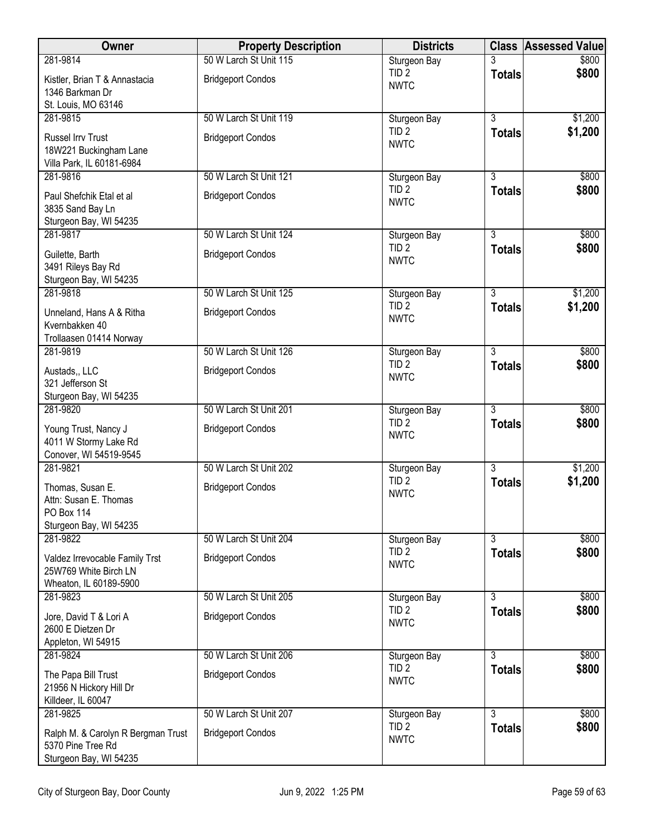| Owner                                                                             | <b>Property Description</b> | <b>Districts</b>                |                | <b>Class Assessed Value</b> |
|-----------------------------------------------------------------------------------|-----------------------------|---------------------------------|----------------|-----------------------------|
| 281-9814                                                                          | 50 W Larch St Unit 115      | Sturgeon Bay                    |                | \$800                       |
| Kistler, Brian T & Annastacia<br>1346 Barkman Dr                                  | <b>Bridgeport Condos</b>    | TID <sub>2</sub><br><b>NWTC</b> | <b>Totals</b>  | \$800                       |
| St. Louis, MO 63146                                                               |                             |                                 |                |                             |
| 281-9815                                                                          | 50 W Larch St Unit 119      | Sturgeon Bay                    | $\overline{3}$ | \$1,200                     |
| Russel Irrv Trust<br>18W221 Buckingham Lane<br>Villa Park, IL 60181-6984          | <b>Bridgeport Condos</b>    | TID <sub>2</sub><br><b>NWTC</b> | <b>Totals</b>  | \$1,200                     |
| 281-9816                                                                          | 50 W Larch St Unit 121      | Sturgeon Bay                    | $\overline{3}$ | \$800                       |
| Paul Shefchik Etal et al<br>3835 Sand Bay Ln<br>Sturgeon Bay, WI 54235            | <b>Bridgeport Condos</b>    | TID <sub>2</sub><br><b>NWTC</b> | <b>Totals</b>  | \$800                       |
| 281-9817                                                                          | 50 W Larch St Unit 124      | Sturgeon Bay                    | $\overline{3}$ | \$800                       |
| Guilette, Barth<br>3491 Rileys Bay Rd<br>Sturgeon Bay, WI 54235                   | <b>Bridgeport Condos</b>    | TID <sub>2</sub><br><b>NWTC</b> | <b>Totals</b>  | \$800                       |
| 281-9818                                                                          | 50 W Larch St Unit 125      | Sturgeon Bay                    | $\overline{3}$ | \$1,200                     |
| Unneland, Hans A & Ritha<br>Kvernbakken 40<br>Trollaasen 01414 Norway             | <b>Bridgeport Condos</b>    | TID <sub>2</sub><br><b>NWTC</b> | <b>Totals</b>  | \$1,200                     |
| 281-9819                                                                          | 50 W Larch St Unit 126      | Sturgeon Bay                    | $\overline{3}$ | \$800                       |
| Austads,, LLC<br>321 Jefferson St<br>Sturgeon Bay, WI 54235                       | <b>Bridgeport Condos</b>    | TID <sub>2</sub><br><b>NWTC</b> | <b>Totals</b>  | \$800                       |
| 281-9820                                                                          | 50 W Larch St Unit 201      | Sturgeon Bay                    | $\overline{3}$ | \$800                       |
| Young Trust, Nancy J<br>4011 W Stormy Lake Rd<br>Conover, WI 54519-9545           | <b>Bridgeport Condos</b>    | TID <sub>2</sub><br><b>NWTC</b> | <b>Totals</b>  | \$800                       |
| 281-9821                                                                          | 50 W Larch St Unit 202      | Sturgeon Bay                    | $\overline{3}$ | \$1,200                     |
| Thomas, Susan E.<br>Attn: Susan E. Thomas<br>PO Box 114<br>Sturgeon Bay, WI 54235 | <b>Bridgeport Condos</b>    | TID <sub>2</sub><br><b>NWTC</b> | <b>Totals</b>  | \$1,200                     |
| 281-9822                                                                          | 50 W Larch St Unit 204      | Sturgeon Bay                    | 3              | \$800                       |
| Valdez Irrevocable Family Trst<br>25W769 White Birch LN<br>Wheaton, IL 60189-5900 | <b>Bridgeport Condos</b>    | TID <sub>2</sub><br><b>NWTC</b> | <b>Totals</b>  | \$800                       |
| 281-9823                                                                          | 50 W Larch St Unit 205      | Sturgeon Bay                    | $\overline{3}$ | \$800                       |
| Jore, David T & Lori A<br>2600 E Dietzen Dr<br>Appleton, WI 54915                 | <b>Bridgeport Condos</b>    | TID <sub>2</sub><br><b>NWTC</b> | <b>Totals</b>  | \$800                       |
| 281-9824                                                                          | 50 W Larch St Unit 206      | Sturgeon Bay                    | $\overline{3}$ | \$800                       |
| The Papa Bill Trust<br>21956 N Hickory Hill Dr<br>Killdeer, IL 60047              | <b>Bridgeport Condos</b>    | TID <sub>2</sub><br><b>NWTC</b> | <b>Totals</b>  | \$800                       |
| 281-9825                                                                          | 50 W Larch St Unit 207      | Sturgeon Bay                    | 3              | \$800                       |
| Ralph M. & Carolyn R Bergman Trust<br>5370 Pine Tree Rd<br>Sturgeon Bay, WI 54235 | <b>Bridgeport Condos</b>    | TID <sub>2</sub><br><b>NWTC</b> | <b>Totals</b>  | \$800                       |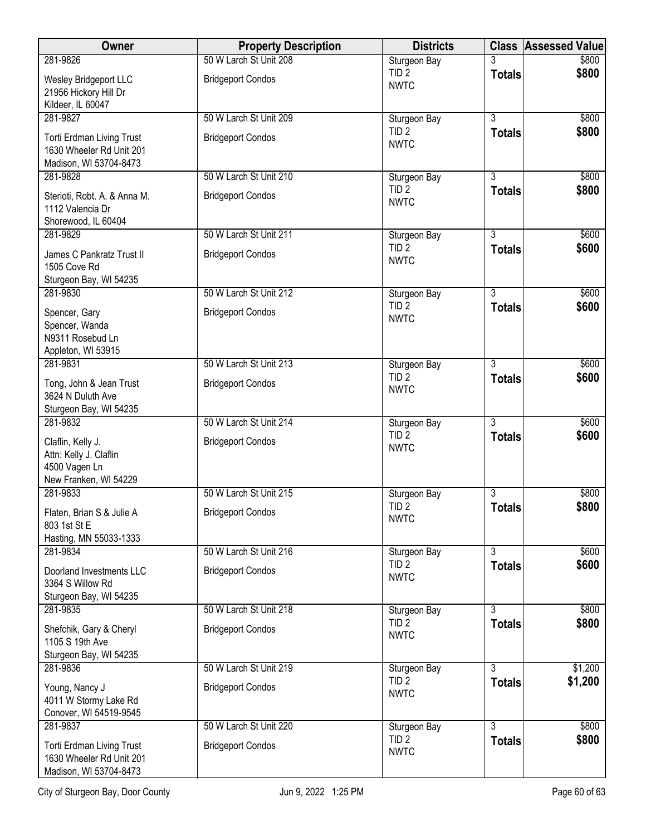| Owner                                                                                  | <b>Property Description</b> | <b>Districts</b>                 |                | <b>Class Assessed Value</b> |
|----------------------------------------------------------------------------------------|-----------------------------|----------------------------------|----------------|-----------------------------|
| 281-9826                                                                               | 50 W Larch St Unit 208      | Sturgeon Bay                     |                | \$800                       |
| Wesley Bridgeport LLC<br>21956 Hickory Hill Dr                                         | <b>Bridgeport Condos</b>    | TID <sub>2</sub><br><b>NWTC</b>  | <b>Totals</b>  | \$800                       |
| Kildeer, IL 60047                                                                      |                             |                                  |                |                             |
| 281-9827                                                                               | 50 W Larch St Unit 209      | Sturgeon Bay                     | $\overline{3}$ | \$800                       |
| <b>Torti Erdman Living Trust</b><br>1630 Wheeler Rd Unit 201<br>Madison, WI 53704-8473 | <b>Bridgeport Condos</b>    | TID <sub>2</sub><br><b>NWTC</b>  | <b>Totals</b>  | \$800                       |
| 281-9828                                                                               | 50 W Larch St Unit 210      | Sturgeon Bay                     | $\overline{3}$ | \$800                       |
| Sterioti, Robt. A. & Anna M.<br>1112 Valencia Dr<br>Shorewood, IL 60404                | <b>Bridgeport Condos</b>    | TID <sub>2</sub><br><b>NWTC</b>  | <b>Totals</b>  | \$800                       |
| 281-9829                                                                               | 50 W Larch St Unit 211      | Sturgeon Bay                     | $\overline{3}$ | \$600                       |
| James C Pankratz Trust II<br>1505 Cove Rd<br>Sturgeon Bay, WI 54235                    | <b>Bridgeport Condos</b>    | TID <sub>2</sub><br><b>NWTC</b>  | <b>Totals</b>  | \$600                       |
| 281-9830                                                                               | 50 W Larch St Unit 212      | Sturgeon Bay                     | $\overline{3}$ | \$600                       |
| Spencer, Gary<br>Spencer, Wanda<br>N9311 Rosebud Ln                                    | <b>Bridgeport Condos</b>    | TID <sub>2</sub><br><b>NWTC</b>  | <b>Totals</b>  | \$600                       |
| Appleton, WI 53915<br>281-9831                                                         | 50 W Larch St Unit 213      |                                  | $\overline{3}$ | \$600                       |
|                                                                                        |                             | Sturgeon Bay<br>TID <sub>2</sub> | <b>Totals</b>  | \$600                       |
| Tong, John & Jean Trust<br>3624 N Duluth Ave<br>Sturgeon Bay, WI 54235                 | <b>Bridgeport Condos</b>    | <b>NWTC</b>                      |                |                             |
| 281-9832                                                                               | 50 W Larch St Unit 214      | Sturgeon Bay                     | $\overline{3}$ | \$600                       |
| Claflin, Kelly J.<br>Attn: Kelly J. Claflin<br>4500 Vagen Ln<br>New Franken, WI 54229  | <b>Bridgeport Condos</b>    | TID <sub>2</sub><br><b>NWTC</b>  | <b>Totals</b>  | \$600                       |
| 281-9833                                                                               | 50 W Larch St Unit 215      | Sturgeon Bay                     | 3              | \$800                       |
| Flaten, Brian S & Julie A<br>803 1st St E<br>Hasting, MN 55033-1333                    | <b>Bridgeport Condos</b>    | TID <sub>2</sub><br><b>NWTC</b>  | <b>Totals</b>  | \$800                       |
| 281-9834                                                                               | 50 W Larch St Unit 216      | Sturgeon Bay                     | $\overline{3}$ | \$600                       |
| Doorland Investments LLC<br>3364 S Willow Rd<br>Sturgeon Bay, WI 54235                 | <b>Bridgeport Condos</b>    | TID <sub>2</sub><br><b>NWTC</b>  | <b>Totals</b>  | \$600                       |
| 281-9835                                                                               | 50 W Larch St Unit 218      | Sturgeon Bay                     | $\overline{3}$ | \$800                       |
| Shefchik, Gary & Cheryl<br>1105 S 19th Ave<br>Sturgeon Bay, WI 54235                   | <b>Bridgeport Condos</b>    | TID <sub>2</sub><br><b>NWTC</b>  | <b>Totals</b>  | \$800                       |
| 281-9836                                                                               | 50 W Larch St Unit 219      | Sturgeon Bay                     | $\overline{3}$ | \$1,200                     |
| Young, Nancy J<br>4011 W Stormy Lake Rd<br>Conover, WI 54519-9545                      | <b>Bridgeport Condos</b>    | TID <sub>2</sub><br><b>NWTC</b>  | <b>Totals</b>  | \$1,200                     |
| 281-9837                                                                               | 50 W Larch St Unit 220      | Sturgeon Bay                     | 3              | \$800                       |
| Torti Erdman Living Trust<br>1630 Wheeler Rd Unit 201<br>Madison, WI 53704-8473        | <b>Bridgeport Condos</b>    | TID <sub>2</sub><br><b>NWTC</b>  | <b>Totals</b>  | \$800                       |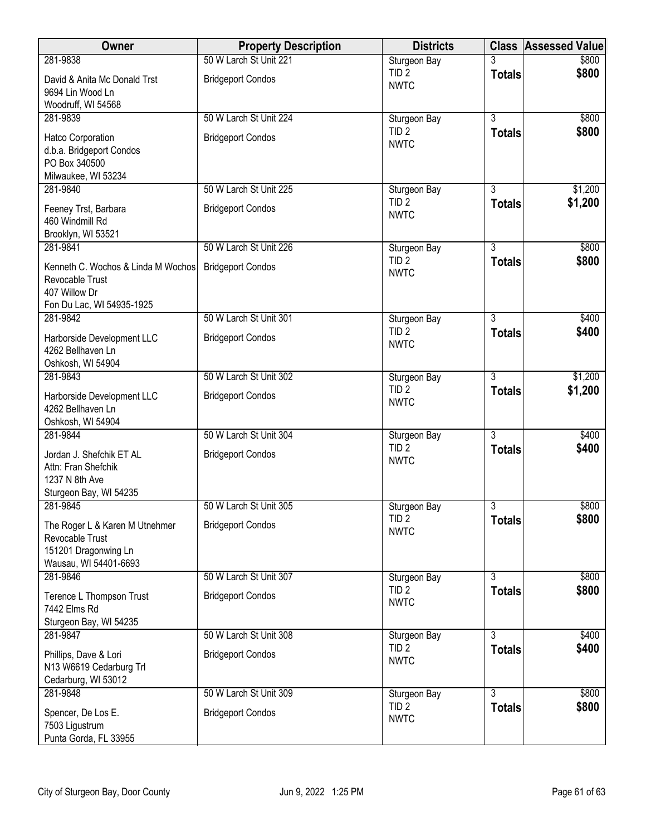| Owner                                                                                               | <b>Property Description</b> | <b>Districts</b>                |                | <b>Class Assessed Value</b> |
|-----------------------------------------------------------------------------------------------------|-----------------------------|---------------------------------|----------------|-----------------------------|
| 281-9838                                                                                            | 50 W Larch St Unit 221      | Sturgeon Bay                    |                | \$800                       |
| David & Anita Mc Donald Trst<br>9694 Lin Wood Ln                                                    | <b>Bridgeport Condos</b>    | TID <sub>2</sub><br><b>NWTC</b> | <b>Totals</b>  | \$800                       |
| Woodruff, WI 54568                                                                                  |                             |                                 |                |                             |
| 281-9839                                                                                            | 50 W Larch St Unit 224      | Sturgeon Bay                    | $\overline{3}$ | \$800                       |
| Hatco Corporation<br>d.b.a. Bridgeport Condos<br>PO Box 340500                                      | <b>Bridgeport Condos</b>    | TID <sub>2</sub><br><b>NWTC</b> | <b>Totals</b>  | \$800                       |
| Milwaukee, WI 53234<br>281-9840                                                                     | 50 W Larch St Unit 225      | Sturgeon Bay                    | 3              | \$1,200                     |
| Feeney Trst, Barbara<br>460 Windmill Rd<br>Brooklyn, WI 53521                                       | <b>Bridgeport Condos</b>    | TID <sub>2</sub><br><b>NWTC</b> | <b>Totals</b>  | \$1,200                     |
| 281-9841                                                                                            | 50 W Larch St Unit 226      | Sturgeon Bay                    | $\overline{3}$ | \$800                       |
| Kenneth C. Wochos & Linda M Wochos<br>Revocable Trust<br>407 Willow Dr<br>Fon Du Lac, WI 54935-1925 | <b>Bridgeport Condos</b>    | TID <sub>2</sub><br><b>NWTC</b> | <b>Totals</b>  | \$800                       |
| 281-9842                                                                                            | 50 W Larch St Unit 301      | Sturgeon Bay                    | $\overline{3}$ | \$400                       |
| Harborside Development LLC<br>4262 Bellhaven Ln<br>Oshkosh, WI 54904                                | <b>Bridgeport Condos</b>    | TID <sub>2</sub><br><b>NWTC</b> | <b>Totals</b>  | \$400                       |
| 281-9843                                                                                            | 50 W Larch St Unit 302      | Sturgeon Bay                    | $\overline{3}$ | \$1,200                     |
| Harborside Development LLC<br>4262 Bellhaven Ln<br>Oshkosh, WI 54904                                | <b>Bridgeport Condos</b>    | TID <sub>2</sub><br><b>NWTC</b> | <b>Totals</b>  | \$1,200                     |
| 281-9844                                                                                            | 50 W Larch St Unit 304      | Sturgeon Bay                    | $\overline{3}$ | \$400                       |
| Jordan J. Shefchik ET AL<br>Attn: Fran Shefchik<br>1237 N 8th Ave<br>Sturgeon Bay, WI 54235         | <b>Bridgeport Condos</b>    | TID <sub>2</sub><br><b>NWTC</b> | <b>Totals</b>  | \$400                       |
| 281-9845                                                                                            | 50 W Larch St Unit 305      | Sturgeon Bay                    | 3              | \$800                       |
| The Roger L & Karen M Utnehmer<br>Revocable Trust<br>151201 Dragonwing Ln<br>Wausau, WI 54401-6693  | <b>Bridgeport Condos</b>    | TID <sub>2</sub><br><b>NWTC</b> | <b>Totals</b>  | \$800                       |
| 281-9846                                                                                            | 50 W Larch St Unit 307      | Sturgeon Bay                    | 3              | \$800                       |
| Terence L Thompson Trust<br>7442 Elms Rd                                                            | <b>Bridgeport Condos</b>    | TID <sub>2</sub><br><b>NWTC</b> | <b>Totals</b>  | \$800                       |
| Sturgeon Bay, WI 54235<br>281-9847                                                                  | 50 W Larch St Unit 308      | Sturgeon Bay                    | $\overline{3}$ | \$400                       |
| Phillips, Dave & Lori<br>N13 W6619 Cedarburg Trl<br>Cedarburg, WI 53012                             | <b>Bridgeport Condos</b>    | TID <sub>2</sub><br><b>NWTC</b> | <b>Totals</b>  | \$400                       |
| 281-9848                                                                                            | 50 W Larch St Unit 309      | Sturgeon Bay                    | $\overline{3}$ | \$800                       |
| Spencer, De Los E.<br>7503 Ligustrum<br>Punta Gorda, FL 33955                                       | <b>Bridgeport Condos</b>    | TID <sub>2</sub><br><b>NWTC</b> | <b>Totals</b>  | \$800                       |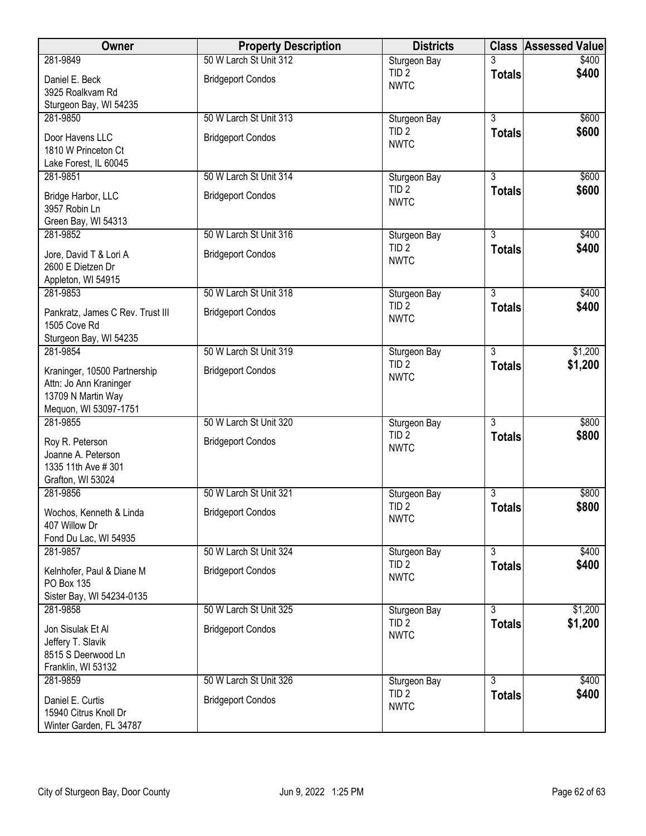| Owner                                   | <b>Property Description</b> | <b>Districts</b>                 |                | <b>Class Assessed Value</b> |
|-----------------------------------------|-----------------------------|----------------------------------|----------------|-----------------------------|
| 281-9849                                | 50 W Larch St Unit 312      | Sturgeon Bay                     |                | \$400                       |
| Daniel E. Beck                          | <b>Bridgeport Condos</b>    | TID <sub>2</sub>                 | <b>Totals</b>  | \$400                       |
| 3925 Roalkvam Rd                        |                             | <b>NWTC</b>                      |                |                             |
| Sturgeon Bay, WI 54235                  |                             |                                  |                |                             |
| 281-9850                                | 50 W Larch St Unit 313      | Sturgeon Bay                     | $\overline{3}$ | \$600                       |
| Door Havens LLC                         | <b>Bridgeport Condos</b>    | TID <sub>2</sub><br><b>NWTC</b>  | <b>Totals</b>  | \$600                       |
| 1810 W Princeton Ct                     |                             |                                  |                |                             |
| Lake Forest, IL 60045                   |                             |                                  |                |                             |
| 281-9851                                | 50 W Larch St Unit 314      | Sturgeon Bay                     | $\overline{3}$ | \$600                       |
| Bridge Harbor, LLC                      | <b>Bridgeport Condos</b>    | TID <sub>2</sub><br><b>NWTC</b>  | <b>Totals</b>  | \$600                       |
| 3957 Robin Ln                           |                             |                                  |                |                             |
| Green Bay, WI 54313                     |                             |                                  |                |                             |
| 281-9852                                | 50 W Larch St Unit 316      | Sturgeon Bay                     | 3              | \$400                       |
| Jore, David T & Lori A                  | <b>Bridgeport Condos</b>    | TID <sub>2</sub>                 | <b>Totals</b>  | \$400                       |
| 2600 E Dietzen Dr                       |                             | <b>NWTC</b>                      |                |                             |
| Appleton, WI 54915                      |                             |                                  |                |                             |
| 281-9853                                | 50 W Larch St Unit 318      | Sturgeon Bay                     | $\overline{3}$ | \$400                       |
| Pankratz, James C Rev. Trust III        | <b>Bridgeport Condos</b>    | TID <sub>2</sub>                 | <b>Totals</b>  | \$400                       |
| 1505 Cove Rd                            |                             | <b>NWTC</b>                      |                |                             |
| Sturgeon Bay, WI 54235                  |                             |                                  |                |                             |
| 281-9854                                | 50 W Larch St Unit 319      | Sturgeon Bay                     | $\overline{3}$ | \$1,200                     |
| Kraninger, 10500 Partnership            | <b>Bridgeport Condos</b>    | TID <sub>2</sub>                 | <b>Totals</b>  | \$1,200                     |
| Attn: Jo Ann Kraninger                  |                             | <b>NWTC</b>                      |                |                             |
| 13709 N Martin Way                      |                             |                                  |                |                             |
| Mequon, WI 53097-1751                   |                             |                                  |                |                             |
| 281-9855                                | 50 W Larch St Unit 320      | Sturgeon Bay<br>TID <sub>2</sub> | $\overline{3}$ | \$800                       |
| Roy R. Peterson                         | <b>Bridgeport Condos</b>    | <b>NWTC</b>                      | <b>Totals</b>  | \$800                       |
| Joanne A. Peterson                      |                             |                                  |                |                             |
| 1335 11th Ave # 301                     |                             |                                  |                |                             |
| Grafton, WI 53024<br>281-9856           | 50 W Larch St Unit 321      | Sturgeon Bay                     | 3              | \$800                       |
|                                         |                             | TID <sub>2</sub>                 | <b>Totals</b>  | \$800                       |
| Wochos, Kenneth & Linda                 | <b>Bridgeport Condos</b>    | <b>NWTC</b>                      |                |                             |
| 407 Willow Dr                           |                             |                                  |                |                             |
| Fond Du Lac, WI 54935<br>281-9857       | 50 W Larch St Unit 324      | Sturgeon Bay                     | 3              | \$400                       |
|                                         |                             | TID <sub>2</sub>                 | <b>Totals</b>  | \$400                       |
| Kelnhofer, Paul & Diane M               | <b>Bridgeport Condos</b>    | <b>NWTC</b>                      |                |                             |
| PO Box 135<br>Sister Bay, WI 54234-0135 |                             |                                  |                |                             |
| 281-9858                                | 50 W Larch St Unit 325      | Sturgeon Bay                     | $\overline{3}$ | \$1,200                     |
|                                         |                             | TID <sub>2</sub>                 | <b>Totals</b>  | \$1,200                     |
| Jon Sisulak Et Al                       | <b>Bridgeport Condos</b>    | <b>NWTC</b>                      |                |                             |
| Jeffery T. Slavik<br>8515 S Deerwood Ln |                             |                                  |                |                             |
| Franklin, WI 53132                      |                             |                                  |                |                             |
| 281-9859                                | 50 W Larch St Unit 326      | Sturgeon Bay                     | $\overline{3}$ | \$400                       |
| Daniel E. Curtis                        | <b>Bridgeport Condos</b>    | TID <sub>2</sub>                 | <b>Totals</b>  | \$400                       |
| 15940 Citrus Knoll Dr                   |                             | <b>NWTC</b>                      |                |                             |
| Winter Garden, FL 34787                 |                             |                                  |                |                             |